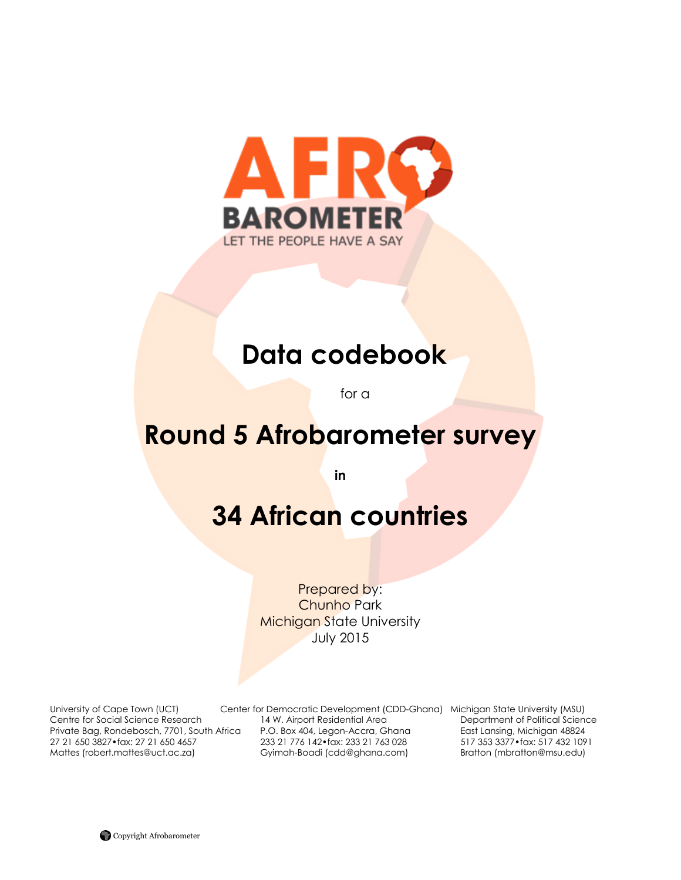

# **Data codebook**

for a

# **Round 5 Afrobarometer survey**

**in**

# **34 African countries**

Prepared by: Chunho Park Michigan State University July 2015

University of Cape Town (UCT) Center for Democratic Development (CDD-Ghana) Michigan State University (MSU) Centre for Social Science Research 14 W. Airport Residential Area Department of Political Science Private Bag, Rondebosch, 7701, South Africa P.O. Box 404, Legon-Accra, Ghana East Lansing, Michigan 48824 27 21 650 3827•fax: 27 21 650 4657 233 21 776 142•fax: 233 21 763 028 517 353 3377•fax: 517 432 1091 Mattes (robert.mattes@uct.ac.za) Gyimah-Boadi (cdd@ghana.com) Bratton (mbratton@msu.edu)

Copyright Afrobarometer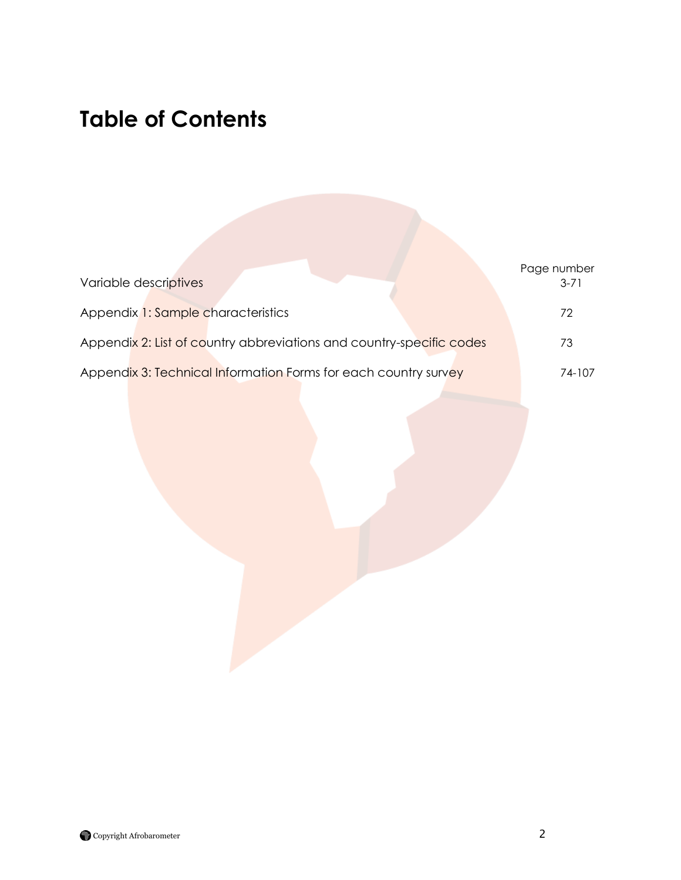# **Table of Contents**

| Variable descriptives                                                | Page number<br>$3 - 71$ |
|----------------------------------------------------------------------|-------------------------|
| Appendix 1: Sample characteristics                                   | 72                      |
| Appendix 2: List of country abbreviations and country-specific codes | 73                      |
| Appendix 3: Technical Information Forms for each country survey      | 74-107                  |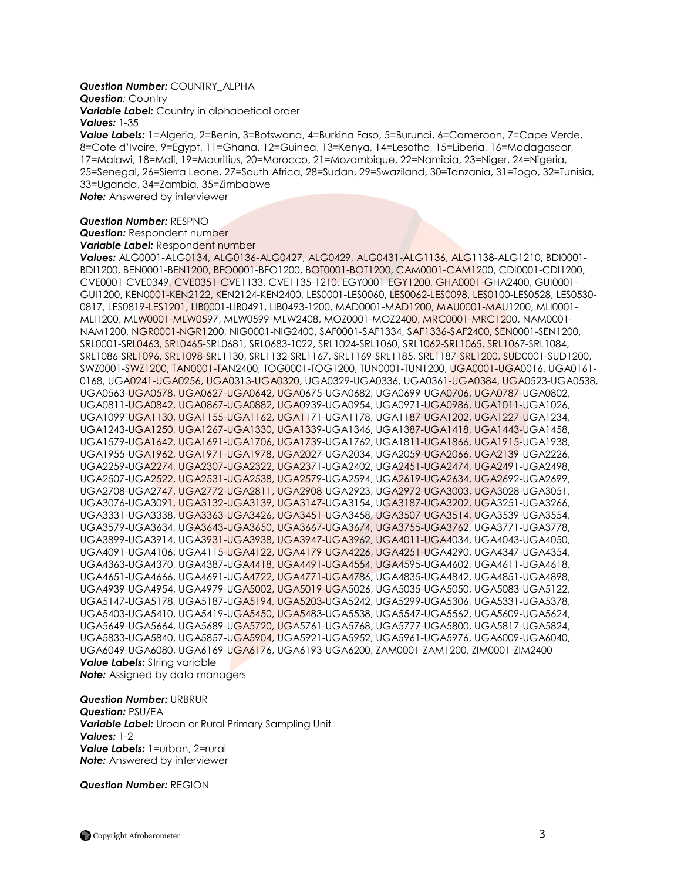#### *Question Number:* COUNTRY\_ALPHA

**Question: Country** 

*Variable Label:* Country in alphabetical order *Values:* 1-35

*Value Labels:* 1=Algeria, 2=Benin, 3=Botswana, 4=Burkina Faso, 5=Burundi, 6=Cameroon, 7=Cape Verde, 8=Cote d"Ivoire, 9=Egypt, 11=Ghana, 12=Guinea, 13=Kenya, 14=Lesotho, 15=Liberia, 16=Madagascar, 17=Malawi, 18=Mali, 19=Mauritius, 20=Morocco, 21=Mozambique, 22=Namibia, 23=Niger, 24=Nigeria, 25=Senegal, 26=Sierra Leone, 27=South Africa, 28=Sudan, 29=Swaziland, 30=Tanzania, 31=Togo, 32=Tunisia, 33=Uganda, 34=Zambia, 35=Zimbabwe

*Note:* Answered by interviewer

# *Question Number:* RESPNO

**Question: Respondent number** 

*Variable Label:* Respondent number

*Values:* ALG0001-ALG0134, ALG0136-ALG0427, ALG0429, ALG0431-ALG1136, ALG1138-ALG1210, BDI0001- BDI1200, BEN0001-BEN1200, BFO0001-BFO1200, BOT0001-BOT1200, CAM0001-CAM1200, CDI0001-CDI1200, CVE0001-CVE0349, CVE0351-CVE1133, CVE1135-1210, EGY0001-EGY1200, GHA0001-GHA2400, GUI0001- GUI1200, KEN0001-KEN2122, KEN2124-KEN2400, LES0001-LES0060, LES0062-LES0098, LES0100-LES0528, LES0530- 0817, LES0819-LES1201, LIB0001-LIB0491, LIB0493-1200, MAD0001-MAD1200, MAU0001-MAU1200, MLI0001- MLI1200, MLW0001-MLW0597, MLW0599-MLW2408, MOZ0001-MOZ2400, MRC0001-MRC1200, NAM0001- NAM1200, NGR0001-NGR1200, NIG0001-NIG2400, SAF0001-SAF1334, SAF1336-SAF2400, SEN0001-SEN1200, SRL0001-SRL0463, SRL0465-SRL0681, SRL0683-1022, SRL1024-SRL1060, SRL1062-SRL1065, SRL1067-SRL1084, SRL1086-SRL1096, SRL1098-SRL1130, SRL1132-SRL1167, SRL1169-SRL1185, SRL1187-SRL1200, SUD0001-SUD1200, SWZ0001-SWZ1200, TAN0001-TAN2400, TOG0001-TOG1200, TUN0001-TUN1200, UGA0001-UGA0016, UGA0161- 0168, UGA0241-UGA0256, UGA0313-UGA0320, UGA0329-UGA0336, UGA0361-UGA0384, UGA0523-UGA0538, UGA0563-UGA0578, UGA0627-UGA0642, UGA0675-UGA0682, UGA0699-UGA0706, UGA0787-UGA0802, UGA0811-UGA0842, UGA0867-UGA0882, UGA0939-UGA0954, UGA0971-UGA0986, UGA1011-UGA1026, UGA1099-UGA1130, UGA1155-UGA1162, UGA1171-UGA1178, UGA1187-UGA1202, UGA1227-UGA1234, UGA1243-UGA1250, UGA1267-UGA1330, UGA1339-UGA1346, UGA1387-UGA1418, UGA1443-UGA1458, UGA1579-UGA1642, UGA1691-UGA1706, UGA1739-UGA1762, UGA1811-UGA1866, UGA1915-UGA1938, UGA1955-UGA1962, UGA1971-UGA1978, UGA2027-UGA2034, UGA2059-UGA2066, UGA2139-UGA2226, UGA2259-UGA2274, UGA2307-UGA2322, UGA2371-UGA2402, UGA2451-UGA2474, UGA2491-UGA2498, UGA2507-UGA2522, UGA2531-UGA2538, UGA2579-UGA2594, UGA2619-UGA2634, UGA2692-UGA2699, UGA2708-UGA2747, UGA2772-UGA2811, UGA2908-UGA2923, UGA2972-UGA3003, UGA3028-UGA3051, UGA3076-UGA3091, UGA3132-UGA3139, UGA3147-UGA3154, UGA3187-UGA3202, UGA3251-UGA3266, UGA3331-UGA3338, UGA3363-UGA3426, UGA3451-UGA3458, UGA3507-UGA3514, UGA3539-UGA3554, UGA3579-UGA3634, UGA3643-UGA3650, UGA3667-UGA3674, UGA3755-UGA3762, UGA3771-UGA3778, UGA3899-UGA3914, UGA3931-UGA3938, UGA3947-UGA3962, UGA4011-UGA4034, UGA4043-UGA4050, UGA4091-UGA4106, UGA4115-UGA4122, UGA4179-UGA4226, UGA4251-UGA4290, UGA4347-UGA4354, UGA4363-UGA4370, UGA4387-UGA4418, UGA4491-UGA4554, UGA4595-UGA4602, UGA4611-UGA4618, UGA4651-UGA4666, UGA4691-UGA4722, UGA4771-UGA4786, UGA4835-UGA4842, UGA4851-UGA4898, UGA4939-UGA4954, UGA4979-UGA5002, UGA5019-UGA5026, UGA5035-UGA5050, UGA5083-UGA5122, UGA5147-UGA5178, UGA5187-UGA5194, UGA5203-UGA5242, UGA5299-UGA5306, UGA5331-UGA5378, UGA5403-UGA5410, UGA5419-UGA5450, UGA5483-UGA5538, UGA5547-UGA5562, UGA5609-UGA5624, UGA5649-UGA5664, UGA5689-UGA5720, UGA5761-UGA5768, UGA5777-UGA5800, UGA5817-UGA5824, UGA5833-UGA5840, UGA5857-UGA5904, UGA5921-UGA5952, UGA5961-UGA5976, UGA6009-UGA6040, UGA6049-UGA6080, UGA6169-UGA6176, UGA6193-UGA6200, ZAM0001-ZAM1200, ZIM0001-ZIM2400 *Value Labels:* String variable **Note:** Assigned by data managers

*Question Number:* URBRUR *Question:* PSU/EA *Variable Label:* Urban or Rural Primary Sampling Unit *Values:* 1-2 *Value Labels:* 1=urban, 2=rural *Note:* Answered by interviewer

*Question Number:* REGION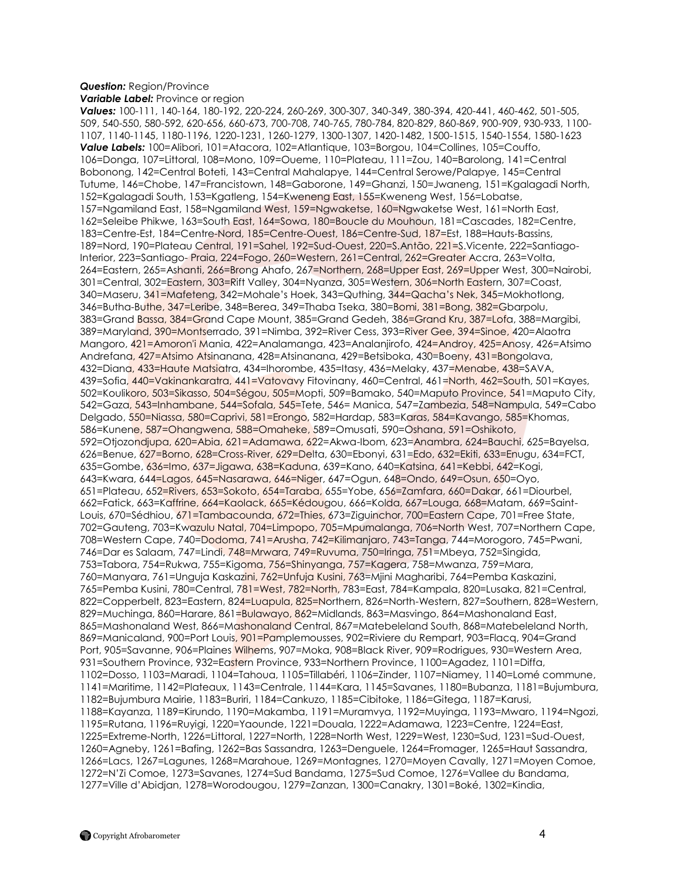# *Question:* Region/Province

*Variable Label:* Province or region

*Values:* 100-111, 140-164, 180-192, 220-224, 260-269, 300-307, 340-349, 380-394, 420-441, 460-462, 501-505, 509, 540-550, 580-592, 620-656, 660-673, 700-708, 740-765, 780-784, 820-829, 860-869, 900-909, 930-933, 1100- 1107, 1140-1145, 1180-1196, 1220-1231, 1260-1279, 1300-1307, 1420-1482, 1500-1515, 1540-1554, 1580-1623 *Value Labels:* 100=Alibori, 101=Atacora, 102=Atlantique, 103=Borgou, 104=Collines, 105=Couffo, 106=Donga, 107=Littoral, 108=Mono, 109=Oueme, 110=Plateau, 111=Zou, 140=Barolong, 141=Central Bobonong, 142=Central Boteti, 143=Central Mahalapye, 144=Central Serowe/Palapye, 145=Central Tutume, 146=Chobe, 147=Francistown, 148=Gaborone, 149=Ghanzi, 150=Jwaneng, 151=Kgalagadi North, 152=Kgalagadi South, 153=Kgatleng, 154=Kweneng East, 155=Kweneng West, 156=Lobatse, 157=Ngamiland East, 158=Ngamiland West, 159=Ngwaketse, 160=Ngwaketse West, 161=North East, 162=Seleibe Phikwe, 163=South East, 164=Sowa, 180=Boucle du Mouhoun, 181=Cascades, 182=Centre, 183=Centre-Est, 184=Centre-Nord, 185=Centre-Ouest, 186=Centre-Sud, 187=Est, 188=Hauts-Bassins, 189=Nord, 190=Plateau Central, 191=Sahel, 192=Sud-Ouest, 220=S.Antão, 221=S.Vicente, 222=Santiago-Interior, 223=Santiago- Praia, 224=Fogo, 260=Western, 261=Central, 262=Greater Accra, 263=Volta, 264=Eastern, 265=Ashanti, 266=Brong Ahafo, 267=Northern, 268=Upper East, 269=Upper West, 300=Nairobi, 301=Central, 302=Eastern, 303=Rift Valley, 304=Nyanza, 305=Western, 306=North Eastern, 307=Coast, 340=Maseru, 341=Mafeteng, 342=Mohale"s Hoek, 343=Quthing, 344=Qacha"s Nek, 345=Mokhotlong, 346=Butha-Buthe, 347=Leribe, 348=Berea, 349=Thaba Tseka, 380=Bomi, 381=Bong, 382=Gbarpolu, 383=Grand Bassa, 384=Grand Cape Mount, 385=Grand Gedeh, 386=Grand Kru, 387=Lofa, 388=Margibi, 389=Maryland, 390=Montserrado, 391=Nimba, 392=River Cess, 393=River Gee, 394=Sinoe, 420=Alaotra Mangoro, 421=Amoron'i Mania, 422=Analamanga, 423=Analanjirofo, 424=Androy, 425=Anosy, 426=Atsimo Andrefana, 427=Atsimo Atsinanana, 428=Atsinanana, 429=Betsiboka, 430=Boeny, 431=Bongolava, 432=Diana, 433=Haute Matsiatra, 434=Ihorombe, 435=Itasy, 436=Melaky, 437=Menabe, 438=SAVA, 439=Sofia, 440=Vakinankaratra, 441=Vatovavy Fitovinany, 460=Central, 461=North, 462=South, 501=Kayes, 502=Koulikoro, 503=Sikasso, 504=Ségou, 505=Mopti, 509=Bamako, 540=Maputo Province, 541=Maputo City, 542=Gaza, 543=Inhambane, 544=Sofala, 545=Tete, 546= Manica, 547=Zambezia, 548=Nampula, 549=Cabo Delgado, 550=Niassa, 580=Caprivi, 581=Erongo, 582=Hardap, 583=Karas, 584=Kavango, 585=Khomas, 586=Kunene, 587=Ohangwena, 588=Omaheke, 589=Omusati, 590=Oshana, 591=Oshikoto, 592=Otjozondjupa, 620=Abia, 621=Adamawa, 622=Akwa-Ibom, 623=Anambra, 624=Bauchi, 625=Bayelsa, 626=Benue, 627=Borno, 628=Cross-River, 629=Delta, 630=Ebonyi, 631=Edo, 632=Ekiti, 633=Enugu, 634=FCT, 635=Gombe, 636=Imo, 637=Jigawa, 638=Kaduna, 639=Kano, 640=Katsina, 641=Kebbi, 642=Kogi, 643=Kwara, 644=Lagos, 645=Nasarawa, 646=Niger, 647=Ogun, 648=Ondo, 649=Osun, 650=Oyo, 651=Plateau, 652=Rivers, 653=Sokoto, 654=Taraba, 655=Yobe, 656=Zamfara, 660=Dakar, 661=Diourbel, 662=Fatick, 663=Kaffrine, 664=Kaolack, 665=Kédougou, 666=Kolda, 667=Louga, 668=Matam, 669=Saint-Louis, 670=Sédhiou, 671=Tambacounda, 672=Thies, 673=Ziguinchor, 700=Eastern Cape, 701=Free State, 702=Gauteng, 703=Kwazulu Natal, 704=Limpopo, 705=Mpumalanga, 706=North West, 707=Northern Cape, 708=Western Cape, 740=Dodoma, 741=Arusha, 742=Kilimanjaro, 743=Tanga, 744=Morogoro, 745=Pwani, 746=Dar es Salaam, 747=Lindi, 748=Mrwara, 749=Ruvuma, 750=Iringa, 751=Mbeya, 752=Singida, 753=Tabora, 754=Rukwa, 755=Kigoma, 756=Shinyanga, 757=Kagera, 758=Mwanza, 759=Mara, 760=Manyara, 761=Unguja Kaskazini, 762=Unfuja Kusini, 763=Mjini Magharibi, 764=Pemba Kaskazini, 765=Pemba Kusini, 780=Central, 781=West, 782=North, 783=East, 784=Kampala, 820=Lusaka, 821=Central, 822=Copperbelt, 823=Eastern, 824=Luapula, 825=Northern, 826=North-Western, 827=Southern, 828=Western, 829=Muchinga, 860=Harare, 861=Bulawayo, 862=Midlands, 863=Masvingo, 864=Mashonaland East, 865=Mashonaland West, 866=Mashonaland Central, 867=Matebeleland South, 868=Matebeleland North, 869=Manicaland, 900=Port Louis, 901=Pamplemousses, 902=Riviere du Rempart, 903=Flacq, 904=Grand Port, 905=Savanne, 906=Plaines Wilhems, 907=Moka, 908=Black River, 909=Rodrigues, 930=Western Area, 931=Southern Province, 932=Eastern Province, 933=Northern Province, 1100=Agadez, 1101=Diffa, 1102=Dosso, 1103=Maradi, 1104=Tahoua, 1105=Tillabéri, 1106=Zinder, 1107=Niamey, 1140=Lomé commune, 1141=Maritime, 1142=Plateaux, 1143=Centrale, 1144=Kara, 1145=Savanes, 1180=Bubanza, 1181=Bujumbura, 1182=Bujumbura Mairie, 1183=Buriri, 1184=Cankuzo, 1185=Cibitoke, 1186=Gitega, 1187=Karusi, 1188=Kayanza, 1189=Kirundo, 1190=Makamba, 1191=Muramvya, 1192=Muyinga, 1193=Mwaro, 1194=Ngozi, 1195=Rutana, 1196=Ruyigi, 1220=Yaounde, 1221=Douala, 1222=Adamawa, 1223=Centre, 1224=East, 1225=Extreme-North, 1226=Littoral, 1227=North, 1228=North West, 1229=West, 1230=Sud, 1231=Sud-Ouest, 1260=Agneby, 1261=Bafing, 1262=Bas Sassandra, 1263=Denguele, 1264=Fromager, 1265=Haut Sassandra, 1266=Lacs, 1267=Lagunes, 1268=Marahoue, 1269=Montagnes, 1270=Moyen Cavally, 1271=Moyen Comoe, 1272=N"Zi Comoe, 1273=Savanes, 1274=Sud Bandama, 1275=Sud Comoe, 1276=Vallee du Bandama, 1277=Ville d"Abidjan, 1278=Worodougou, 1279=Zanzan, 1300=Canakry, 1301=Boké, 1302=Kindia,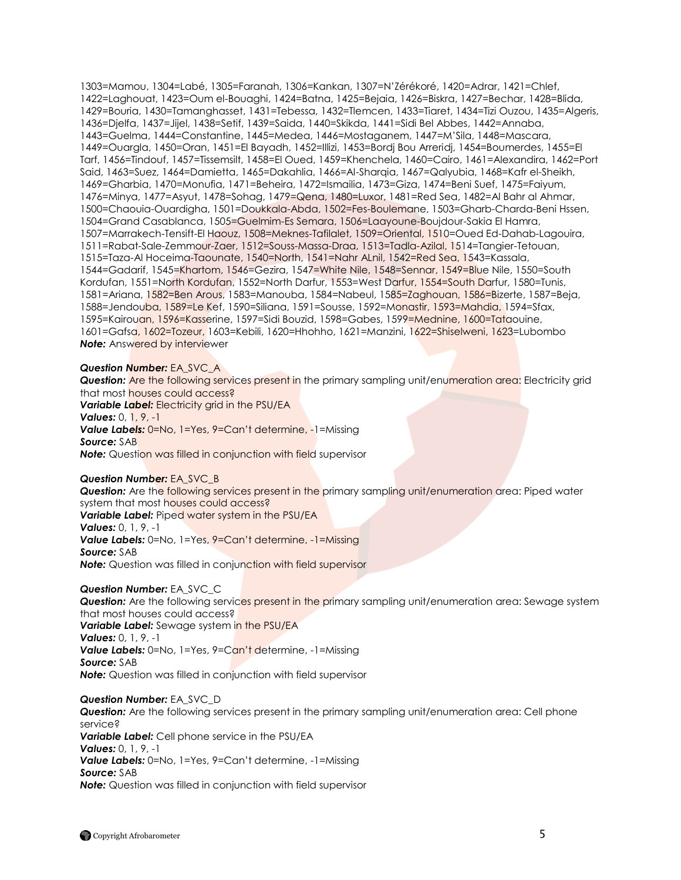1303=Mamou, 1304=Labé, 1305=Faranah, 1306=Kankan, 1307=N"Zérékoré, 1420=Adrar, 1421=Chlef, 1422=Laghouat, 1423=Oum el-Bouaghi, 1424=Batna, 1425=Bejaia, 1426=Biskra, 1427=Bechar, 1428=Blida, 1429=Bouria, 1430=Tamanghasset, 1431=Tebessa, 1432=Tlemcen, 1433=Tiaret, 1434=Tizi Ouzou, 1435=Algeris, 1436=Djelfa, 1437=Jijel, 1438=Setif, 1439=Saida, 1440=Skikda, 1441=Sidi Bel Abbes, 1442=Annaba, 1443=Guelma, 1444=Constantine, 1445=Medea, 1446=Mostaganem, 1447=M"Sila, 1448=Mascara, 1449=Ouargla, 1450=Oran, 1451=El Bayadh, 1452=Illizi, 1453=Bordj Bou Arreridj, 1454=Boumerdes, 1455=El Tarf, 1456=Tindouf, 1457=Tissemsilt, 1458=El Oued, 1459=Khenchela, 1460=Cairo, 1461=Alexandira, 1462=Port Said, 1463=Suez, 1464=Damietta, 1465=Dakahlia, 1466=Al-Sharqia, 1467=Qalyubia, 1468=Kafr el-Sheikh, 1469=Gharbia, 1470=Monufia, 1471=Beheira, 1472=Ismailia, 1473=Giza, 1474=Beni Suef, 1475=Faiyum, 1476=Minya, 1477=Asyut, 1478=Sohag, 1479=Qena, 1480=Luxor, 1481=Red Sea, 1482=Al Bahr al Ahmar, 1500=Chaouia-Ouardigha, 1501=Doukkala-Abda, 1502=Fes-Boulemane, 1503=Gharb-Charda-Beni Hssen, 1504=Grand Casablanca, 1505=Guelmim-Es Semara, 1506=Laayoune-Boujdour-Sakia El Hamra, 1507=Marrakech-Tensift-El Haouz, 1508=Meknes-Tafilalet, 1509=Oriental, 1510=Oued Ed-Dahab-Lagouira, 1511=Rabat-Sale-Zemmour-Zaer, 1512=Souss-Massa-Draa, 1513=Tadla-Azilal, 1514=Tangier-Tetouan, 1515=Taza-Al Hoceima-Taounate, 1540=North, 1541=Nahr ALnil, 1542=Red Sea, 1543=Kassala, 1544=Gadarif, 1545=Khartom, 1546=Gezira, 1547=White Nile, 1548=Sennar, 1549=Blue Nile, 1550=South Kordufan, 1551=North Kordufan, 1552=North Darfur, 1553=West Darfur, 1554=South Darfur, 1580=Tunis, 1581=Ariana, 1582=Ben Arous, 1583=Manouba, 1584=Nabeul, 1585=Zaghouan, 1586=Bizerte, 1587=Beja, 1588=Jendouba, 1589=Le Kef, 1590=Siliana, 1591=Sousse, 1592=Monastir, 1593=Mahdia, 1594=Sfax, 1595=Kairouan, 1596=Kasserine, 1597=Sidi Bouzid, 1598=Gabes, 1599=Mednine, 1600=Tataouine, 1601=Gafsa, 1602=Tozeur, 1603=Kebili, 1620=Hhohho, 1621=Manzini, 1622=Shiselweni, 1623=Lubombo **Note:** Answered by interviewer

# *Question Number:* EA\_SVC\_A

**Question:** Are the following services present in the primary sampling unit/enumeration area: Electricity grid that most houses could access? *Variable Label:* Electricity grid in the PSU/EA *Values:* 0, 1, 9, -1 *Value Labels:* 0=No, 1=Yes, 9=Can"t determine, -1=Missing *Source:* SAB **Note:** Question was filled in conjunction with field supervisor

# *Question Number:* EA\_SVC\_B

**Question:** Are the following services present in the primary sampling unit/enumeration area: Piped water system that most houses could access? *Variable Label:* Piped water system in the PSU/EA *Values:* 0, 1, 9, -1 *Value Labels:* 0=No, 1=Yes, 9=Can"t determine, -1=Missing *Source:* SAB **Note:** Question was filled in conjunction with field supervisor

#### *Question Number:* EA\_SVC\_C

**Question:** Are the following services present in the primary sampling unit/enumeration area: Sewage system that most houses could access? *Variable Label:* Sewage system in the PSU/EA *Values:* 0, 1, 9, -1 **Value Labels:** 0=No, 1=Yes, 9=Can't determine, -1=Missing *Source:* SAB **Note:** Question was filled in conjunction with field supervisor

#### *Question Number:* EA\_SVC\_D

**Question:** Are the following services present in the primary sampling unit/enumeration area: Cell phone service? *Variable Label:* Cell phone service in the PSU/EA *Values:* 0, 1, 9, -1 *Value Labels:* 0=No, 1=Yes, 9=Can"t determine, -1=Missing *Source:* SAB *Note:* Question was filled in conjunction with field supervisor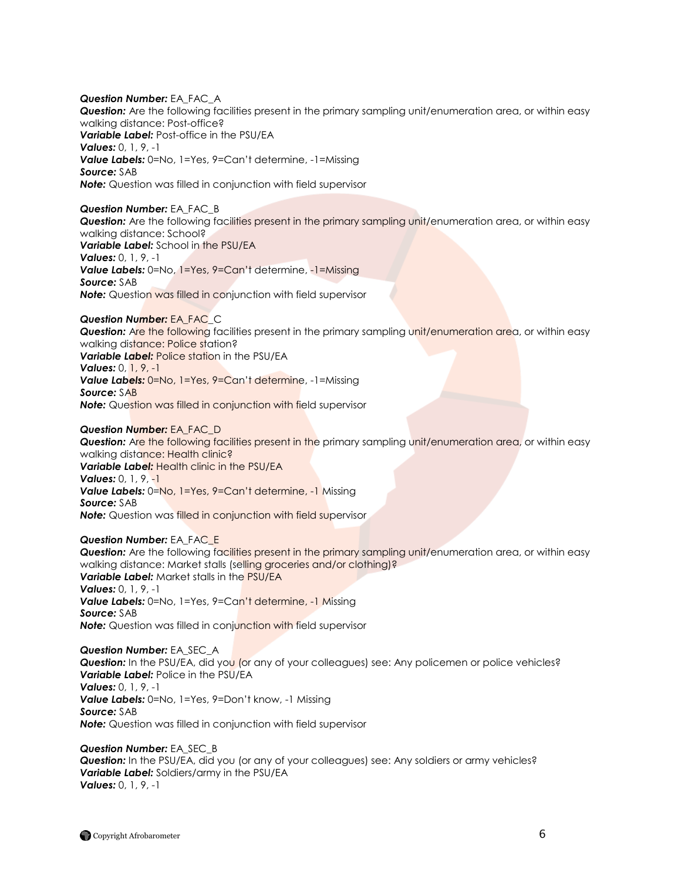*Question Number:* EA\_FAC\_A *Question:* Are the following facilities present in the primary sampling unit/enumeration area, or within easy walking distance: Post-office? *Variable Label:* Post-office in the PSU/EA *Values:* 0, 1, 9, -1 *Value Labels:* 0=No, 1=Yes, 9=Can"t determine, -1=Missing *Source:* SAB *Note:* Question was filled in conjunction with field supervisor

#### *Question Number:* EA\_FAC\_B

*Question:* Are the following facilities present in the primary sampling unit/enumeration area, or within easy walking distance: School? *Variable Label:* School in the PSU/EA *Values:* 0, 1, 9, -1 **Value Labels:** 0=No, 1=Yes, 9=Can't determine, -1=Missing *Source:* SAB **Note:** Question was filled in conjunction with field supervisor

# *Question Number:* EA\_FAC\_C

*Question:* Are the following facilities present in the primary sampling unit/enumeration area, or within easy walking distance: Police station? *Variable Label:* Police station in the PSU/EA *Values:* 0, 1, 9, -1 **Value Labels:** 0=No, 1=Yes, 9=Can't determine, -1=Missing *Source:* SAB

**Note:** Question was filled in conjunction with field supervisor

#### *Question Number:* EA\_FAC\_D

*Question:* Are the following facilities present in the primary sampling unit/enumeration area, or within easy walking distance: Health clinic? *Variable Label:* Health clinic in the PSU/EA *Values:* 0, 1, 9, -1 **Value Labels:** 0=No, 1=Yes, 9=Can't determine, -1 Missing *Source:* SAB **Note:** Question was filled in conjunction with field supervisor

#### *Question Number:* EA\_FAC\_E

*Question:* Are the following facilities present in the primary sampling unit/enumeration area, or within easy walking distance: Market stalls (selling groceries and/or clothing)? *Variable Label:* Market stalls in the PSU/EA *Values:* 0, 1, 9, -1 **Value Labels:** 0=No, 1=Yes, 9=Can't determine, -1 Missing *Source:* SAB **Note:** Question was filled in conjunction with field supervisor

#### *Question Number:* EA\_SEC\_A **Question:** In the PSU/EA, did you (or any of your colleagues) see: Any policemen or police vehicles? *Variable Label:* Police in the PSU/EA *Values:* 0, 1, 9, -1 **Value Labels:** 0=No, 1=Yes, 9=Don't know, -1 Missing *Source:* SAB *Note:* Question was filled in conjunction with field supervisor

*Question Number:* EA\_SEC\_B **Question:** In the PSU/EA, did you (or any of your colleagues) see: Any soldiers or army vehicles? *Variable Label:* Soldiers/army in the PSU/EA *Values:* 0, 1, 9, -1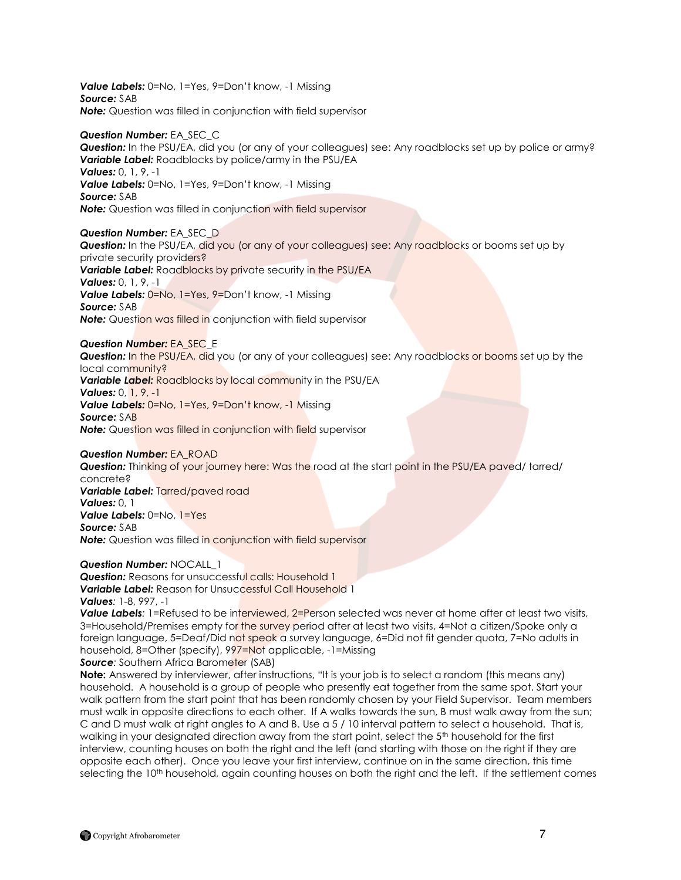*Value Labels:* 0=No, 1=Yes, 9=Don"t know, -1 Missing *Source:* SAB *Note:* Question was filled in conjunction with field supervisor

*Question Number:* EA\_SEC\_C *Question:* In the PSU/EA, did you (or any of your colleagues) see: Any roadblocks set up by police or army? *Variable Label:* Roadblocks by police/army in the PSU/EA *Values:* 0, 1, 9, -1 *Value Labels:* 0=No, 1=Yes, 9=Don"t know, -1 Missing *Source:* SAB *Note:* Question was filled in conjunction with field supervisor

*Question Number:* EA\_SEC\_D *Question:* In the PSU/EA, did you (or any of your colleagues) see: Any roadblocks or booms set up by private security providers? Variable Label: Roadblocks by private security in the PSU/EA *Values:* 0, 1, 9, -1 Value Labels: 0=No, 1=Yes, 9=Don't know, -1 Missing

*Source:* SAB **Note:** Question was filled in conjunction with field supervisor

*Question Number:* EA\_SEC\_E *Question:* In the PSU/EA, did you (or any of your colleagues) see: Any roadblocks or booms set up by the local community? **Variable Label:** Roadblocks by local community in the PSU/EA *Values:* 0, 1, 9, -1 *Value Labels:* 0=No, 1=Yes, 9=Don"t know, -1 Missing *Source:* SAB **Note:** Question was filled in conjunction with field supervisor

*Question Number:* EA\_ROAD **Question:** Thinking of your journey here: Was the road at the start point in the PSU/EA paved/ tarred/ concrete? *Variable Label:* Tarred/paved road *Values:* 0, 1 *Value Labels:* 0=No, 1=Yes *Source:* SAB **Note:** Question was filled in conjunction with field supervisor

*Question Number:* NOCALL\_1 **Question:** Reasons for unsuccessful calls: Household 1 *Variable Label:* Reason for Unsuccessful Call Household 1 *Values:* 1-8, 997, -1

**Value Labels**: 1=Refused to be interviewed, 2=Person selected was never at home after at least two visits, 3=Household/Premises empty for the survey period after at least two visits, 4=Not a citizen/Spoke only a foreign language, 5=Deaf/Did not speak a survey language, 6=Did not fit gender quota, 7=No adults in household, 8=Other (specify), 997=Not applicable, -1=Missing

**Source:** Southern Africa Barometer (SAB) **Note:** Answered by interviewer, after instructions, "It is your job is to select a random (this means any) household. A household is a group of people who presently eat together from the same spot. Start your walk pattern from the start point that has been randomly chosen by your Field Supervisor. Team members must walk in opposite directions to each other. If A walks towards the sun, B must walk away from the sun; C and D must walk at right angles to A and B. Use a 5 / 10 interval pattern to select a household. That is, walking in your designated direction away from the start point, select the 5<sup>th</sup> household for the first interview, counting houses on both the right and the left (and starting with those on the right if they are opposite each other). Once you leave your first interview, continue on in the same direction, this time selecting the 10<sup>th</sup> household, again counting houses on both the right and the left. If the settlement comes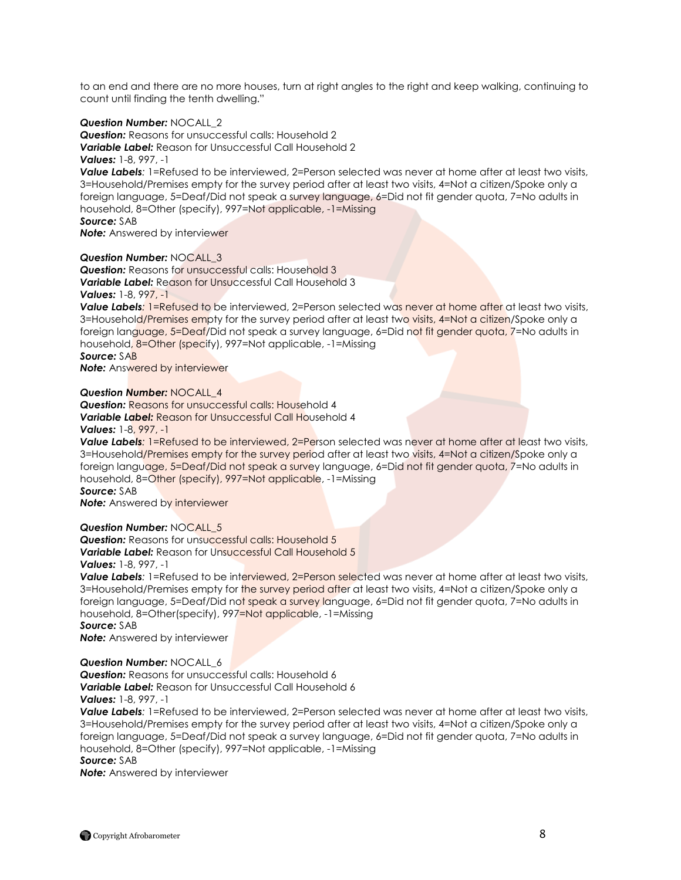to an end and there are no more houses, turn at right angles to the right and keep walking, continuing to count until finding the tenth dwelling."

### *Question Number:* NOCALL\_2

*Question:* Reasons for unsuccessful calls: Household 2 *Variable Label:* Reason for Unsuccessful Call Household 2 *Values:* 1-8, 997, -1

*Value Labels:* 1=Refused to be interviewed, 2=Person selected was never at home after at least two visits, 3=Household/Premises empty for the survey period after at least two visits, 4=Not a citizen/Spoke only a foreign language, 5=Deaf/Did not speak a survey language, 6=Did not fit gender quota, 7=No adults in household, 8=Other (specify), 997=Not applicable, -1=Missing *Source:* SAB

**Note:** Answered by interviewer

#### *Question Number:* NOCALL\_3

**Question:** Reasons for unsuccessful calls: Household 3 *Variable Label:* Reason for Unsuccessful Call Household 3 *Values:* 1-8, 997, -1

*Value Labels:* 1=Refused to be interviewed, 2=Person selected was never at home after at least two visits, 3=Household/Premises empty for the survey period after at least two visits, 4=Not a citizen/Spoke only a foreign language, 5=Deaf/Did not speak a survey language, 6=Did not fit gender quota, 7=No adults in household, 8=Other (specify), 997=Not applicable, -1=Missing

*Source:* SAB

**Note:** Answered by interviewer

#### *Question Number:* NOCALL\_4

**Question:** Reasons for unsuccessful calls: Household 4 *Variable Label:* Reason for Unsuccessful Call Household 4 *Values:* 1-8, 997, -1

**Value Labels:** 1=Refused to be interviewed, 2=Person selected was never at home after at least two visits, 3=Household/Premises empty for the survey period after at least two visits, 4=Not a citizen/Spoke only a foreign language, 5=Deaf/Did not speak a survey language, 6=Did not fit gender quota, 7=No adults in household, 8=Other (specify), 997=Not applicable, -1=Missing *Source:* SAB

**Note:** Answered by interviewer

#### *Question Number:* NOCALL\_5

**Question:** Reasons for unsuccessful calls: Household 5 *Variable Label:* Reason for Unsuccessful Call Household 5

# *Values:* 1-8, 997, -1

*Value Labels*: 1=Refused to be interviewed, 2=Person selected was never at home after at least two visits, 3=Household/Premises empty for the survey period after at least two visits, 4=Not a citizen/Spoke only a foreign language, 5=Deaf/Did not speak a survey language, 6=Did not fit gender quota, 7=No adults in household, 8=Other(specify), 997=Not applicable, -1=Missing

*Source:* SAB

*Note:* Answered by interviewer

#### *Question Number:* NOCALL\_6

*Question:* Reasons for unsuccessful calls: Household 6

*Variable Label:* Reason for Unsuccessful Call Household 6

# *Values:* 1-8, 997, -1

*Value Labels:* 1=Refused to be interviewed, 2=Person selected was never at home after at least two visits, 3=Household/Premises empty for the survey period after at least two visits, 4=Not a citizen/Spoke only a foreign language, 5=Deaf/Did not speak a survey language, 6=Did not fit gender quota, 7=No adults in household, 8=Other (specify), 997=Not applicable, -1=Missing *Source:* SAB

*Note:* Answered by interviewer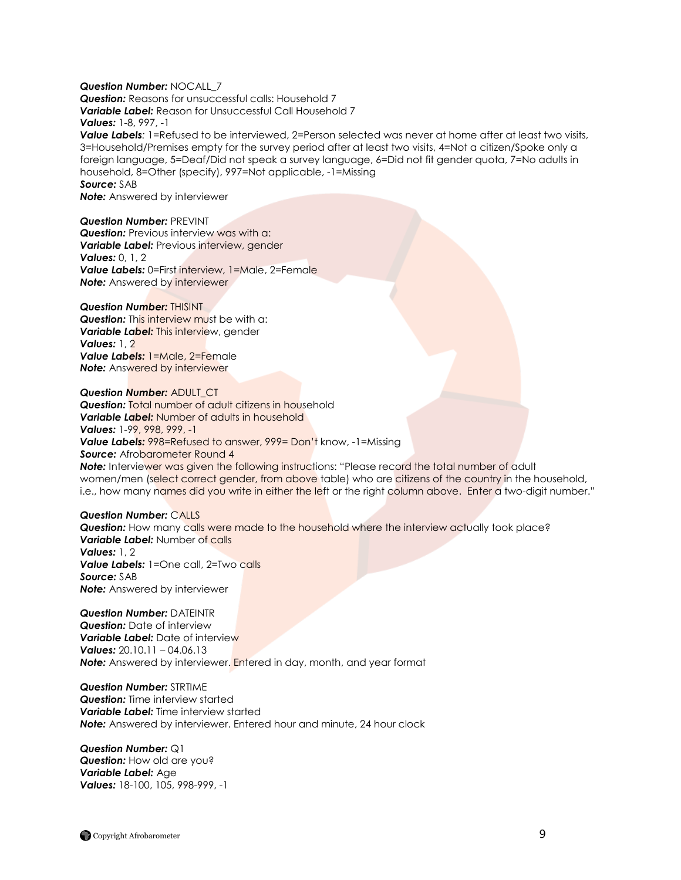#### *Question Number:* NOCALL\_7

*Question:* Reasons for unsuccessful calls: Household 7 *Variable Label:* Reason for Unsuccessful Call Household 7 *Values:* 1-8, 997, -1

*Value Labels:* 1=Refused to be interviewed, 2=Person selected was never at home after at least two visits, 3=Household/Premises empty for the survey period after at least two visits, 4=Not a citizen/Spoke only a foreign language, 5=Deaf/Did not speak a survey language, 6=Did not fit gender quota, 7=No adults in household, 8=Other (specify), 997=Not applicable, -1=Missing *Source:* SAB

*Note:* Answered by interviewer

*Question Number:* PREVINT **Question:** Previous interview was with a: *Variable Label:* Previous interview, gender *Values:* 0, 1, 2 *Value Labels:* 0=First interview, 1=Male, 2=Female **Note:** Answered by interviewer

#### *Question Number:* THISINT

**Question:** This interview must be with a: *Variable Label:* This interview, gender *Values:* 1, 2 *Value Labels:* 1=Male, 2=Female **Note:** Answered by interviewer

*Question Number:* ADULT\_CT **Question:** Total number of adult citizens in household *Variable Label:* Number of adults in household *Values:* 1-99, 998, 999, -1 *Value Labels:* 998=Refused to answer, 999= Don"t know, -1=Missing **Source:** Afrobarometer Round 4 **Note:** Interviewer was given the following instructions: "Please record the total number of adult women/men (select correct gender, from above table) who are citizens of the country in the household, i.e., how many names did you write in either the left or the right column above. Enter a two-digit number."

#### *Question Number:* CALLS

*Question:* How many calls were made to the household where the interview actually took place? *Variable Label:* Number of calls *Values:* 1, 2 *Value Labels:* 1=One call, 2=Two calls *Source:* SAB *Note:* Answered by interviewer

*Question Number:* DATEINTR *Question:* Date of interview *Variable Label: Date of interview Values:* 20.10.11 – 04.06.13 **Note:** Answered by interviewer. **Entered in day, month, and year format** 

*Question Number:* STRTIME *Question:* Time interview started *Variable Label:* Time interview started **Note:** Answered by interviewer. Entered hour and minute, 24 hour clock

*Question Number:* Q1 *Question:* How old are you? *Variable Label:* Age *Values:* 18-100, 105, 998-999, -1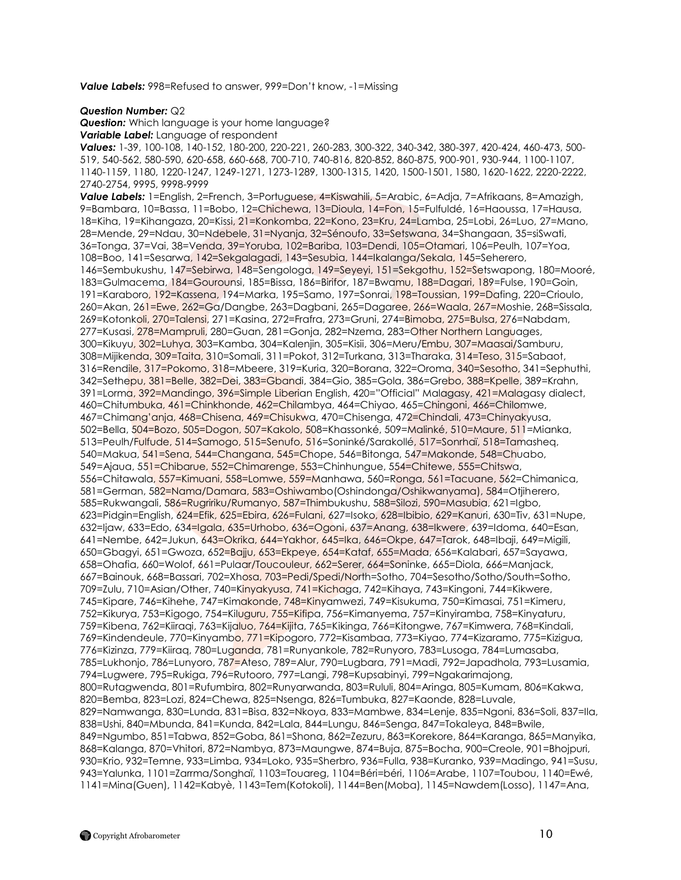*Value Labels:* 998=Refused to answer, 999=Don"t know, -1=Missing

#### *Question Number:* Q2

**Question:** Which language is your home language? *Variable Label:* Language of respondent

*Values:* 1-39, 100-108, 140-152, 180-200, 220-221, 260-283, 300-322, 340-342, 380-397, 420-424, 460-473, 500- 519, 540-562, 580-590, 620-658, 660-668, 700-710, 740-816, 820-852, 860-875, 900-901, 930-944, 1100-1107, 1140-1159, 1180, 1220-1247, 1249-1271, 1273-1289, 1300-1315, 1420, 1500-1501, 1580, 1620-1622, 2220-2222, 2740-2754, 9995, 9998-9999

*Value Labels:* 1=English, 2=French, 3=Portuguese, 4=Kiswahili, 5=Arabic, 6=Adja, 7=Afrikaans, 8=Amazigh, 9=Bambara, 10=Bassa, 11=Bobo, 12=Chichewa, 13=Dioula, 14=Fon, 15=Fulfuldé, 16=Haoussa, 17=Hausa, 18=Kiha, 19=Kihangaza, 20=Kissi, 21=Konkomba, 22=Kono, 23=Kru, 24=Lamba, 25=Lobi, 26=Luo, 27=Mano, 28=Mende, 29=Ndau, 30=Ndebele, 31=Nyanja, 32=Sénoufo, 33=Setswana, 34=Shangaan, 35=siSwati, 36=Tonga, 37=Vai, 38=Venda, 39=Yoruba, 102=Bariba, 103=Dendi, 105=Otamari, 106=Peulh, 107=Yoa, 108=Boo, 141=Sesarwa, 142=Sekgalagadi, 143=Sesubia, 144=Ikalanga/Sekala, 145=Seherero, 146=Sembukushu, 147=Sebirwa, 148=Sengologa, 149=Seyeyi, 151=Sekgothu, 152=Setswapong, 180=Mooré, 183=Gulmacema, 184=Gourounsi, 185=Bissa, 186=Birifor, 187=Bwamu, 188=Dagari, 189=Fulse, 190=Goin, 191=Karaboro, 192=Kassena, 194=Marka, 195=Samo, 197=Sonrai, 198=Toussian, 199=Dafing, 220=Crioulo, 260=Akan, 261=Ewe, 262=Ga/Dangbe, 263=Dagbani, 265=Dagaree, 266=Waala, 267=Moshie, 268=Sissala, 269=Kotonkoli, 270=Talensi, 271=Kasina, 272=Frafra, 273=Gruni, 274=Bimoba, 275=Bulsa, 276=Nabdam, 277=Kusasi, 278=Mampruli, 280=Guan, 281=Gonja, 282=Nzema, 283=Other Northern Languages, 300=Kikuyu, 302=Luhya, 303=Kamba, 304=Kalenjin, 305=Kisii, 306=Meru/Embu, 307=Maasai/Samburu, 308=Mijikenda, 309=Taita, 310=Somali, 311=Pokot, 312=Turkana, 313=Tharaka, 314=Teso, 315=Sabaot, 316=Rendile, 317=Pokomo, 318=Mbeere, 319=Kuria, 320=Borana, 322=Oroma, 340=Sesotho, 341=Sephuthi, 342=Sethepu, 381=Belle, 382=Dei, 383=Gbandi, 384=Gio, 385=Gola, 386=Grebo, 388=Kpelle, 389=Krahn, 391=Lorma, 392=Mandingo, 396=Simple Liberian English, 420="Official" Malagasy, 421=Malagasy dialect, 460=Chitumbuka, 461=Chinkhonde, 462=Chilambya, 464=Chiyao, 465=Chingoni, 466=Chilomwe, 467=Chimang"anja, 468=Chisena, 469=Chisukwa, 470=Chisenga, 472=Chindali, 473=Chinyakyusa, 502=Bella, 504=Bozo, 505=Dogon, 507=Kakolo, 508=Khassonké, 509=Malinké, 510=Maure, 511=Mianka, 513=Peulh/Fulfude, 514=Samogo, 515=Senufo, 516=Soninké/Sarakollé, 517=Sonrhaï, 518=Tamasheq, 540=Makua, 541=Sena, 544=Changana, 545=Chope, 546=Bitonga, 547=Makonde, 548=Chuabo, 549=Ajaua, 551=Chibarue, 552=Chimarenge, 553=Chinhungue, 554=Chitewe, 555=Chitswa, 556=Chitawala, 557=Kimuani, 558=Lomwe, 559=Manhawa, 560=Ronga, 561=Tacuane, 562=Chimanica, 581=German, 582=Nama/Damara, 583=Oshiwambo(Oshindonga/Oshikwanyama), 584=Otjiherero, 585=Rukwangali, 586=Rugririku/Rumanyo, 587=Thimbukushu, 588=Silozi, 590=Masubia, 621=Igbo, 623=Pidgin=English, 624=Efik, 625=Ebira, 626=Fulani, 627=Isoko, 628=Ibibio, 629=Kanuri, 630=Tiv, 631=Nupe, 632=Ijaw, 633=Edo, 634=Igala, 635=Urhobo, 636=Ogoni, 637=Anang, 638=Ikwere, 639=Idoma, 640=Esan, 641=Nembe, 642=Jukun, 643=Okrika, 644=Yakhor, 645=Ika, 646=Okpe, 647=Tarok, 648=Ibaji, 649=Migili, 650=Gbagyi, 651=Gwoza, 652=Bajju, 653=Ekpeye, 654=Kataf, 655=Mada, 656=Kalabari, 657=Sayawa, 658=Ohafia, 660=Wolof, 661=Pulaar/Toucouleur, 662=Serer, 664=Soninke, 665=Diola, 666=Manjack, 667=Bainouk, 668=Bassari, 702=Xhosa, 703=Pedi/Spedi/North=Sotho, 704=Sesotho/Sotho/South=Sotho, 709=Zulu, 710=Asian/Other, 740=Kinyakyusa, 741=Kichaga, 742=Kihaya, 743=Kingoni, 744=Kikwere, 745=Kipare, 746=Kihehe, 747=Kimakonde, 748=Kinyamwezi, 749=Kisukuma, 750=Kimasai, 751=Kimeru, 752=Kikurya, 753=Kigogo, 754=Kiluguru, 755=Kifipa, 756=Kimanyema, 757=Kinyiramba, 758=Kinyaturu, 759=Kibena, 762=Kiiraqi, 763=Kijaluo, 764=Kijita, 765=Kikinga, 766=Kitongwe, 767=Kimwera, 768=Kindali, 769=Kindendeule, 770=Kinyambo, 771=Kipogoro, 772=Kisambaa, 773=Kiyao, 774=Kizaramo, 775=Kizigua, 776=Kizinza, 779=Kiiraq, 780=Luganda, 781=Runyankole, 782=Runyoro, 783=Lusoga, 784=Lumasaba, 785=Lukhonjo, 786=Lunyoro, 787=Ateso, 789=Alur, 790=Lugbara, 791=Madi, 792=Japadhola, 793=Lusamia, 794=Lugwere, 795=Rukiga, 796=Rutooro, 797=Langi, 798=Kupsabinyi, 799=Ngakarimajong, 800=Rutagwenda, 801=Rufumbira, 802=Runyarwanda, 803=Rululi, 804=Aringa, 805=Kumam, 806=Kakwa, 820=Bemba, 823=Lozi, 824=Chewa, 825=Nsenga, 826=Tumbuka, 827=Kaonde, 828=Luvale, 829=Namwanga, 830=Lunda, 831=Bisa, 832=Nkoya, 833=Mambwe, 834=Lenje, 835=Ngoni, 836=Soli, 837=Ila, 838=Ushi, 840=Mbunda, 841=Kunda, 842=Lala, 844=Lungu, 846=Senga, 847=Tokaleya, 848=Bwile, 849=Ngumbo, 851=Tabwa, 852=Goba, 861=Shona, 862=Zezuru, 863=Korekore, 864=Karanga, 865=Manyika, 868=Kalanga, 870=Vhitori, 872=Nambya, 873=Maungwe, 874=Buja, 875=Bocha, 900=Creole, 901=Bhojpuri, 930=Krio, 932=Temne, 933=Limba, 934=Loko, 935=Sherbro, 936=Fulla, 938=Kuranko, 939=Madingo, 941=Susu, 943=Yalunka, 1101=Zarrma/Songhaï, 1103=Touareg, 1104=Béri=béri, 1106=Arabe, 1107=Toubou, 1140=Ewé, 1141=Mina(Guen), 1142=Kabyè, 1143=Tem(Kotokoli), 1144=Ben(Moba), 1145=Nawdem(Losso), 1147=Ana,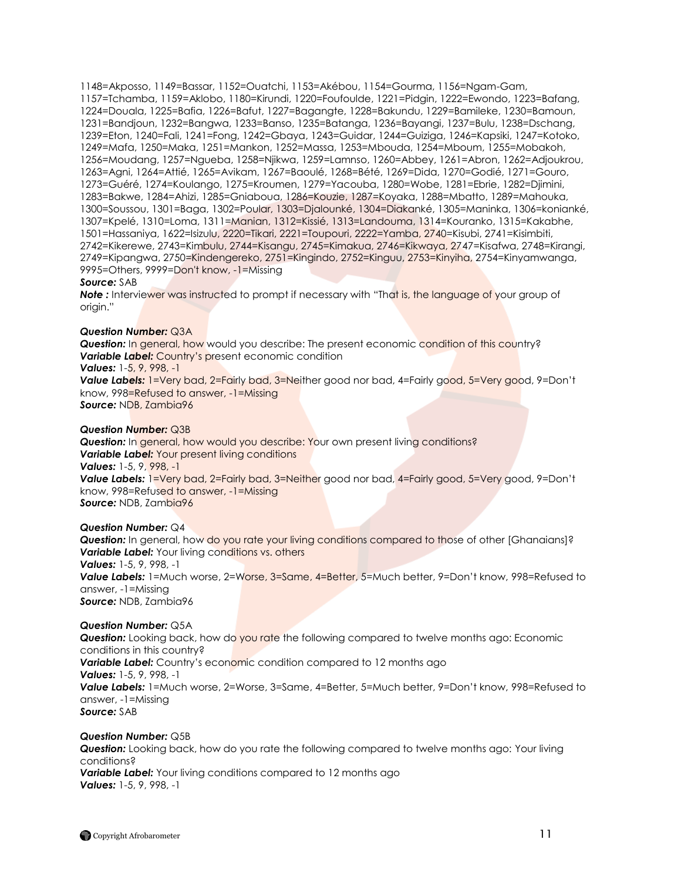1148=Akposso, 1149=Bassar, 1152=Ouatchi, 1153=Akébou, 1154=Gourma, 1156=Ngam-Gam, 1157=Tchamba, 1159=Aklobo, 1180=Kirundi, 1220=Foufoulde, 1221=Pidgin, 1222=Ewondo, 1223=Bafang, 1224=Douala, 1225=Bafia, 1226=Bafut, 1227=Bagangte, 1228=Bakundu, 1229=Bamileke, 1230=Bamoun, 1231=Bandjoun, 1232=Bangwa, 1233=Banso, 1235=Batanga, 1236=Bayangi, 1237=Bulu, 1238=Dschang, 1239=Eton, 1240=Fali, 1241=Fong, 1242=Gbaya, 1243=Guidar, 1244=Guiziga, 1246=Kapsiki, 1247=Kotoko, 1249=Mafa, 1250=Maka, 1251=Mankon, 1252=Massa, 1253=Mbouda, 1254=Mboum, 1255=Mobakoh, 1256=Moudang, 1257=Ngueba, 1258=Njikwa, 1259=Lamnso, 1260=Abbey, 1261=Abron, 1262=Adjoukrou, 1263=Agni, 1264=Attié, 1265=Avikam, 1267=Baoulé, 1268=Bété, 1269=Dida, 1270=Godié, 1271=Gouro, 1273=Guéré, 1274=Koulango, 1275=Kroumen, 1279=Yacouba, 1280=Wobe, 1281=Ebrie, 1282=Djimini, 1283=Bakwe, 1284=Ahizi, 1285=Gniaboua, 1286=Kouzie, 1287=Koyaka, 1288=Mbatto, 1289=Mahouka, 1300=Soussou, 1301=Baga, 1302=Poular, 1303=Djalounké, 1304=Diakanké, 1305=Maninka, 1306=konianké, 1307=Kpelé, 1310=Loma, 1311=Manian, 1312=Kissié, 1313=Landouma, 1314=Kouranko, 1315=Kakabhe, 1501=Hassaniya, 1622=Isizulu, 2220=Tikari, 2221=Toupouri, 2222=Yamba, 2740=Kisubi, 2741=Kisimbiti, 2742=Kikerewe, 2743=Kimbulu, 2744=Kisangu, 2745=Kimakua, 2746=Kikwaya, 2747=Kisafwa, 2748=Kirangi, 2749=Kipangwa, 2750=Kindengereko, 2751=Kingindo, 2752=Kinguu, 2753=Kinyiha, 2754=Kinyamwanga, 9995=Others, 9999=Don't know, -1=Missing

#### *Source:* SAB

**Note** : Interviewer was instructed to prompt if necessary with "That is, the language of your group of origin."

#### *Question Number:* Q3A

**Question:** In general, how would you describe: The present economic condition of this country? **Variable Label:** Country's present economic condition

*Values:* 1-5, 9, 998, -1

Value Labels: 1=Very bad, 2=Fairly bad, 3=Neither good nor bad, 4=Fairly good, 5=Very good, 9=Don't know, 998=Refused to answer, -1=Missing *Source:* NDB, Zambia96

#### *Question Number:* Q3B

**Question:** In general, how would you describe: Your own present living conditions? *Variable Label: Your present living conditions Values:* 1-5, 9, 998, -1 **Value Labels:** 1=Very bad, 2=Fairly bad, 3=Neither good nor bad, 4=Fairly good, 5=Very good, 9=Don't know, 998=Refused to answer, -1=Missing *Source:* NDB, Zambia96

#### *Question Number:* Q4

**Question:** In general, how do you rate your living conditions compared to those of other [Ghanaians]? *Variable Label: Your living conditions vs. others Values:* 1-5, 9, 998, -1 *Value Labels:* 1=Much worse, 2=Worse, 3=Same, 4=Better, 5=Much better, 9=Don"t know, 998=Refused to answer, -1=Missing *Source:* NDB, Zambia96

#### *Question Number:* Q5A

*Question:* Looking back, how do you rate the following compared to twelve months ago: Economic conditions in this country? **Variable Label:** Country's economic condition compared to 12 months ago *Values:* 1-5, 9, 998, -1 *Value Labels:* 1=Much worse, 2=Worse, 3=Same, 4=Better, 5=Much better, 9=Don"t know, 998=Refused to answer, -1=Missing *Source:* SAB

#### *Question Number:* Q5B

*Question:* Looking back, how do you rate the following compared to twelve months ago: Your living conditions? **Variable Label:** Your living conditions compared to 12 months ago *Values:* 1-5, 9, 998, -1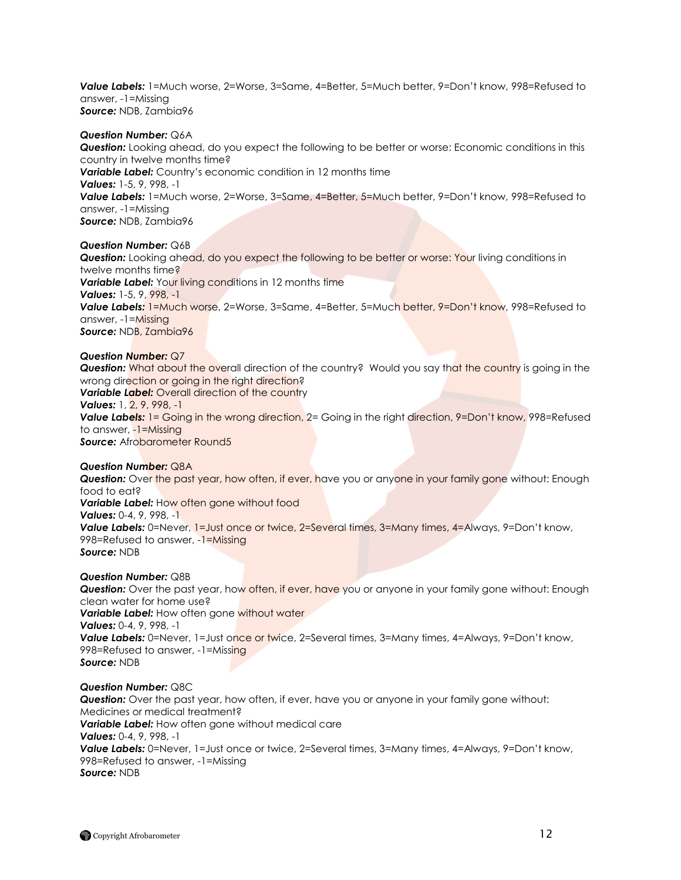*Value Labels:* 1=Much worse, 2=Worse, 3=Same, 4=Better, 5=Much better, 9=Don"t know, 998=Refused to answer, -1=Missing *Source:* NDB, Zambia96

#### *Question Number:* Q6A

*Question:* Looking ahead, do you expect the following to be better or worse: Economic conditions in this country in twelve months time? *Variable Label:* Country"s economic condition in 12 months time *Values:* 1-5, 9, 998, -1 *Value Labels:* 1=Much worse, 2=Worse, 3=Same, 4=Better, 5=Much better, 9=Don"t know, 998=Refused to answer, -1=Missing *Source:* NDB, Zambia96

*Question Number:* Q6B

*Question:* Looking ahead, do you expect the following to be better or worse: Your living conditions in twelve months time? **Variable Label:** Your living conditions in 12 months time *Values:* 1-5, 9, 998, -1 *Value Labels:* 1=Much worse, 2=Worse, 3=Same, 4=Better, 5=Much better, 9=Don"t know, 998=Refused to answer, -1=Missing *Source:* NDB, Zambia96

#### *Question Number:* Q7

**Question:** What about the overall direction of the country? Would you say that the country is going in the wrong direction or going in the right direction? **Variable Label:** Overall direction of the country *Values:* 1, 2, 9, 998, -1 **Value Labels:** 1 = Going in the wrong direction, 2 = Going in the right direction, 9=Don't know, 998=Refused to answer, -1=Missing *Source: Afrobarometer Round5* 

#### *Question Number:* Q8A

**Question:** Over the past year, how often, if ever, have you or anyone in your family gone without: Enough food to eat? *Variable Label:* How often gone without food *Values:* 0-4, 9, 998, -1 *Value Labels:* 0=Never, 1=Just once or twice, 2=Several times, 3=Many times, 4=Always, 9=Don"t know, 998=Refused to answer, -1=Missing *Source:* NDB

### *Question Number:* Q8B

*Question:* Over the past year, how often, if ever, have you or anyone in your family gone without: Enough clean water for home use? *Variable Label:* How often gone without water *Values:* 0-4, 9, 998, -1 *Value Labels:* 0=Never, 1=Just once or twice, 2=Several times, 3=Many times, 4=Always, 9=Don"t know, 998=Refused to answer, -1=Missing *Source:* NDB

# *Question Number:* Q8C

**Question:** Over the past year, how often, if ever, have you or anyone in your family gone without: Medicines or medical treatment? *Variable Label:* How often gone without medical care *Values:* 0-4, 9, 998, -1 *Value Labels:* 0=Never, 1=Just once or twice, 2=Several times, 3=Many times, 4=Always, 9=Don"t know, 998=Refused to answer, -1=Missing *Source:* NDB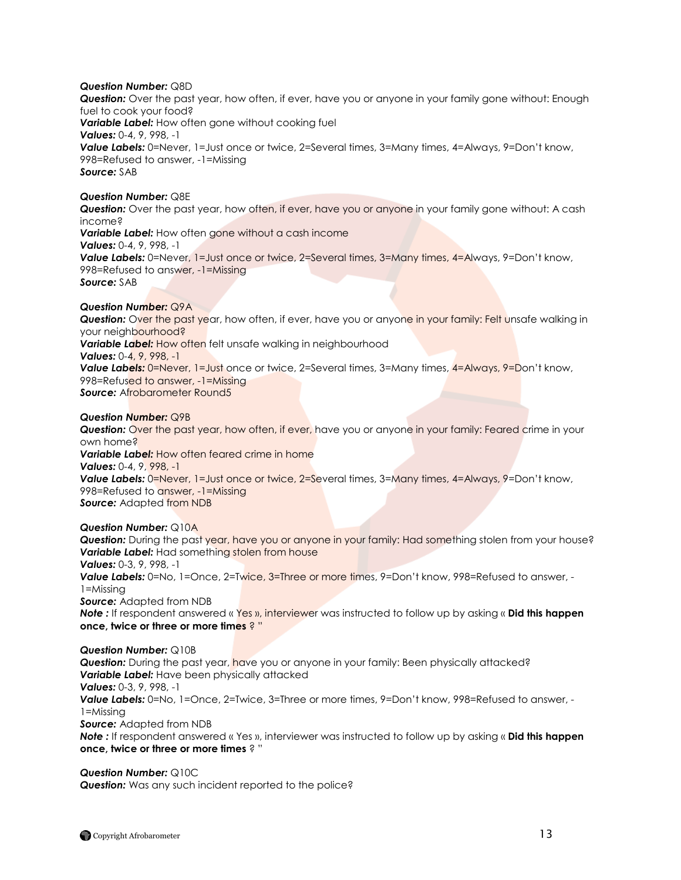*Question Number:* Q8D

*Question:* Over the past year, how often, if ever, have you or anyone in your family gone without: Enough fuel to cook your food? *Variable Label:* How often gone without cooking fuel *Values:* 0-4, 9, 998, -1 **Value Labels:** 0=Never, 1=Just once or twice, 2=Several times, 3=Many times, 4=Always, 9=Don't know, 998=Refused to answer, -1=Missing *Source:* SAB

# *Question Number:* Q8E

*Question:* Over the past year, how often, if ever, have you or anyone in your family gone without: A cash income? *Variable Label:* How often gone without a cash income *Values:* 0-4, 9, 998, -1 *Value Labels:* 0=Never, 1=Just once or twice, 2=Several times, 3=Many times, 4=Always, 9=Don"t know, 998=Refused to answer, -1=Missing *Source:* SAB

#### *Question Number:* Q9A

**Question:** Over the past year, how often, if ever, have you or anyone in your family: Felt unsafe walking in your neighbourhood? **Variable Label:** How often felt unsafe walking in neighbourhood *Values:* 0-4, 9, 998, -1 **Value Labels:** 0=Never, 1=Just once or twice, 2=Several times, 3=Many times, 4=Always, 9=Don't know, 998=Refused to answer, -1=Missing **Source: Afrobarometer Round5** 

#### *Question Number:* Q9B

**Question:** Over the past year, how often, if ever, have you or anyone in your family: Feared crime in your own home? *Variable Label:* How often feared crime in home *Values:* 0-4, 9, 998, -1 **Value Labels:** 0=Never, 1=Just once or twice, 2=Several times, 3=Many times, 4=Always, 9=Don't know, 998=Refused to answer, -1=Missing *Source:* Adapted from NDB

*Question Number:* Q10A

**Question:** During the past year, have you or anyone in your family: Had something stolen from your house? **Variable Label:** Had something stolen from house *Values:* 0-3, 9, 998, -1 *Value Labels:* 0=No, 1=Once, 2=Twice, 3=Three or more times, 9=Don"t know, 998=Refused to answer, - 1=Missing *Source: Adapted from NDB Note :* If respondent answered « Yes », interviewer was instructed to follow up by asking « **Did this happen once, twice or three or more times** ? "

*Question Number:* Q10B **Question:** During the past year, have you or anyone in your family: Been physically attacked? *Variable Label:* Have been physically attacked *Values:* 0-3, 9, 998, -1 *Value Labels:* 0=No, 1=Once, 2=Twice, 3=Three or more times, 9=Don"t know, 998=Refused to answer, - 1=Missing *Source: Adapted from NDB Note :* If respondent answered « Yes », interviewer was instructed to follow up by asking « **Did this happen once, twice or three or more times** ? "

*Question Number:* Q10C **Question:** Was any such incident reported to the police?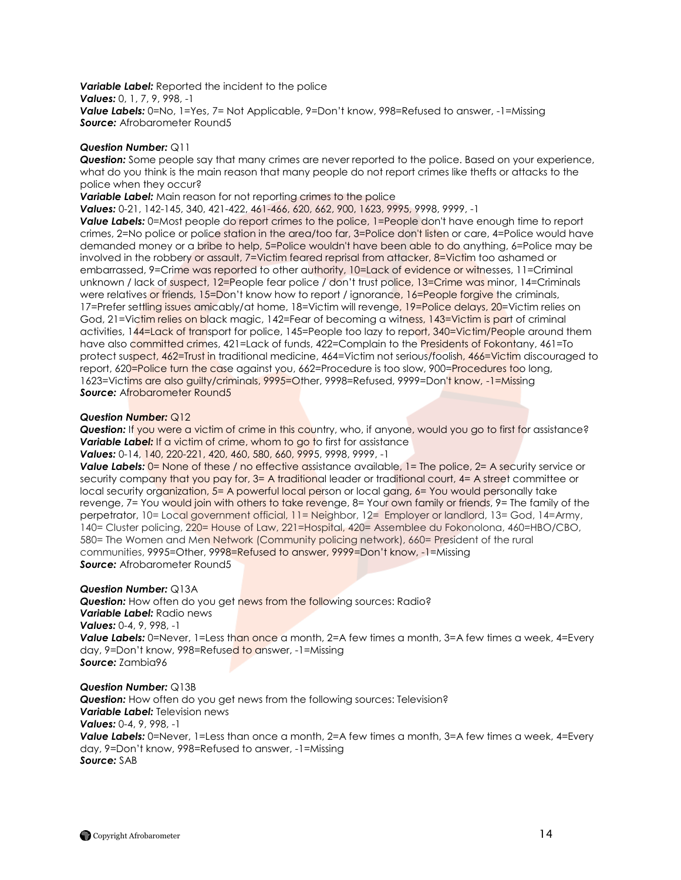*Variable Label:* Reported the incident to the police *Values:* 0, 1, 7, 9, 998, -1 *Value Labels:* 0=No, 1=Yes, 7= Not Applicable, 9=Don"t know, 998=Refused to answer, -1=Missing *Source: Afrobarometer Round5* 

### *Question Number:* Q11

*Question:* Some people say that many crimes are never reported to the police. Based on your experience, what do you think is the main reason that many people do not report crimes like thefts or attacks to the police when they occur?

**Variable Label:** Main reason for not reporting crimes to the police

*Values:* 0-21, 142-145, 340, 421-422, 461-466, 620, 662, 900, 1623, 9995, 9998, 9999, -1

**Value Labels:** 0=Most people do report crimes to the police, 1=People don't have enough time to report crimes, 2=No police or police station in the area/too far, 3=Police don't listen or care, 4=Police would have demanded money or a bribe to help, 5=Police wouldn't have been able to do anything, 6=Police may be involved in the robbery or assault, 7=Victim feared reprisal from attacker, 8=Victim too ashamed or embarrassed, 9=Crime was reported to other authority, 10=Lack of evidence or witnesses, 11=Criminal unknown / lack of suspect, 12=People fear police / don't trust police, 13=Crime was minor, 14=Criminals were relatives or friends, 15=Don't know how to report / ignorance, 16=People forgive the criminals, 17=Prefer settling issues amicably/at home, 18=Victim will revenge, 19=Police delays, 20=Victim relies on God, 21=Victim relies on black magic, 142=Fear of becoming a witness, 143=Victim is part of criminal activities, 144=Lack of transport for police, 145=People too lazy to report, 340=Victim/People around them have also committed crimes, 421=Lack of funds, 422=Complain to the Presidents of Fokontany, 461=To protect suspect, 462=Trust in traditional medicine, 464=Victim not serious/foolish, 466=Victim discouraged to report, 620=Police turn the case against you, 662=Procedure is too slow, 900=Procedures too long, 1623=Victims are also guilty/criminals, 9995=Other, 9998=Refused, 9999=Don't know, -1=Missing *Source: Afrobarometer Round5* 

#### *Question Number:* Q12

*Question:* If you were a victim of crime in this country, who, if anyone, would you go to first for assistance? **Variable Label:** If a victim of crime, whom to go to first for assistance

*Values:* 0-14, 140, 220-221, 420, 460, 580, 660, 9995, 9998, 9999, -1

**Value Labels:** 0= None of these / no effective assistance available, 1= The police, 2= A security service or security company that you pay for, 3= A traditional leader or traditional court, 4= A street committee or local security organization, 5= A powerful local person or local gang, 6= You would personally take revenge, 7= You would join with others to take revenge, 8= Your own family or friends, 9= The family of the perpetrator, 10= Local government official, 11= Neighbor, 12= Employer or landlord, 13= God, 14=Army, 140= Cluster policing, 220= House of Law, 221=Hospital, 420= Assemblee du Fokonolona, 460=HBO/CBO, 580= The Women and Men Network (Community policing network), 660= President of the rural communities, 9995=Other, 9998=Refused to answer, 9999=Don"t know, -1=Missing *Source:* Afrobarometer Round5

#### *Question Number:* Q13A

**Question:** How often do you get news from the following sources: Radio? *Variable Label:* Radio news *Values:* 0-4, 9, 998, -1 **Value Labels:** 0=Never, 1=Less than once a month, 2=A few times a month, 3=A few times a week, 4=Every

day, 9=Don"t know, 998=Refused to answer, -1=Missing *Source:* Zambia96

#### *Question Number:* Q13B

*Question:* How often do you get news from the following sources: Television? *Variable Label:* Television news *Values:* 0-4, 9, 998, -1 **Value Labels:** 0=Never, 1=Less than once a month, 2=A few times a month, 3=A few times a week, 4=Every day, 9=Don"t know, 998=Refused to answer, -1=Missing *Source:* SAB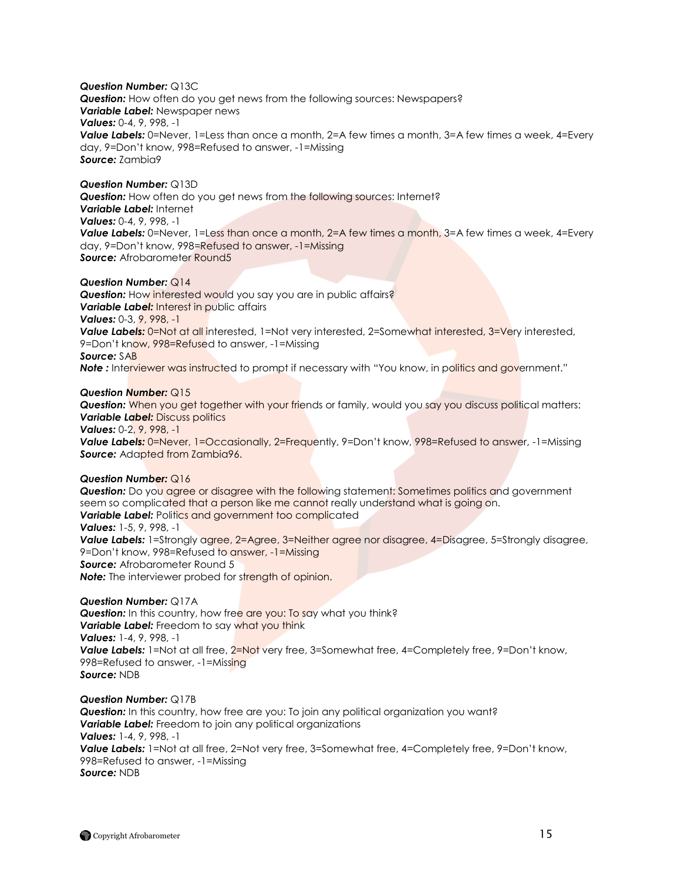*Question Number:* Q13C *Question:* How often do you get news from the following sources: Newspapers? *Variable Label:* Newspaper news *Values:* 0-4, 9, 998, -1 *Value Labels:* 0=Never, 1=Less than once a month, 2=A few times a month, 3=A few times a week, 4=Every day, 9=Don"t know, 998=Refused to answer, -1=Missing *Source:* Zambia9

#### *Question Number:* Q13D

*Question:* How often do you get news from the following sources: Internet? *Variable Label:* Internet *Values:* 0-4, 9, 998, -1 **Value Labels:** 0=Never, 1=Less than once a month, 2=A few times a month, 3=A few times a week, 4=Every day, 9=Don"t know, 998=Refused to answer, -1=Missing *Source: Afrobarometer Round5* 

# *Question Number:* Q14

**Question:** How interested would you say you are in public affairs? **Variable Label:** Interest in public affairs *Values:* 0-3, 9, 998, -1 **Value Labels:** 0=Not at all interested, 1=Not very interested, 2=Somewhat interested, 3=Very interested, 9=Don't know, 998=Refused to answer, -1=Missing *Source:* SAB **Note** : Interviewer was instructed to prompt if necessary with "You know, in politics and government."

#### *Question Number:* Q15

**Question:** When you get together with your friends or family, would you say you discuss political matters: *Variable Label:* Discuss politics *Values:* 0-2, 9, 998, -1

**Value Labels:** 0=Never, 1=Occasionally, 2=Frequently, 9=Don't know, 998=Refused to answer, -1=Missing *Source:* Adapted from Zambia96.

#### *Question Number:* Q16

**Question:** Do you agree or disagree with the following statement: Sometimes politics and government seem so complicated that a person like me cannot really understand what is going on. **Variable Label:** Politics and government too complicated *Values:* 1-5, 9, 998, -1 **Value Labels:** 1=Strongly agree, 2=Agree, 3=Neither agree nor disagree, 4=Disagree, 5=Strongly disagree, 9=Don"t know, 998=Refused to answer, -1=Missing **Source:** Afrobarometer Round 5 **Note:** The interviewer probed for strength of opinion.

#### *Question Number:* Q17A

**Question:** In this country, how free are you: To say what you think? **Variable Label:** Freedom to say what you think *Values:* 1-4, 9, 998, -1 **Value Labels:** 1=Not at all free, 2=Not very free, 3=Somewhat free, 4=Completely free, 9=Don't know, 998=Refused to answer, -1=Missing *Source:* NDB

*Question Number:* Q17B **Question:** In this country, how free are you: To join any political organization you want? *Variable Label:* Freedom to join any political organizations *Values:* 1-4, 9, 998, -1 **Value Labels:** 1=Not at all free, 2=Not very free, 3=Somewhat free, 4=Completely free, 9=Don't know, 998=Refused to answer, -1=Missing *Source:* NDB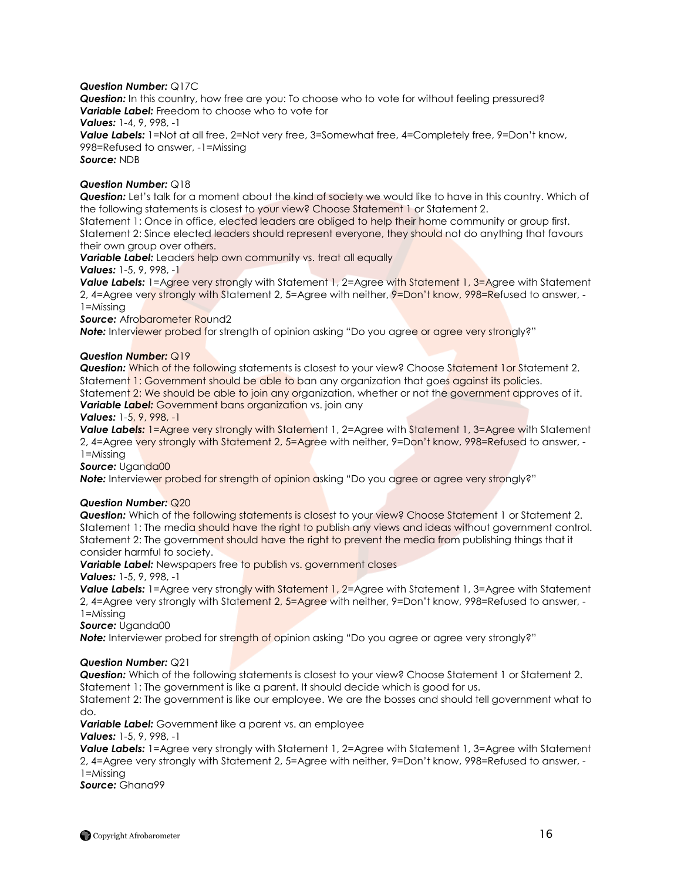# *Question Number:* Q17C

*Question:* In this country, how free are you: To choose who to vote for without feeling pressured? *Variable Label:* Freedom to choose who to vote for

*Values:* 1-4, 9, 998, -1

**Value Labels:** 1=Not at all free, 2=Not very free, 3=Somewhat free, 4=Completely free, 9=Don't know, 998=Refused to answer, -1=Missing *Source:* NDB

### *Question Number:* Q18

*Question:* Let"s talk for a moment about the kind of society we would like to have in this country. Which of the following statements is closest to your view? Choose Statement 1 or Statement 2.

Statement 1: Once in office, elected leaders are obliged to help their home community or group first. Statement 2: Since elected leaders should represent everyone, they should not do anything that favours their own group over others.

**Variable Label:** Leaders help own community vs. treat all equally

# *Values:* 1-5, 9, 998, -1

Value Labels: 1=Agree very strongly with Statement 1, 2=Agree with Statement 1, 3=Agree with Statement 2, 4=Agree very strongly with Statement 2, 5=Agree with neither, 9=Don't know, 998=Refused to answer, -1=Missing

**Source: Afrobarometer Round2** 

**Note:** Interviewer probed for strength of opinion asking "Do you agree or agree very strongly?"

#### *Question Number:* Q19

*Question:* Which of the following statements is closest to your view? Choose Statement 1or Statement 2. Statement 1: Government should be able to ban any organization that goes against its policies. Statement 2: We should be able to join any organization, whether or not the government approves of it. *Variable Label: Government bans organization vs. join any* 

*Values:* 1-5, 9, 998, -1

*Value Labels:* 1=Agree very strongly with Statement 1, 2=Agree with Statement 1, 3=Agree with Statement 2, 4=Agree very strongly with Statement 2, 5=Agree with neither, 9=Don't know, 998=Refused to answer, -1=Missing

Source: Uganda00

**Note:** Interviewer probed for strength of opinion asking "Do you agree or agree very strongly?"

# *Question Number:* Q20

*Question:* Which of the following statements is closest to your view? Choose Statement 1 or Statement 2. Statement 1: The media should have the right to publish any views and ideas without government control. Statement 2: The government should have the right to prevent the media from publishing things that it consider harmful to society.

**Variable Label:** Newspapers free to publish vs. government closes

*Values:* 1-5, 9, 998, -1

**Value Labels:** 1=Agree very strongly with Statement 1, 2=Agree with Statement 1, 3=Agree with Statement 2, 4=Agree very strongly with Statement 2, 5=Agree with neither, 9=Don't know, 998=Refused to answer, -1=Missing

*Source:* Uganda00

**Note:** Interviewer probed for strength of opinion asking "Do you agree or agree very strongly?"

#### *Question Number:* Q21

**Question:** Which of the following statements is closest to your view? Choose Statement 1 or Statement 2. Statement 1: The government is like a parent. It should decide which is good for us.

Statement 2: The government is like our employee. We are the bosses and should tell government what to do.

*Variable Label:* Government like a parent vs. an employee

*Values:* 1-5, 9, 998, -1

*Value Labels:* 1=Agree very strongly with Statement 1, 2=Agree with Statement 1, 3=Agree with Statement 2, 4=Agree very strongly with Statement 2, 5=Agree with neither, 9=Don"t know, 998=Refused to answer, - 1=Missing

*Source:* Ghana99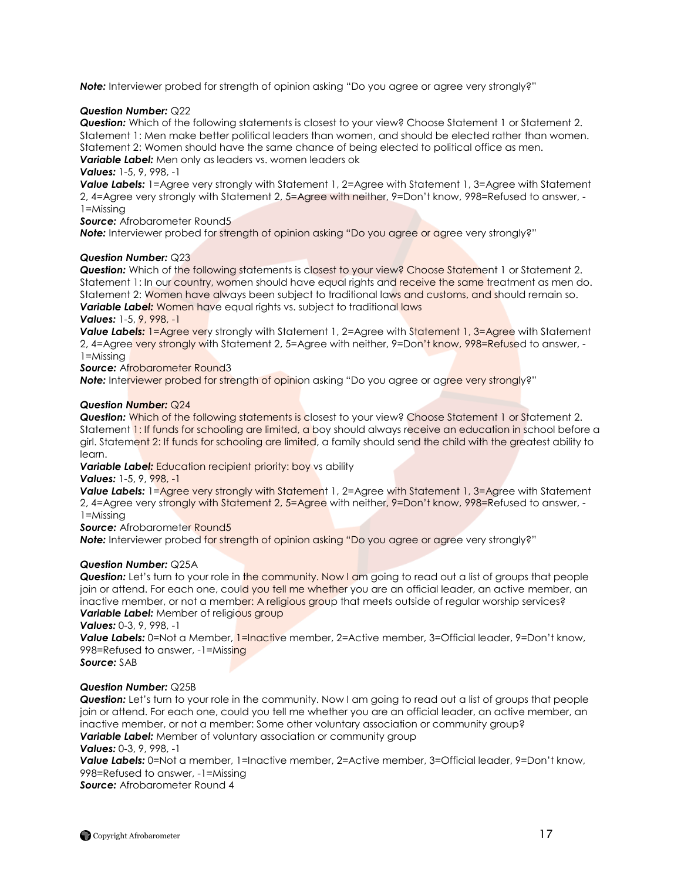**Note:** Interviewer probed for strength of opinion asking "Do you agree or agree very strongly?"

# *Question Number:* Q22

*Question:* Which of the following statements is closest to your view? Choose Statement 1 or Statement 2. Statement 1: Men make better political leaders than women, and should be elected rather than women. Statement 2: Women should have the same chance of being elected to political office as men. *Variable Label:* Men only as leaders vs. women leaders ok

### *Values:* 1-5, 9, 998, -1

*Value Labels:* 1=Agree very strongly with Statement 1, 2=Agree with Statement 1, 3=Agree with Statement 2, 4=Agree very strongly with Statement 2, 5=Agree with neither, 9=Don"t know, 998=Refused to answer, - 1=Missing

# *Source:* Afrobarometer Round5

**Note:** Interviewer probed for strength of opinion asking "Do you agree or agree very strongly?"

# *Question Number:* Q23

*Question:* Which of the following statements is closest to your view? Choose Statement 1 or Statement 2. Statement 1: In our country, women should have equal rights and receive the same treatment as men do. Statement 2: Women have always been subject to traditional laws and customs, and should remain so. **Variable Label:** Women have equal rights vs. subject to traditional laws

#### *Values:* 1-5, 9, 998, -1

**Value Labels:** 1=Agree very strongly with Statement 1, 2=Agree with Statement 1, 3=Agree with Statement 2, 4=Agree very strongly with Statement 2, 5=Agree with neither, 9=Don't know, 998=Refused to answer, -1=Missing

*Source:* Afrobarometer Round3

**Note:** Interviewer probed for strength of opinion asking "Do you agree or agree very strongly?"

# *Question Number:* Q24

**Question:** Which of the following statements is closest to your view? Choose Statement 1 or Statement 2. Statement 1: If funds for schooling are limited, a boy should always receive an education in school before a girl. Statement 2: If funds for schooling are limited, a family should send the child with the greatest ability to learn.

*Variable Label: Education recipient priority: boy vs ability* 

*Values:* 1-5, 9, 998, -1

**Value Labels:** 1=Agree very strongly with Statement 1, 2=Agree with Statement 1, 3=Agree with Statement 2, 4=Agree very strongly with Statement 2, 5=Agree with neither, 9=Don't know, 998=Refused to answer, -1=Missing

#### **Source:** Afrobarometer Round5

**Note:** Interviewer probed for strength of opinion asking "Do you agree or agree very strongly?"

#### *Question Number:* Q25A

**Question:** Let's turn to your role in the community. Now I am going to read out a list of groups that people join or attend. For each one, could you tell me whether you are an official leader, an active member, an inactive member, or not a member: A religious group that meets outside of regular worship services? **Variable Label:** Member of religious group

*Values:* 0-3, 9, 998, -1

**Value Labels:** 0=Not a Member, 1=Inactive member, 2=Active member, 3=Official leader, 9=Don't know, 998=Refused to answer, -1=Missing

# *Source:* SAB

# *Question Number:* Q25B

**Question:** Let's turn to your role in the community. Now I am going to read out a list of groups that people join or attend. For each one, could you tell me whether you are an official leader, an active member, an inactive member, or not a member: Some other voluntary association or community group? *Variable Label:* Member of voluntary association or community group

*Values:* 0-3, 9, 998, -1

*Value Labels:* 0=Not a member, 1=Inactive member, 2=Active member, 3=Official leader, 9=Don"t know, 998=Refused to answer, -1=Missing

*Source:* Afrobarometer Round 4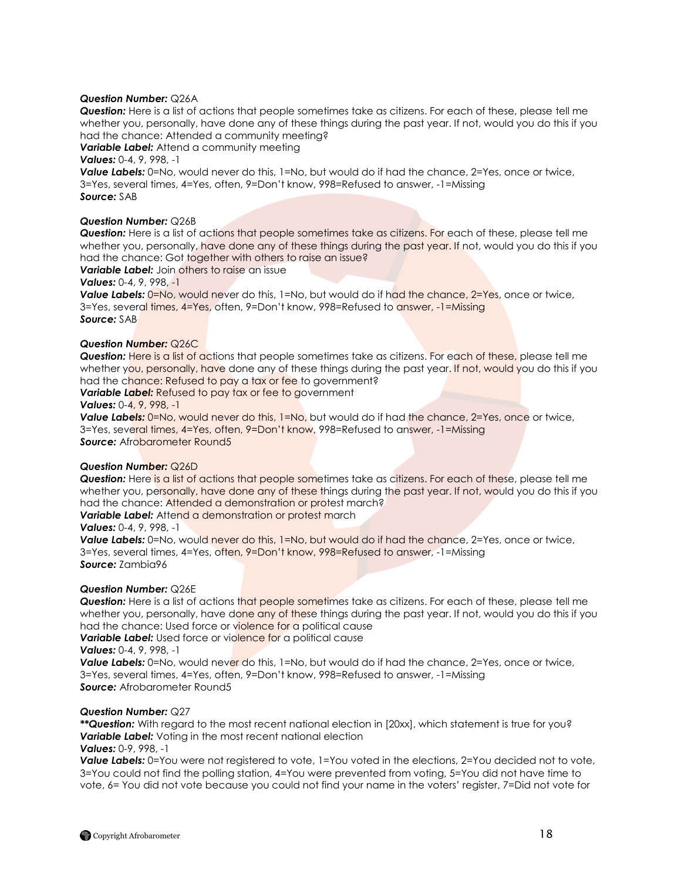# *Question Number:* Q26A

*Question:* Here is a list of actions that people sometimes take as citizens. For each of these, please tell me whether you, personally, have done any of these things during the past year. If not, would you do this if you had the chance: Attended a community meeting?

**Variable Label:** Attend a community meeting

# *Values:* 0-4, 9, 998, -1

**Value Labels:** 0=No, would never do this, 1=No, but would do if had the chance, 2=Yes, once or twice, 3=Yes, several times, 4=Yes, often, 9=Don"t know, 998=Refused to answer, -1=Missing *Source:* SAB

#### **Question Number: Q26B**

*Question:* Here is a list of actions that people sometimes take as citizens. For each of these, please tell me whether you, personally, have done any of these things during the past year. If not, would you do this if you had the chance: Got together with others to raise an issue?

# *Variable Label:* Join others to raise an issue

# *Values:* 0-4, 9, 998, -1

**Value Labels:**  $0 = No$ , would never do this, 1=No, but would do if had the chance, 2=Yes, once or twice, 3=Yes, several times, 4=Yes, often, 9=Don't know, 998=Refused to answer, -1=Missing *Source:* SAB

#### *Question Number:* Q26C

*Question:* Here is a list of actions that people sometimes take as citizens. For each of these, please tell me whether you, personally, have done any of these things during the past year. If not, would you do this if you had the chance: Refused to pay a tax or fee to government?

**Variable Label:** Refused to pay tax or fee to government

#### *Values:* 0-4, 9, 998, -1

**Value Labels:** 0=No, would never do this, 1=No, but would do if had the chance, 2=Yes, once or twice, 3=Yes, several times, 4=Yes, often, 9=Don"t know, 998=Refused to answer, -1=Missing *Source: Afrobarometer Round5* 

#### *Question Number:* Q26D

**Question:** Here is a list of actions that people sometimes take as citizens. For each of these, please tell me whether you, personally, have done any of these things during the past year. If not, would you do this if you had the chance: Attended a demonstration or protest march?

**Variable Label:** Attend a demonstration or protest march

#### *Values:* 0-4, 9, 998, -1

**Value Labels:** 0=No, would never do this, 1=No, but would do if had the chance, 2=Yes, once or twice, 3=Yes, several times, 4=Yes, often, 9=Don"t know, 998=Refused to answer, -1=Missing *Source:* Zambia96

#### *Question Number:* Q26E

*Question:* Here is a list of actions that people sometimes take as citizens. For each of these, please tell me whether you, personally, have done any of these things during the past year. If not, would you do this if you had the chance: Used force or violence for a political cause **Variable Label:** Used force or violence for a political cause

*Values:* 0-4, 9, 998, -1

**Value Labels:** 0=No, would never do this, 1=No, but would do if had the chance, 2=Yes, once or twice, 3=Yes, several times, 4=Yes, often, 9=Don"t know, 998=Refused to answer, -1=Missing *Source:* Afrobarometer Round5

#### *Question Number:* Q27

*\*\*Question:* With regard to the most recent national election in [20xx], which statement is true for you? *Variable Label:* Voting in the most recent national election

#### *Values:* 0-9, 998, -1

**Value Labels:** 0=You were not registered to vote, 1=You voted in the elections, 2=You decided not to vote, 3=You could not find the polling station, 4=You were prevented from voting, 5=You did not have time to vote, 6= You did not vote because you could not find your name in the voters" register, 7=Did not vote for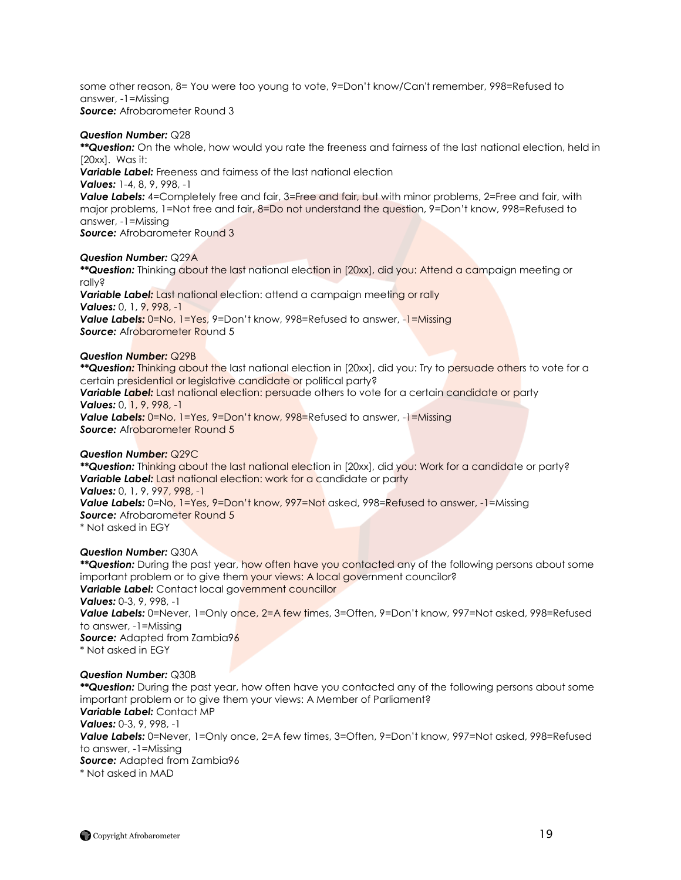some other reason, 8= You were too young to vote, 9=Don"t know/Can't remember, 998=Refused to answer, -1=Missing *Source:* Afrobarometer Round 3

### *Question Number:* Q28

*\*\*Question:* On the whole, how would you rate the freeness and fairness of the last national election, held in [20xx]. Was it:

*Variable Label:* Freeness and fairness of the last national election

*Values:* 1-4, 8, 9, 998, -1

**Value Labels:** 4=Completely free and fair, 3=Free and fair, but with minor problems, 2=Free and fair, with major problems, 1=Not free and fair, 8=Do not understand the question, 9=Don"t know, 998=Refused to answer, -1=Missing

*Source:* Afrobarometer Round 3

# *Question Number:* Q29A

*\*\*Question:* Thinking about the last national election in [20xx], did you: Attend a campaign meeting or rally? *Variable Label:* Last national election: attend a campaign meeting or rally *Values:* 0, 1, 9, 998, -1 *Value Labels:* 0=No, 1=Yes, 9=Don"t know, 998=Refused to answer, -1=Missing

**Source:** Afrobarometer Round 5

# *Question Number:* Q29B

*\*\*Question:* Thinking about the last national election in [20xx], did you: Try to persuade others to vote for a certain presidential or legislative candidate or political party?

*Variable Label:* Last national election: persuade others to vote for a certain candidate or party *Values:* 0, 1, 9, 998, -1

*Value Labels:* 0=No, 1=Yes, 9=Don"t know, 998=Refused to answer, -1=Missing **Source:** Afrobarometer Round 5

# *Question Number:* Q29C

*\*\*Question:* Thinking about the last national election in [20xx], did you: Work for a candidate or party? **Variable Label:** Last national election: work for a candidate or party *Values:* 0, 1, 9, 997, 998, -1 Value Labels: 0=No, 1=Yes, 9=Don't know, 997=Not asked, 998=Refused to answer, -1=Missing **Source:** Afrobarometer Round 5 \* Not asked in EGY

*Question Number:* Q30A

*\*\*Question:* During the past year, how often have you contacted any of the following persons about some important problem or to give them your views: A local government councilor? *Variable Label:* Contact local government councillor *Values:* 0-3, 9, 998, -1 Value Labels: 0=Never, 1=Only once, 2=A few times, 3=Often, 9=Don't know, 997=Not asked, 998=Refused to answer, -1=Missing **Source:** Adapted from Zambia96 \* Not asked in EGY

# *Question Number:* Q30B

*\*\*Question:* During the past year, how often have you contacted any of the following persons about some important problem or to give them your views: A Member of Parliament? *Variable Label:* Contact MP *Values:* 0-3, 9, 998, -1 *Value Labels:* 0=Never, 1=Only once, 2=A few times, 3=Often, 9=Don"t know, 997=Not asked, 998=Refused to answer, -1=Missing *Source:* Adapted from Zambia96 \* Not asked in MAD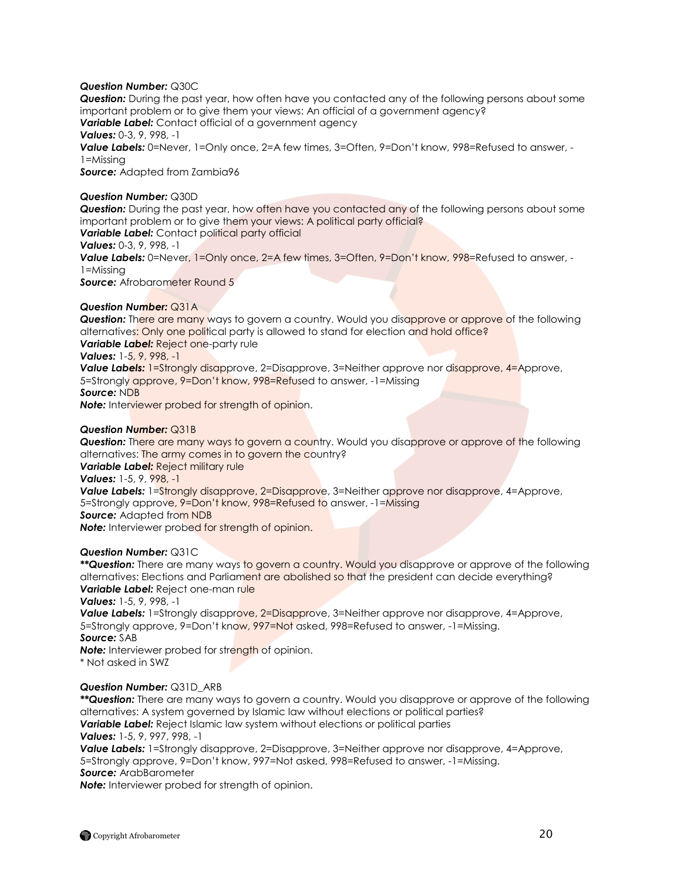# *Question Number:* Q30C

*Question:* During the past year, how often have you contacted any of the following persons about some important problem or to give them your views: An official of a government agency? **Variable Label:** Contact official of a government agency *Values:* 0-3, 9, 998, -1 Value Labels: 0=Never, 1=Only once, 2=A few times, 3=Often, 9=Don't know, 998=Refused to answer, -1=Missing *Source:* Adapted from Zambia96

# *Question Number:* Q30D

*Question:* During the past year, how often have you contacted any of the following persons about some important problem or to give them your views: A political party official? **Variable Label:** Contact political party official *Values:* 0-3, 9, 998, -1 **Value Labels:** 0=Never, 1=Only once, 2=A few times, 3=Often, 9=Don't know, 998=Refused to answer, -

1=Missing **Source:** Afrobarometer Round 5

# *Question Number:* Q31A

**Question:** There are many ways to govern a country. Would you disapprove or approve of the following alternatives: Only one political party is allowed to stand for election and hold office? **Variable Label:** Reject one-party rule

*Values:* 1-5, 9, 998, -1

**Value Labels:** 1=Strongly disapprove, 2=Disapprove, 3=Neither approve nor disapprove, 4=Approve, 5=Strongly approve, 9=Don't know, 998=Refused to answer, -1=Missing

*Source:* NDB

*Note:* Interviewer probed for strength of opinion.

# *Question Number:* Q31B

**Question:** There are many ways to govern a country. Would you disapprove or approve of the following alternatives: The army comes in to govern the country?

*Variable Label:* Reject military rule

*Values:* 1-5, 9, 998, -1

**Value Labels:** 1=Strongly disapprove, 2=Disapprove, 3=Neither approve nor disapprove, 4=Approve, 5=Strongly approve, 9=Don"t know, 998=Refused to answer, -1=Missing *Source:* Adapted from NDB

**Note:** Interviewer probed for strength of opinion.

#### *Question Number:* Q31C

*\*\*Question:* There are many ways to govern a country. Would you disapprove or approve of the following alternatives: Elections and Parliament are abolished so that the president can decide everything? **Variable Label:** Reject one-man rule

*Values:* 1-5, 9, 998, -1

Value Labels: 1=Strongly disapprove, 2=Disapprove, 3=Neither approve nor disapprove, 4=Approve, 5=Strongly approve, 9=Don"t know, 997=Not asked, 998=Refused to answer, -1=Missing. *Source:* SAB

**Note:** Interviewer probed for strength of opinion.

\* Not asked in SWZ

# *Question Number:* Q31D\_ARB

*\*\*Question:* There are many ways to govern a country. Would you disapprove or approve of the following alternatives: A system governed by Islamic law without elections or political parties? *Variable Label:* Reject Islamic law system without elections or political parties

*Values:* 1-5, 9, 997, 998, -1

**Value Labels:** 1=Strongly disapprove, 2=Disapprove, 3=Neither approve nor disapprove, 4=Approve, 5=Strongly approve, 9=Don"t know, 997=Not asked, 998=Refused to answer, -1=Missing. *Source:* ArabBarometer

*Note:* Interviewer probed for strength of opinion.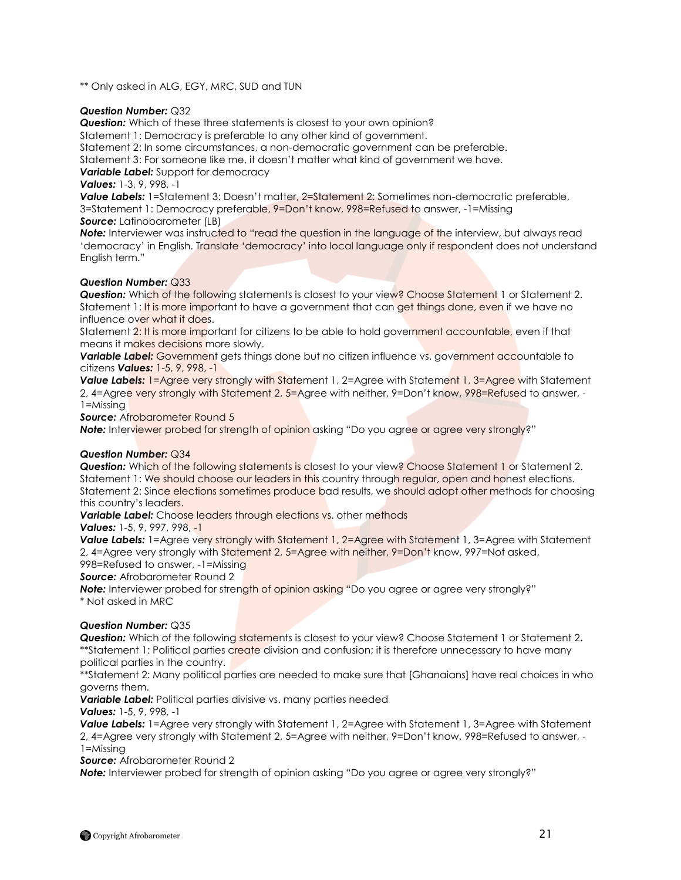\*\* Only asked in ALG, EGY, MRC, SUD and TUN

# *Question Number:* Q32

**Question:** Which of these three statements is closest to your own opinion?

Statement 1: Democracy is preferable to any other kind of government.

Statement 2: In some circumstances, a non-democratic government can be preferable.

Statement 3: For someone like me, it doesn"t matter what kind of government we have.

*Variable Label:* Support for democracy

*Values:* 1-3, 9, 998, -1

**Value Labels:** 1=Statement 3: Doesn't matter, 2=Statement 2: Sometimes non-democratic preferable, 3=Statement 1: Democracy preferable, 9=Don"t know, 998=Refused to answer, -1=Missing *Source:* Latinobarometer (LB)

**Note:** Interviewer was instructed to "read the question in the language of the interview, but always read "democracy" in English. Translate "democracy" into local language only if respondent does not understand English term."

# *Question Number:* Q33

**Question:** Which of the following statements is closest to your view? Choose Statement 1 or Statement 2. Statement 1: It is more important to have a government that can get things done, even if we have no influence over what it does.

Statement 2: It is more important for citizens to be able to hold government accountable, even if that means it makes decisions more slowly.

**Variable Label:** Government gets things done but no citizen influence vs. government accountable to citizens *Values:* 1-5, 9, 998, -1

*Value Labels:* 1=Agree very strongly with Statement 1, 2=Agree with Statement 1, 3=Agree with Statement 2, 4=Agree very strongly with Statement 2, 5=Agree with neither, 9=Don"t know, 998=Refused to answer, - 1=Missing

**Source:** Afrobarometer Round 5

**Note:** Interviewer probed for strength of opinion asking "Do you agree or agree very strongly?"

# *Question Number:* Q34

**Question:** Which of the following statements is closest to your view? Choose Statement 1 or Statement 2. Statement 1: We should choose our leaders in this country through regular, open and honest elections. Statement 2: Since elections sometimes produce bad results, we should adopt other methods for choosing this country"s leaders.

**Variable Label:** Choose leaders through elections vs. other methods

*Values:* 1-5, 9, 997, 998, -1

*Value Labels:* 1=Agree very strongly with Statement 1, 2=Agree with Statement 1, 3=Agree with Statement 2, 4=Agree very strongly with Statement 2, 5=Agree with neither, 9=Don't know, 997=Not asked, 998=Refused to answer, -1=Missing

*Source:* Afrobarometer Round 2

**Note:** Interviewer probed for strength of opinion asking "Do you agree or agree very strongly?" \* Not asked in MRC

# *Question Number:* Q35

*Question:* Which of the following statements is closest to your view? Choose Statement 1 or Statement 2**.**  \*\*Statement 1: Political parties create division and confusion; it is therefore unnecessary to have many political parties in the country.

\*\*Statement 2: Many political parties are needed to make sure that [Ghanaians] have real choices in who governs them.

*Variable Label:* Political parties divisive vs. many parties needed *Values:* 1-5, 9, 998, -1

*Value Labels:* 1=Agree very strongly with Statement 1, 2=Agree with Statement 1, 3=Agree with Statement 2, 4=Agree very strongly with Statement 2, 5=Agree with neither, 9=Don"t know, 998=Refused to answer, - 1=Missing

*Source:* Afrobarometer Round 2

**Note:** Interviewer probed for strength of opinion asking "Do you agree or agree very strongly?"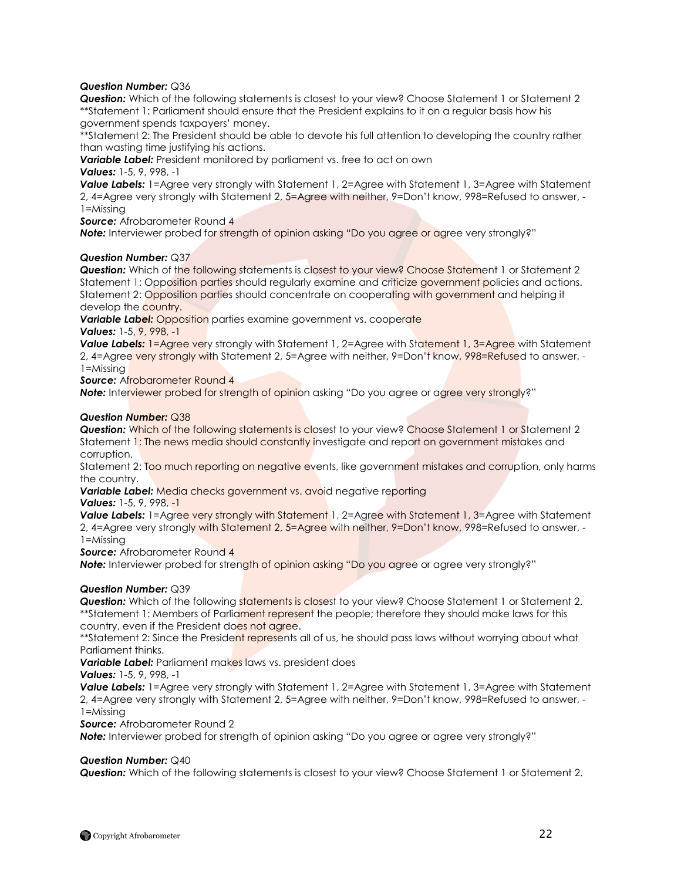# *Question Number:* Q36

*Question:* Which of the following statements is closest to your view? Choose Statement 1 or Statement 2 \*\*Statement 1: Parliament should ensure that the President explains to it on a regular basis how his government spends taxpayers" money.

\*\*Statement 2: The President should be able to devote his full attention to developing the country rather than wasting time justifying his actions.

*Variable Label:* President monitored by parliament vs. free to act on own

*Values:* 1-5, 9, 998, -1

*Value Labels:* 1=Agree very strongly with Statement 1, 2=Agree with Statement 1, 3=Agree with Statement 2, 4=Agree very strongly with Statement 2, 5=Agree with neither, 9=Don"t know, 998=Refused to answer, - 1=Missing

*Source:* Afrobarometer Round 4

**Note:** Interviewer probed for strength of opinion asking "Do you agree or agree very strongly?"

# *Question Number:* Q37

*Question:* Which of the following statements is closest to your view? Choose Statement 1 or Statement 2 Statement 1: Opposition parties should regularly examine and criticize government policies and actions. Statement 2: Opposition parties should concentrate on cooperating with government and helping it develop the country.

**Variable Label:** Opposition parties examine government vs. cooperate *Values:* 1-5, 9, 998, -1

**Value Labels:** 1=Agree very strongly with Statement 1, 2=Agree with Statement 1, 3=Agree with Statement 2, 4=Agree very strongly with Statement 2, 5=Agree with neither, 9=Don't know, 998=Refused to answer, -1=Missing

**Source:** Afrobarometer Round 4

**Note:** Interviewer probed for strength of opinion asking "Do you agree or agree very strongly?"

# *Question Number:* Q38

**Question:** Which of the following statements is closest to your view? Choose Statement 1 or Statement 2 Statement 1: The news media should constantly investigate and report on government mistakes and corruption.

Statement 2: Too much reporting on negative events, like government mistakes and corruption, only harms the country.

Variable Label: Media checks government vs. avoid negative reporting *Values:* 1-5, 9, 998, -1

*Value Labels:* 1=Agree very strongly with Statement 1, 2=Agree with Statement 1, 3=Agree with Statement 2, 4=Agree very strongly with Statement 2, 5=Agree with neither, 9=Don"t know, 998=Refused to answer, - 1=Missing

**Source:** Afrobarometer Round 4

**Note:** Interviewer probed for strength of opinion asking "Do you agree or agree very strongly?"

# *Question Number:* Q39

**Question:** Which of the following statements is closest to your view? Choose Statement 1 or Statement 2. \*\*Statement 1: Members of Parliament represent the people; therefore they should make laws for this country, even if the President does not agree.

\*\*Statement 2: Since the President represents all of us, he should pass laws without worrying about what Parliament thinks.

*Variable Label:* Parliament makes laws vs. president does

*Values:* 1-5, 9, 998, -1

*Value Labels:* 1=Agree very strongly with Statement 1, 2=Agree with Statement 1, 3=Agree with Statement 2, 4=Agree very strongly with Statement 2, 5=Agree with neither, 9=Don"t know, 998=Refused to answer, - 1=Missing

*Source:* Afrobarometer Round 2

**Note:** Interviewer probed for strength of opinion asking "Do you agree or agree very strongly?"

#### *Question Number:* Q40

*Question:* Which of the following statements is closest to your view? Choose Statement 1 or Statement 2.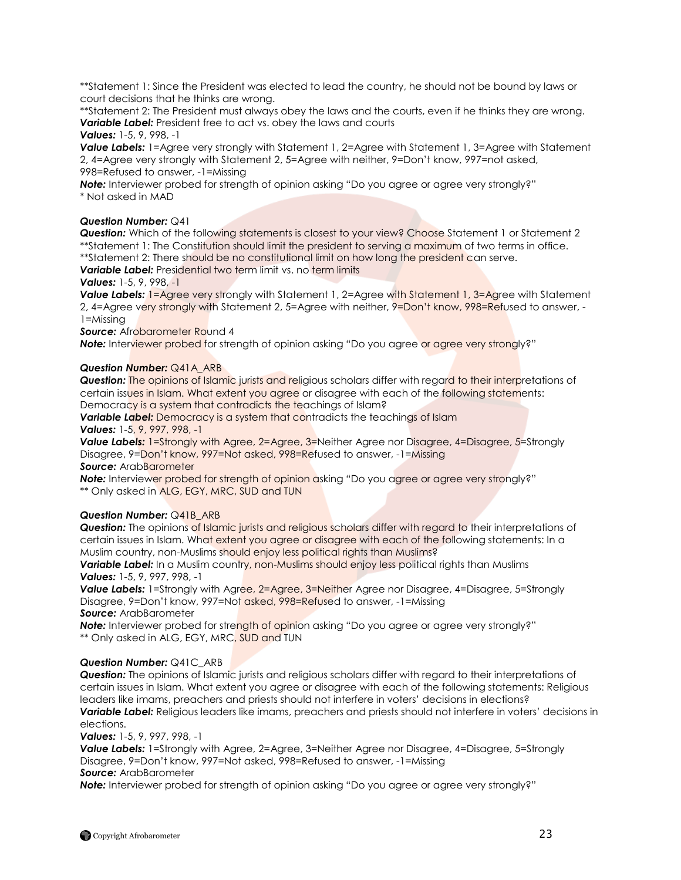\*\*Statement 1: Since the President was elected to lead the country, he should not be bound by laws or court decisions that he thinks are wrong.

\*\*Statement 2: The President must always obey the laws and the courts, even if he thinks they are wrong. *Variable Label:* President free to act vs. obey the laws and courts

### *Values:* 1-5, 9, 998, -1

*Value Labels:* 1=Agree very strongly with Statement 1, 2=Agree with Statement 1, 3=Agree with Statement 2, 4=Agree very strongly with Statement 2, 5=Agree with neither, 9=Don"t know, 997=not asked, 998=Refused to answer, -1=Missing

**Note:** Interviewer probed for strength of opinion asking "Do you agree or agree very strongly?" \* Not asked in MAD

# *Question Number:* Q41

*Question:* Which of the following statements is closest to your view? Choose Statement 1 or Statement 2 \*\*Statement 1: The Constitution should limit the president to serving a maximum of two terms in office. \*\*Statement 2: There should be no constitutional limit on how long the president can serve. *Variable Label:* Presidential two term limit vs. no term limits

# *Values:* 1-5, 9, 998, -1

*Value Labels:* 1=Agree very strongly with Statement 1, 2=Agree with Statement 1, 3=Agree with Statement 2, 4=Agree very strongly with Statement 2, 5=Agree with neither, 9=Don't know, 998=Refused to answer, -1=Missing

**Source:** Afrobarometer Round 4

**Note:** Interviewer probed for strength of opinion asking "Do you agree or agree very strongly?"

# *Question Number:* Q41A\_ARB

*Question:* The opinions of Islamic jurists and religious scholars differ with regard to their interpretations of certain issues in Islam. What extent you agree or disagree with each of the following statements: Democracy is a system that contradicts the teachings of Islam?

**Variable Label:** Democracy is a system that contradicts the teachings of Islam *Values:* 1-5, 9, 997, 998, -1

**Value Labels:** 1=Strongly with Agree, 2=Agree, 3=Neither Agree nor Disagree, 4=Disagree, 5=Strongly Disagree, 9=Don"t know, 997=Not asked, 998=Refused to answer, -1=Missing *Source:* ArabBarometer

**Note:** Interviewer probed for strength of opinion asking "Do you agree or agree very strongly?" \*\* Only asked in ALG, EGY, MRC, SUD and TUN

# *Question Number:* Q41B\_ARB

*Question:* The opinions of Islamic jurists and religious scholars differ with regard to their interpretations of certain issues in Islam. What extent you agree or disagree with each of the following statements: In a Muslim country, non-Muslims should enjoy less political rights than Muslims?

**Variable Label:** In a Muslim country, non-Muslims should enjoy less political rights than Muslims *Values:* 1-5, 9, 997, 998, -1

**Value Labels:** 1=Strongly with Agree, 2=Agree, 3=Neither Agree nor Disagree, 4=Disagree, 5=Strongly Disagree, 9=Don"t know, 997=Not asked, 998=Refused to answer, -1=Missing *Source:* ArabBarometer

**Note:** Interviewer probed for strength of opinion asking "Do you agree or agree very strongly?" \*\* Only asked in ALG, EGY, MRC, SUD and TUN

# *Question Number:* Q41C\_ARB

*Question:* The opinions of Islamic jurists and religious scholars differ with regard to their interpretations of certain issues in Islam. What extent you agree or disagree with each of the following statements: Religious leaders like imams, preachers and priests should not interfere in voters" decisions in elections? *Variable Label:* Religious leaders like imams, preachers and priests should not interfere in voters" decisions in elections.

*Values:* 1-5, 9, 997, 998, -1

*Value Labels:* 1=Strongly with Agree, 2=Agree, 3=Neither Agree nor Disagree, 4=Disagree, 5=Strongly Disagree, 9=Don"t know, 997=Not asked, 998=Refused to answer, -1=Missing *Source:* ArabBarometer

**Note:** Interviewer probed for strength of opinion asking "Do you agree or agree very strongly?"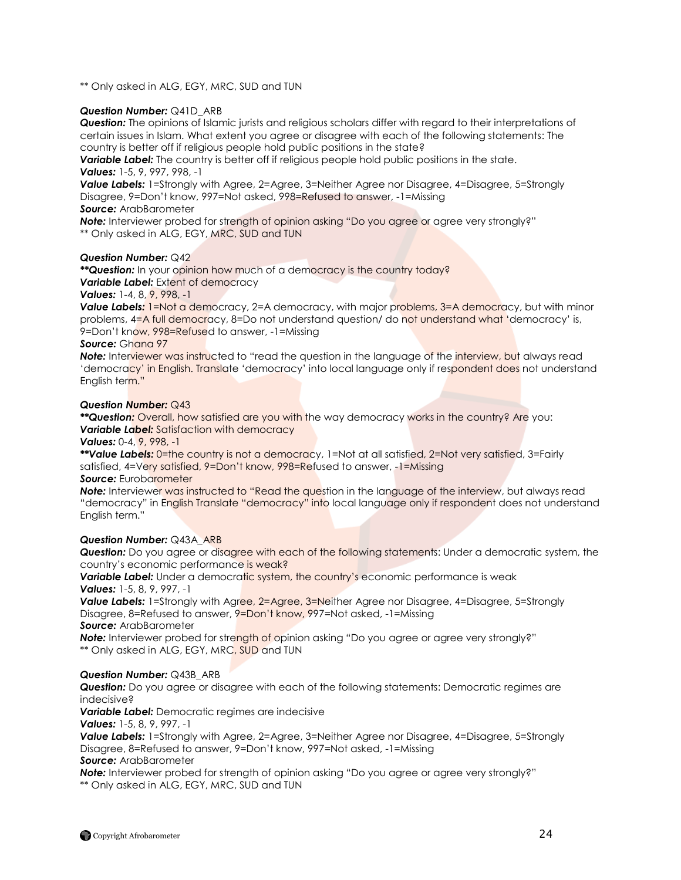\*\* Only asked in ALG, EGY, MRC, SUD and TUN

#### *Question Number:* Q41D\_ARB

*Question:* The opinions of Islamic jurists and religious scholars differ with regard to their interpretations of certain issues in Islam. What extent you agree or disagree with each of the following statements: The country is better off if religious people hold public positions in the state?

*Variable Label:* The country is better off if religious people hold public positions in the state. *Values:* 1-5, 9, 997, 998, -1

**Value Labels:** 1=Strongly with Agree, 2=Agree, 3=Neither Agree nor Disagree, 4=Disagree, 5=Strongly Disagree, 9=Don"t know, 997=Not asked, 998=Refused to answer, -1=Missing

# *Source:* ArabBarometer

**Note:** Interviewer probed for strength of opinion asking "Do you agree or agree very strongly?" \*\* Only asked in ALG, EGY, MRC, SUD and TUN

#### *Question Number:* Q42

\*\***Question:** In your opinion how much of a democracy is the country today? **Variable Label:** Extent of democracy

# *Values:* 1-4, 8, 9, 998, -1

**Value Labels:** 1=Not a democracy, 2=A democracy, with major problems, 3=A democracy, but with minor problems, 4=A full democracy, 8=Do not understand question/ do not understand what "democracy" is, 9=Don"t know, 998=Refused to answer, -1=Missing

# *Source:* Ghana 97

**Note:** Interviewer was instructed to "read the question in the language of the interview, but always read 'democracy' in English. Translate 'democracy' into local language only if respondent does not understand English term."

#### *Question Number:* Q43

*\*\*Question:* Overall, how satisfied are you with the way democracy works in the country? Are you: *Variable Label:* Satisfaction with democracy

# *Values:* 0-4, 9, 998, -1

*\*\*Value Labels:* 0=the country is not a democracy, 1=Not at all satisfied, 2=Not very satisfied, 3=Fairly satisfied, 4=Very satisfied, 9=Don"t know, 998=Refused to answer, -1=Missing

#### *Source:* Eurobarometer

**Note:** Interviewer was instructed to "Read the question in the language of the interview, but always read "democracy" in English Translate "democracy" into local language only if respondent does not understand English term."

# *Question Number:* Q43A\_ARB

*Question:* Do you agree or disagree with each of the following statements: Under a democratic system, the country"s economic performance is weak?

**Variable Label:** Under a democratic system, the country's economic performance is weak *Values:* 1-5, 8, 9, 997, -1

**Value Labels:** 1=Strongly with Agree, 2=Agree, 3=Neither Agree nor Disagree, 4=Disagree, 5=Strongly Disagree, 8=Refused to answer, 9=Don"t know, 997=Not asked, -1=Missing

*Source:* ArabBarometer

**Note:** Interviewer probed for strength of opinion asking "Do you agree or agree very strongly?" \*\* Only asked in ALG, EGY, MRC, SUD and TUN

# *Question Number:* Q43B\_ARB

*Question:* Do you agree or disagree with each of the following statements: Democratic regimes are indecisive?

*Variable Label:* Democratic regimes are indecisive

*Values:* 1-5, 8, 9, 997, -1

**Value Labels:** 1=Strongly with Agree, 2=Agree, 3=Neither Agree nor Disagree, 4=Disagree, 5=Strongly Disagree, 8=Refused to answer, 9=Don"t know, 997=Not asked, -1=Missing *Source:* ArabBarometer

**Note:** Interviewer probed for strength of opinion asking "Do you agree or agree very strongly?" \*\* Only asked in ALG, EGY, MRC, SUD and TUN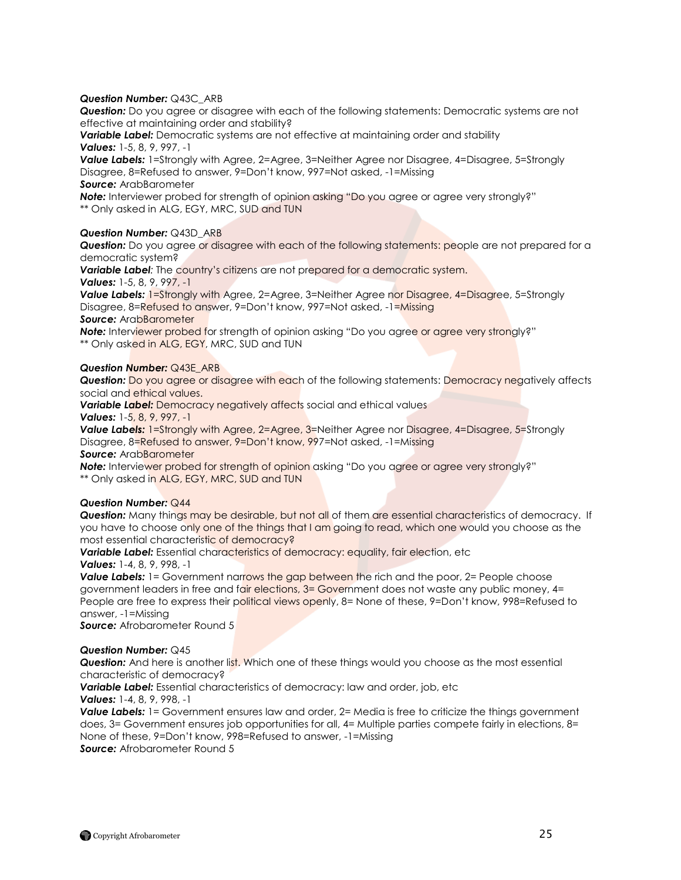# *Question Number:* Q43C\_ARB

*Question:* Do you agree or disagree with each of the following statements: Democratic systems are not effective at maintaining order and stability?

*Variable Label:* Democratic systems are not effective at maintaining order and stability *Values:* 1-5, 8, 9, 997, -1

*Value Labels:* 1=Strongly with Agree, 2=Agree, 3=Neither Agree nor Disagree, 4=Disagree, 5=Strongly Disagree, 8=Refused to answer, 9=Don"t know, 997=Not asked, -1=Missing *Source:* ArabBarometer

**Note:** Interviewer probed for strength of opinion asking "Do you agree or agree very strongly?" \*\* Only asked in ALG, EGY, MRC, SUD and TUN

# *Question Number:* Q43D\_ARB

**Question:** Do you agree or disagree with each of the following statements: people are not prepared for a democratic system?

*Variable Label:* The country"s citizens are not prepared for a democratic system. *Values:* 1-5, 8, 9, 997, -1

*Value Labels:* 1=Strongly with Agree, 2=Agree, 3=Neither Agree nor Disagree, 4=Disagree, 5=Strongly Disagree, 8=Refused to answer, 9=Don't know, 997=Not asked, -1=Missing

*Source:* ArabBarometer

**Note:** Interviewer probed for strength of opinion asking "Do you agree or agree very strongly?" \*\* Only asked in ALG, EGY, MRC, SUD and TUN

# *Question Number:* Q43E\_ARB

**Question:** Do you agree or disagree with each of the following statements: Democracy negatively affects social and ethical values.

*Variable Label: Democracy negatively affects social and ethical values* 

*Values:* 1-5, 8, 9, 997, -1

**Value Labels:** 1=Strongly with Agree, 2=Agree, 3=Neither Agree nor Disagree, 4=Disagree, 5=Strongly Disagree, 8=Refused to answer, 9=Don't know, 997=Not asked, -1=Missing *Source:* ArabBarometer

**Note:** Interviewer probed for strength of opinion asking "Do you agree or agree very strongly?" \*\* Only asked in ALG, EGY, MRC, SUD and TUN

# *Question Number:* Q44

*Question:* Many things may be desirable, but not all of them are essential characteristics of democracy. If you have to choose only one of the things that I am going to read, which one would you choose as the most essential characteristic of democracy?

**Variable Label:** Essential characteristics of democracy: equality, fair election, etc

# *Values:* 1-4, 8, 9, 998, -1

**Value Labels:** 1 = Government narrows the gap between the rich and the poor, 2 = People choose government leaders in free and fair elections, 3= Government does not waste any public money, 4= People are free to express their political views openly, 8= None of these, 9=Don't know, 998=Refused to answer, -1=Missing

*Source:* Afrobarometer Round 5

# *Question Number:* Q45

*Question:* And here is another list. Which one of these things would you choose as the most essential characteristic of democracy?

*Variable Label:* Essential characteristics of democracy: law and order, job, etc

*Values:* 1-4, 8, 9, 998, -1

**Value Labels:** 1 = Government ensures law and order, 2 = Media is free to criticize the things government does, 3= Government ensures job opportunities for all, 4= Multiple parties compete fairly in elections, 8= None of these, 9=Don"t know, 998=Refused to answer, -1=Missing *Source:* Afrobarometer Round 5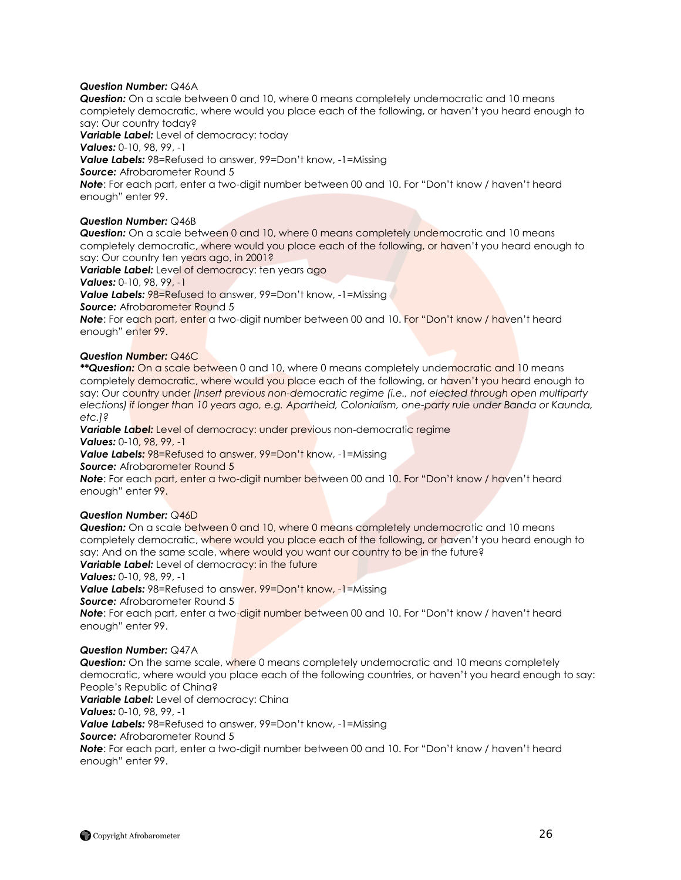# *Question Number:* Q46A

*Question:* On a scale between 0 and 10, where 0 means completely undemocratic and 10 means completely democratic, where would you place each of the following, or haven"t you heard enough to say: Our country today?

*Variable Label:* Level of democracy: today *Values:* 0-10, 98, 99, -1 **Value Labels:** 98=Refused to answer, 99=Don't know, -1=Missing *Source:* Afrobarometer Round 5 **Note**: For each part, enter a two-digit number between 00 and 10. For "Don't know / haven't heard enough" enter 99.

# *Question Number:* Q46B

*Question:* On a scale between 0 and 10, where 0 means completely undemocratic and 10 means completely democratic, where would you place each of the following, or haven"t you heard enough to say: Our country ten years ago, in 2001?

**Variable Label:** Level of democracy: ten years ago

*Values:* 0-10, 98, 99, -1

**Value Labels: 98=Refused to answer, 99=Don't know, -1=Missing** 

**Source:** Afrobarometer Round 5

**Note**: For each part, enter a two-digit number between 00 and 10. For "Don't know / haven't heard enough" enter 99.

# *Question Number:* Q46C

*\*\*Question:* On a scale between 0 and 10, where 0 means completely undemocratic and 10 means completely democratic, where would you place each of the following, or haven"t you heard enough to say: Our country under *[Insert previous non-democratic regime (i.e., not elected through open multiparty elections) if longer than 10 years ago, e.g. Apartheid, Colonialism, one-party rule under Banda or Kaunda, etc.]?*

Variable Label: Level of democracy: under previous non-democratic regime *Values:* 0-10, 98, 99, -1

*Value Labels:* 98=Refused to answer, 99=Don"t know, -1=Missing

**Source:** Afrobarometer Round 5

**Note**: For each part, enter a two-digit number between 00 and 10. For "Don't know / haven't heard enough" enter 99.

#### *Question Number:* Q46D

**Question:** On a scale between 0 and 10, where 0 means completely undemocratic and 10 means completely democratic, where would you place each of the following, or haven"t you heard enough to say: And on the same scale, where would you want our country to be in the future? **Variable Label:** Level of democracy: in the future

*Values:* 0-10, 98, 99, -1

*Value Labels:* 98=Refused to answer, 99=Don"t know, -1=Missing

**Source:** Afrobarometer Round 5

**Note**: For each part, enter a two-digit number between 00 and 10. For "Don't know / haven't heard enough" enter 99.

#### *Question Number:* Q47A

*Question:* On the same scale, where 0 means completely undemocratic and 10 means completely democratic, where would you place each of the following countries, or haven"t you heard enough to say: People"s Republic of China?

*Variable Label:* Level of democracy: China

*Values:* 0-10, 98, 99, -1

*Value Labels:* 98=Refused to answer, 99=Don"t know, -1=Missing

**Source:** Afrobarometer Round 5

**Note**: For each part, enter a two-digit number between 00 and 10. For "Don't know / haven't heard enough" enter 99.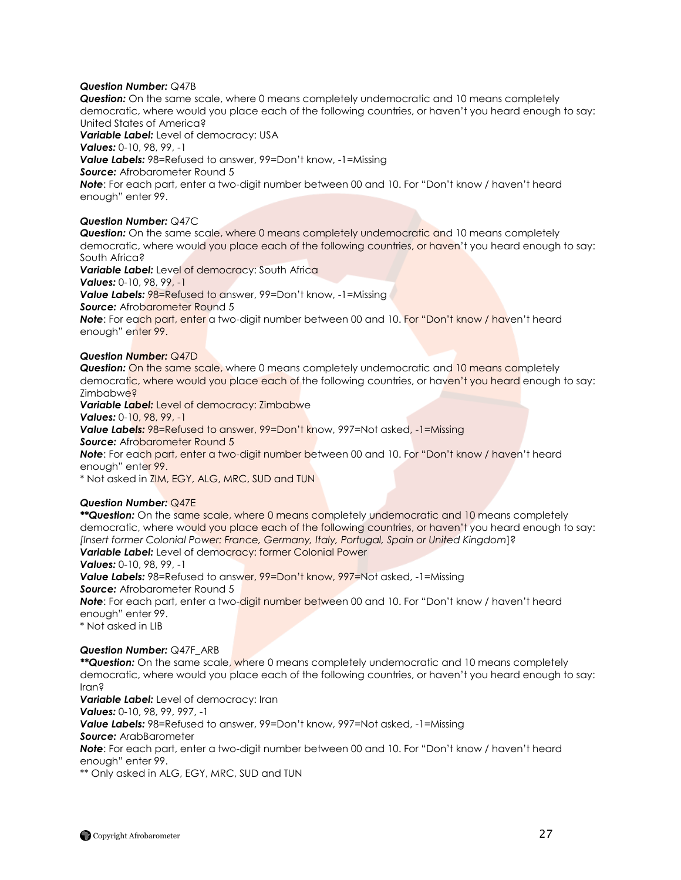# *Question Number:* Q47B

*Question:* On the same scale, where 0 means completely undemocratic and 10 means completely democratic, where would you place each of the following countries, or haven"t you heard enough to say: United States of America?

*Variable Label:* Level of democracy: USA *Values:* 0-10, 98, 99, -1 **Value Labels:** 98=Refused to answer, 99=Don't know, -1=Missing *Source:* Afrobarometer Round 5 **Note**: For each part, enter a two-digit number between 00 and 10. For "Don't know / haven't heard enough" enter 99.

# *Question Number:* Q47C

**Question:** On the same scale, where 0 means completely undemocratic and 10 means completely democratic, where would you place each of the following countries, or haven"t you heard enough to say: South Africa?

**Variable Label:** Level of democracy: South Africa *Values:* 0-10, 98, 99, -1 **Value Labels: 98=Refused to answer, 99=Don't know, -1=Missing Source:** Afrobarometer Round 5 **Note:** For each part, enter a two-digit number between 00 and 10. For "Don't know / haven't heard enough" enter 99.

# *Question Number:* Q47D

*Question:* On the same scale, where 0 means completely undemocratic and 10 means completely democratic, where would you place each of the following countries, or haven"t you heard enough to say: Zimbabwe?

*Variable Label:* Level of democracy: Zimbabwe

*Values:* 0-10, 98, 99, -1

*Value Labels:* 98=Refused to answer, 99=Don"t know, 997=Not asked, -1=Missing

**Source:** Afrobarometer Round 5

**Note**: For each part, enter a two-digit number between 00 and 10. For "Don't know / haven't heard enough" enter 99.

\* Not asked in ZIM, EGY, ALG, MRC, SUD and TUN

# *Question Number:* Q47E

*\*\*Question:* On the same scale, where 0 means completely undemocratic and 10 means completely democratic, where would you place each of the following countries, or haven't you heard enough to say: *[Insert former Colonial Power: France, Germany, Italy, Portugal, Spain or United Kingdom*]? *Variable Label:* Level of democracy: former Colonial Power

*Values:* 0-10, 98, 99, -1

*Value Labels:* 98=Refused to answer, 99=Don"t know, 997=Not asked, -1=Missing **Source:** Afrobarometer Round 5

**Note**: For each part, enter a two-digit number between 00 and 10. For "Don't know / haven't heard enough" enter 99.

\* Not asked in LIB

#### *Question Number:* Q47F\_ARB

*\*\*Question:* On the same scale, where 0 means completely undemocratic and 10 means completely democratic, where would you place each of the following countries, or haven"t you heard enough to say: Iran?

*Variable Label:* Level of democracy: Iran

*Values:* 0-10, 98, 99, 997, -1

*Value Labels:* 98=Refused to answer, 99=Don"t know, 997=Not asked, -1=Missing

*Source:* ArabBarometer

**Note**: For each part, enter a two-digit number between 00 and 10. For "Don't know / haven't heard enough" enter 99.

\*\* Only asked in ALG, EGY, MRC, SUD and TUN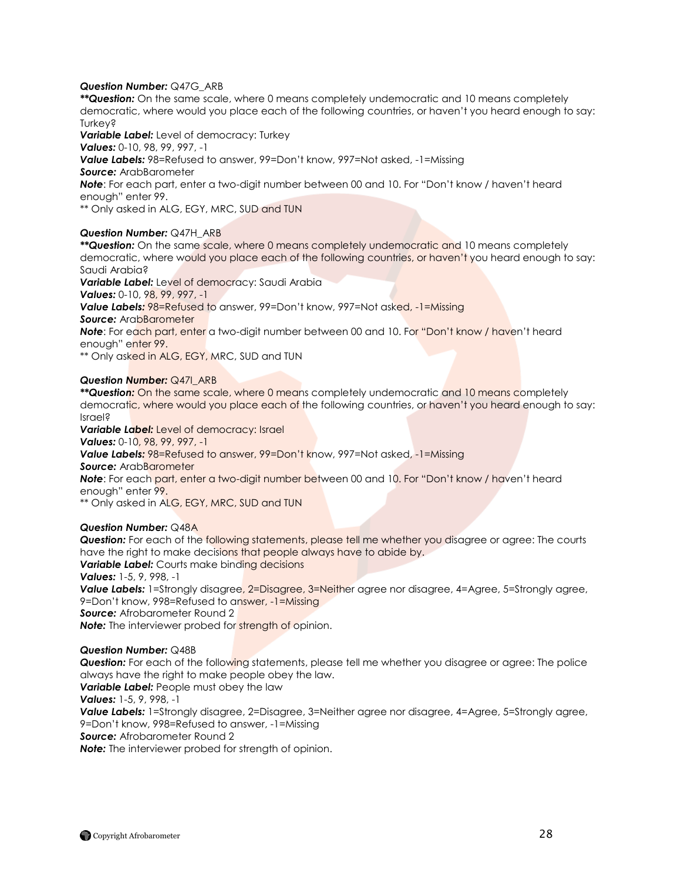#### *Question Number:* Q47G\_ARB

*\*\*Question:* On the same scale, where 0 means completely undemocratic and 10 means completely democratic, where would you place each of the following countries, or haven"t you heard enough to say: Turkey?

*Variable Label:* Level of democracy: Turkey

*Values:* 0-10, 98, 99, 997, -1

*Value Labels:* 98=Refused to answer, 99=Don"t know, 997=Not asked, -1=Missing

*Source:* ArabBarometer

**Note**: For each part, enter a two-digit number between 00 and 10. For "Don't know / haven't heard enough" enter 99.

\*\* Only asked in ALG, EGY, MRC, SUD and TUN

# *Question Number:* Q47H\_ARB

*\*\*Question:* On the same scale, where 0 means completely undemocratic and 10 means completely democratic, where would you place each of the following countries, or haven"t you heard enough to say: Saudi Arabia?

*Variable Label:* Level of democracy: Saudi Arabia

*Values:* 0-10, 98, 99, 997, -1

*Value Labels:* 98=Refused to answer, 99=Don"t know, 997=Not asked, -1=Missing

*Source:* ArabBarometer

**Note**: For each part, enter a two-digit number between 00 and 10. For "Don't know / haven't heard enough" enter 99.

\*\* Only asked in ALG, EGY, MRC, SUD and TUN

# *Question Number:* Q47I\_ARB

*\*\*Question:* On the same scale, where 0 means completely undemocratic and 10 means completely democratic, where would you place each of the following countries, or haven"t you heard enough to say: Israel?

*Variable Label:* Level of democracy: Israel *Values:* 0-10, 98, 99, 997, -1 *Value Labels:* 98=Refused to answer, 99=Don"t know, 997=Not asked, -1=Missing *Source:* ArabBarometer **Note**: For each part, enter a two-digit number between 00 and 10. For "Don't know / haven't heard enough" enter 99. \*\* Only asked in ALG, EGY, MRC, SUD and TUN

*Question Number:* Q48A

*Question:* For each of the following statements, please tell me whether you disagree or agree: The courts have the right to make decisions that people always have to abide by. **Variable Label:** Courts make binding decisions *Values:* 1-5, 9, 998, -1 **Value Labels:** 1=Strongly disagree, 2=Disagree, 3=Neither agree nor disagree, 4=Agree, 5=Strongly agree, 9=Don"t know, 998=Refused to answer, -1=Missing *Source:* Afrobarometer Round 2 **Note:** The interviewer probed for strength of opinion.

#### *Question Number:* Q48B

**Question:** For each of the following statements, please tell me whether you disagree or agree: The police always have the right to make people obey the law.

*Variable Label:* People must obey the law

*Values:* 1-5, 9, 998, -1

**Value Labels:** 1=Strongly disagree, 2=Disagree, 3=Neither agree nor disagree, 4=Agree, 5=Strongly agree, 9=Don"t know, 998=Refused to answer, -1=Missing

*Source:* Afrobarometer Round 2

*Note:* The interviewer probed for strength of opinion.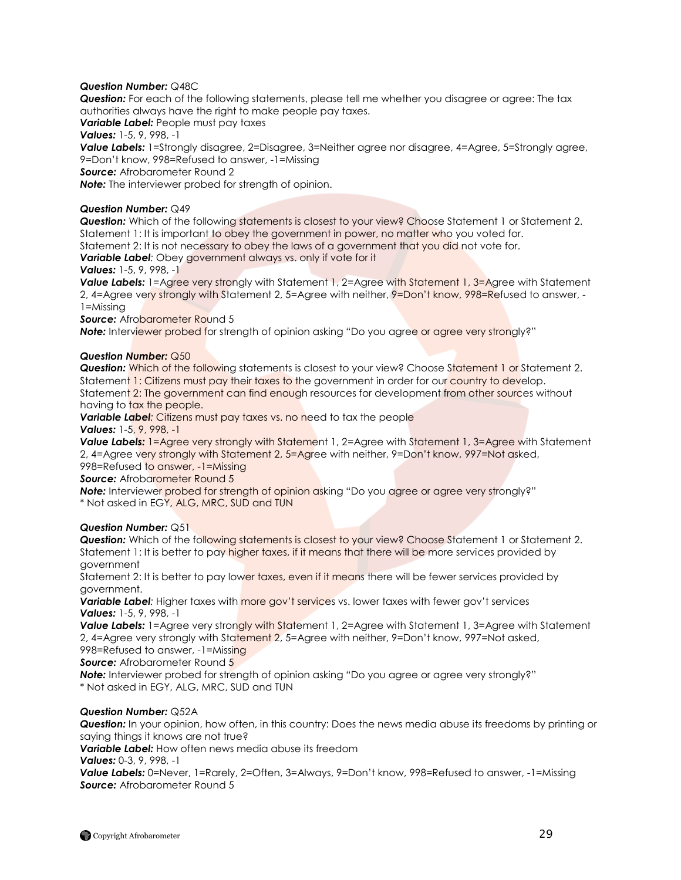# *Question Number:* Q48C

*Question:* For each of the following statements, please tell me whether you disagree or agree: The tax authorities always have the right to make people pay taxes.

*Variable Label:* People must pay taxes

*Values:* 1-5, 9, 998, -1

**Value Labels:** 1=Strongly disagree, 2=Disagree, 3=Neither agree nor disagree, 4=Agree, 5=Strongly agree, 9=Don"t know, 998=Refused to answer, -1=Missing

*Source:* Afrobarometer Round 2

*Note:* The interviewer probed for strength of opinion.

# *Question Number:* Q49

*Question:* Which of the following statements is closest to your view? Choose Statement 1 or Statement 2. Statement 1: It is important to obey the government in power, no matter who you voted for.

Statement 2: It is not necessary to obey the laws of a government that you did not vote for.

*Variable Label:* Obey government always vs. only if vote for it

# *Values:* 1-5, 9, 998, -1

**Value Labels:** 1=Agree very strongly with Statement 1, 2=Agree with Statement 1, 3=Agree with Statement 2, 4=Agree very strongly with Statement 2, 5=Agree with neither, 9=Don't know, 998=Refused to answer, -1=Missing

# **Source:** Afrobarometer Round 5

**Note:** Interviewer probed for strength of opinion asking "Do you agree or agree very strongly?"

# *Question Number:* Q50

*Question:* Which of the following statements is closest to your view? Choose Statement 1 or Statement 2. Statement 1: Citizens must pay their taxes to the government in order for our country to develop. Statement 2: The government can find enough resources for development from other sources without having to tax the people.

**Variable Label:** Citizens must pay taxes vs. no need to tax the people

*Values:* 1-5, 9, 998, -1

**Value Labels:** 1=Agree very strongly with Statement 1, 2=Agree with Statement 1, 3=Agree with Statement 2, 4=Agree very strongly with Statement 2, 5=Agree with neither, 9=Don't know, 997=Not asked, 998=Refused to answer, -1=Missing

**Source:** Afrobarometer Round 5

**Note:** Interviewer probed for strength of opinion asking "Do you agree or agree very strongly?"

\* Not asked in EGY, ALG, MRC, SUD and TUN

# *Question Number:* Q51

**Question:** Which of the following statements is closest to your view? Choose Statement 1 or Statement 2. Statement 1: It is better to pay higher taxes, if it means that there will be more services provided by government

Statement 2: It is better to pay lower taxes, even if it means there will be fewer services provided by government.

**Variable Label**: Higher taxes with more gov't services vs. lower taxes with fewer gov't services *Values:* 1-5, 9, 998, -1

**Value Labels:** 1=Agree very strongly with Statement 1, 2=Agree with Statement 1, 3=Agree with Statement 2, 4=Agree very strongly with Statement 2, 5=Agree with neither, 9=Don't know, 997=Not asked, 998=Refused to answer, -1=Missing

*Source:* Afrobarometer Round 5

**Note:** Interviewer probed for strength of opinion asking "Do you agree or agree very strongly?"

\* Not asked in EGY, ALG, MRC, SUD and TUN

# *Question Number:* Q52A

*Question:* In your opinion, how often, in this country: Does the news media abuse its freedoms by printing or saying things it knows are not true?

*Variable Label:* How often news media abuse its freedom

*Values:* 0-3, 9, 998, -1

**Value Labels:** 0=Never, 1=Rarely, 2=Often, 3=Always, 9=Don't know, 998=Refused to answer, -1=Missing **Source:** Afrobarometer Round 5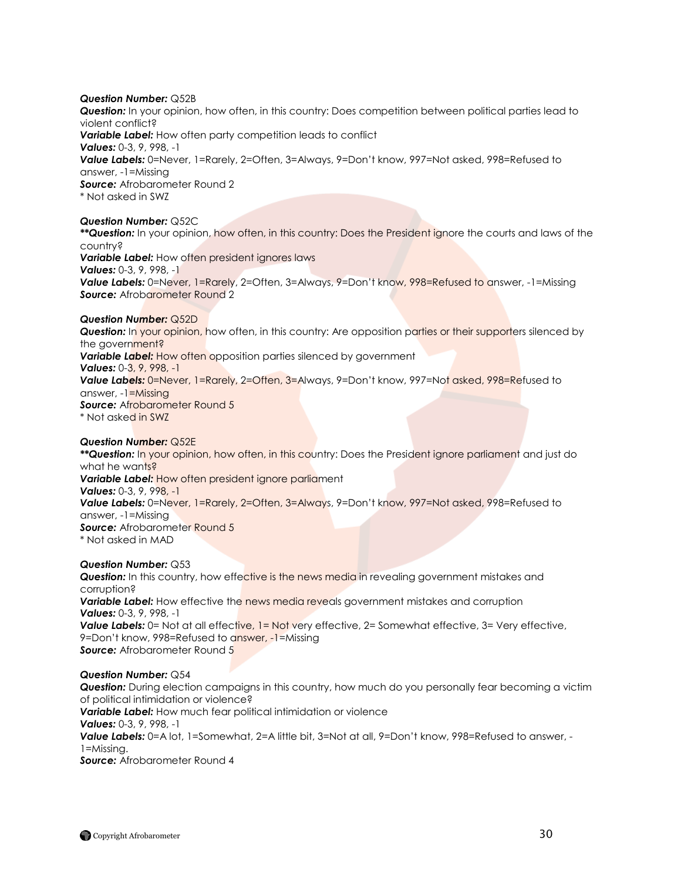*Question Number:* Q52B *Question:* In your opinion, how often, in this country: Does competition between political parties lead to violent conflict? *Variable Label:* How often party competition leads to conflict *Values:* 0-3, 9, 998, -1 *Value Labels:* 0=Never, 1=Rarely, 2=Often, 3=Always, 9=Don"t know, 997=Not asked, 998=Refused to answer, -1=Missing **Source:** Afrobarometer Round 2 \* Not asked in SWZ *Question Number:* Q52C *\*\*Question:* In your opinion, how often, in this country: Does the President ignore the courts and laws of the country? **Variable Label:** How often president ignores laws *Values:* 0-3, 9, 998, -1 Value Labels: 0=Never, 1=Rarely, 2=Often, 3=Always, 9=Don't know, 998=Refused to answer, -1=Missing **Source:** Afrobarometer Round 2 *Question Number:* Q52D **Question:** In your opinion, how often, in this country: Are opposition parties or their supporters silenced by the government? **Variable Label:** How often opposition parties silenced by government *Values:* 0-3, 9, 998, -1 *Value Labels:* 0=Never, 1=Rarely, 2=Often, 3=Always, 9=Don"t know, 997=Not asked, 998=Refused to answer, -1=Missing **Source:** Afrobarometer Round 5 \* Not asked in SWZ *Question Number:* Q52E *\*\*Question:* In your opinion, how often, in this country: Does the President ignore parliament and just do

what he wants? *Variable Label:* How often president ignore parliament *Values:* 0-3, 9, 998, -1 *Value Labels:* 0=Never, 1=Rarely, 2=Often, 3=Always, 9=Don"t know, 997=Not asked, 998=Refused to answer, -1=Missing **Source:** Afrobarometer Round 5 \* Not asked in MAD

*Question Number:* Q53

**Question:** In this country, how effective is the news media in revealing government mistakes and corruption? **Variable Label:** How effective the news media reveals government mistakes and corruption *Values:* 0-3, 9, 998, -1 **Value Labels:** 0= Not at all effective, 1= Not very effective, 2= Somewhat effective, 3= Very effective, 9=Don"t know, 998=Refused to answer, -1=Missing **Source:** Afrobarometer Round 5

# *Question Number:* Q54

*Question:* During election campaigns in this country, how much do you personally fear becoming a victim of political intimidation or violence? *Variable Label:* How much fear political intimidation or violence *Values:* 0-3, 9, 998, -1 *Value Labels:* 0=A lot, 1=Somewhat, 2=A little bit, 3=Not at all, 9=Don"t know, 998=Refused to answer, - 1=Missing. *Source:* Afrobarometer Round 4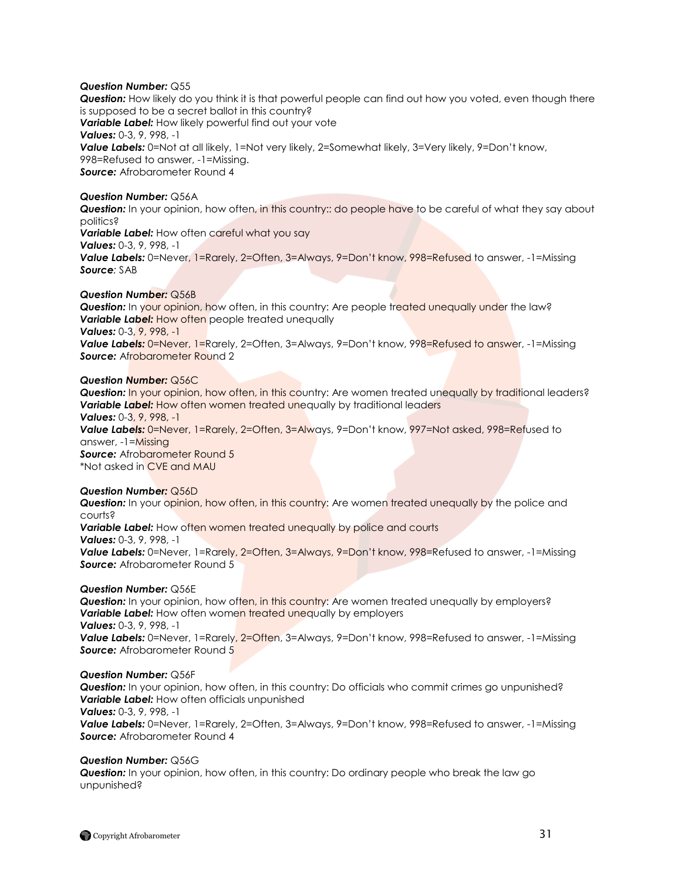### *Question Number:* Q55

**Question:** How likely do you think it is that powerful people can find out how you voted, even though there is supposed to be a secret ballot in this country? *Variable Label:* How likely powerful find out your vote *Values:* 0-3, 9, 998, -1 **Value Labels:** 0=Not at all likely, 1=Not very likely, 2=Somewhat likely, 3=Very likely, 9=Don't know, 998=Refused to answer, -1=Missing. *Source:* Afrobarometer Round 4

#### *Question Number:* Q56A

**Question:** In your opinion, how often, in this country:: do people have to be careful of what they say about politics?

**Variable Label:** How often careful what you say

*Values:* 0-3, 9, 998, -1

**Value Labels:** 0=Never, 1=Rarely, 2=Often, 3=Always, 9=Don't know, 998=Refused to answer, -1=Missing *Source:* SAB

### *Question Number:* Q56B

**Question:** In your opinion, how often, in this country: Are people treated unequally under the law? **Variable Label:** How often people treated unequally *Values:* 0-3, 9, 998, -1 Value Labels: 0=Never, 1=Rarely, 2=Often, 3=Always, 9=Don't know, 998=Refused to answer, -1=Missing **Source:** Afrobarometer Round 2

#### *Question Number:* Q56C

**Question:** In your opinion, how often, in this country: Are women treated unequally by traditional leaders? **Variable Label:** How often women treated unequally by traditional leaders *Values:* 0-3, 9, 998, -1 *Value Labels:* 0=Never, 1=Rarely, 2=Often, 3=Always, 9=Don"t know, 997=Not asked, 998=Refused to answer, -1=Missing **Source:** Afrobarometer Round 5

\*Not asked in CVE and MAU

#### *Question Number:* Q56D

**Question:** In your opinion, how often, in this country: Are women treated unequally by the police and courts?

*Variable Label:* How often women treated unequally by police and courts *Values:* 0-3, 9, 998, -1 Value Labels: 0=Never, 1=Rarely, 2=Often, 3=Always, 9=Don't know, 998=Refused to answer, -1=Missing **Source:** Afrobarometer Round 5

#### *Question Number:* Q56E

**Question:** In your opinion, how often, in this country: Are women treated unequally by employers? **Variable Label:** How often women treated unequally by employers *Values:* 0-3, 9, 998, -1 **Value Labels:** 0=Never, 1=Rarely, 2=Often, 3=Always, 9=Don't know, 998=Refused to answer, -1=Missing **Source:** Afrobarometer Round 5

#### *Question Number:* Q56F

*Question:* In your opinion, how often, in this country: Do officials who commit crimes go unpunished? **Variable Label:** How often officials unpunished *Values:* 0-3, 9, 998, -1

**Value Labels:** 0=Never, 1=Rarely, 2=Often, 3=Always, 9=Don't know, 998=Refused to answer, -1=Missing *Source:* Afrobarometer Round 4

#### *Question Number:* Q56G

**Question:** In your opinion, how often, in this country: Do ordinary people who break the law go unpunished?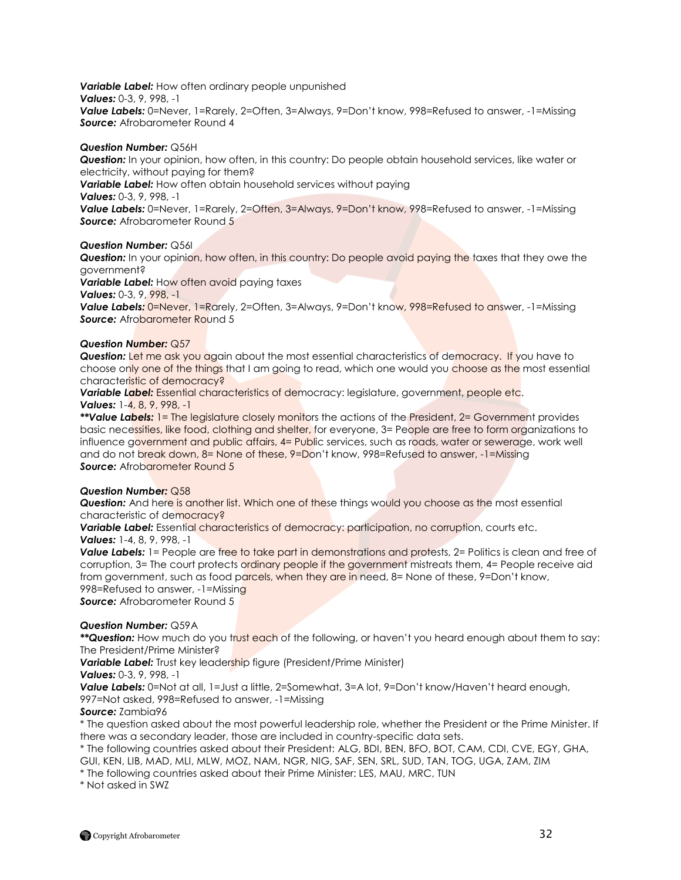*Variable Label:* How often ordinary people unpunished *Values:* 0-3, 9, 998, -1 Value Labels: 0=Never, 1=Rarely, 2=Often, 3=Always, 9=Don't know, 998=Refused to answer, -1=Missing **Source:** Afrobarometer Round 4

# *Question Number:* Q56H

*Question:* In your opinion, how often, in this country: Do people obtain household services, like water or electricity, without paying for them?

*Variable Label:* How often obtain household services without paying

*Values:* 0-3, 9, 998, -1

Value Labels: 0=Never, 1=Rarely, 2=Often, 3=Always, 9=Don't know, 998=Refused to answer, -1=Missing **Source:** Afrobarometer Round 5

# *Question Number:* Q56I

**Question:** In your opinion, how often, in this country: Do people avoid paying the taxes that they owe the government?

*Variable Label:* How often avoid paying taxes

*Values:* 0-3, 9, 998, -1

**Value Labels:** 0=Never, 1=Rarely, 2=Often, 3=Always, 9=Don't know, 998=Refused to answer, -1=Missing **Source:** Afrobarometer Round 5

# *Question Number:* Q57

*Question:* Let me ask you again about the most essential characteristics of democracy. If you have to choose only one of the things that I am going to read, which one would you choose as the most essential characteristic of democracy?

**Variable Label:** Essential characteristics of democracy: legislature, government, people etc. *Values:* 1-4, 8, 9, 998, -1

*\*\*Value Labels:* 1= The legislature closely monitors the actions of the President, 2= Government provides basic necessities, like food, clothing and shelter, for everyone, 3= People are free to form organizations to influence government and public affairs, 4= Public services, such as roads, water or sewerage, work well and do not break down, 8= None of these, 9=Don"t know, 998=Refused to answer, -1=Missing **Source:** Afrobarometer Round 5

#### *Question Number:* Q58

*Question:* And here is another list. Which one of these things would you choose as the most essential characteristic of democracy?

*Variable Label:* Essential characteristics of democracy: participation, no corruption, courts etc. *Values:* 1-4, 8, 9, 998, -1

**Value Labels:** 1= People are free to take part in demonstrations and protests, 2= Politics is clean and free of corruption, 3= The court protects ordinary people if the government mistreats them, 4= People receive aid from government, such as food parcels, when they are in need, 8= None of these, 9=Don't know, 998=Refused to answer, -1=Missing **Source:** Afrobarometer Round 5

# *Question Number:* Q59A

*\*\*Question:* How much do you trust each of the following, or haven"t you heard enough about them to say: The President/Prime Minister?

*Variable Label:* Trust key leadership figure (President/Prime Minister)

*Values:* 0-3, 9, 998, -1

**Value Labels:** 0=Not at all, 1=Just a little, 2=Somewhat, 3=A lot, 9=Don't know/Haven't heard enough, 997=Not asked, 998=Refused to answer, -1=Missing

*Source:* Zambia96

\* The question asked about the most powerful leadership role, whether the President or the Prime Minister. If there was a secondary leader, those are included in country-specific data sets.

\* The following countries asked about their President: ALG, BDI, BEN, BFO, BOT, CAM, CDI, CVE, EGY, GHA, GUI, KEN, LIB, MAD, MLI, MLW, MOZ, NAM, NGR, NIG, SAF, SEN, SRL, SUD, TAN, TOG, UGA, ZAM, ZIM

\* The following countries asked about their Prime Minister: LES, MAU, MRC, TUN

\* Not asked in SWZ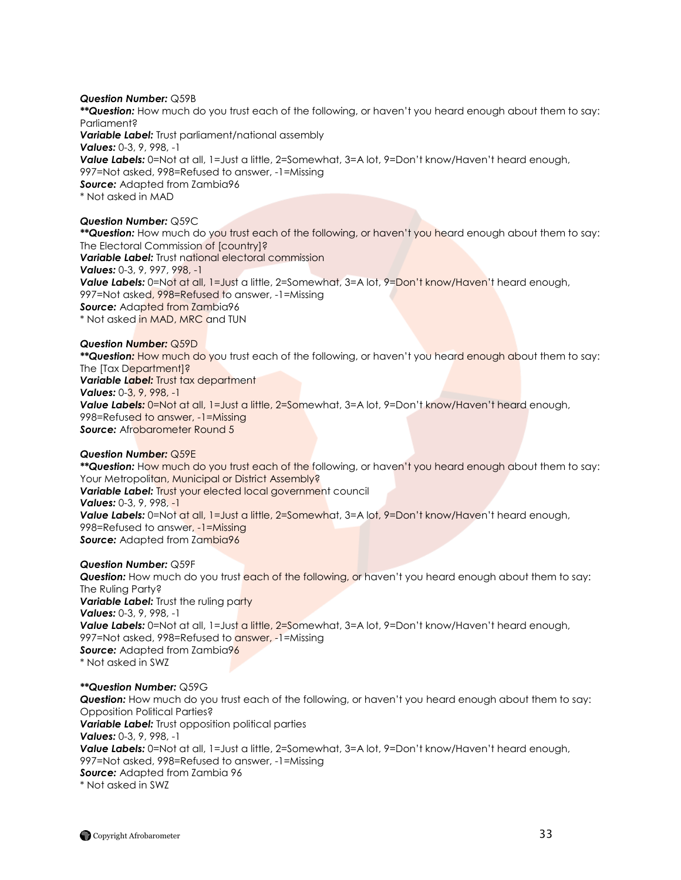### *Question Number:* Q59B

*\*\*Question:* How much do you trust each of the following, or haven"t you heard enough about them to say: Parliament?

*Variable Label:* Trust parliament/national assembly *Values:* 0-3, 9, 998, -1 Value Labels: 0=Not at all, 1=Just a little, 2=Somewhat, 3=A lot, 9=Don't know/Haven't heard enough, 997=Not asked, 998=Refused to answer, -1=Missing *Source:* Adapted from Zambia96 \* Not asked in MAD

# *Question Number:* Q59C

*\*\*Question:* How much do you trust each of the following, or haven"t you heard enough about them to say: The Electoral Commission of [country]? *Variable Label: Trust national electoral commission Values:* 0-3, 9, 997, 998, -1 **Value Labels:** 0=Not at all, 1=Just a little, 2=Somewhat, 3=A lot, 9=Don't know/Haven't heard enough, 997=Not asked, 998=Refused to answer, -1=Missing **Source:** Adapted from Zambia96 \* Not asked in MAD, MRC and TUN

#### *Question Number:* Q59D

*\*\*Question:* How much do you trust each of the following, or haven"t you heard enough about them to say: The [Tax Department]? **Variable Label:** Trust tax department *Values:* 0-3, 9, 998, -1 Value Labels: 0=Not at all, 1=Just a little, 2=Somewhat, 3=A lot, 9=Don't know/Haven't heard enough, 998=Refused to answer, -1=Missing **Source:** Afrobarometer Round 5

### *Question Number:* Q59E

*\*\*Question:* How much do you trust each of the following, or haven"t you heard enough about them to say: Your Metropolitan, Municipal or District Assembly? *Variable Label:* Trust your elected local government council *Values:* 0-3, 9, 998, -1 **Value Labels:** 0=Not at all, 1=Just a little, 2=Somewhat, 3=A lot, 9=Don't know/Haven't heard enough, 998=Refused to answer, -1=Missing **Source:** Adapted from Zambia96

#### *Question Number:* Q59F

**Question:** How much do you trust each of the following, or haven't you heard enough about them to say: The Ruling Party? **Variable Label:** Trust the ruling party *Values:* 0-3, 9, 998, -1 **Value Labels:** 0=Not at all, 1=Just a little, 2=Somewhat, 3=A lot, 9=Don't know/Haven't heard enough, 997=Not asked, 998=Refused to **answer, -1**=Missing **Source:** Adapted from Zambia96 \* Not asked in SWZ

#### *\*\*Question Number:* Q59G

**Question:** How much do you trust each of the following, or haven't you heard enough about them to say: Opposition Political Parties? *Variable Label: Trust opposition political parties Values:* 0-3, 9, 998, -1 **Value Labels:** 0=Not at all, 1=Just a little, 2=Somewhat, 3=A lot, 9=Don't know/Haven't heard enough, 997=Not asked, 998=Refused to answer, -1=Missing *Source:* Adapted from Zambia 96 \* Not asked in SWZ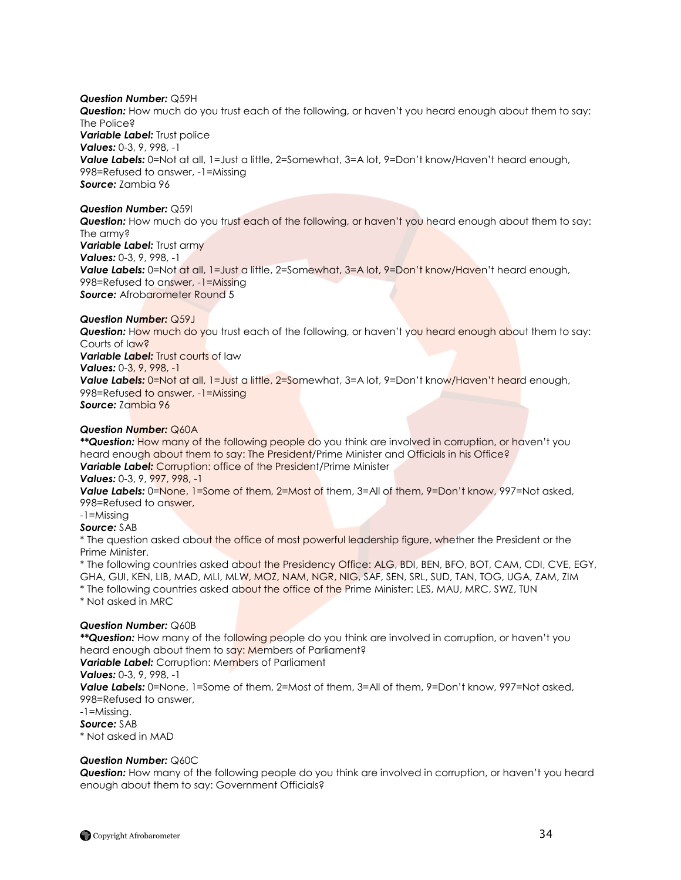# *Question Number:* Q59H

*Question:* How much do you trust each of the following, or haven"t you heard enough about them to say: The Police? **Variable Label:** Trust police *Values:* 0-3, 9, 998, -1 Value Labels: 0=Not at all, 1=Just a little, 2=Somewhat, 3=A lot, 9=Don't know/Haven't heard enough, 998=Refused to answer, -1=Missing *Source:* Zambia 96

### *Question Number:* Q59I

**Question:** How much do you trust each of the following, or haven't you heard enough about them to say: The army? **Variable Label:** Trust army *Values:* 0-3, 9, 998, -1 Value Labels: 0=Not at all, 1=Just a little, 2=Somewhat, 3=A lot, 9=Don't know/Haven't heard enough, 998=Refused to answer, -1=Missing **Source:** Afrobarometer Round 5

# *Question Number:* Q59J

**Question:** How much do you trust each of the following, or haven't you heard enough about them to say: Courts of law?

**Variable Label:** Trust courts of law

*Values:* 0-3, 9, 998, -1

Value Labels: 0=Not at all, 1=Just a little, 2=Somewhat, 3=A lot, 9=Don't know/Haven't heard enough, 998=Refused to answer, -1=Missing *Source:* Zambia 96

# *Question Number:* Q60A

*\*\*Question:* How many of the following people do you think are involved in corruption, or haven"t you heard enough about them to say: The President/Prime Minister and Officials in his Office? **Variable Label:** Corruption: office of the President/Prime Minister

*Values:* 0-3, 9, 997, 998, -1

*Value Labels:* 0=None, 1=Some of them, 2=Most of them, 3=All of them, 9=Don"t know, 997=Not asked, 998=Refused to answer,

# -1=Missing

*Source:* SAB

\* The question asked about the office of most powerful leadership figure, whether the President or the Prime Minister.

\* The following countries asked about the Presidency Office: ALG, BDI, BEN, BFO, BOT, CAM, CDI, CVE, EGY, GHA, GUI, KEN, LIB, MAD, MLI, MLW, MOZ, NAM, NGR, NIG, SAF, SEN, SRL, SUD, TAN, TOG, UGA, ZAM, ZIM \* The following countries asked about the office of the Prime Minister: LES, MAU, MRC, SWZ, TUN \* Not asked in MRC

# *Question Number:* Q60B

*\*\*Question:* How many of the following people do you think are involved in corruption, or haven"t you heard enough about them to say: Members of Parliament?

*Variable Label:* Corruption: Members of Parliament

# *Values:* 0-3, 9, 998, -1

*Value Labels:* 0=None, 1=Some of them, 2=Most of them, 3=All of them, 9=Don"t know, 997=Not asked, 998=Refused to answer,

-1=Missing.

*Source:* SAB

\* Not asked in MAD

# *Question Number:* Q60C

**Question:** How many of the following people do you think are involved in corruption, or haven't you heard enough about them to say: Government Officials?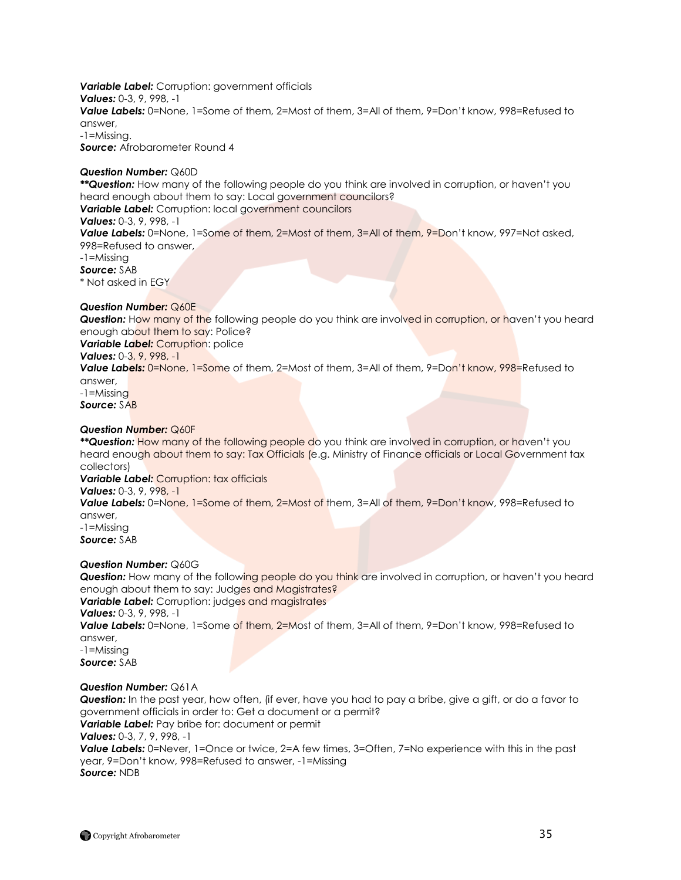*Variable Label:* Corruption: government officials *Values:* 0-3, 9, 998, -1 *Value Labels:* 0=None, 1=Some of them, 2=Most of them, 3=All of them, 9=Don"t know, 998=Refused to answer, -1=Missing. *Source:* Afrobarometer Round 4

### *Question Number:* Q60D

*\*\*Question:* How many of the following people do you think are involved in corruption, or haven"t you heard enough about them to say: Local government councilors? *Variable Label:* Corruption: local government councilors

# *Values:* 0-3, 9, 998, -1

*Value Labels:* 0=None, 1=Some of them, 2=Most of them, 3=All of them, 9=Don"t know, 997=Not asked, 998=Refused to answer,

-1=Missing

*Source:* SAB

\* Not asked in EGY

# *Question Number:* Q60E

**Question:** How many of the following people do you think are involved in corruption, or haven't you heard enough about them to say: Police?

**Variable Label: Corruption: police** 

# *Values:* 0-3, 9, 998, -1

*Value Labels:* 0=None, 1=Some of them, 2=Most of them, 3=All of them, 9=Don"t know, 998=Refused to answer,

-1=Missing

# *Source:* SAB

# *Question Number:* Q60F

*\*\*Question:* How many of the following people do you think are involved in corruption, or haven"t you heard enough about them to say: Tax Officials (e.g. Ministry of Finance officials or Local Government tax collectors)

**Variable Label:** Corruption: tax officials

# *Values:* 0-3, 9, 998, -1

*Value Labels:* 0=None, 1=Some of them, 2=Most of them, 3=All of them, 9=Don"t know, 998=Refused to answer,

-1=Missing *Source:* SAB

#### *Question Number:* Q60G

**Question:** How many of the following people do you think are involved in corruption, or haven't you heard enough about them to say: Judges and Magistrates?

*Variable Label: Corruption: judges and magistrates* 

*Values:* 0-3, 9, 998, -1

*Value Labels:* 0=None, 1=Some of them, 2=Most of them, 3=All of them, 9=Don"t know, 998=Refused to answer,

-1=Missing *Source:* SAB

# *Question Number:* Q61A

*Question:* In the past year, how often, (if ever, have you had to pay a bribe, give a gift, or do a favor to government officials in order to: Get a document or a permit?

# *Variable Label:* Pay bribe for: document or permit

*Values:* 0-3, 7, 9, 998, -1

**Value Labels:** 0=Never, 1=Once or twice, 2=A few times, 3=Often, 7=No experience with this in the past year, 9=Don"t know, 998=Refused to answer, -1=Missing *Source:* NDB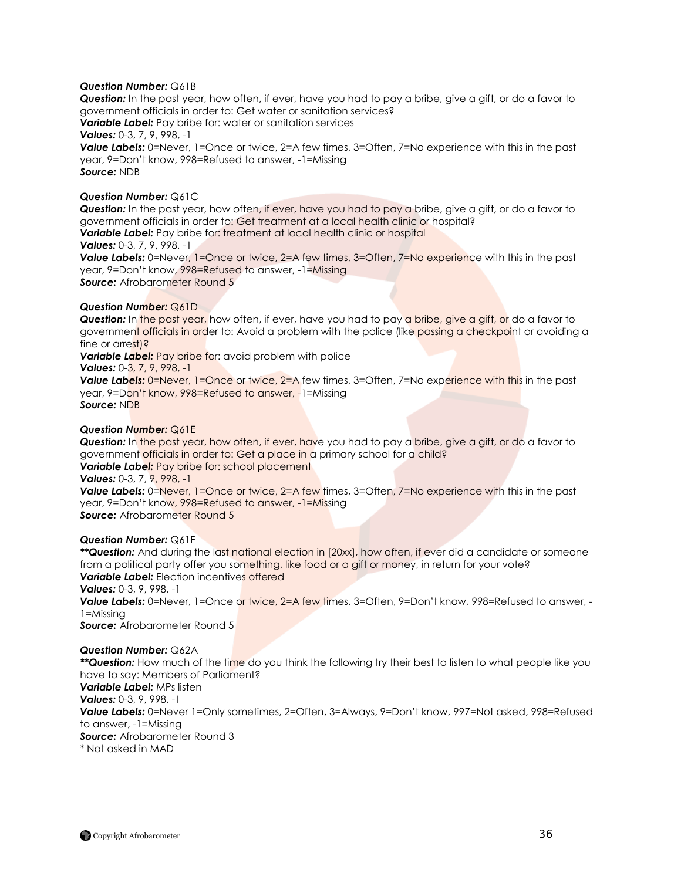### *Question Number:* Q61B

*Question:* In the past year, how often, if ever, have you had to pay a bribe, give a gift, or do a favor to government officials in order to: Get water or sanitation services? *Variable Label:* Pay bribe for: water or sanitation services *Values:* 0-3, 7, 9, 998, -1 **Value Labels:** 0=Never, 1=Once or twice, 2=A few times, 3=Often, 7=No experience with this in the past year, 9=Don"t know, 998=Refused to answer, -1=Missing *Source:* NDB

#### *Question Number:* Q61C

*Question:* In the past year, how often, if ever, have you had to pay a bribe, give a gift, or do a favor to government officials in order to: Get treatment at a local health clinic or hospital? *Variable Label:* Pay bribe for: treatment at local health clinic or hospital

*Values:* 0-3, 7, 9, 998, -1

**Value Labels:** 0=Never, 1=Once or twice, 2=A few times, 3=Often, 7=No experience with this in the past year, 9=Don"t know, 998=Refused to answer, -1=Missing **Source:** Afrobarometer Round 5

#### *Question Number:* Q61D

**Question:** In the past year, how often, if ever, have you had to pay a bribe, give a gift, or do a favor to government officials in order to: Avoid a problem with the police (like passing a checkpoint or avoiding a fine or arrest)?

*Variable Label:* Pay bribe for: avoid problem with police

*Values:* 0-3, 7, 9, 998, -1

**Value Labels:** 0=Never, 1=Once or twice, 2=A few times, 3=Often, 7=No experience with this in the past year, 9=Don"t know, 998=Refused to answer, -1=Missing *Source:* NDB

#### *Question Number:* Q61E

*Question:* In the past year, how often, if ever, have you had to pay a bribe, give a gift, or do a favor to government officials in order to: Get a place in a primary school for a child? *Variable Label:* Pay bribe for: school placement *Values:* 0-3, 7, 9, 998, -1

**Value Labels:** 0=Never, 1=Once or twice, 2=A few times, 3=Often, 7=No experience with this in the past year, 9=Don"t know, 998=Refused to answer, -1=Missing **Source:** Afrobarometer Round 5

#### *Question Number:* Q61F

*\*\*Question:* And during the last national election in [20xx], how often, if ever did a candidate or someone from a political party offer you something, like food or a gift or money, in return for your vote? *Variable Label:* Election incentives offered *Values:* 0-3, 9, 998, -1

*Value Labels:* 0=Never, 1=Once or twice, 2=A few times, 3=Often, 9=Don"t know, 998=Refused to answer, - 1=Missing

*Source:* Afrobarometer Round 5

#### *Question Number:* Q62A

*\*\*Question:* How much of the time do you think the following try their best to listen to what people like you have to say: Members of Parliament? *Variable Label:* MPs listen *Values:* 0-3, 9, 998, -1 *Value Labels:* 0=Never 1=Only sometimes, 2=Often, 3=Always, 9=Don"t know, 997=Not asked, 998=Refused to answer, -1=Missing **Source:** Afrobarometer Round 3 \* Not asked in MAD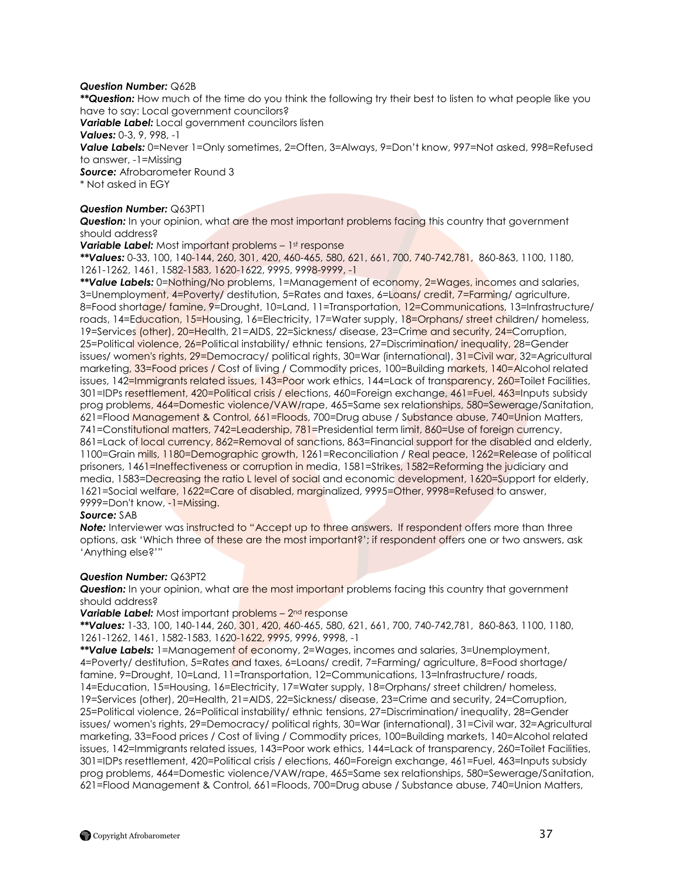## *Question Number:* Q62B

*\*\*Question:* How much of the time do you think the following try their best to listen to what people like you have to say: Local government councilors?

*Variable Label:* Local government councilors listen

*Values:* 0-3, 9, 998, -1

*Value Labels:* 0=Never 1=Only sometimes, 2=Often, 3=Always, 9=Don"t know, 997=Not asked, 998=Refused to answer, -1=Missing

**Source:** Afrobarometer Round 3

\* Not asked in EGY

## *Question Number:* Q63PT1

**Question:** In your opinion, what are the most important problems facing this country that government should address?

**Variable Label:** Most important problems – 1st response

*\*\*Values:* 0-33, 100, 140-144, 260, 301, 420, 460-465, 580, 621, 661, 700, 740-742,781, 860-863, 1100, 1180, 1261-1262, 1461, 1582-1583, 1620-1622, 9995, 9998-9999, -1

*\*\*Value Labels:* 0=Nothing/No problems, 1=Management of economy, 2=Wages, incomes and salaries, 3=Unemployment, 4=Poverty/ destitution, 5=Rates and taxes, 6=Loans/ credit, 7=Farming/ agriculture, 8=Food shortage/ famine, 9=Drought, 10=Land, 11=Transportation, 12=Communications, 13=Infrastructure/ roads, 14=Education, 15=Housing, 16=Electricity, 17=Water supply, 18=Orphans/street children/homeless, 19=Services (other), 20=Health, 21=AIDS, 22=Sickness/ disease, 23=Crime and security, 24=Corruption, 25=Political violence, 26=Political instability/ ethnic tensions, 27=Discrimination/ inequality, 28=Gender issues/ women's rights, 29=Democracy/ political rights, 30=War (international), 31=Civil war, 32=Agricultural marketing, 33=Food prices / Cost of living / Commodity prices, 100=Building markets, 140=Alcohol related issues, 142=Immigrants related issues, 143=Poor work ethics, 144=Lack of transparency, 260=Toilet Facilities, 301=IDPs resettlement, 420=Political crisis / elections, 460=Foreign exchange, 461=Fuel, 463=Inputs subsidy prog problems, 464=Domestic violence/VAW/rape, 465=Same sex relationships, 580=Sewerage/Sanitation, 621=Flood Management & Control, 661=Floods, 700=Drug abuse / Substance abuse, 740=Union Matters, 741=Constitutional matters, 742=Leadership, 781=Presidential term limit, 860=Use of foreign currency, 861=Lack of local currency, 862=Removal of sanctions, 863=Financial support for the disabled and elderly, 1100=Grain mills, 1180=Demographic growth, 1261=Reconciliation / Real peace, 1262=Release of political prisoners, 1461=Ineffectiveness or corruption in media, 1581=Strikes, 1582=Reforming the judiciary and media, 1583=Decreasing the ratio L level of social and economic development, 1620=Support for elderly, 1621=Social welfare, 1622=Care of disabled, marginalized, 9995=Other, 9998=Refused to answer, 9999=Don't know, -1=Missing.

## *Source:* SAB

**Note:** Interviewer was instructed to "Accept up to three answers. If respondent offers more than three options, ask "Which three of these are the most important?"; if respondent offers one or two answers, ask "Anything else?""

## *Question Number:* Q63PT2

**Question:** In your opinion, what are the most important problems facing this country that government should address?

**Variable Label:** Most important p<mark>roblems – 2<sup>nd</sup> res</mark>ponse

*\*\*Values:* 1-33, 100, 140-144, 260, 301, 420, 460-465, 580, 621, 661, 700, 740-742,781, 860-863, 1100, 1180, 1261-1262, 1461, 1582-1583, 1620-1622, 9995, 9996, 9998, -1

*\*\*Value Labels:* 1=Management of economy, 2=Wages, incomes and salaries, 3=Unemployment, 4=Poverty/ destitution, 5=Rates and taxes, 6=Loans/ credit, 7=Farming/ agriculture, 8=Food shortage/ famine, 9=Drought, 10=Land, 11=Transportation, 12=Communications, 13=Infrastructure/ roads, 14=Education, 15=Housing, 16=Electricity, 17=Water supply, 18=Orphans/ street children/ homeless, 19=Services (other), 20=Health, 21=AIDS, 22=Sickness/ disease, 23=Crime and security, 24=Corruption, 25=Political violence, 26=Political instability/ ethnic tensions, 27=Discrimination/ inequality, 28=Gender issues/ women's rights, 29=Democracy/ political rights, 30=War (international), 31=Civil war, 32=Agricultural marketing, 33=Food prices / Cost of living / Commodity prices, 100=Building markets, 140=Alcohol related issues, 142=Immigrants related issues, 143=Poor work ethics, 144=Lack of transparency, 260=Toilet Facilities, 301=IDPs resettlement, 420=Political crisis / elections, 460=Foreign exchange, 461=Fuel, 463=Inputs subsidy prog problems, 464=Domestic violence/VAW/rape, 465=Same sex relationships, 580=Sewerage/Sanitation, 621=Flood Management & Control, 661=Floods, 700=Drug abuse / Substance abuse, 740=Union Matters,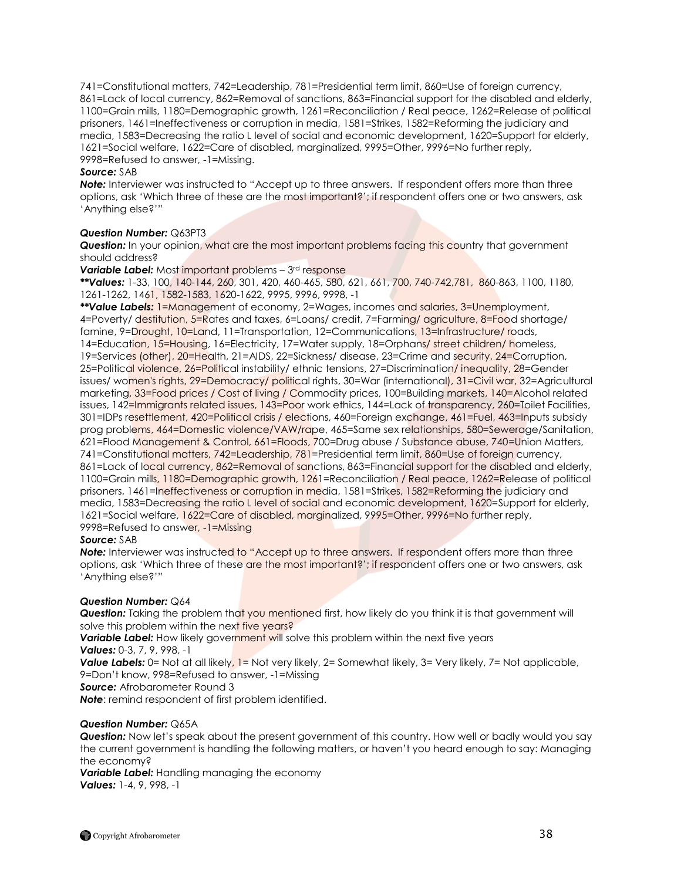741=Constitutional matters, 742=Leadership, 781=Presidential term limit, 860=Use of foreign currency, 861=Lack of local currency, 862=Removal of sanctions, 863=Financial support for the disabled and elderly, 1100=Grain mills, 1180=Demographic growth, 1261=Reconciliation / Real peace, 1262=Release of political prisoners, 1461=Ineffectiveness or corruption in media, 1581=Strikes, 1582=Reforming the judiciary and media, 1583=Decreasing the ratio L level of social and economic development, 1620=Support for elderly, 1621=Social welfare, 1622=Care of disabled, marginalized, 9995=Other, 9996=No further reply, 9998=Refused to answer, -1=Missing.

## *Source:* SAB

*Note:* Interviewer was instructed to "Accept up to three answers. If respondent offers more than three options, ask "Which three of these are the most important?"; if respondent offers one or two answers, ask "Anything else?""

#### *Question Number:* Q63PT3

**Question:** In your opinion, what are the most important problems facing this country that government should address?

**Variable Label:** Most important problems – 3<sup>rd</sup> response

*\*\*Values:* 1-33, 100, 140-144, 260, 301, 420, 460-465, 580, 621, 661, 700, 740-742,781, 860-863, 1100, 1180, 1261-1262, 1461, 1582-1583, 1620-1622, 9995, 9996, 9998, -1

*\*\*Value Labels:* 1=Management of economy, 2=Wages, incomes and salaries, 3=Unemployment, 4=Poverty/ destitution, 5=Rates and taxes, 6=Loans/ credit, 7=Farming/ agriculture, 8=Food shortage/ famine, 9=Drought, 10=Land, 11=Transportation, 12=Communications, 13=Infrastructure/roads, 14=Education, 15=Housing, 16=Electricity, 17=Water supply, 18=Orphans/ street children/ homeless, 19=Services (other), 20=Health, 21=AIDS, 22=Sickness/ disease, 23=Crime and security, 24=Corruption, 25=Political violence, 26=Political instability/ ethnic tensions, 27=Discrimination/ inequality, 28=Gender issues/ women's rights, 29=Democracy/ political rights, 30=War (international), 31=Civil war, 32=Agricultural marketing, 33=Food prices / Cost of living / Commodity prices, 100=Building markets, 140=Alcohol related issues, 142=Immigrants related issues, 143=Poor work ethics, 144=Lack of transparency, 260=Toilet Facilities, 301=IDPs resettlement, 420=Political crisis / elections, 460=Foreign exchange, 461=Fuel, 463=Inputs subsidy prog problems, 464=Domestic violence/VAW/rape, 465=Same sex relationships, 580=Sewerage/Sanitation, 621=Flood Management & Control, 661=Floods, 700=Drug abuse / Substance abuse, 740=Union Matters, 741=Constitutional matters, 742=Leadership, 781=Presidential term limit, 860=Use of foreign currency, 861=Lack of local currency, 862=Removal of sanctions, 863=Financial support for the disabled and elderly, 1100=Grain mills, 1180=Demographic growth, 1261=Reconciliation / Real peace, 1262=Release of political prisoners, 1461=Ineffectiveness or corruption in media, 1581=Strikes, 1582=Reforming the judiciary and media, 1583=Decreasing the ratio L level of social and economic development, 1620=Support for elderly, 1621=Social welfare, 1622=Care of disabled, marginalized, 9995=Other, 9996=No further reply, 9998=Refused to answer, -1=Missing

## *Source:* SAB

**Note:** Interviewer was instructed to "Accept up to three answers. If respondent offers more than three options, ask 'Which three of these are the most important?'; if respondent offers one or two answers, ask "Anything else?""

## *Question Number:* Q64

**Question:** Taking the problem that you mentioned first, how likely do you think it is that government will solve this problem within the next five years?

**Variable Label:** How likely government will solve this problem within the next five years *Values:* 0-3, 7, 9, 998, -1

**Value Labels:** 0= Not at all likely, 1= Not very likely, 2= Somewhat likely, 3= Very likely, 7= Not applicable, 9=Don"t know, 998=Refused to answer, -1=Missing

*Source:* Afrobarometer Round 3

*Note*: remind respondent of first problem identified.

## *Question Number:* Q65A

**Question:** Now let's speak about the present government of this country. How well or badly would you say the current government is handling the following matters, or haven"t you heard enough to say: Managing the economy?

*Variable Label:* Handling managing the economy *Values:* 1-4, 9, 998, -1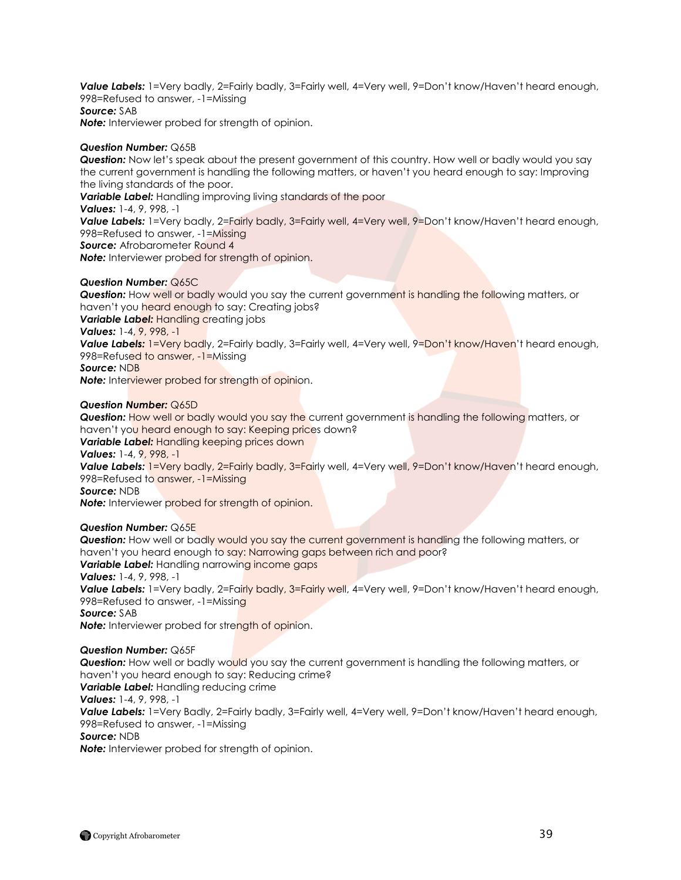Value Labels: 1=Very badly, 2=Fairly badly, 3=Fairly well, 4=Very well, 9=Don't know/Haven't heard enough, 998=Refused to answer, -1=Missing *Source:* SAB *Note:* Interviewer probed for strength of opinion.

## *Question Number:* Q65B

*Question:* Now let"s speak about the present government of this country. How well or badly would you say the current government is handling the following matters, or haven"t you heard enough to say: Improving the living standards of the poor. *Variable Label:* Handling improving living standards of the poor *Values:* 1-4, 9, 998, -1

Value Labels: 1=Very badly, 2=Fairly badly, 3=Fairly well, 4=Very well, 9=Don't know/Haven't heard enough, 998=Refused to answer, -1=Missing

**Source:** Afrobarometer Round 4

*Note:* Interviewer probed for strength of opinion.

## *Question Number:* Q65C

**Question:** How well or badly would you say the current government is handling the following matters, or haven't you heard enough to say: Creating jobs? *Variable Label: Handling creating jobs* 

*Values:* 1-4, 9, 998, -1

**Value Labels:** 1=Very badly, 2=Fairly badly, 3=Fairly well, 4=Very well, 9=Don't know/Haven't heard enough, 998=Refused to answer, -1=Missing

*Source:* NDB

*Note:* Interviewer probed for strength of opinion.

## *Question Number:* Q65D

**Question:** How well or badly would you say the current government is handling the following matters, or haven't you heard enough to say: Keeping prices down? *Variable Label:* Handling keeping prices down *Values:* 1-4, 9, 998, -1 Value Labels: 1=Very badly, 2=Fairly badly, 3=Fairly well, 4=Very well, 9=Don't know/Haven't heard enough, 998=Refused to answer, -1=Missing *Source:* NDB **Note:** Interviewer probed for strength of opinion.

## *Question Number:* Q65E

**Question:** How well or badly would you say the current government is handling the following matters, or haven't you heard enough to say: Narrowing gaps between rich and poor? **Variable Label:** Handling narrowing income gaps *Values:* 1-4, 9, 998, -1 **Value Labels:** 1=Very badly, 2=Fairly badly, 3=Fairly well, 4=Very well, 9=Don't know/Haven't heard enough, 998=Refused to answer, -1=Missing *Source:* SAB *Note:* Interviewer probed for strength of opinion.

## *Question Number:* Q65F

**Question:** How well or badly would you say the current government is handling the following matters, or haven"t you heard enough to say: Reducing crime? *Variable Label:* Handling reducing crime

*Values:* 1-4, 9, 998, -1

**Value Labels:** 1=Very Badly, 2=Fairly badly, 3=Fairly well, 4=Very well, 9=Don't know/Haven't heard enough, 998=Refused to answer, -1=Missing

*Source:* NDB

*Note:* Interviewer probed for strength of opinion.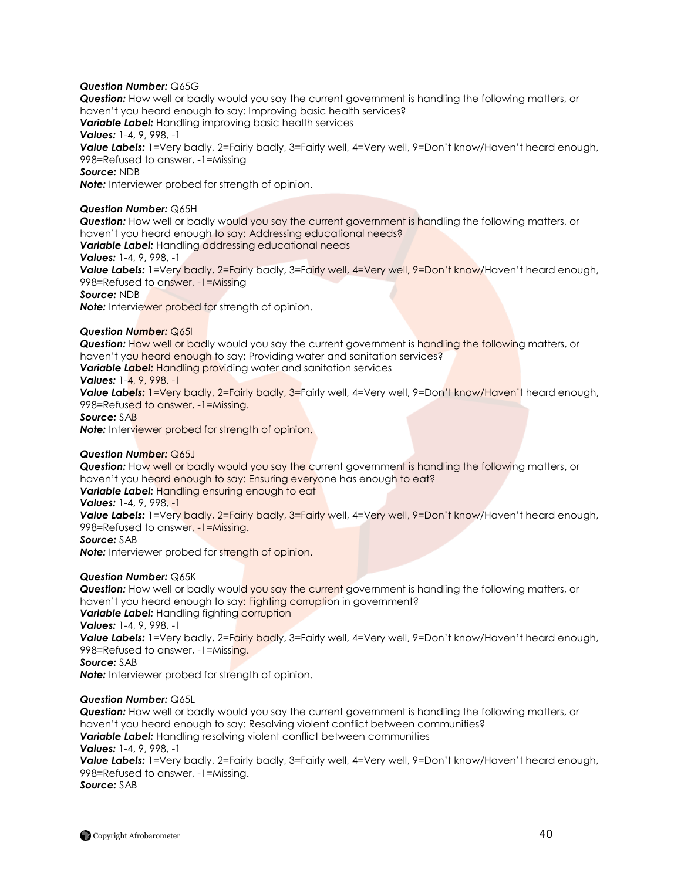## *Question Number:* Q65G

*Question:* How well or badly would you say the current government is handling the following matters, or haven"t you heard enough to say: Improving basic health services? *Variable Label:* Handling improving basic health services *Values:* 1-4, 9, 998, -1 Value Labels: 1=Very badly, 2=Fairly badly, 3=Fairly well, 4=Very well, 9=Don't know/Haven't heard enough, 998=Refused to answer, -1=Missing *Source:* NDB *Note:* Interviewer probed for strength of opinion. *Question Number:* Q65H *Question:* How well or badly would you say the current government is handling the following matters, or

haven't you heard enough to say: Addressing educational needs? **Variable Label:** Handling addressing educational needs

*Values:* 1-4, 9, 998, -1

Value Labels: 1=Very badly, 2=Fairly badly, 3=Fairly well, 4=Very well, 9=Don't know/Haven't heard enough, 998=Refused to answer, -1=Missing

*Source:* NDB

**Note:** Interviewer probed for strength of opinion.

## *Question Number:* Q65I

**Question:** How well or badly would you say the current government is handling the following matters, or haven't you heard enough to say: Providing water and sanitation services? *Variable Label:* Handling providing water and sanitation services *Values:* 1-4, 9, 998, -1 **Value Labels:** 1=Very badly, 2=Fairly badly, 3=Fairly well, 4=Very well, 9=Don't know/Haven't heard enough,

998=Refused to answer, -1=Missing.

*Source:* SAB

**Note:** Interviewer probed for strength of opinion.

## *Question Number:* Q65J

*Question:* How well or badly would you say the current government is handling the following matters, or haven't you heard enough to say: Ensuring everyone has enough to eat? **Variable Label:** Handling ensuring enough to eat

*Values:* 1-4, 9, 998, -1

**Value Labels:** 1=Very badly, 2=Fairly badly, 3=Fairly well, 4=Very well, 9=Don't know/Haven't heard enough, 998=Refused to answer, -1=Missing.

*Source:* SAB

**Note:** Interviewer probed for strength of opinion.

## *Question Number:* Q65K

**Question:** How well or badly would you say the current government is handling the following matters, or haven't you heard enough to say: Fighting corruption in government?

*Variable Label:* Handling fighting corruption

*Values:* 1-4, 9, 998, -1

Value Labels: 1=Very badly, 2=Fairly badly, 3=Fairly well, 4=Very well, 9=Don't know/Haven't heard enough, 998=Refused to answer, -1=Missing.

## *Source:* SAB

*Note:* Interviewer probed for strength of opinion.

## *Question Number:* Q65L

*Question:* How well or badly would you say the current government is handling the following matters, or haven"t you heard enough to say: Resolving violent conflict between communities? *Variable Label:* Handling resolving violent conflict between communities *Values:* 1-4, 9, 998, -1 **Value Labels:** 1=Very badly, 2=Fairly badly, 3=Fairly well, 4=Very well, 9=Don't know/Haven't heard enough, 998=Refused to answer, -1=Missing. *Source:* SAB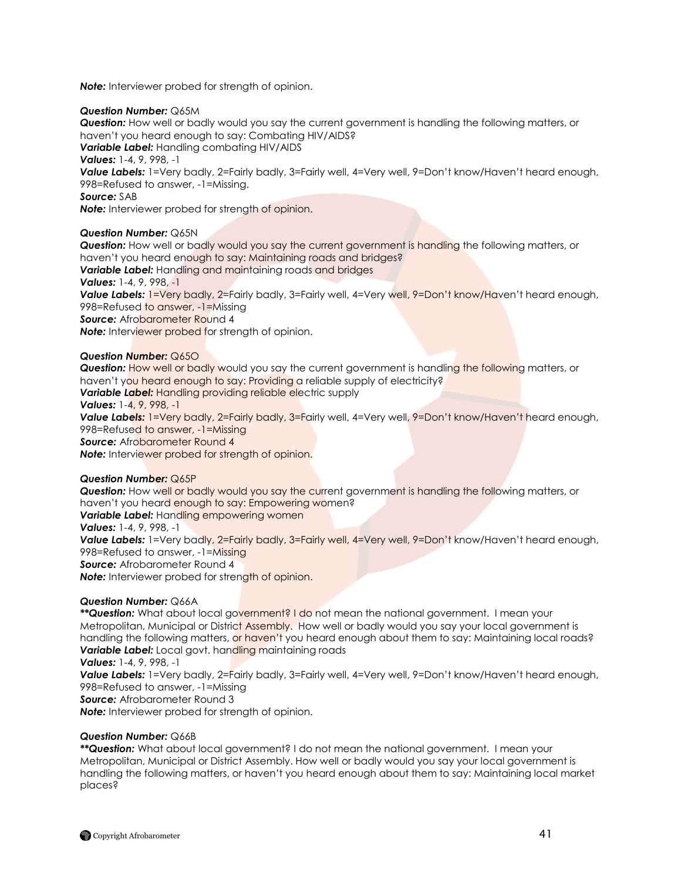**Note:** Interviewer probed for strength of opinion.

## *Question Number:* Q65M

*Question:* How well or badly would you say the current government is handling the following matters, or haven"t you heard enough to say: Combating HIV/AIDS?

*Variable Label:* Handling combating HIV/AIDS

*Values:* 1-4, 9, 998, -1

Value Labels: 1=Very badly, 2=Fairly badly, 3=Fairly well, 4=Very well, 9=Don't know/Haven't heard enough, 998=Refused to answer, -1=Missing.

*Source:* SAB

**Note:** Interviewer probed for strength of opinion.

## *Question Number:* Q65N

**Question:** How well or badly would you say the current government is handling the following matters, or haven"t you heard enough to say: Maintaining roads and bridges? **Variable Label:** Handling and maintaining roads and bridges *Values:* 1-4, 9, 998, -1 Value Labels: 1=Very badly, 2=Fairly badly, 3=Fairly well, 4=Very well, 9=Don't know/Haven't heard enough, 998=Refused to answer, -1=Missing **Source:** Afrobarometer Round 4 **Note:** Interviewer probed for strength of opinion.

## *Question Number:* Q65O

**Question:** How well or badly would you say the current government is handling the following matters, or haven't you heard enough to say: Providing a reliable supply of electricity? **Variable Label:** Handling providing reliable electric supply *Values:* 1-4, 9, 998, -1 **Value Labels:** 1=Very badly, 2=Fairly badly, 3=Fairly well, 4=Very well, 9=Don't know/Haven't heard enough, 998=Refused to answer, -1=Missing

**Source:** Afrobarometer Round 4

*Note:* Interviewer probed for strength of opinion.

## *Question Number:* Q65P

**Question:** How well or badly would you say the current government is handling the following matters, or haven't you heard enough to say: Empowering women? *Variable Label:* Handling empowering women *Values:* 1-4, 9, 998, -1 **Value Labels:** 1=Very badly, 2=Fairly badly, 3=Fairly well, 4=Very well, 9=Don't know/Haven't heard enough, 998=Refused to answer, -1=Missing *Source:* Afrobarometer Round 4 **Note:** Interviewer probed for strength of opinion.

## *Question Number:* Q66A

*\*\*Question:* What about local government? I do not mean the national government. I mean your Metropolitan, Municipal or District Assembly. How well or badly would you say your local government is handling the following matters, or haven't you heard enough about them to say: Maintaining local roads? **Variable Label:** Local govt. handling maintaining roads

*Values:* 1-4, 9, 998, -1

**Value Labels:** 1=Very badly, 2=Fairly badly, 3=Fairly well, 4=Very well, 9=Don't know/Haven't heard enough, 998=Refused to answer, -1=Missing

*Source:* Afrobarometer Round 3

*Note:* Interviewer probed for strength of opinion.

## *Question Number:* Q66B

*\*\*Question:* What about local government? I do not mean the national government. I mean your Metropolitan, Municipal or District Assembly. How well or badly would you say your local government is handling the following matters, or haven"t you heard enough about them to say: Maintaining local market places?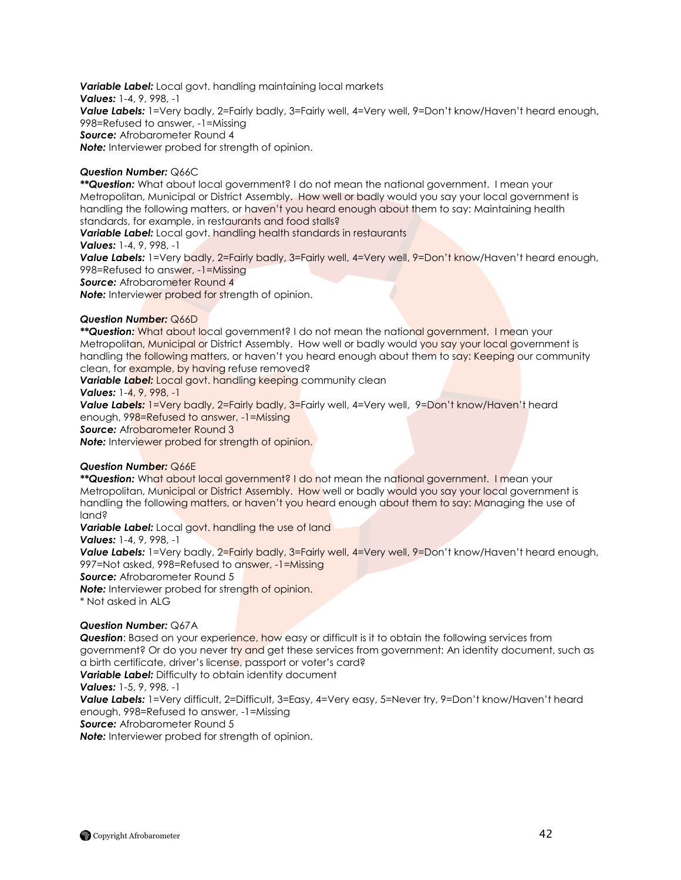*Variable Label:* Local govt. handling maintaining local markets *Values:* 1-4, 9, 998, -1 Value Labels: 1=Very badly, 2=Fairly badly, 3=Fairly well, 4=Very well, 9=Don't know/Haven't heard enough, 998=Refused to answer, -1=Missing *Source:* Afrobarometer Round 4 *Note:* Interviewer probed for strength of opinion.

## *Question Number:* Q66C

*\*\*Question:* What about local government? I do not mean the national government. I mean your Metropolitan, Municipal or District Assembly. How well or badly would you say your local government is handling the following matters, or haven't you heard enough about them to say: Maintaining health standards, for example, in restaurants and food stalls?

*Variable Label:* Local govt. handling health standards in restaurants

*Values:* 1-4, 9, 998, -1

Value Labels: 1=Very badly, 2=Fairly badly, 3=Fairly well, 4=Very well, 9=Don't know/Haven't heard enough, 998=Refused to answer, -1=Missing

**Source:** Afrobarometer Round 4

*Note:* Interviewer probed for strength of opinion.

## *Question Number:* Q66D

*\*\*Question:* What about local government? I do not mean the national government. I mean your Metropolitan, Municipal or District Assembly. How well or badly would you say your local government is handling the following matters, or haven't you heard enough about them to say: Keeping our community clean, for example, by having refuse removed?

**Variable Label:** Local govt. handling keeping community clean

*Values:* 1-4, 9, 998, -1

**Value Labels:** 1=Very badly, 2=Fairly badly, 3=Fairly well, 4=Very well, 9=Don't know/Haven't heard enough, 998=Refused to answer, -1=Missing

**Source:** Afrobarometer Round 3

**Note:** Interviewer probed for strength of opinion.

## *Question Number:* Q66E

*\*\*Question:* What about local government? I do not mean the national government. I mean your Metropolitan, Municipal or District Assembly. How well or badly would you say your local government is handling the following matters, or haven't you heard enough about them to say: Managing the use of land?

**Variable Label:** Local govt. handling the use of land

*Values:* 1-4, 9, 998, -1

Value Labels: 1=Very badly, 2=Fairly badly, 3=Fairly well, 4=Very well, 9=Don't know/Haven't heard enough, 997=Not asked, 998=Refused to answer, -1=Missing

*Source:* Afrobarometer Round 5

**Note:** Interviewer probed for strength of opinion.

\* Not asked in ALG

## *Question Number:* Q67A

**Question:** Based on your experience, how easy or difficult is it to obtain the following services from government? Or do you never try and get these services from government: An identity document, such as a birth certificate, driver's license, passport or voter's card? **Variable Label:** Difficulty to obtain identity document

*Values:* 1-5, 9, 998, -1

Value Labels: 1=Very difficult, 2=Difficult, 3=Easy, 4=Very easy, 5=Never try, 9=Don't know/Haven't heard enough, 998=Refused to answer, -1=Missing

**Source:** Afrobarometer Round 5

*Note:* Interviewer probed for strength of opinion.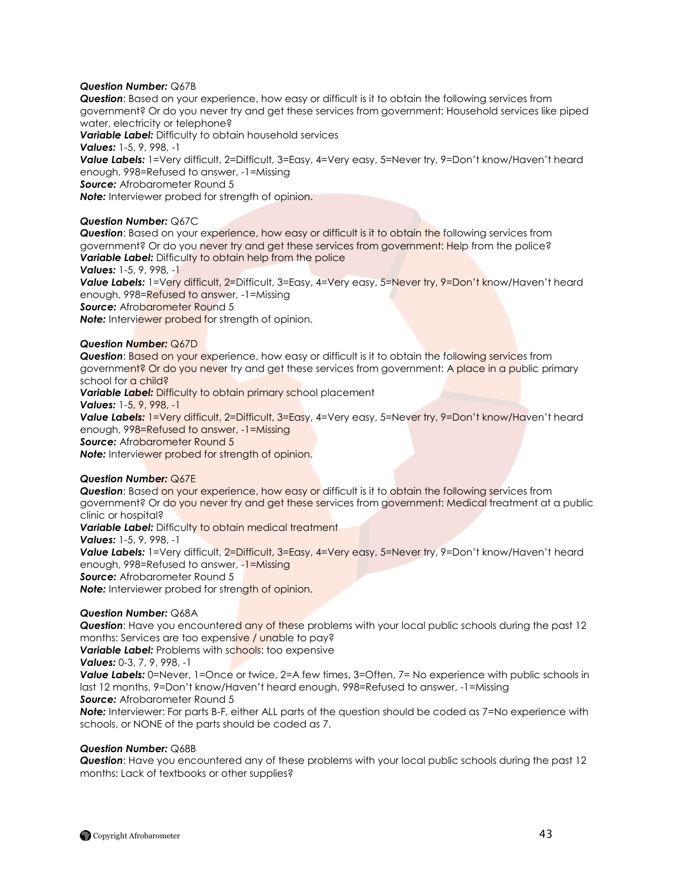## *Question Number:* Q67B

*Question*: Based on your experience, how easy or difficult is it to obtain the following services from government? Or do you never try and get these services from government: Household services like piped water, electricity or telephone?

*Variable Label:* Difficulty to obtain household services

*Values:* 1-5, 9, 998, -1

Value Labels: 1=Very difficult, 2=Difficult, 3=Easy, 4=Very easy, 5=Never try, 9=Don't know/Haven't heard enough, 998=Refused to answer, -1=Missing

*Source:* Afrobarometer Round 5

*Note:* Interviewer probed for strength of opinion.

## *Question Number:* Q67C

*Question*: Based on your experience, how easy or difficult is it to obtain the following services from government? Or do you never try and get these services from government: Help from the police? **Variable Label:** Difficulty to obtain help from the police

## *Values:* 1-5, 9, 998, -1

Value Labels: 1=Very difficult, 2=Difficult, 3=Easy, 4=Very easy, 5=Never try, 9=Don't know/Haven't heard enough, 998=Refused to answer, -1=Missing

**Source:** Afrobarometer Round 5

**Note:** Interviewer probed for strength of opinion.

## *Question Number:* Q67D

**Question:** Based on your experience, how easy or difficult is it to obtain the following services from government? Or do you never try and get these services from government: A place in a public primary school for a child?

**Variable Label:** Difficulty to obtain primary school placement

*Values:* 1-5, 9, 998, -1

Value Labels: 1=Very difficult, 2=Difficult, 3=Easy, 4=Very easy, 5=Never try, 9=Don't know/Haven't heard enough, 998=Refused to answer, -1=Missing

**Source:** Afrobarometer Round 5

*Note:* Interviewer probed for strength of opinion.

## *Question Number:* Q67E

**Question:** Based on your experience, how easy or difficult is it to obtain the following services from government? Or do you never try and get these services from government: Medical treatment at a public clinic or hospital?

**Variable Label:** Difficulty to obtain medical treatment

*Values:* 1-5, 9, 998, -1

Value Labels: 1=Very difficult, 2=Difficult, 3=Easy, 4=Very easy, 5=Never try, 9=Don't know/Haven't heard enough, 998=Refused to answer, -1=Missing

**Source:** Afrobarometer Round 5

**Note:** Interviewer probed for strength of opinion.

## *Question Number:* Q68A

*Question*: Have you encountered any of these problems with your local public schools during the past 12 months: Services are too expensive / unable to pay?

**Variable Label:** Problems with schools: too expensive

*Values:* 0-3, 7, 9, 998, -1

**Value Labels:** 0=Never, 1=Once or twice, 2=A few times, 3=Often, 7= No experience with public schools in last 12 months, 9=Don"t know/Haven"t heard enough, 998=Refused to answer, -1=Missing

*Source:* Afrobarometer Round 5

*Note:* Interviewer: For parts B-F, either ALL parts of the question should be coded as 7=No experience with schools, or NONE of the parts should be coded as 7.

## *Question Number:* Q68B

*Question*: Have you encountered any of these problems with your local public schools during the past 12 months: Lack of textbooks or other supplies?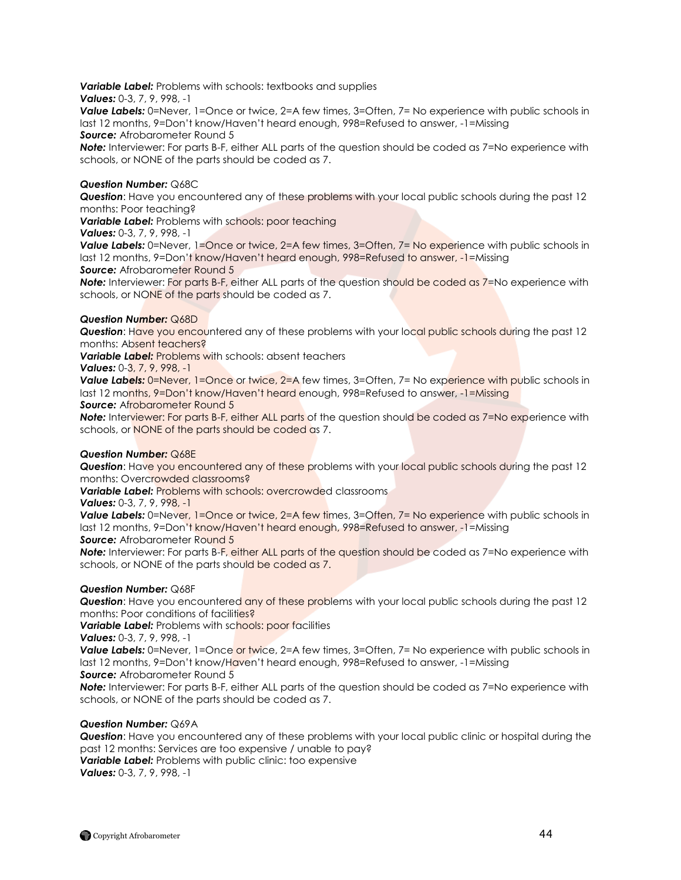*Variable Label:* Problems with schools: textbooks and supplies

*Values:* 0-3, 7, 9, 998, -1

**Value Labels:** 0=Never, 1=Once or twice, 2=A few times, 3=Often, 7= No experience with public schools in last 12 months, 9=Don"t know/Haven"t heard enough, 998=Refused to answer, -1=Missing *Source:* Afrobarometer Round 5

*Note:* Interviewer: For parts B-F, either ALL parts of the question should be coded as 7=No experience with schools, or NONE of the parts should be coded as 7.

## *Question Number:* Q68C

*Question*: Have you encountered any of these problems with your local public schools during the past 12 months: Poor teaching?

*Variable Label:* Problems with schools: poor teaching

*Values:* 0-3, 7, 9, 998, -1

**Value Labels:** 0=Never, 1=Once or twice, 2=A few times, 3=Often, 7= No experience with public schools in last 12 months, 9=Don't know/Haven't heard enough, 998=Refused to answer, -1=Missing

**Source:** Afrobarometer Round 5

*Note:* Interviewer: For parts B-F, either ALL parts of the question should be coded as 7=No experience with schools, or NONE of the parts should be coded as 7.

## *Question Number:* Q68D

*Question*: Have you encountered any of these problems with your local public schools during the past 12 months: Absent teachers?

*Variable Label:* Problems with schools: absent teachers

*Values:* 0-3, 7, 9, 998, -1

**Value Labels:** 0=Never, 1=Once or twice, 2=A few times, 3=Often, 7= No experience with public schools in last 12 months, 9=Don't know/Haven't heard enough, 998=Refused to answer, -1=Missing

**Source:** Afrobarometer Round 5

*Note:* Interviewer: For parts B-F, either ALL parts of the question should be coded as 7=No experience with schools, or NONE of the parts should be coded as 7.

## *Question Number:* Q68E

*Question*: Have you encountered any of these problems with your local public schools during the past 12 months: Overcrowded classrooms?

**Variable Label:** Problems with schools: overcrowded classrooms

*Values:* 0-3, 7, 9, 998, -1

**Value Labels:** 0=Never, 1=Once or twice, 2=A few times, 3=Often, 7= No experience with public schools in last 12 months, 9=Don't know/Haven't heard enough, 998=Refused to answer, -1=Missing **Source:** Afrobarometer Round 5

*Note:* Interviewer: For parts B-F, either ALL parts of the question should be coded as 7=No experience with schools, or NONE of the parts should be coded as 7.

## *Question Number:* Q68F

**Question:** Have you encountered any of these problems with your local public schools during the past 12 months: Poor conditions of facilities?

**Variable Label:** Problems with schools: poor facilities

*Values:* 0-3, 7, 9, 998, -1

**Value Labels:** 0=Never, 1=Once or twice, 2=A few times, 3=Often, 7= No experience with public schools in last 12 months, 9=Don't know/Haven't heard enough, 998=Refused to answer, -1=Missing *Source:* Afrobarometer Round 5

*Note:* Interviewer: For parts B-F, either ALL parts of the question should be coded as 7=No experience with schools, or NONE of the parts should be coded as 7.

## *Question Number:* Q69A

*Question*: Have you encountered any of these problems with your local public clinic or hospital during the past 12 months: Services are too expensive / unable to pay? *Variable Label:* Problems with public clinic: too expensive

*Values:* 0-3, 7, 9, 998, -1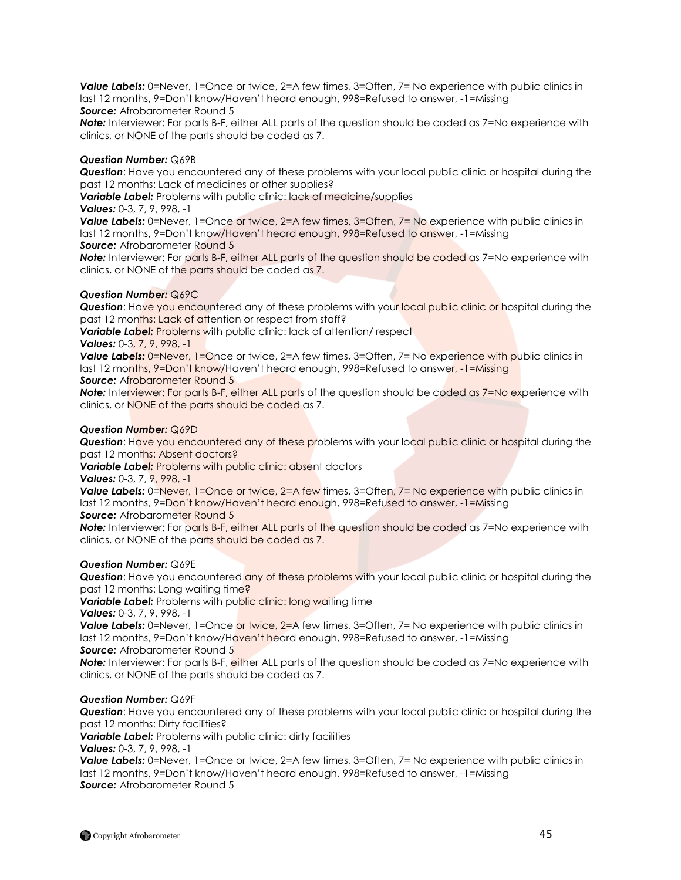*Value Labels:* 0=Never, 1=Once or twice, 2=A few times, 3=Often, 7= No experience with public clinics in last 12 months, 9=Don"t know/Haven"t heard enough, 998=Refused to answer, -1=Missing **Source:** Afrobarometer Round 5

*Note:* Interviewer: For parts B-F, either ALL parts of the question should be coded as 7=No experience with clinics, or NONE of the parts should be coded as 7.

## *Question Number:* Q69B

*Question*: Have you encountered any of these problems with your local public clinic or hospital during the past 12 months: Lack of medicines or other supplies?

*Variable Label:* Problems with public clinic: lack of medicine/supplies

*Values:* 0-3, 7, 9, 998, -1

**Value Labels:** 0=Never, 1=Once or twice, 2=A few times, 3=Often, 7= No experience with public clinics in last 12 months, 9=Don't know/Haven't heard enough, 998=Refused to answer, -1=Missing

**Source:** Afrobarometer Round 5

**Note:** Interviewer: For parts B-F, either ALL parts of the question should be coded as 7=No experience with clinics, or NONE of the parts should be coded as 7.

## *Question Number:* Q69C

**Question:** Have you encountered any of these problems with your local public clinic or hospital during the past 12 months: Lack of attention or respect from staff?

**Variable Label:** Problems with public clinic: lack of attention/ respect

## *Values:* 0-3, 7, 9, 998, -1

**Value Labels:** 0=Never, 1=Once or twice, 2=A few times, 3=Often, 7= No experience with public clinics in last 12 months, 9=Don't know/Haven't heard enough, 998=Refused to answer, -1=Missing **Source:** Afrobarometer Round 5

**Note:** Interviewer: For parts B-F, either ALL parts of the question should be coded as 7=No experience with

clinics, or NONE of the parts should be coded as 7.

## *Question Number:* Q69D

*Question*: Have you encountered any of these problems with your local public clinic or hospital during the past 12 months: Absent doctors?

**Variable Label:** Problems with public clinic: absent doctors

*Values:* 0-3, 7, 9, 998, -1

**Value Labels:** 0=Never, 1=Once or twice, 2=A few times, 3=Often, 7= No experience with public clinics in last 12 months, 9=Don't know/Haven't heard enough, 998=Refused to answer, -1=Missing

**Source:** Afrobarometer Round 5

**Note:** Interviewer: For parts B-F, either ALL parts of the question should be coded as 7=No experience with clinics, or NONE of the parts should be coded as 7.

## *Question Number:* Q69E

**Question:** Have you encountered any of these problems with your local public clinic or hospital during the past 12 months: Long waiting time?

**Variable Label:** Problems with public clinic: long waiting time

*Values:* 0-3, 7, 9, 998, -1

**Value Labels:** 0=Never, 1=Once or twice, 2=A few times, 3=Often, 7= No experience with public clinics in last 12 months, 9=Don't know/Haven't heard enough, 998=Refused to answer, -1=Missing **Source:** Afrobarometer Round 5

*Note:* Interviewer: For parts B-F, either ALL parts of the question should be coded as 7=No experience with clinics, or NONE of the parts should be coded as 7.

## *Question Number:* Q69F

*Question*: Have you encountered any of these problems with your local public clinic or hospital during the past 12 months: Dirty facilities?

**Variable Label:** Problems with public clinic: dirty facilities

*Values:* 0-3, 7, 9, 998, -1

**Value Labels:** 0=Never, 1=Once or twice, 2=A few times, 3=Often, 7= No experience with public clinics in last 12 months, 9=Don"t know/Haven"t heard enough, 998=Refused to answer, -1=Missing *Source:* Afrobarometer Round 5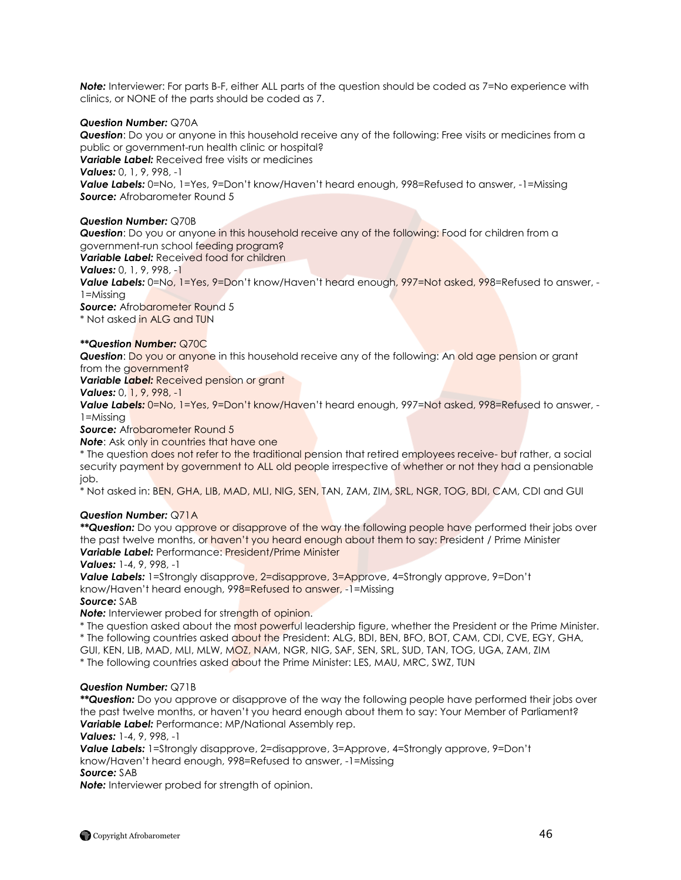*Note:* Interviewer: For parts B-F, either ALL parts of the question should be coded as 7=No experience with clinics, or NONE of the parts should be coded as 7.

## *Question Number:* Q70A

*Question*: Do you or anyone in this household receive any of the following: Free visits or medicines from a public or government-run health clinic or hospital? *Variable Label:* Received free visits or medicines *Values:* 0, 1, 9, 998, -1 **Value Labels:** 0=No, 1=Yes, 9=Don't know/Haven't heard enough, 998=Refused to answer, -1=Missing *Source:* Afrobarometer Round 5

#### *Question Number:* Q70B

*Question*: Do you or anyone in this household receive any of the following: Food for children from a government-run school feeding program?

*Variable Label:* Received food for children

## *Values:* 0, 1, 9, 998, -1

Value Labels: 0=No, 1=Yes, 9=Don't know/Haven't heard enough, 997=Not asked, 998=Refused to answer, -1=Missing

**Source:** Afrobarometer Round 5

\* Not asked in ALG and TUN

## *\*\*Question Number:* Q70C

**Question:** Do you or anyone in this household receive any of the following: An old age pension or grant from the government?

*Variable Label:* Received pension or grant

## *Values:* 0, 1, 9, 998, -1

Value Labels:  $0=No$ ,  $1=Yes$ ,  $9=Don't know/Haven't heard enough$ ,  $997=Not asked$ ,  $998=Refused$  to answer, -1=Missing

**Source:** Afrobarometer Round 5

**Note:** Ask only in countries that have one

\* The question does not refer to the traditional pension that retired employees receive- but rather, a social security payment by government to ALL old people irrespective of whether or not they had a pensionable job.

\* Not asked in: BEN, GHA, LIB, MAD, MLI, NIG, SEN, TAN, ZAM, ZIM, SRL, NGR, TOG, BDI, CAM, CDI and GUI

## *Question Number:* Q71A

*\*\*Question:* Do you approve or disapprove of the way the following people have performed their jobs over the past twelve months, or haven"t you heard enough about them to say: President / Prime Minister *Variable Label:* Performance: President/Prime Minister

#### *Values:* 1-4, 9, 998, -1

*Value Labels:* 1=Strongly disapprove, 2=disapprove, 3=Approve, 4=Strongly approve, 9=Don"t know/Haven"t heard enough, 998=Refused to answer, -1=Missing

#### *Source:* SAB

**Note:** Interviewer probed for strength of opinion.

\* The question asked about the most powerful leadership figure, whether the President or the Prime Minister. \* The following countries asked about the President: ALG, BDI, BEN, BFO, BOT, CAM, CDI, CVE, EGY, GHA, GUI, KEN, LIB, MAD, MLI, MLW, MOZ, NAM, NGR, NIG, SAF, SEN, SRL, SUD, TAN, TOG, UGA, ZAM, ZIM

\* The following countries asked about the Prime Minister: LES, MAU, MRC, SWZ, TUN

## *Question Number:* Q71B

*\*\*Question:* Do you approve or disapprove of the way the following people have performed their jobs over the past twelve months, or haven"t you heard enough about them to say: Your Member of Parliament? *Variable Label:* Performance: MP/National Assembly rep.

#### *Values:* 1-4, 9, 998, -1

*Value Labels:* 1=Strongly disapprove, 2=disapprove, 3=Approve, 4=Strongly approve, 9=Don"t know/Haven"t heard enough, 998=Refused to answer, -1=Missing *Source:* SAB

*Note:* Interviewer probed for strength of opinion.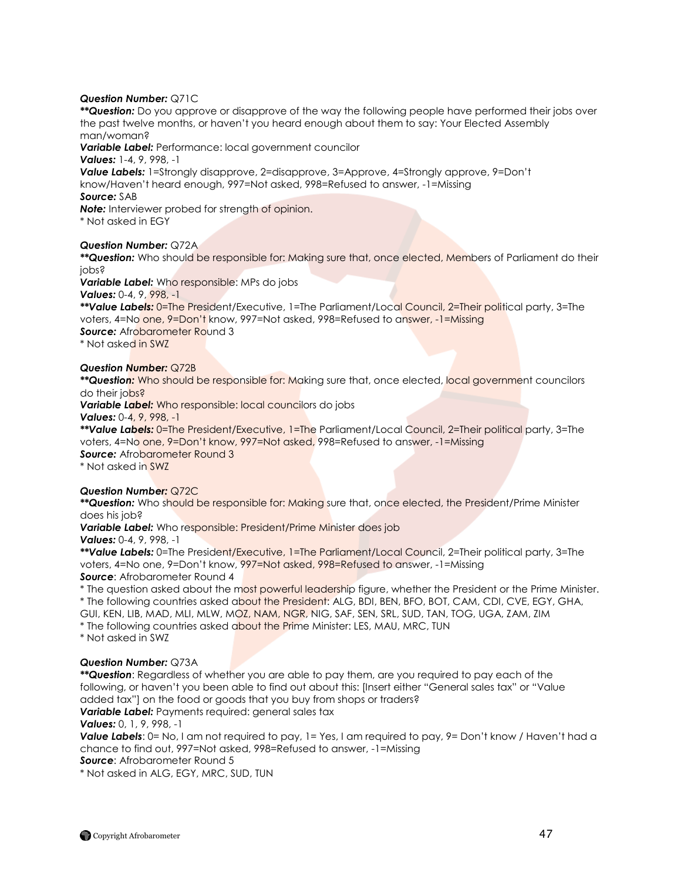## *Question Number:* Q71C

*\*\*Question:* Do you approve or disapprove of the way the following people have performed their jobs over the past twelve months, or haven"t you heard enough about them to say: Your Elected Assembly man/woman?

*Variable Label:* Performance: local government councilor

*Values:* 1-4, 9, 998, -1

*Value Labels:* 1=Strongly disapprove, 2=disapprove, 3=Approve, 4=Strongly approve, 9=Don"t know/Haven"t heard enough, 997=Not asked, 998=Refused to answer, -1=Missing *Source:* SAB

**Note:** Interviewer probed for strength of opinion.

\* Not asked in EGY

## *Question Number:* Q72A

*\*\*Question:* Who should be responsible for: Making sure that, once elected, Members of Parliament do their jobs?

*Variable Label:* Who responsible: MPs do jobs

*Values:* 0-4, 9, 998, -1

*\*\*Value Labels:* 0=The President/Executive, 1=The Parliament/Local Council, 2=Their political party, 3=The voters, 4=No one, 9=Don"t know, 997=Not asked, 998=Refused to answer, -1=Missing **Source:** Afrobarometer Round 3

\* Not asked in SWZ

# *Question Number:* Q72B

*\*\*Question:* Who should be responsible for: Making sure that, once elected, local government councilors do their jobs?

*Variable Label:* Who responsible: local councilors do jobs

*Values:* 0-4, 9, 998, -1

*\*\*Value Labels:* 0=The President/Executive, 1=The Parliament/Local Council, 2=Their political party, 3=The voters, 4=No one, 9=Don"t know, 997=Not asked, 998=Refused to answer, -1=Missing **Source:** Afrobarometer Round 3

\* Not asked in SWZ

*Question Number:* Q72C *\*\*Question:* Who should be responsible for: Making sure that, once elected, the President/Prime Minister does his job?

*Variable Label:* Who responsible: President/Prime Minister does job *Values:* 0-4, 9, 998, -1

*\*\*Value Labels:* 0=The President/Executive, 1=The Parliament/Local Council, 2=Their political party, 3=The voters, 4=No one, 9=Don"t know, 997=Not asked, 998=Refused to answer, -1=Missing **Source:** Afrobarometer Round 4

\* The question asked about the most powerful leadership figure, whether the President or the Prime Minister. \* The following countries asked about the President: ALG, BDI, BEN, BFO, BOT, CAM, CDI, CVE, EGY, GHA, GUI, KEN, LIB, MAD, MLI, MLW, MOZ, NAM, NGR, NIG, SAF, SEN, SRL, SUD, TAN, TOG, UGA, ZAM, ZIM

\* The following countries asked about the Prime Minister: LES, MAU, MRC, TUN

\* Not asked in SWZ

## *Question Number:* Q73A

*\*\*Question*: Regardless of whether you are able to pay them, are you required to pay each of the following, or haven't you been able to find out about this: [Insert either "General sales tax" or "Value added tax"] on the food or goods that you buy from shops or traders? **Variable Label:** Payments required: general sales tax

*Values:* 0, 1, 9, 998, -1

*Value Labels*: 0= No, I am not required to pay, 1= Yes, I am required to pay, 9= Don't know / Haven't had a chance to find out, 997=Not asked, 998=Refused to answer, -1=Missing

*Source*: Afrobarometer Round 5

\* Not asked in ALG, EGY, MRC, SUD, TUN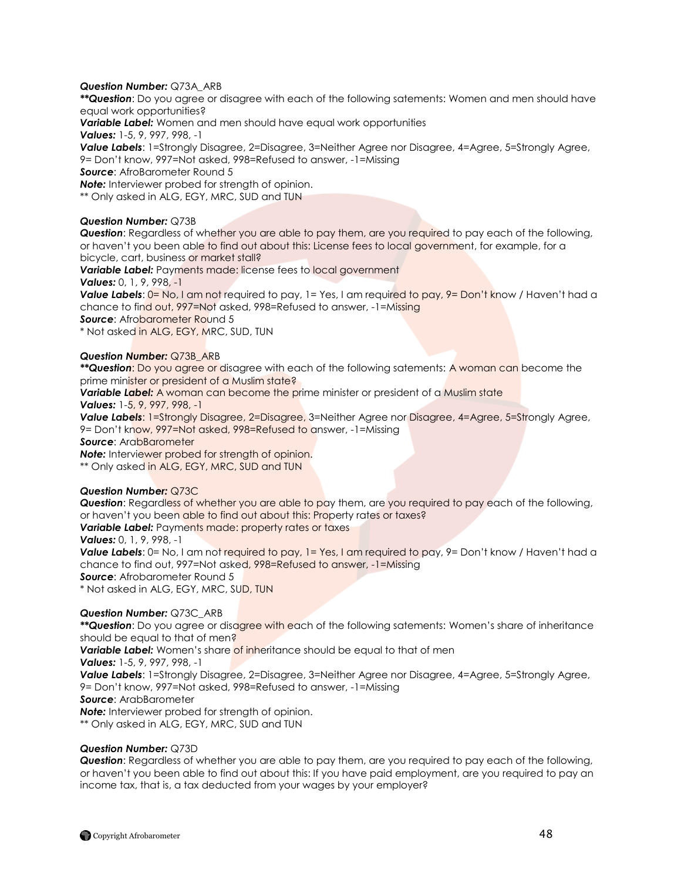## *Question Number:* Q73A\_ARB

*\*\*Question*: Do you agree or disagree with each of the following satements: Women and men should have equal work opportunities?

*Variable Label:* Women and men should have equal work opportunities

*Values:* 1-5, 9, 997, 998, -1

*Value Labels*: 1=Strongly Disagree, 2=Disagree, 3=Neither Agree nor Disagree, 4=Agree, 5=Strongly Agree, 9= Don"t know, 997=Not asked, 998=Refused to answer, -1=Missing

*Source*: AfroBarometer Round 5

*Note:* Interviewer probed for strength of opinion.

\*\* Only asked in ALG, EGY, MRC, SUD and TUN

## *Question Number:* Q73B

*Question*: Regardless of whether you are able to pay them, are you required to pay each of the following, or haven"t you been able to find out about this: License fees to local government, for example, for a bicycle, cart, business or market stall?

*Variable Label:* Payments made: license fees to local government

*Values:* 0, 1, 9, 998, -1

*Value Labels*: 0= No, I am not required to pay, 1= Yes, I am required to pay, 9= Don't know / Haven't had a chance to find out, 997=Not asked, 998=Refused to answer, -1=Missing

**Source:** Afrobarometer Round 5

\* Not asked in ALG, EGY, MRC, SUD, TUN

## *Question Number:* Q73B\_ARB

*\*\*Question*: Do you agree or disagree with each of the following satements: A woman can become the prime minister or president of a Muslim state?

*Variable Label:* A woman can become the prime minister or president of a Muslim state

*Values:* 1-5, 9, 997, 998, -1

**Value Labels:** 1=Strongly Disagree, 2=Disagree, 3=Neither Agree nor Disagree, 4=Agree, 5=Strongly Agree,

9= Don"t know, 997=Not asked, 998=Refused to answer, -1=Missing

*Source*: ArabBarometer

*Note:* Interviewer probed for strength of opinion.

\*\* Only asked in ALG, EGY, MRC, SUD and TUN

## *Question Number:* Q73C

*Question*: Regardless of whether you are able to pay them, are you required to pay each of the following, or haven"t you been able to find out about this: Property rates or taxes? *Variable Label: Payments made: property rates or taxes* 

*Values:* 0, 1, 9, 998, -1

**Value Labels**: 0= No, I am not required to pay, 1= Yes, I am required to pay, 9= Don't know / Haven't had a chance to find out, 997=Not asked, 998=Refused to answer, -1=Missing *Source*: Afrobarometer Round 5

\* Not asked in ALG, EGY, MRC, SUD, TUN

## *Question Number:* Q73C\_ARB

\*\***Question**: Do you agree or disagree with each of the following satements: Women's share of inheritance should be equal to that of men?

**Variable Label:** Women's share of inheritance should be equal to that of men

*Values:* 1-5, 9, 997, 998, -1

**Value Labels:** 1=Strongly Disagree, 2=Disagree, 3=Neither Agree nor Disagree, 4=Agree, 5=Strongly Agree, 9= Don"t know, 997=Not asked, 998=Refused to answer, -1=Missing

*Source*: ArabBarometer

*Note:* Interviewer probed for strength of opinion.

\*\* Only asked in ALG, EGY, MRC, SUD and TUN

## *Question Number:* Q73D

*Question*: Regardless of whether you are able to pay them, are you required to pay each of the following, or haven"t you been able to find out about this: If you have paid employment, are you required to pay an income tax, that is, a tax deducted from your wages by your employer?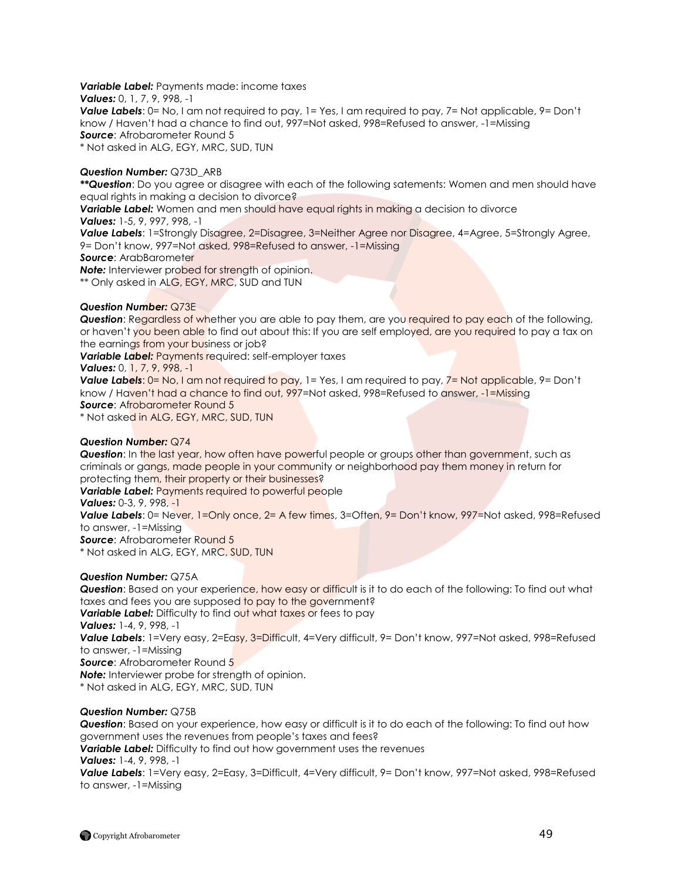## *Variable Label:* Payments made: income taxes

*Values:* 0, 1, 7, 9, 998, -1

*Value Labels*: 0= No, I am not required to pay, 1= Yes, I am required to pay, 7= Not applicable, 9= Don't know / Haven"t had a chance to find out, 997=Not asked, 998=Refused to answer, -1=Missing *Source*: Afrobarometer Round 5 \* Not asked in ALG, EGY, MRC, SUD, TUN

## *Question Number:* Q73D\_ARB

*\*\*Question*: Do you agree or disagree with each of the following satements: Women and men should have equal rights in making a decision to divorce?

*Variable Label:* Women and men should have equal rights in making a decision to divorce *Values:* 1-5, 9, 997, 998, -1

**Value Labels:** 1=Strongly Disagree, 2=Disagree, 3=Neither Agree nor Disagree, 4=Agree, 5=Strongly Agree, 9= Don"t know, 997=Not asked, 998=Refused to answer, -1=Missing

*Source*: ArabBarometer

*Note:* Interviewer probed for strength of opinion.

\*\* Only asked in ALG, EGY, MRC, SUD and TUN

## *Question Number:* Q73E

**Question:** Regardless of whether you are able to pay them, are you required to pay each of the following, or haven't you been able to find out about this: If you are self employed, are you required to pay a tax on the earnings from your business or job?

*Variable Label: Payments required: self-employer taxes* 

*Values:* 0, 1, 7, 9, 998, -1

*Value Labels*: 0= No, I am not required to pay, 1= Yes, I am required to pay, 7= Not applicable, 9= Don't know / Haven"t had a chance to find out, 997=Not asked, 998=Refused to answer, -1=Missing **Source: Afrobarometer Round 5** 

\* Not asked in ALG, EGY, MRC, SUD, TUN

## *Question Number:* Q74

*Question*: In the last year, how often have powerful people or groups other than government, such as criminals or gangs, made people in your community or neighborhood pay them money in return for protecting them, their property or their businesses?

**Variable Label:** Payments required to powerful people

*Values:* 0-3, 9, 998, -1

**Value Labels**: 0= Never, 1=Only once, 2= A few times, 3=Often, 9= Don't know, 997=Not asked, 998=Refused to answer, -1=Missing

*Source*: Afrobarometer Round 5

\* Not asked in ALG, EGY, MRC, SUD, TUN

## *Question Number:* Q75A

**Question**: Based on your experience, how easy or difficult is it to do each of the following: To find out what taxes and fees you are supposed to pay to the government? **Variable Label:** Difficulty to find out what taxes or fees to pay *Values:* 1-4, 9, 998, -1 **Value Labels**: 1=Very easy, 2=Easy, 3=Difficult, 4=Very difficult, 9= Don't know, 997=Not asked, 998=Refused to answer, -1=Missing *Source*: Afrobarometer Round 5 **Note:** Interviewer probe for strength of opinion. \* Not asked in ALG, EGY, MRC, SUD, TUN

## *Question Number:* Q75B

*Question*: Based on your experience, how easy or difficult is it to do each of the following: To find out how government uses the revenues from people"s taxes and fees? *Variable Label:* Difficulty to find out how government uses the revenues *Values:* 1-4, 9, 998, -1 *Value Labels*: 1=Very easy, 2=Easy, 3=Difficult, 4=Very difficult, 9= Don"t know, 997=Not asked, 998=Refused to answer, -1=Missing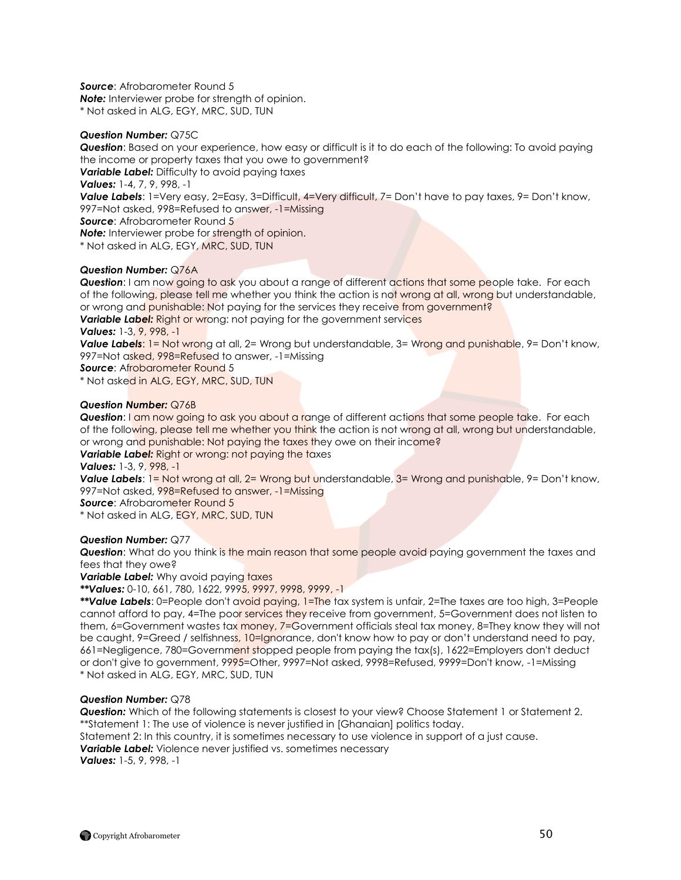*Source*: Afrobarometer Round 5 **Note:** Interviewer probe for strength of opinion. \* Not asked in ALG, EGY, MRC, SUD, TUN

## *Question Number:* Q75C

*Question*: Based on your experience, how easy or difficult is it to do each of the following: To avoid paying the income or property taxes that you owe to government?

**Variable Label:** Difficulty to avoid paying taxes

*Values:* 1-4, 7, 9, 998, -1

*Value Labels*: 1=Very easy, 2=Easy, 3=Difficult, 4=Very difficult, 7= Don't have to pay taxes, 9= Don't know, 997=Not asked, 998=Refused to answer, -1=Missing

**Source:** Afrobarometer Round 5

*Note:* Interviewer probe for strength of opinion.

\* Not asked in ALG, EGY, MRC, SUD, TUN

## *Question Number:* Q76A

**Question:** I am now going to ask you about a range of different actions that some people take. For each of the following, please tell me whether you think the action is not wrong at all, wrong but understandable, or wrong and punishable: Not paying for the services they receive from government?

**Variable Label:** Right or wrong: not paying for the government services

*Values:* 1-3, 9, 998, -1

**Value Labels:** 1= Not wrong at all, 2= Wrong but understandable, 3= Wrong and punishable, 9= Don't know, 997=Not asked, 998=Refused to answer, -1=Missing

*Source*: Afrobarometer Round 5

\* Not asked in ALG, EGY, MRC, SUD, TUN

## *Question Number:* Q76B

**Question:** I am now going to ask you about a range of different actions that some people take. For each of the following, please tell me whether you think the action is not wrong at all, wrong but understandable, or wrong and punishable: Not paying the taxes they owe on their income?

**Variable Label:** Right or wrong: not paying the taxes

*Values:* 1-3, 9, 998, -1

**Value Labels:** 1= Not wrong at all, 2= Wrong but understandable, 3= Wrong and punishable, 9= Don't know, 997=Not asked, 998=Refused to answer, -1=Missing

**Source:** Afrobarometer Round 5

\* Not asked in ALG, EGY, MRC, SUD, TUN

## *Question Number:* Q77

**Question:** What do you think is the main reason that some people avoid paying government the taxes and fees that they owe?

**Variable Label:** Why avoid paying taxes

*\*\*Values:* 0-10, 661, 780, 1622, 9995, 9997, 9998, 9999, -1

*\*\*Value Labels*: 0=People don't avoid paying, 1=The tax system is unfair, 2=The taxes are too high, 3=People cannot afford to pay, 4=The poor services they receive from government, 5=Government does not listen to them, 6=Government wastes tax money, 7=Government officials steal tax money, 8=They know they will not be caught, 9=Greed / selfishness, 10=Ignorance, don't know how to pay or don't understand need to pay, 661=Negligence, 780=Government stopped people from paying the tax(s), 1622=Employers don't deduct or don't give to government, 9995=Other, 9997=Not asked, 9998=Refused, 9999=Don't know, -1=Missing \* Not asked in ALG, EGY, MRC, SUD, TUN

## *Question Number:* Q78

*Question:* Which of the following statements is closest to your view? Choose Statement 1 or Statement 2. \*\*Statement 1: The use of violence is never justified in [Ghanaian] politics today.

Statement 2: In this country, it is sometimes necessary to use violence in support of a just cause.

**Variable Label:** Violence never justified vs. sometimes necessary

*Values:* 1-5, 9, 998, -1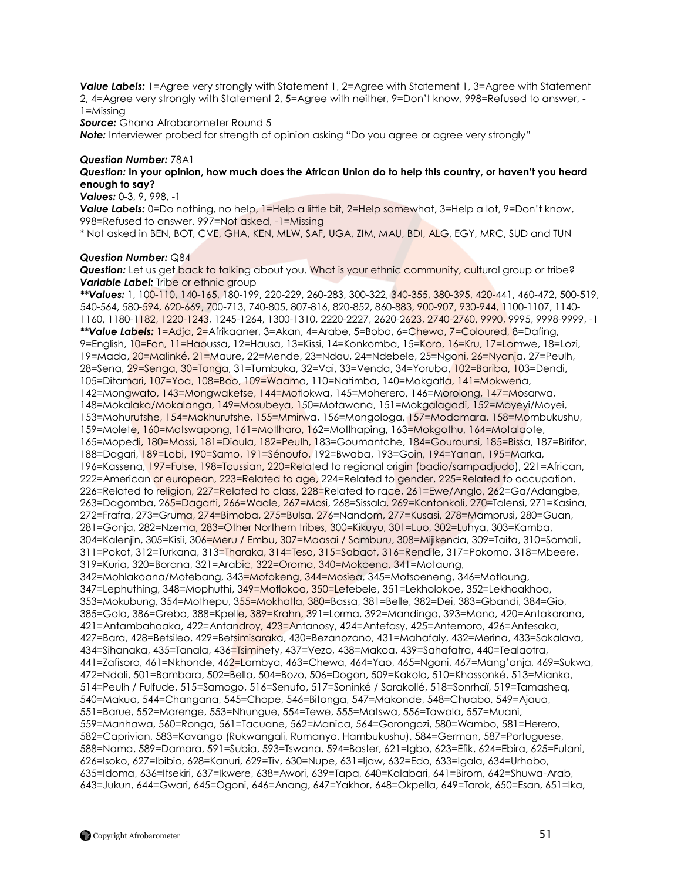*Value Labels:* 1=Agree very strongly with Statement 1, 2=Agree with Statement 1, 3=Agree with Statement 2, 4=Agree very strongly with Statement 2, 5=Agree with neither, 9=Don"t know, 998=Refused to answer, - 1=Missing

**Source:** Ghana Afrobarometer Round 5

**Note:** Interviewer probed for strength of opinion asking "Do you agree or agree very strongly"

## *Question Number:* 78A1

## *Question:* **In your opinion, how much does the African Union do to help this country, or haven't you heard enough to say?**

*Values:* 0-3, 9, 998, -1

**Value Labels:** 0=Do nothing, no help, 1=Help a little bit, 2=Help somewhat, 3=Help a lot, 9=Don't know, 998=Refused to answer, 997=Not asked, -1=Missing

\* Not asked in BEN, BOT, CVE, GHA, KEN, MLW, SAF, UGA, ZIM, MAU, BDI, ALG, EGY, MRC, SUD and TUN

#### *Question Number:* Q84

*Question:* Let us get back to talking about you. What is your ethnic community, cultural group or tribe? **Variable Label:** Tribe or ethnic group

*\*\*Values:* 1, 100-110, 140-165, 180-199, 220-229, 260-283, 300-322, 340-355, 380-395, 420-441, 460-472, 500-519, 540-564, 580-594, 620-669, 700-713, 740-805, 807-816, 820-852, 860-883, 900-907, 930-944, 1100-1107, 1140- 1160, 1180-1182, 1220-1243, 1245-1264, 1300-1310, 2220-2227, 2620-2623, 2740-2760, 9990, 9995, 9998-9999, -1 *\*\*Value Labels:* 1=Adja, 2=Afrikaaner, 3=Akan, 4=Arabe, 5=Bobo, 6=Chewa, 7=Coloured, 8=Dafing, 9=English, 10=Fon, 11=Haoussa, 12=Hausa, 13=Kissi, 14=Konkomba, 15=Koro, 16=Kru, 17=Lomwe, 18=Lozi, 19=Mada, 20=Malinké, 21=Maure, 22=Mende, 23=Ndau, 24=Ndebele, 25=Ngoni, 26=Nyanja, 27=Peulh, 28=Sena, 29=Senga, 30=Tonga, 31=Tumbuka, 32=Vai, 33=Venda, 34=Yoruba, 102=Bariba, 103=Dendi, 105=Ditamari, 107=Yoa, 108=Boo, 109=Waama, 110=Natimba, 140=Mokgatla, 141=Mokwena, 142=Mongwato, 143=Mongwaketse, 144=Motlokwa, 145=Moherero, 146=Morolong, 147=Mosarwa, 148=Mokalaka/Mokalanga, 149=Mosubeya, 150=Motawana, 151=Mokgalagadi, 152=Moyeyi/Moyei, 153=Mohurutshe, 154=Mokhurutshe, 155=Mmirwa, 156=Mongologa, 157=Modamara, 158=Mombukushu, 159=Molete, 160=Motswapong, 161=Motlharo, 162=Motlhaping, 163=Mokgothu, 164=Motalaote, 165=Mopedi, 180=Mossi, 181=Dioula, 182=Peulh, 183=Goumantche, 184=Gourounsi, 185=Bissa, 187=Birifor, 188=Dagari, 189=Lobi, 190=Samo, 191=Sénoufo, 192=Bwaba, 193=Goin, 194=Yanan, 195=Marka, 196=Kassena, 197=Fulse, 198=Toussian, 220=Related to regional origin (badio/sampadjudo), 221=African, 222=American or european, 223=Related to age, 224=Related to gender, 225=Related to occupation, 226=Related to religion, 227=Related to class, 228=Related to race, 261=Ewe/Anglo, 262=Ga/Adangbe, 263=Dagomba, 265=Dagarti, 266=Waale, 267=Mosi, 268=Sissala, 269=Kontonkoli, 270=Talensi, 271=Kasina, 272=Frafra, 273=Gruma, 274=Bimoba, 275=Bulsa, 276=Nandom, 277=Kusasi, 278=Mamprusi, 280=Guan, 281=Gonja, 282=Nzema, 283=Other Northern tribes, 300=Kikuyu, 301=Luo, 302=Luhya, 303=Kamba, 304=Kalenjin, 305=Kisii, 306=Meru / Embu, 307=Maasai / Samburu, 308=Mijikenda, 309=Taita, 310=Somali, 311=Pokot, 312=Turkana, 313=Tharaka, 314=Teso, 315=Sabaot, 316=Rendile, 317=Pokomo, 318=Mbeere, 319=Kuria, 320=Borana, 321=Arabic, 322=Oroma, 340=Mokoena, 341=Motaung, 342=Mohlakoana/Motebang, 343=Mofokeng, 344=Mosiea, 345=Motsoeneng, 346=Motloung, 347=Lephuthing, 348=Mophuthi, 349=Motlokoa, 350=Letebele, 351=Lekholokoe, 352=Lekhoakhoa, 353=Mokubung, 354=Mothepu, 355=Mokhatla, 380=Bassa, 381=Belle, 382=Dei, 383=Gbandi, 384=Gio, 385=Gola, 386=Grebo, 388=Kpelle, 389=Krahn, 391=Lorma, 392=Mandingo, 393=Mano, 420=Antakarana, 421=Antambahoaka, 422=Antandroy, 423=Antanosy, 424=Antefasy, 425=Antemoro, 426=Antesaka, 427=Bara, 428=Betsileo, 429=Betsimisaraka, 430=Bezanozano, 431=Mahafaly, 432=Merina, 433=Sakalava, 434=Sihanaka, 435=Tanala, 436=Tsimihety, 437=Vezo, 438=Makoa, 439=Sahafatra, 440=Tealaotra, 441=Zafisoro, 461=Nkhonde, 462=Lambya, 463=Chewa, 464=Yao, 465=Ngoni, 467=Mang"anja, 469=Sukwa, 472=Ndali, 501=Bambara, 502=Bella, 504=Bozo, 506=Dogon, 509=Kakolo, 510=Khassonké, 513=Mianka, 514=Peulh / Fulfude, 515=Samogo, 516=Senufo, 517=Soninké / Sarakollé, 518=Sonrhaï, 519=Tamasheq, 540=Makua, 544=Changana, 545=Chope, 546=Bitonga, 547=Makonde, 548=Chuabo, 549=Ajaua, 551=Barue, 552=Marenge, 553=Nhungue, 554=Tewe, 555=Matswa, 556=Tawala, 557=Muani, 559=Manhawa, 560=Ronga, 561=Tacuane, 562=Manica, 564=Gorongozi, 580=Wambo, 581=Herero, 582=Caprivian, 583=Kavango (Rukwangali, Rumanyo, Hambukushu), 584=German, 587=Portuguese, 588=Nama, 589=Damara, 591=Subia, 593=Tswana, 594=Baster, 621=Igbo, 623=Efik, 624=Ebira, 625=Fulani, 626=Isoko, 627=Ibibio, 628=Kanuri, 629=Tiv, 630=Nupe, 631=Ijaw, 632=Edo, 633=Igala, 634=Urhobo, 635=Idoma, 636=Itsekiri, 637=Ikwere, 638=Awori, 639=Tapa, 640=Kalabari, 641=Birom, 642=Shuwa-Arab, 643=Jukun, 644=Gwari, 645=Ogoni, 646=Anang, 647=Yakhor, 648=Okpella, 649=Tarok, 650=Esan, 651=Ika,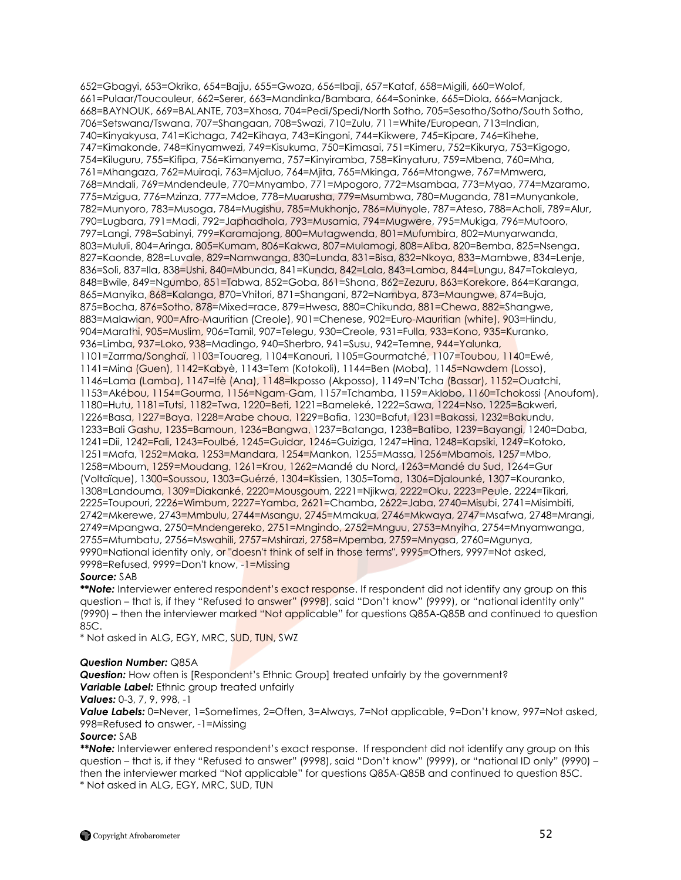652=Gbagyi, 653=Okrika, 654=Bajju, 655=Gwoza, 656=Ibaji, 657=Kataf, 658=Migili, 660=Wolof, 661=Pulaar/Toucouleur, 662=Serer, 663=Mandinka/Bambara, 664=Soninke, 665=Diola, 666=Manjack, 668=BAYNOUK, 669=BALANTE, 703=Xhosa, 704=Pedi/Spedi/North Sotho, 705=Sesotho/Sotho/South Sotho, 706=Setswana/Tswana, 707=Shangaan, 708=Swazi, 710=Zulu, 711=White/European, 713=Indian, 740=Kinyakyusa, 741=Kichaga, 742=Kihaya, 743=Kingoni, 744=Kikwere, 745=Kipare, 746=Kihehe, 747=Kimakonde, 748=Kinyamwezi, 749=Kisukuma, 750=Kimasai, 751=Kimeru, 752=Kikurya, 753=Kigogo, 754=Kiluguru, 755=Kifipa, 756=Kimanyema, 757=Kinyiramba, 758=Kinyaturu, 759=Mbena, 760=Mha, 761=Mhangaza, 762=Muiraqi, 763=Mjaluo, 764=Mjita, 765=Mkinga, 766=Mtongwe, 767=Mmwera, 768=Mndali, 769=Mndendeule, 770=Mnyambo, 771=Mpogoro, 772=Msambaa, 773=Myao, 774=Mzaramo, 775=Mzigua, 776=Mzinza, 777=Mdoe, 778=Muarusha, 779=Msumbwa, 780=Muganda, 781=Munyankole, 782=Munyoro, 783=Musoga, 784=Mugishu, 785=Mukhonjo, 786=Munyole, 787=Ateso, 788=Acholi, 789=Alur, 790=Lugbara, 791=Madi, 792=Japhadhola, 793=Musamia, 794=Mugwere, 795=Mukiga, 796=Mutooro, 797=Langi, 798=Sabinyi, 799=Karamajong, 800=Mutagwenda, 801=Mufumbira, 802=Munyarwanda, 803=Mululi, 804=Aringa, 805=Kumam, 806=Kakwa, 807=Mulamogi, 808=Aliba, 820=Bemba, 825=Nsenga, 827=Kaonde, 828=Luvale, 829=Namwanga, 830=Lunda, 831=Bisa, 832=Nkoya, 833=Mambwe, 834=Lenje, 836=Soli, 837=Ila, 838=Ushi, 840=Mbunda, 841=Kunda, 842=Lala, 843=Lamba, 844=Lungu, 847=Tokaleya, 848=Bwile, 849=Ngumbo, 851=Tabwa, 852=Goba, 861=Shona, 862=Zezuru, 863=Korekore, 864=Karanga, 865=Manyika, 868=Kalanga, 870=Vhitori, 871=Shangani, 872=Nambya, 873=Maungwe, 874=Buja, 875=Bocha, 876=Sotho, 878=Mixed=race, 879=Hwesa, 880=Chikunda, 881=Chewa, 882=Shangwe, 883=Malawian, 900=Afro-Mauritian (Creole), 901=Chenese, 902=Euro-Mauritian (white), 903=Hindu, 904=Marathi, 905=Muslim, 906=Tamil, 907=Telegu, 930=Creole, 931=Fulla, 933=Kono, 935=Kuranko, 936=Limba, 937=Loko, 938=Madingo, 940=Sherbro, 941=Susu, 942=Temne, 944=Yalunka, 1101=Zarrma/Songhaï, 1103=Touareg, 1104=Kanouri, 1105=Gourmatché, 1107=Toubou, 1140=Ewé, 1141=Mina (Guen), 1142=Kabyè, 1143=Tem (Kotokoli), 1144=Ben (Moba), 1145=Nawdem (Losso), 1146=Lama (Lamba), 1147=Ifè (Ana), 1148=Ikposso (Akposso), 1149=N"Tcha (Bassar), 1152=Ouatchi, 1153=Akébou, 1154=Gourma, 1156=Ngam-Gam, 1157=Tchamba, 1159=Aklobo, 1160=Tchokossi (Anoufom), 1180=Hutu, 1181=Tutsi, 1182=Twa, 1220=Beti, 1221=Bameleké, 1222=Sawa, 1224=Nso, 1225=Bakweri, 1226=Basa, 1227=Baya, 1228=Arabe choua, 1229=Bafia, 1230=Bafut, 1231=Bakassi, 1232=Bakundu, 1233=Bali Gashu, 1235=Bamoun, 1236=Bangwa, 1237=Batanga, 1238=Batibo, 1239=Bayangi, 1240=Daba, 1241=Dii, 1242=Fali, 1243=Foulbé, 1245=Guidar, 1246=Guiziga, 1247=Hina, 1248=Kapsiki, 1249=Kotoko, 1251=Mafa, 1252=Maka, 1253=Mandara, 1254=Mankon, 1255=Massa, 1256=Mbamois, 1257=Mbo, 1258=Mboum, 1259=Moudang, 1261=Krou, 1262=Mandé du Nord, 1263=Mandé du Sud, 1264=Gur (Voltaïque), 1300=Soussou, 1303=Guérzé, 1304=Kissien, 1305=Toma, 1306=Djalounké, 1307=Kouranko, 1308=Landouma, 1309=Diakanké, 2220=Mousgoum, 2221=Njikwa, 2222=Oku, 2223=Peule, 2224=Tikari, 2225=Toupouri, 2226=Wimbum, 2227=Yamba, 2621=Chamba, 2622=Jaba, 2740=Misubi, 2741=Misimbiti, 2742=Mkerewe, 2743=Mmbulu, 2744=Msangu, 2745=Mmakua, 2746=Mkwaya, 2747=Msafwa, 2748=Mrangi, 2749=Mpangwa, 2750=Mndengereko, 2751=Mngindo, 2752=Mnguu, 2753=Mnyiha, 2754=Mnyamwanga, 2755=Mtumbatu, 2756=Mswahili, 2757=Mshirazi, 2758=Mpemba, 2759=Mnyasa, 2760=Mgunya, 9990=National identity only, or "doesn't think of self in those terms", 9995=Others, 9997=Not asked, 9998=Refused, 9999=Don't know, -1=Missing

## *Source:* SAB

\*\*Note: Interviewer entered respondent's exact response. If respondent did not identify any group on this question – that is, if they "Refused to answer" (9998), said "Don"t know" (9999), or "national identity only" (9990) – then the interviewer marked "Not applicable" for questions Q85A-Q85B and continued to question 85C.

\* Not asked in ALG, EGY, MRC, SUD, TUN, SWZ

## *Question Number:* Q85A

**Question:** How often is [Respondent's Ethnic Group] treated unfairly by the government? **Variable Label:** Ethnic group treated unfairly

*Values:* 0-3, 7, 9, 998, -1

*Value Labels:* 0=Never, 1=Sometimes, 2=Often, 3=Always, 7=Not applicable, 9=Don"t know, 997=Not asked, 998=Refused to answer, -1=Missing

## *Source:* SAB

*\*\*Note:* Interviewer entered respondent"s exact response. If respondent did not identify any group on this question – that is, if they "Refused to answer" (9998), said "Don"t know" (9999), or "national ID only" (9990) – then the interviewer marked "Not applicable" for questions Q85A-Q85B and continued to question 85C. \* Not asked in ALG, EGY, MRC, SUD, TUN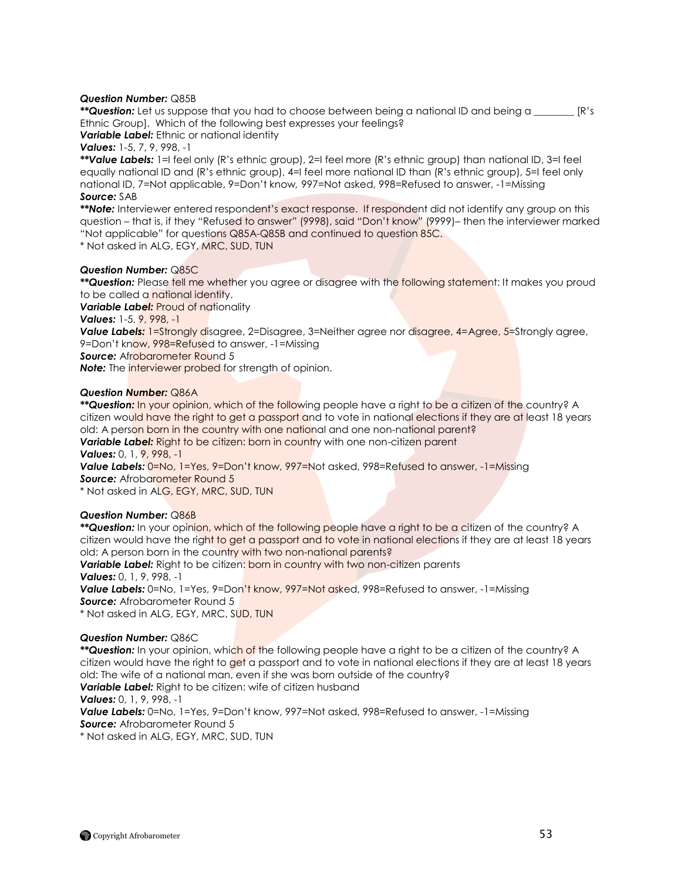## *Question Number:* Q85B

*\*\*Question:* Let us suppose that you had to choose between being a national ID and being a \_\_\_\_\_\_\_\_ [R"s Ethnic Group]. Which of the following best expresses your feelings?

*Variable Label:* Ethnic or national identity

*Values:* 1-5, 7, 9, 998, -1

*\*\*Value Labels:* 1=I feel only (R"s ethnic group), 2=I feel more (R"s ethnic group) than national ID, 3=I feel equally national ID and (R"s ethnic group), 4=I feel more national ID than (R"s ethnic group), 5=I feel only national ID, 7=Not applicable, 9=Don"t know*,* 997=Not asked, 998=Refused to answer, -1=Missing *Source:* SAB

\*\*Note: Interviewer entered respondent's exact response. If respondent did not identify any group on this question – that is, if they "Refused to answer" (9998), said "Don"t know" (9999)– then the interviewer marked "Not applicable" for questions Q85A-Q85B and continued to question 85C.

\* Not asked in ALG, EGY, MRC, SUD, TUN

## *Question Number:* Q85C

*\*\*Question:* Please tell me whether you agree or disagree with the following statement: It makes you proud to be called a national identity.

**Variable Label:** Proud of nationality

*Values:* 1-5, 9, 998, -1

**Value Labels:** 1=Strongly disagree, 2=Disagree, 3=Neither agree nor disagree, 4=Agree, 5=Strongly agree, 9=Don't know, 998=Refused to answer, -1=Missing

**Source:** Afrobarometer Round 5

**Note:** The *interviewer probed* for strength of opinion.

## *Question Number:* Q86A

*\*\*Question:* In your opinion, which of the following people have a right to be a citizen of the country? A citizen would have the right to get a passport and to vote in national elections if they are at least 18 years old: A person born in the country with one national and one non-national parent?

**Variable Label:** Right to be citizen: born in country with one non-citizen parent *Values:* 0, 1, 9, 998, -1

**Value Labels:** 0=No, 1=Yes, 9=Don't know, 997=Not asked, 998=Refused to answer, -1=Missing **Source:** Afrobarometer Round 5

\* Not asked in ALG, EGY, MRC, SUD, TUN

## *Question Number:* Q86B

*\*\*Question:* In your opinion, which of the following people have a right to be a citizen of the country? A citizen would have the right to get a passport and to vote in national elections if they are at least 18 years old: A person born in the country with two non-national parents?

**Variable Label:** Right to be citizen: born in country with two non-citizen parents *Values:* 0, 1, 9, 998, -1

**Value Labels:** 0=No, 1=Yes, 9=Don't know, 997=Not asked, 998=Refused to answer, -1=Missing **Source:** Afrobarometer Round 5

\* Not asked in ALG, EGY, MRC, SUD, TUN

## *Question Number:* Q86C

*\*\*Question:* In your opinion, which of the following people have a right to be a citizen of the country? A citizen would have the right to get a passport and to vote in national elections if they are at least 18 years old: The wife of a national man, even if she was born outside of the country?

**Variable Label:** Right to be citizen: wife of citizen husband

*Values:* 0, 1, 9, 998, -1

*Value Labels:* 0=No, 1=Yes, 9=Don"t know, 997=Not asked, 998=Refused to answer, -1=Missing **Source:** Afrobarometer Round 5

\* Not asked in ALG, EGY, MRC, SUD, TUN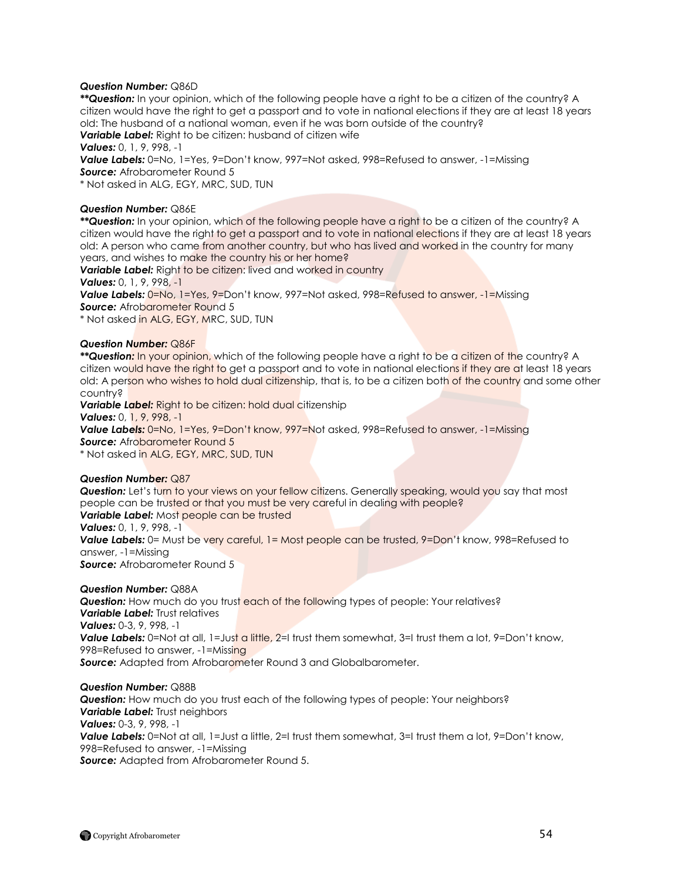## *Question Number:* Q86D

*\*\*Question:* In your opinion, which of the following people have a right to be a citizen of the country? A citizen would have the right to get a passport and to vote in national elections if they are at least 18 years old: The husband of a national woman, even if he was born outside of the country?

*Variable Label:* Right to be citizen: husband of citizen wife

*Values:* 0, 1, 9, 998, -1

**Value Labels:** 0=No, 1=Yes, 9=Don't know, 997=Not asked, 998=Refused to answer, -1=Missing **Source:** Afrobarometer Round 5

\* Not asked in ALG, EGY, MRC, SUD, TUN

## *Question Number:* Q86E

*\*\*Question:* In your opinion, which of the following people have a right to be a citizen of the country? A citizen would have the right to get a passport and to vote in national elections if they are at least 18 years old: A person who came from another country, but who has lived and worked in the country for many years, and wishes to make the country his or her home?

**Variable Label:** Right to be citizen: lived and worked in country

*Values:* 0, 1, 9, 998, -1

**Value Labels:**  $0 = No$ , 1=Yes, 9=Don't know, 997=Not asked, 998=Refused to answer, -1=Missing **Source: Afrobarometer Round 5** 

\* Not asked in ALG, EGY, MRC, SUD, TUN

#### *Question Number:* Q86F

*\*\*Question:* In your opinion, which of the following people have a right to be a citizen of the country? A citizen would have the right to get a passport and to vote in national elections if they are at least 18 years old: A person who wishes to hold dual citizenship, that is, to be a citizen both of the country and some other country?

**Variable Label:** Right to be citizen: hold dual citizenship

*Values:* 0, 1, 9, 998, -1

**Value Labels:** 0=No, 1=Yes, 9=Don't know, 997=Not asked, 998=Refused to answer, -1=Missing **Source:** Afrobarometer Round 5

\* Not asked in ALG, EGY, MRC, SUD, TUN

## *Question Number:* Q87

**Question:** Let's turn to your views on your fellow citizens. Generally speaking, would you say that most people can be trusted or that you must be very careful in dealing with people? *Variable Label:* Most people can be trusted

*Values:* 0, 1, 9, 998, -1

**Value Labels:** 0= Must be very careful, 1= Most people can be trusted, 9=Don't know, 998=Refused to answer, -1=Missing

**Source:** Afrobarometer Round 5

## *Question Number:* Q88A

**Question:** How much do you trust each of the following types of people: Your relatives? *Variable Label:* Trust relatives *Values:* 0-3, 9, 998, -1 **Value Labels:** 0=Not at all, 1=Just a little, 2=I trust them somewhat, 3=I trust them a lot, 9=Don't know, 998=Refused to answer, -1=Missing *Source:* Adapted from Afrobarometer Round 3 and Globalbarometer.

#### *Question Number:* Q88B

*Question:* How much do you trust each of the following types of people: Your neighbors? *Variable Label: Trust neighbors Values:* 0-3, 9, 998, -1 **Value Labels:** 0=Not at all, 1=Just a little, 2=I trust them somewhat, 3=I trust them a lot, 9=Don't know, 998=Refused to answer, -1=Missing *Source:* Adapted from Afrobarometer Round 5.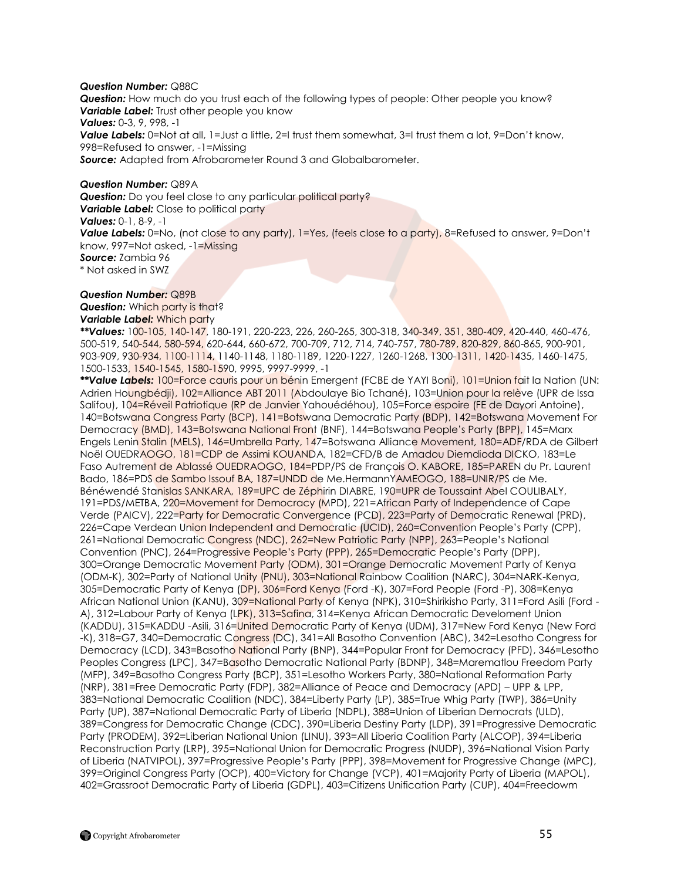## *Question Number:* Q88C

*Question:* How much do you trust each of the following types of people: Other people you know? *Variable Label:* Trust other people you know *Values:* 0-3, 9, 998, -1 **Value Labels:** 0=Not at all, 1=Just a little, 2=I trust them somewhat, 3=I trust them a lot, 9=Don't know, 998=Refused to answer, -1=Missing *Source:* Adapted from Afrobarometer Round 3 and Globalbarometer.

#### *Question Number:* Q89A

**Question:** Do you feel close to any particular political party? **Variable Label:** Close to political party *Values:* 0-1, 8-9, -1 *Value Labels:* 0=No, (not close to any party), 1=Yes, (feels close to a party), 8=Refused to answer, 9=Don"t know, 997=Not asked, -1=Missing *Source:* Zambia 96 \* Not asked in SWZ

## *Question Number:* Q89B

**Question:** Which party is that? *Variable Label:* Which party

*\*\*Values:* 100-105, 140-147, 180-191, 220-223, 226, 260-265, 300-318, 340-349, 351, 380-409, 420-440, 460-476, 500-519, 540-544, 580-594, 620-644, 660-672, 700-709, 712, 714, 740-757, 780-789, 820-829, 860-865, 900-901, 903-909, 930-934, 1100-1114, 1140-1148, 1180-1189, 1220-1227, 1260-1268, 1300-1311, 1420-1435, 1460-1475, 1500-1533, 1540-1545, 1580-1590, 9995, 9997-9999, -1

*\*\*Value Labels:* 100=Force cauris pour un bénin Emergent (FCBE de YAYI Boni), 101=Union fait la Nation (UN: Adrien Houngbédji), 102=Alliance ABT 2011 (Abdoulaye Bio Tchané), 103=Union pour la relève (UPR de Issa Salifou), 104=Réveil Patriotique (RP de Janvier Yahouédéhou), 105=Force espoire (FE de Dayori Antoine), 140=Botswana Congress Party (BCP), 141=Botswana Democratic Party (BDP), 142=Botswana Movement For Democracy (BMD), 143=Botswana National Front (BNF), 144=Botswana People"s Party (BPP), 145=Marx Engels Lenin Stalin (MELS), 146=Umbrella Party, 147=Botswana Alliance Movement, 180=ADF/RDA de Gilbert Noël OUEDRAOGO, 181=CDP de Assimi KOUANDA, 182=CFD/B de Amadou Diemdioda DICKO, 183=Le Faso Autrement de Ablassé OUEDRAOGO, 184=PDP/PS de François O. KABORE, 185=PAREN du Pr. Laurent Bado, 186=PDS de Sambo Issouf BA, 187=UNDD de Me.HermannYAMEOGO, 188=UNIR/PS de Me. Bénéwendé Stanislas SANKARA, 189=UPC de Zéphirin DIABRE, 190=UPR de Toussaint Abel COULIBALY, 191=PDS/METBA, 220=Movement for Democracy (MPD), 221=African Party of Independence of Cape Verde (PAICV), 222=Party for Democratic Convergence (PCD), 223=Party of Democratic Renewal (PRD), 226=Cape Verdean Union Independent and Democratic (UCID), 260=Convention People"s Party (CPP), 261=National Democratic Congress (NDC), 262=New Patriotic Party (NPP), 263=People"s National Convention (PNC), 264=Progressive People"s Party (PPP), 265=Democratic People"s Party (DPP), 300=Orange Democratic Movement Party (ODM), 301=Orange Democratic Movement Party of Kenya (ODM-K), 302=Party of National Unity (PNU), 303=National Rainbow Coalition (NARC), 304=NARK-Kenya, 305=Democratic Party of Kenya (DP), 306=Ford Kenya (Ford -K), 307=Ford People (Ford -P), 308=Kenya African National Union (KANU), 309=National Party of Kenya (NPK), 310=Shirikisho Party, 311=Ford Asili (Ford -A), 312=Labour Party of Kenya (LPK), 313=Safina, 314=Kenya African Democratic Develoment Union (KADDU), 315=KADDU -Asili, 316=United Democratic Party of Kenya (UDM), 317=New Ford Kenya (New Ford -K), 318=G7, 340=Democratic Congress (DC), 341=All Basotho Convention (ABC), 342=Lesotho Congress for Democracy (LCD), 343=Basotho National Party (BNP), 344=Popular Front for Democracy (PFD), 346=Lesotho Peoples Congress (LPC), 347=Basotho Democratic National Party (BDNP), 348=Marematlou Freedom Party (MFP), 349=Basotho Congress Party (BCP), 351=Lesotho Workers Party, 380=National Reformation Party (NRP), 381=Free Democratic Party (FDP), 382=Alliance of Peace and Democracy (APD) – UPP & LPP, 383=National Democratic Coalition (NDC), 384=Liberty Party (LP), 385=True Whig Party (TWP), 386=Unity Party (UP), 387=National Democratic Party of Liberia (NDPL), 388=Union of Liberian Democrats (ULD), 389=Congress for Democratic Change (CDC), 390=Liberia Destiny Party (LDP), 391=Progressive Democratic Party (PRODEM), 392=Liberian National Union (LINU), 393=All Liberia Coalition Party (ALCOP), 394=Liberia Reconstruction Party (LRP), 395=National Union for Democratic Progress (NUDP), 396=National Vision Party of Liberia (NATVIPOL), 397=Progressive People"s Party (PPP), 398=Movement for Progressive Change (MPC), 399=Original Congress Party (OCP), 400=Victory for Change (VCP), 401=Majority Party of Liberia (MAPOL), 402=Grassroot Democratic Party of Liberia (GDPL), 403=Citizens Unification Party (CUP), 404=Freedowm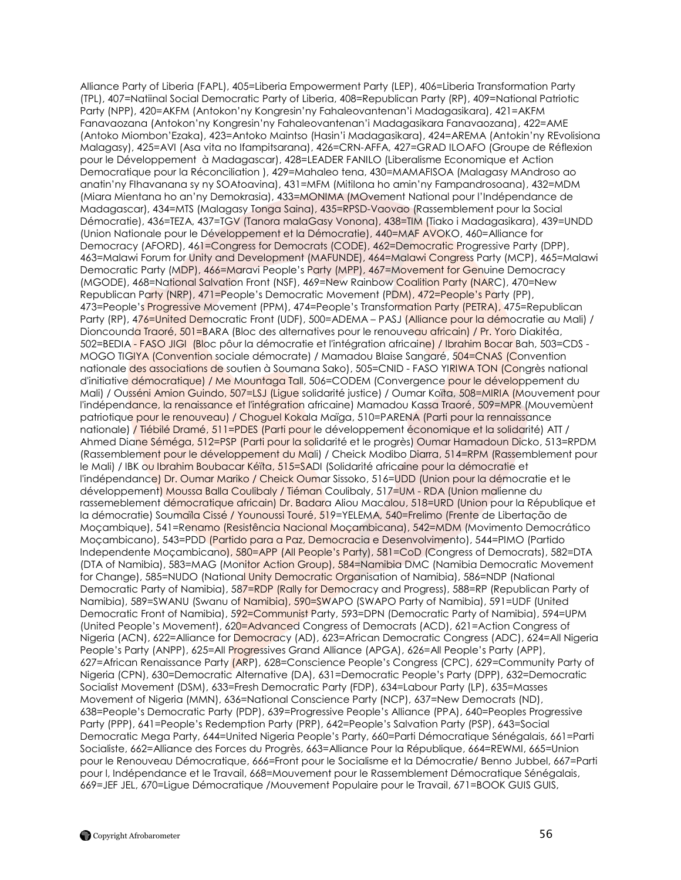Alliance Party of Liberia (FAPL), 405=Liberia Empowerment Party (LEP), 406=Liberia Transformation Party (TPL), 407=Natiinal Social Democratic Party of Liberia, 408=Republican Party (RP), 409=National Patriotic Party (NPP), 420=AKFM (Antokon"ny Kongresin"ny Fahaleovantenan"i Madagasikara), 421=AKFM Fanavaozana (Antokon"ny Kongresin"ny Fahaleovantenan"i Madagasikara Fanavaozana), 422=AME (Antoko Miombon"Ezaka), 423=Antoko Maintso (Hasin"i Madagasikara), 424=AREMA (Antokin"ny REvolisiona Malagasy), 425=AVI (Asa vita no Ifampitsarana), 426=CRN-AFFA, 427=GRAD ILOAFO (Groupe de Réflexion pour le Développement à Madagascar), 428=LEADER FANILO (Liberalisme Economique et Action Democratique pour la Réconciliation ), 429=Mahaleo tena, 430=MAMAFISOA (Malagasy MAndroso ao anatin"ny FIhavanana sy ny SOAtoavina), 431=MFM (Mitilona ho amin"ny Fampandrosoana), 432=MDM (Miara Mientana ho an"ny Demokrasia), 433=MONIMA (MOvement National pour l"Indépendance de Madagascar), 434=MTS (Malagasy Tonga Saina), 435=RPSD-Vaovao (Rassemblement pour la Social Démocratie), 436=TEZA, 437=TGV (Tanora malaGasy Vonona), 438=TIM (Tiako i Madagasikara), 439=UNDD (Union Nationale pour le Développement et la Démocratie), 440=MAF AVOKO, 460=Alliance for Democracy (AFORD), 461=Congress for Democrats (CODE), 462=Democratic Progressive Party (DPP), 463=Malawi Forum for Unity and Development (MAFUNDE), 464=Malawi Congress Party (MCP), 465=Malawi Democratic Party (MDP), 466=Maravi People's Party (MPP), 467=Movement for Genuine Democracy (MGODE), 468=National Salvation Front (NSF), 469=New Rainbow Coalition Party (NARC), 470=New Republican Party (NRP), 471=People"s Democratic Movement (PDM), 472=People"s Party (PP), 473=People's Progressive Movement (PPM), 474=People's Transformation Party (PETRA), 475=Republican Party (RP), 476=United Democratic Front (UDF), 500=ADEMA – PASJ (Alliance pour la démocratie au Mali) / Dioncounda Traoré, 501=BARA (Bloc des alternatives pour le renouveau africain) / Pr. Yoro Diakitéa, 502=BEDIA - FASO JIGI (Bloc pôur la démocratie et l'intégration africaine) / Ibrahim Bocar Bah, 503=CDS - MOGO TIGIYA (Convention sociale démocrate) / Mamadou Blaise Sangaré, 504=CNAS (Convention nationale des associations de soutien à Soumana Sako), 505=CNID - FASO YIRIWA TON (Congrès national d'initiative démocratique) / Me Mountaga Tall, 506=CODEM (Convergence pour le développement du Mali) / Ousséni Amion Guindo, 507=LSJ (Ligue solidarité justice) / Oumar Koïta, 508=MIRIA (Mouvement pour l'indépendance, la renaissance et l'intégration africaine) Mamadou Kassa Traoré, 509=MPR (Mouvemùent patriotique pour le renouveau) / Choguel Kokala Maïga, 510=PARENA (Parti pour la rennaissance nationale) / Tiébilé Dramé, 511=PDES (Parti pour le développement économique et la solidarité) ATT / Ahmed Diane Séméga, 512=PSP (Parti pour la solidarité et le progrès) Oumar Hamadoun Dicko, 513=RPDM (Rassemblement pour le développement du Mali) / Cheick Modibo Diarra, 514=RPM (Rassemblement pour le Mali) / IBK ou Ibrahim Boubacar Kéïta, 515=SADI (Solidarité africaine pour la démocratie et l'indépendance) Dr. Oumar Mariko / Cheick Oumar Sissoko, 516=UDD (Union pour la démocratie et le développement) Moussa Balla Coulibaly / Tiéman Coulibaly, 517=UM - RDA (Union malienne du rassemeblement démocratique africain) Dr. Badara Aliou Macalou, 518=URD (Union pour la République et la démocratie) Soumaïla Cissé / Younoussi Touré, 519=YELEMA, 540=Frelimo (Frente de Libertação de Moçambique), 541=Renamo (Resistência Nacional Moçambicana), 542=MDM (Movimento Democrático Moçambicano), 543=PDD (Partido para a Paz, Democracia e Desenvolvimento), 544=PIMO (Partido Independente Moçambicano), 580=APP (All People"s Party), 581=CoD (Congress of Democrats), 582=DTA (DTA of Namibia), 583=MAG (Monitor Action Group), 584=Namibia DMC (Namibia Democratic Movement for Change), 585=NUDO (National Unity Democratic Organisation of Namibia), 586=NDP (National Democratic Party of Namibia), 587=RDP (Rally for Democracy and Progress), 588=RP (Republican Party of Namibia), 589=SWANU (Swanu of Namibia), 590=SWAPO (SWAPO Party of Namibia), 591=UDF (United Democratic Front of Namibia), 592=Communist Party, 593=DPN (Democratic Party of Namibia), 594=UPM (United People"s Movement), 620=Advanced Congress of Democrats (ACD), 621=Action Congress of Nigeria (ACN), 622=Alliance for Democracy (AD), 623=African Democratic Congress (ADC), 624=All Nigeria People's Party (ANPP), 625=All Progressives Grand Alliance (APGA), 626=All People's Party (APP), 627=African Renaissance Party (ARP), 628=Conscience People"s Congress (CPC), 629=Community Party of Nigeria (CPN), 630=Democratic Alternative (DA), 631=Democratic People"s Party (DPP), 632=Democratic Socialist Movement (DSM), 633=Fresh Democratic Party (FDP), 634=Labour Party (LP), 635=Masses Movement of Nigeria (MMN), 636=National Conscience Party (NCP), 637=New Democrats (ND), 638=People"s Democratic Party (PDP), 639=Progressive People"s Alliance (PPA), 640=Peoples Progressive Party (PPP), 641=People"s Redemption Party (PRP), 642=People"s Salvation Party (PSP), 643=Social Democratic Mega Party, 644=United Nigeria People"s Party, 660=Parti Démocratique Sénégalais, 661=Parti Socialiste, 662=Alliance des Forces du Progrès, 663=Alliance Pour la République, 664=REWMI, 665=Union pour le Renouveau Démocratique, 666=Front pour le Socialisme et la Démocratie/ Benno Jubbel, 667=Parti pour l, Indépendance et le Travail, 668=Mouvement pour le Rassemblement Démocratique Sénégalais, 669=JEF JEL, 670=Ligue Démocratique /Mouvement Populaire pour le Travail, 671=BOOK GUIS GUIS,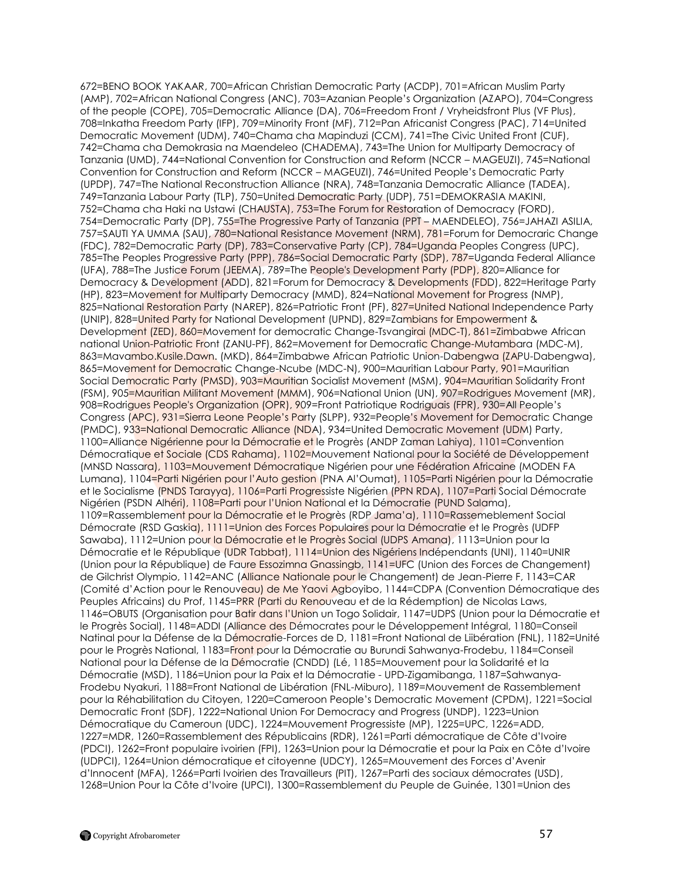672=BENO BOOK YAKAAR, 700=African Christian Democratic Party (ACDP), 701=African Muslim Party (AMP), 702=African National Congress (ANC), 703=Azanian People"s Organization (AZAPO), 704=Congress of the people (COPE), 705=Democratic Alliance (DA), 706=Freedom Front / Vryheidsfront Plus (VF Plus), 708=Inkatha Freedom Party (IFP), 709=Minority Front (MF), 712=Pan Africanist Congress (PAC), 714=United Democratic Movement (UDM), 740=Chama cha Mapinduzi (CCM), 741=The Civic United Front (CUF), 742=Chama cha Demokrasia na Maendeleo (CHADEMA), 743=The Union for Multiparty Democracy of Tanzania (UMD), 744=National Convention for Construction and Reform (NCCR – MAGEUZI), 745=National Convention for Construction and Reform (NCCR – MAGEUZI), 746=United People"s Democratic Party (UPDP), 747=The National Reconstruction Alliance (NRA), 748=Tanzania Democratic Alliance (TADEA), 749=Tanzania Labour Party (TLP), 750=United Democratic Party (UDP), 751=DEMOKRASIA MAKINI, 752=Chama cha Haki na Ustawi (CHAUSTA), 753=The Forum for Restoration of Democracy (FORD), 754=Democratic Party (DP), 755=The Progressive Party of Tanzania (PPT – MAENDELEO), 756=JAHAZI ASILIA, 757=SAUTI YA UMMA (SAU), 780=National Resistance Movement (NRM), 781=Forum for Democraric Change (FDC), 782=Democratic Party (DP), 783=Conservative Party (CP), 784=Uganda Peoples Congress (UPC), 785=The Peoples Progressive Party (PPP), 786=Social Democratic Party (SDP), 787=Uganda Federal Alliance (UFA), 788=The Justice Forum (JEEMA), 789=The People's Development Party (PDP), 820=Alliance for Democracy & Development (ADD), 821=Forum for Democracy & Developments (FDD), 822=Heritage Party (HP), 823=Movement for Multiparty Democracy (MMD), 824=National Movement for Progress (NMP), 825=National Restoration Party (NAREP), 826=Patriotic Front (PF), 827=United National Independence Party (UNIP), 828=United Party for National Development (UPND), 829=Zambians for Empowerment & Development (ZED), 860=Movement for democratic Change-Tsvangirai (MDC-T), 861=Zimbabwe African national Union-Patriotic Front (ZANU-PF), 862=Movement for Democratic Change-Mutambara (MDC-M), 863=Mavambo.Kusile.Dawn. (MKD), 864=Zimbabwe African Patriotic Union-Dabengwa (ZAPU-Dabengwa), 865=Movement for Democratic Change-Ncube (MDC-N), 900=Mauritian Labour Party, 901=Mauritian Social Democratic Party (PMSD), 903=Mauritian Socialist Movement (MSM), 904=Mauritian Solidarity Front (FSM), 905=Mauritian Militant Movement (MMM), 906=National Union (UN), 907=Rodrigues Movement (MR), 908=Rodrigues People's Organization (OPR), 909=Front Patriotique Rodriguais (FPR), 930=All People"s Congress (APC), 931=Sierra Leone People"s Party (SLPP), 932=People"s Movement for Democratic Change (PMDC), 933=National Democratic Alliance (NDA), 934=United Democratic Movement (UDM) Party, 1100=Alliance Nigérienne pour la Démocratie et le Progrès (ANDP Zaman Lahiya), 1101=Convention Démocratique et Sociale (CDS Rahama), 1102=Mouvement National pour la Société de Développement (MNSD Nassara), 1103=Mouvement Démocratique Nigérien pour une Fédération Africaine (MODEN FA Lumana), 1104=Parti Nigérien pour l"Auto gestion (PNA Al"Oumat), 1105=Parti Nigérien pour la Démocratie et le Socialisme (PNDS Tarayya), 1106=Parti Progressiste Nigérien (PPN RDA), 1107=Parti Social Démocrate Nigérien (PSDN Alhéri), 1108=Parti pour l"Union National et la Démocratie (PUND Salama), 1109=Rassemblement pour la Démocratie et le Progrès (RDP Jama"a), 1110=Rassemeblement Social Démocrate (RSD Gaskia), 1111=Union des Forces Populaires pour la Démocratie et le Progrès (UDFP Sawaba), 1112=Union pour la Démocratie et le Progrès Social (UDPS Amana), 1113=Union pour la Démocratie et le République (UDR Tabbat), 1114=Union des Nigériens Indépendants (UNI), 1140=UNIR (Union pour la République) de Faure Essozimna Gnassingb, 1141=UFC (Union des Forces de Changement) de Gilchrist Olympio, 1142=ANC (Alliance Nationale pour le Changement) de Jean-Pierre F, 1143=CAR (Comité d"Action pour le Renouveau) de Me Yaovi Agboyibo, 1144=CDPA (Convention Démocratique des Peuples Africains) du Prof, 1145=PRR (Parti du Renouveau et de la Rédemption) de Nicolas Laws, 1146=OBUTS (Organisation pour Batir dans l'Union un Togo Solidair, 1147=UDPS (Union pour la Démocratie et le Progrès Social), 1148=ADDI (Alliance des Démocrates pour le Développement Intégral, 1180=Conseil Natinal pour la Défense de la Démocratie-Forces de D, 1181=Front National de Liibération (FNL), 1182=Unité pour le Progrès National, 1183=Front pour la Démocratie au Burundi Sahwanya-Frodebu, 1184=Conseil National pour la Défense de la Démocratie (CNDD) (Lé, 1185=Mouvement pour la Solidarité et la Démocratie (MSD), 1186=Union pour la Paix et la Démocratie - UPD-Zigamibanga, 1187=Sahwanya-Frodebu Nyakuri, 1188=Front National de Libération (FNL-Miburo), 1189=Mouvement de Rassemblement pour la Réhabilitation du Citoyen, 1220=Cameroon People"s Democratic Movement (CPDM), 1221=Social Democratic Front (SDF), 1222=National Union For Democracy and Progress (UNDP), 1223=Union Démocratique du Cameroun (UDC), 1224=Mouvement Progressiste (MP), 1225=UPC, 1226=ADD, 1227=MDR, 1260=Rassemblement des Républicains (RDR), 1261=Parti démocratique de Côte d"Ivoire (PDCI), 1262=Front populaire ivoirien (FPI), 1263=Union pour la Démocratie et pour la Paix en Côte d"Ivoire (UDPCI), 1264=Union démocratique et citoyenne (UDCY), 1265=Mouvement des Forces d"Avenir d"Innocent (MFA), 1266=Parti Ivoirien des Travailleurs (PIT), 1267=Parti des sociaux démocrates (USD), 1268=Union Pour la Côte d"Ivoire (UPCI), 1300=Rassemblement du Peuple de Guinée, 1301=Union des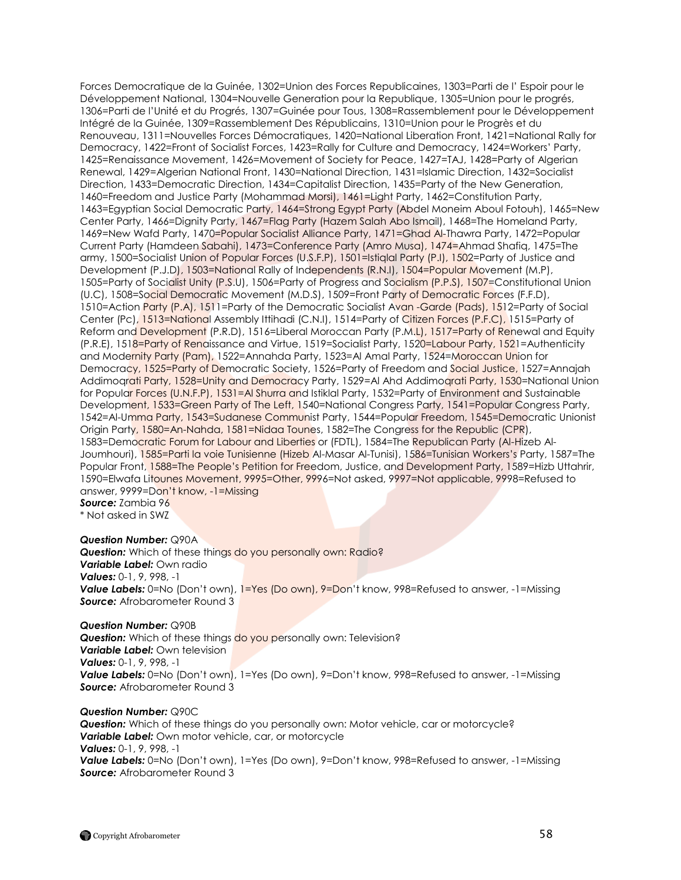Forces Democratique de la Guinée, 1302=Union des Forces Republicaines, 1303=Parti de l" Espoir pour le Développement National, 1304=Nouvelle Generation pour la Republique, 1305=Union pour le progrés, 1306=Parti de l"Unité et du Progrés, 1307=Guinée pour Tous, 1308=Rassemblement pour le Développement Intégré de la Guinée, 1309=Rassemblement Des Républicains, 1310=Union pour le Progrès et du Renouveau, 1311=Nouvelles Forces Démocratiques, 1420=National Liberation Front, 1421=National Rally for Democracy, 1422=Front of Socialist Forces, 1423=Rally for Culture and Democracy, 1424=Workers" Party, 1425=Renaissance Movement, 1426=Movement of Society for Peace, 1427=TAJ, 1428=Party of Algerian Renewal, 1429=Algerian National Front, 1430=National Direction, 1431=Islamic Direction, 1432=Socialist Direction, 1433=Democratic Direction, 1434=Capitalist Direction, 1435=Party of the New Generation, 1460=Freedom and Justice Party (Mohammad Morsi), 1461=Light Party, 1462=Constitution Party, 1463=Egyptian Social Democratic Party, 1464=Strong Egypt Party (Abdel Moneim Aboul Fotouh), 1465=New Center Party, 1466=Dignity Party, 1467=Flag Party (Hazem Salah Abo Ismail), 1468=The Homeland Party, 1469=New Wafd Party, 1470=Popular Socialist Alliance Party, 1471=Ghad Al-Thawra Party, 1472=Popular Current Party (Hamdeen Sabahi), 1473=Conference Party (Amro Musa), 1474=Ahmad Shafiq, 1475=The army, 1500=Socialist Union of Popular Forces (U.S.F.P), 1501=Istiqlal Party (P.I), 1502=Party of Justice and Development (P.J.D), 1503=National Rally of Independents (R.N.I), 1504=Popular Movement (M.P), 1505=Party of Socialist Unity (P.S.U), 1506=Party of Progress and Socialism (P.P.S), 1507=Constitutional Union (U.C), 1508=Social Democratic Movement (M.D.S), 1509=Front Party of Democratic Forces (F.F.D), 1510=Action Party (P.A), 1511=Party of the Democratic Socialist Avan -Garde (Pads), 1512=Party of Social Center (Pc), 1513=National Assembly Ittihadi (C.N.I), 1514=Party of Citizen Forces (P.F.C), 1515=Party of Reform and Development (P.R.D), 1516=Liberal Moroccan Party (P.M.L), 1517=Party of Renewal and Equity (P.R.E), 1518=Party of Renaissance and Virtue, 1519=Socialist Party, 1520=Labour Party, 1521=Authenticity and Modernity Party (Pam), 1522=Annahda Party, 1523=Al Amal Party, 1524=Moroccan Union for Democracy, 1525=Party of Democratic Society, 1526=Party of Freedom and Social Justice, 1527=Annajah Addimograti Party, 1528=Unity and Democracy Party, 1529=Al Ahd Addimograti Party, 1530=National Union for Popular Forces (U.N.F.P), 1531=Al Shurra and Istiklal Party, 1532=Party of Environment and Sustainable Development, 1533=Green Party of The Left, 1540=National Congress Party, 1541=Popular Congress Party, 1542=Al-Umma Party, 1543=Sudanese Communist Party, 1544=Popular Freedom, 1545=Democratic Unionist Origin Party, 1580=An-Nahda, 1581=Nidaa Tounes, 1582=The Congress for the Republic (CPR), 1583=Democratic Forum for Labour and Liberties or (FDTL), 1584=The Republican Party (Al-Hizeb Al-Joumhouri), 1585=Parti la voie Tunisienne (Hizeb Al-Masar Al-Tunisi), 1586=Tunisian Workers"s Party, 1587=The Popular Front, 1588=The People"s Petition for Freedom, Justice, and Development Party, 1589=Hizb Uttahrir, 1590=Elwafa Litounes Movement, 9995=Other, 9996=Not asked, 9997=Not applicable, 9998=Refused to answer, 9999=Don't know, -1=Missing *Source:* Zambia 96

\* Not asked in SWZ

## *Question Number:* Q90A

**Question:** Which of these things do you personally own: Radio? *Variable Label:* Own radio *Values:* 0-1, 9, 998, -1 **Value Labels:** 0=No (Don't own), 1=Yes (Do own), 9=Don't know, 998=Refused to answer, -1=Missing *Source:* Afrobarometer Round 3

#### *Question Number:* Q90B

**Question:** Which of these things do you personally own: Television? *Variable Label:* Own television *Values:* 0-1, 9, 998, -1 *Value Labels:* 0=No (Don"t own), 1=Yes (Do own), 9=Don"t know, 998=Refused to answer, -1=Missing *Source:* Afrobarometer Round 3

## *Question Number:* Q90C

*Question:* Which of these things do you personally own: Motor vehicle, car or motorcycle? *Variable Label:* Own motor vehicle, car, or motorcycle *Values:* 0-1, 9, 998, -1 *Value Labels:* 0=No (Don"t own), 1=Yes (Do own), 9=Don"t know, 998=Refused to answer, -1=Missing *Source:* Afrobarometer Round 3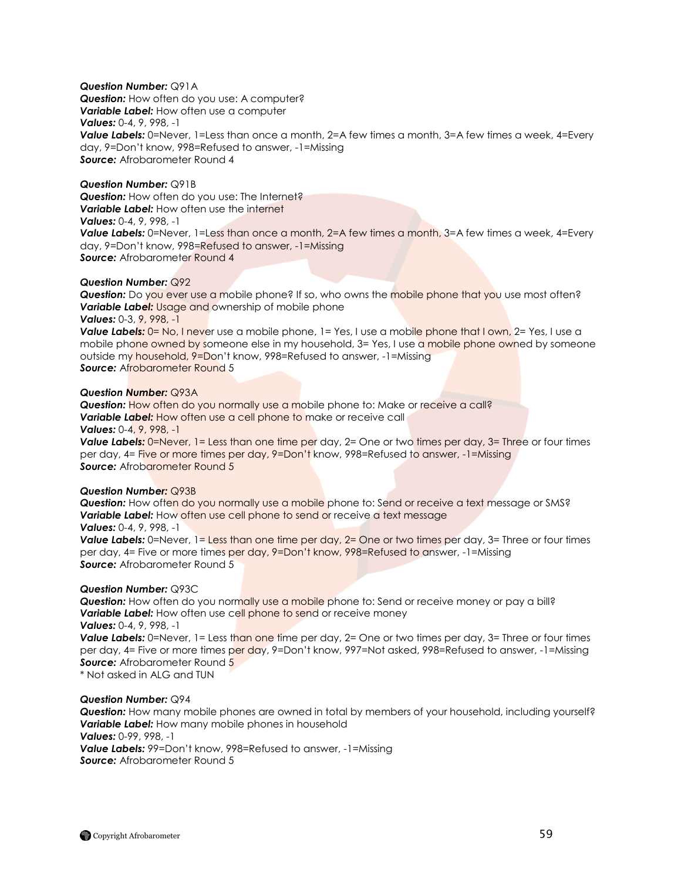## *Question Number:* Q91A

*Question:* How often do you use: A computer? *Variable Label:* How often use a computer *Values:* 0-4, 9, 998, -1 **Value Labels:** 0=Never, 1=Less than once a month, 2=A few times a month, 3=A few times a week, 4=Every day, 9=Don"t know, 998=Refused to answer, -1=Missing *Source:* Afrobarometer Round 4

## *Question Number:* Q91B

**Question:** How often do you use: The Internet? *Variable Label:* How often use the internet *Values:* 0-4, 9, 998, -1 **Value Labels:** 0=Never, 1=Less than once a month, 2=A few times a month, 3=A few times a week, 4=Every day, 9=Don"t know, 998=Refused to answer, -1=Missing **Source:** Afrobarometer Round 4

## *Question Number:* Q92

**Question:** Do you ever use a mobile phone? If so, who owns the mobile phone that you use most often? *Variable Label:* Usage and ownership of mobile phone *Values:* 0-3, 9, 998, -1

**Value Labels:** 0= No, I never use a mobile phone, 1= Yes, I use a mobile phone that I own, 2= Yes, I use a mobile phone owned by someone else in my household,  $3=$  Yes, I use a mobile phone owned by someone outside my household, 9=Don't know, 998=Refused to answer, -1=Missing *Source:* Afrobarometer Round 5

#### *Question Number:* Q93A

*Question:* How often do you normally use a mobile phone to: Make or receive a call? **Variable Label:** How often use a cell phone to make or receive call *Values:* 0-4, 9, 998, -1

**Value Labels:** 0=Never, 1= Less than one time per day, 2= One or two times per day, 3= Three or four times per day, 4= Five or more times per day, 9=Don"t know, 998=Refused to answer, -1=Missing **Source:** Afrobarometer Round 5

#### *Question Number:* Q93B

*Question:* How often do you normally use a mobile phone to: Send or receive a text message or SMS? *Variable Label:* How often use cell phone to send or receive a text message *Values:* 0-4, 9, 998, -1

**Value Labels:** 0=Never, 1= Less than one time per day, 2= One or two times per day, 3= Three or four times per day, 4= Five or more times per day, 9=Don"t know, 998=Refused to answer, -1=Missing *Source:* Afrobarometer Round 5

#### *Question Number:* Q93C

**Question:** How often do you normally use a mobile phone to: Send or receive money or pay a bill? **Variable Label:** How often use cell phone to send or receive money *Values:* 0-4, 9, 998, -1

**Value Labels:** 0=Never, 1= Less than one time per day, 2= One or two times per day, 3= Three or four times per day, 4= Five or more times per day, 9=Don't know, 997=Not asked, 998=Refused to answer, -1=Missing **Source:** Afrobarometer Round 5

\* Not asked in ALG and TUN

## *Question Number:* Q94

*Question:* How many mobile phones are owned in total by members of your household, including yourself? *Variable Label:* How many mobile phones in household *Values:* 0-99, 998, -1 *Value Labels:* 99=Don"t know, 998=Refused to answer, -1=Missing

*Source:* Afrobarometer Round 5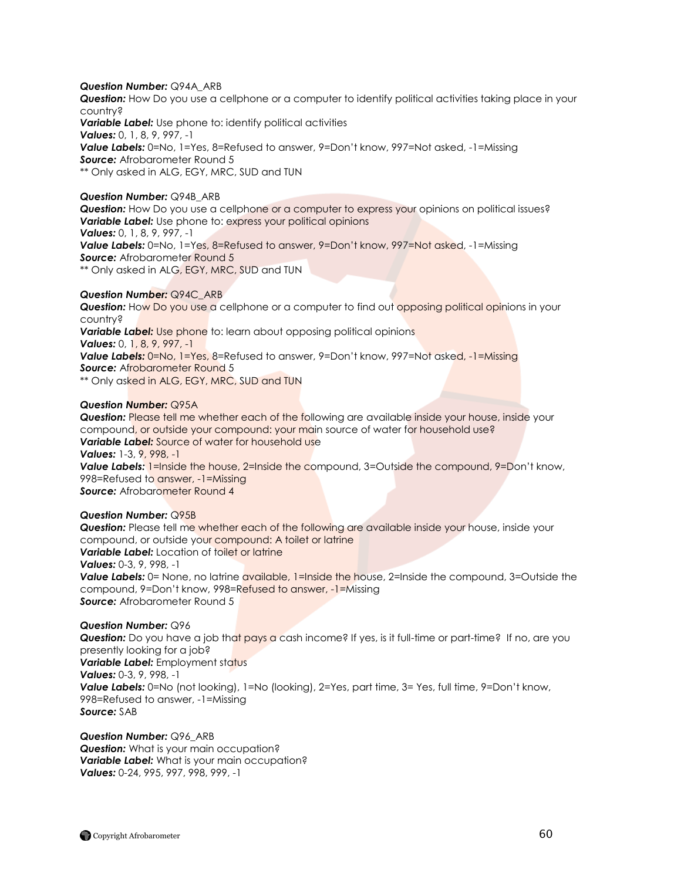## *Question Number:* Q94A\_ARB

*Question:* How Do you use a cellphone or a computer to identify political activities taking place in your country?

**Variable Label:** Use phone to: identify political activities *Values:* 0, 1, 8, 9, 997, -1 *Value Labels:* 0=No, 1=Yes, 8=Refused to answer, 9=Don"t know, 997=Not asked, -1=Missing *Source:* Afrobarometer Round 5 \*\* Only asked in ALG, EGY, MRC, SUD and TUN

#### *Question Number:* Q94B\_ARB

**Question:** How Do you use a cellphone or a computer to express your opinions on political issues? *Variable Label:* Use phone to: express your political opinions *Values:* 0, 1, 8, 9, 997, -1 *Value Labels:* 0=No, 1=Yes, 8=Refused to answer, 9=Don"t know, 997=Not asked, -1=Missing **Source:** Afrobarometer Round 5 \*\* Only asked in ALG, EGY, MRC, SUD and TUN

## *Question Number:* Q94C\_ARB

**Question:** How Do you use a cellphone or a computer to find out opposing political opinions in your country? **Variable Label:** Use phone to: learn about opposing political opinions *Values:* 0, 1, 8, 9, 997, -1 *Value Labels:* 0=No, 1=Yes, 8=Refused to answer, 9=Don"t know, 997=Not asked, -1=Missing **Source:** Afrobarometer Round 5 \*\* Only asked in ALG, EGY, MRC, SUD and TUN

#### *Question Number:* Q95A

*Question:* Please tell me whether each of the following are available inside your house, inside your compound, or outside your compound: your main source of water for household use? *Variable Label:* Source of water for household use *Values:* 1-3, 9, 998, -1 **Value Labels:** 1=Inside the house, 2=Inside the compound, 3=Outside the compound, 9=Don't know, 998=Refused to answer, -1=Missing **Source:** Afrobarometer Round 4

## *Question Number:* Q95B

*Question:* Please tell me whether each of the following are available inside your house, inside your compound, or outside your compound: A toilet or latrine **Variable Label:** Location of toilet or latrine *Values:* 0-3, 9, 998, -1 **Value Labels:** 0= None, no latrine available, 1=Inside the house, 2=Inside the compound, 3=Outside the compound, 9=Don"t know, 998=Refused to answer, -1=Missing *Source:* Afrobarometer Round 5

## *Question Number:* Q96

**Question:** Do you have a job that pays a cash income? If yes, is it full-time or part-time? If no, are you presently looking for a job? *Variable Label: Employment status Values:* 0-3, 9, 998, -1 **Value Labels:** 0=No (not looking), 1=No (looking), 2=Yes, part time, 3= Yes, full time, 9=Don't know, 998=Refused to answer, -1=Missing *Source:* SAB

*Question Number:* Q96\_ARB **Question:** What is your main occupation? *Variable Label:* What is your main occupation? *Values:* 0-24, 995, 997, 998, 999, -1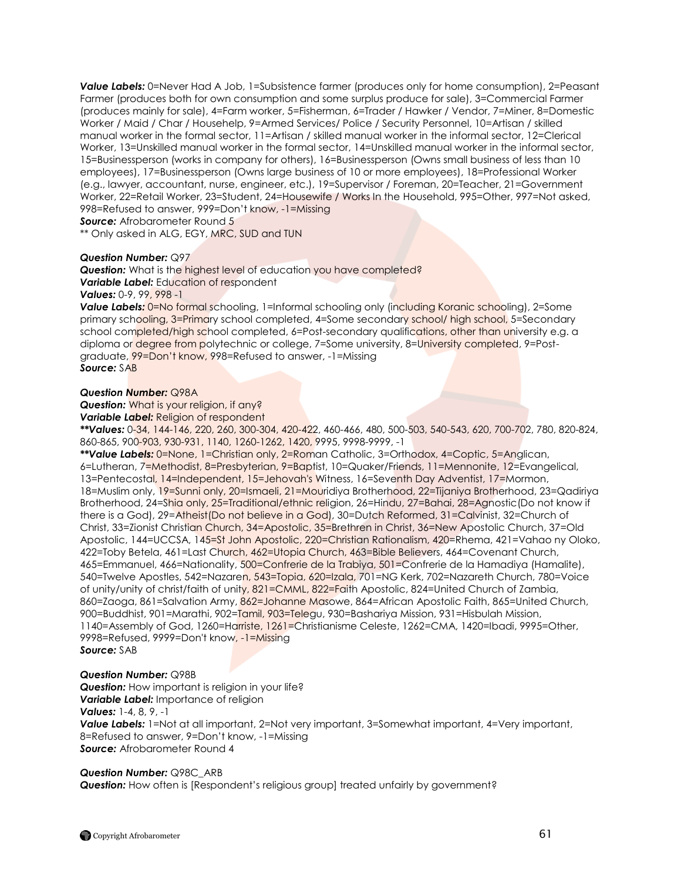**Value Labels:** 0=Never Had A Job, 1=Subsistence farmer (produces only for home consumption), 2=Peasant Farmer (produces both for own consumption and some surplus produce for sale), 3=Commercial Farmer (produces mainly for sale), 4=Farm worker, 5=Fisherman, 6=Trader / Hawker / Vendor, 7=Miner, 8=Domestic Worker / Maid / Char / Househelp, 9=Armed Services/ Police / Security Personnel, 10=Artisan / skilled manual worker in the formal sector, 11=Artisan / skilled manual worker in the informal sector, 12=Clerical Worker, 13=Unskilled manual worker in the formal sector, 14=Unskilled manual worker in the informal sector, 15=Businessperson (works in company for others), 16=Businessperson (Owns small business of less than 10 employees), 17=Businessperson (Owns large business of 10 or more employees), 18=Professional Worker (e.g., lawyer, accountant, nurse, engineer, etc.), 19=Supervisor / Foreman, 20=Teacher, 21=Government Worker, 22=Retail Worker, 23=Student, 24=Housewife / Works In the Household, 995=Other, 997=Not asked, 998=Refused to answer, 999=Don"t know, -1=Missing

**Source:** Afrobarometer Round 5

\*\* Only asked in ALG, EGY, MRC, SUD and TUN

## *Question Number:* Q97

**Question:** What is the highest level of education you have completed? *Variable Label:* Education of respondent *Values:* 0-9, 99, 998 -1

**Value Labels:** 0=No formal schooling, 1=Informal schooling only (including Koranic schooling), 2=Some primary schooling, 3=Primary school completed, 4=Some secondary school/ high school, 5=Secondary school completed/high school completed, 6=Post-secondary qualifications, other than university e.g. a diploma or degree from polytechnic or college, 7=Some university, 8=University completed, 9=Postgraduate, 99=Don"t know, 998=Refused to answer, -1=Missing *Source:* SAB

#### *Question Number:* Q98A

**Question:** What is your religion, if any?

*Variable Label:* Religion of respondent

*\*\*Values:* 0-34, 144-146, 220, 260, 300-304, 420-422, 460-466, 480, 500-503, 540-543, 620, 700-702, 780, 820-824, 860-865, 900-903, 930-931, 1140, 1260-1262, 1420, 9995, 9998-9999, -1

*\*\*Value Labels:* 0=None, 1=Christian only, 2=Roman Catholic, 3=Orthodox, 4=Coptic, 5=Anglican, 6=Lutheran, 7=Methodist, 8=Presbyterian, 9=Baptist, 10=Quaker/Friends, 11=Mennonite, 12=Evangelical, 13=Pentecostal, 14=Independent, 15=Jehovah's Witness, 16=Seventh Day Adventist, 17=Mormon, 18=Muslim only, 19=Sunni only, 20=Ismaeli, 21=Mouridiya Brotherhood, 22=Tijaniya Brotherhood, 23=Qadiriya Brotherhood, 24=Shia only, 25=Traditional/ethnic religion, 26=Hindu, 27=Bahai, 28=Agnostic(Do not know if there is a God), 29=Atheist(Do not believe in a God), 30=Dutch Reformed, 31=Calvinist, 32=Church of Christ, 33=Zionist Christian Church, 34=Apostolic, 35=Brethren in Christ, 36=New Apostolic Church, 37=Old Apostolic, 144=UCCSA, 145=St John Apostolic, 220=Christian Rationalism, 420=Rhema, 421=Vahao ny Oloko, 422=Toby Betela, 461=Last Church, 462=Utopia Church, 463=Bible Believers, 464=Covenant Church, 465=Emmanuel, 466=Nationality, 500=Confrerie de la Trabiya, 501=Confrerie de la Hamadiya (Hamalite), 540=Twelve Apostles, 542=Nazaren, 543=Topia, 620=Izala, 701=NG Kerk, 702=Nazareth Church, 780=Voice of unity/unity of christ/faith of unity, 821=CMML, 822=Faith Apostolic, 824=United Church of Zambia, 860=Zaoga, 861=Salvation Army, 862=Johanne Masowe, 864=African Apostolic Faith, 865=United Church, 900=Buddhist, 901=Marathi, 902=Tamil, 903=Telegu, 930=Bashariya Mission, 931=Hisbulah Mission, 1140=Assembly of God, 1260=Harriste, 1261=Christianisme Celeste, 1262=CMA, 1420=Ibadi, 9995=Other, 9998=Refused, 9999=Don't know, -1=Missing *Source:* SAB

## *Question Number:* Q98B

**Question:** How important is religion in your life? *Variable Label:* Importance of religion *Values:* 1-4, 8, 9, -1 *Value Labels:* 1=Not at all important, 2=Not very important, 3=Somewhat important, 4=Very important, 8=Refused to answer, 9=Don"t know, -1=Missing *Source:* Afrobarometer Round 4

## *Question Number:* Q98C\_ARB

**Question:** How often is [Respondent's religious group] treated unfairly by government?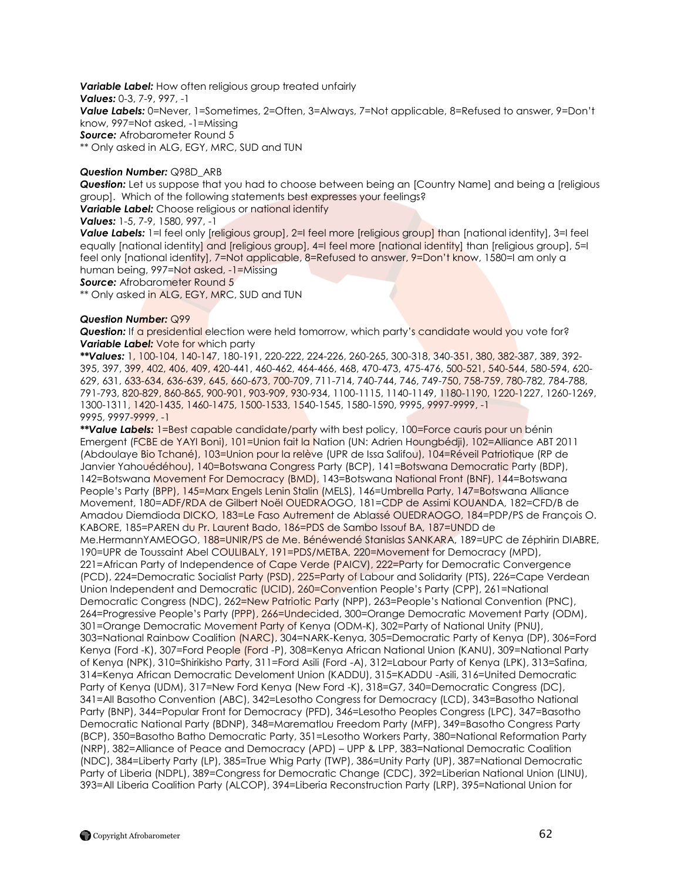*Variable Label:* How often religious group treated unfairly *Values:* 0-3, 7-9, 997, -1 *Value Labels:* 0=Never, 1=Sometimes, 2=Often, 3=Always, 7=Not applicable, 8=Refused to answer, 9=Don"t know, 997=Not asked, -1=Missing **Source:** Afrobarometer Round 5 \*\* Only asked in ALG, EGY, MRC, SUD and TUN

## *Question Number:* Q98D\_ARB

*Question:* Let us suppose that you had to choose between being an [Country Name] and being a [religious group]. Which of the following statements best expresses your feelings?

*Variable Label: Choose religious or national identify* 

*Values:* 1-5, 7-9, 1580, 997, -1

**Value Labels:** 1=I feel only [religious group], 2=I feel more [religious group] than [national identity], 3=I feel equally [national identity] and [religious group], 4=I feel more [national identity] than [religious group], 5=I feel only [national identity], 7=Not applicable, 8=Refused to answer, 9=Don't know, 1580=I am only a human being, 997=Not asked, -1=Missing

**Source:** Afrobarometer Round 5

\*\* Only asked in ALG, EGY, MRC, SUD and TUN

## *Question Number:* Q99

**Question:** If a presidential election were held tomorrow, which party's candidate would you vote for? **Variable Label:** Vote for which party

*\*\*Values:* 1, 100-104, 140-147, 180-191, 220-222, 224-226, 260-265, 300-318, 340-351, 380, 382-387, 389, 392- 395, 397, 399, 402, 406, 409, 420-441, 460-462, 464-466, 468, 470-473, 475-476, 500-521, 540-544, 580-594, 620- 629, 631, 633-634, 636-639, 645, 660-673, 700-709, 711-714, 740-744, 746, 749-750, 758-759, 780-782, 784-788, 791-793, 820-829, 860-865, 900-901, 903-909, 930-934, 1100-1115, 1140-1149, 1180-1190, 1220-1227, 1260-1269, 1300-1311, 1420-1435, 1460-1475, 1500-1533, 1540-1545, 1580-1590, 9995, 9997-9999, -1 9995, 9997-9999, -1

*\*\*Value Labels:* 1=Best capable candidate/party with best policy, 100=Force cauris pour un bénin Emergent (FCBE de YAYI Boni), 101=Union fait la Nation (UN: Adrien Houngbédji), 102=Alliance ABT 2011 (Abdoulaye Bio Tchané), 103=Union pour la relève (UPR de Issa Salifou), 104=Réveil Patriotique (RP de Janvier Yahouédéhou), 140=Botswana Congress Party (BCP), 141=Botswana Democratic Party (BDP), 142=Botswana Movement For Democracy (BMD), 143=Botswana National Front (BNF), 144=Botswana People's Party (BPP), 145=Marx Engels Lenin Stalin (MELS), 146=Umbrella Party, 147=Botswana Alliance Movement, 180=ADF/RDA de Gilbert Noël OUEDRAOGO, 181=CDP de Assimi KOUANDA, 182=CFD/B de Amadou Diemdioda DICKO, 183=Le Faso Autrement de Ablassé OUEDRAOGO, 184=PDP/PS de François O. KABORE, 185=PAREN du Pr. Laurent Bado, 186=PDS de Sambo Issouf BA, 187=UNDD de Me.HermannYAMEOGO, 188=UNIR/PS de Me. Bénéwendé Stanislas SANKARA, 189=UPC de Zéphirin DIABRE, 190=UPR de Toussaint Abel COULIBALY, 191=PDS/METBA, 220=Movement for Democracy (MPD), 221=African Party of Independence of Cape Verde (PAICV), 222=Party for Democratic Convergence (PCD), 224=Democratic Socialist Party (PSD), 225=Party of Labour and Solidarity (PTS), 226=Cape Verdean Union Independent and Democratic (UCID), 260=Convention People"s Party (CPP), 261=National Democratic Congress (NDC), 262=New Patriotic Party (NPP), 263=People's National Convention (PNC), 264=Progressive People"s Party (PPP), 266=Undecided, 300=Orange Democratic Movement Party (ODM), 301=Orange Democratic Movement Party of Kenya (ODM-K), 302=Party of National Unity (PNU), 303=National Rainbow Coalition (NARC), 304=NARK-Kenya, 305=Democratic Party of Kenya (DP), 306=Ford Kenya (Ford -K), 307=Ford People (Ford -P), 308=Kenya African National Union (KANU), 309=National Party of Kenya (NPK), 310=Shirikisho Party, 311=Ford Asili (Ford -A), 312=Labour Party of Kenya (LPK), 313=Safina, 314=Kenya African Democratic Develoment Union (KADDU), 315=KADDU -Asili, 316=United Democratic Party of Kenya (UDM), 317=New Ford Kenya (New Ford -K), 318=G7, 340=Democratic Congress (DC), 341=All Basotho Convention (ABC), 342=Lesotho Congress for Democracy (LCD), 343=Basotho National Party (BNP), 344=Popular Front for Democracy (PFD), 346=Lesotho Peoples Congress (LPC), 347=Basotho Democratic National Party (BDNP), 348=Marematlou Freedom Party (MFP), 349=Basotho Congress Party (BCP), 350=Basotho Batho Democratic Party, 351=Lesotho Workers Party, 380=National Reformation Party (NRP), 382=Alliance of Peace and Democracy (APD) – UPP & LPP, 383=National Democratic Coalition (NDC), 384=Liberty Party (LP), 385=True Whig Party (TWP), 386=Unity Party (UP), 387=National Democratic Party of Liberia (NDPL), 389=Congress for Democratic Change (CDC), 392=Liberian National Union (LINU), 393=All Liberia Coalition Party (ALCOP), 394=Liberia Reconstruction Party (LRP), 395=National Union for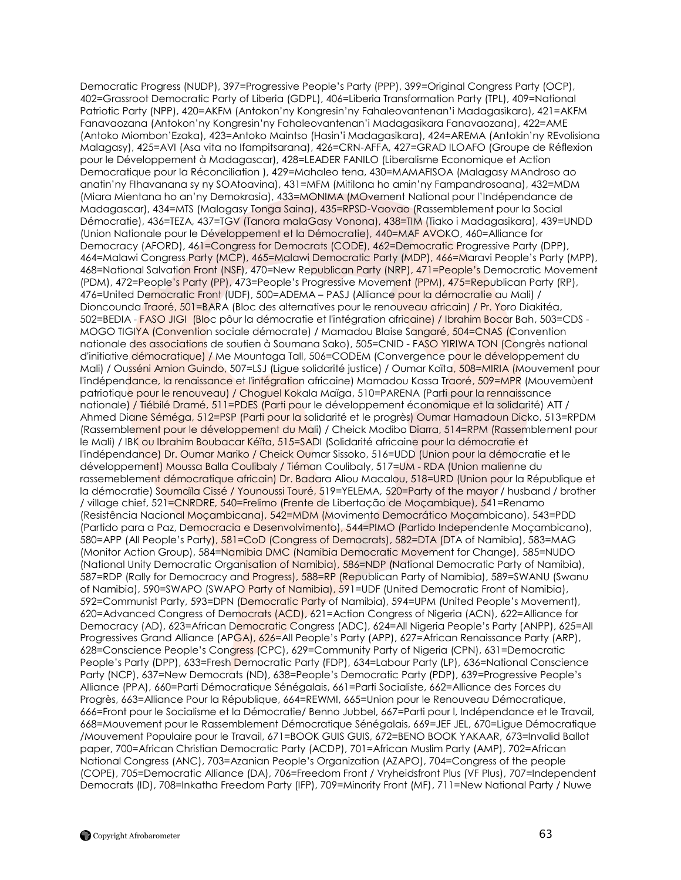Democratic Progress (NUDP), 397=Progressive People"s Party (PPP), 399=Original Congress Party (OCP), 402=Grassroot Democratic Party of Liberia (GDPL), 406=Liberia Transformation Party (TPL), 409=National Patriotic Party (NPP), 420=AKFM (Antokon"ny Kongresin"ny Fahaleovantenan"i Madagasikara), 421=AKFM Fanavaozana (Antokon"ny Kongresin"ny Fahaleovantenan"i Madagasikara Fanavaozana), 422=AME (Antoko Miombon"Ezaka), 423=Antoko Maintso (Hasin"i Madagasikara), 424=AREMA (Antokin"ny REvolisiona Malagasy), 425=AVI (Asa vita no Ifampitsarana), 426=CRN-AFFA, 427=GRAD ILOAFO (Groupe de Réflexion pour le Développement à Madagascar), 428=LEADER FANILO (Liberalisme Economique et Action Democratique pour la Réconciliation ), 429=Mahaleo tena, 430=MAMAFISOA (Malagasy MAndroso ao anatin"ny FIhavanana sy ny SOAtoavina), 431=MFM (Mitilona ho amin"ny Fampandrosoana), 432=MDM (Miara Mientana ho an"ny Demokrasia), 433=MONIMA (MOvement National pour l"Indépendance de Madagascar), 434=MTS (Malagasy Tonga Saina), 435=RPSD-Vaovao (Rassemblement pour la Social Démocratie), 436=TEZA, 437=TGV (Tanora malaGasy Vonona), 438=TIM (Tiako i Madagasikara), 439=UNDD (Union Nationale pour le Développement et la Démocratie), 440=MAF AVOKO, 460=Alliance for Democracy (AFORD), 461=Congress for Democrats (CODE), 462=Democratic Progressive Party (DPP), 464=Malawi Congress Party (MCP), 465=Malawi Democratic Party (MDP), 466=Maravi People"s Party (MPP), 468=National Salvation Front (NSF), 470=New Republican Party (NRP), 471=People"s Democratic Movement (PDM), 472=People"s Party (PP), 473=People"s Progressive Movement (PPM), 475=Republican Party (RP), 476=United Democratic Front (UDF), 500=ADEMA – PASJ (Alliance pour la démocratie au Mali) / Dioncounda Traoré, 501=BARA (Bloc des alternatives pour le renouveau africain) / Pr. Yoro Diakitéa, 502=BEDIA - FASO JIGI (Bloc pôur la démocratie et l'intégration africaine) / Ibrahim Bocar Bah, 503=CDS - MOGO TIGIYA (Convention sociale démocrate) / Mamadou Blaise Sangaré, 504=CNAS (Convention nationale des associations de soutien à Soumana Sako), 505=CNID - FASO YIRIWA TON (Congrès national d'initiative démocratique) / Me Mountaga Tall, 506=CODEM (Convergence pour le développement du Mali) / Ousséni Amion Guindo, 507=LSJ (Ligue solidarité justice) / Oumar Koïta, 508=MIRIA (Mouvement pour l'indépendance, la renaissance et l'intégration africaine) Mamadou Kassa Traoré, 509=MPR (Mouvemùent patriotique pour le renouveau) / Choguel Kokala Maïga, 510=PARENA (Parti pour la rennaissance nationale) / Tiébilé Dramé, 511=PDES (Parti pour le développement économique et la solidarité) ATT / Ahmed Diane Séméga, 512=PSP (Parti pour la solidarité et le progrès) Oumar Hamadoun Dicko, 513=RPDM (Rassemblement pour le développement du Mali) / Cheick Modibo Diarra, 514=RPM (Rassemblement pour le Mali) / IBK ou Ibrahim Boubacar Kéïta, 515=SADI (Solidarité africaine pour la démocratie et l'indépendance) Dr. Oumar Mariko / Cheick Oumar Sissoko, 516=UDD (Union pour la démocratie et le développement) Moussa Balla Coulibaly / Tiéman Coulibaly, 517=UM - RDA (Union malienne du rassemeblement démocratique africain) Dr. Badara Aliou Macalou, 518=URD (Union pour la République et la démocratie) Soumaïla Cissé / Younoussi Touré, 519=YELEMA, 520=Party of the mayor / husband / brother / village chief, 521=CNRDRE, 540=Frelimo (Frente de Libertação de Moçambique), 541=Renamo (Resistência Nacional Moçambicana), 542=MDM (Movimento Democrático Moçambicano), 543=PDD (Partido para a Paz, Democracia e Desenvolvimento), 544=PIMO (Partido Independente Moçambicano), 580=APP (All People"s Party), 581=CoD (Congress of Democrats), 582=DTA (DTA of Namibia), 583=MAG (Monitor Action Group), 584=Namibia DMC (Namibia Democratic Movement for Change), 585=NUDO (National Unity Democratic Organisation of Namibia), 586=NDP (National Democratic Party of Namibia), 587=RDP (Rally for Democracy and Progress), 588=RP (Republican Party of Namibia), 589=SWANU (Swanu of Namibia), 590=SWAPO (SWAPO Party of Namibia), 591=UDF (United Democratic Front of Namibia), 592=Communist Party, 593=DPN (Democratic Party of Namibia), 594=UPM (United People"s Movement), 620=Advanced Congress of Democrats (ACD), 621=Action Congress of Nigeria (ACN), 622=Alliance for Democracy (AD), 623=African Democratic Congress (ADC), 624=All Nigeria People's Party (ANPP), 625=All Progressives Grand Alliance (APGA), 626=All People's Party (APP), 627=African Renaissance Party (ARP), 628=Conscience People"s Congress (CPC), 629=Community Party of Nigeria (CPN), 631=Democratic People's Party (DPP), 633=Fresh Democratic Party (FDP), 634=Labour Party (LP), 636=National Conscience Party (NCP), 637=New Democrats (ND), 638=People"s Democratic Party (PDP), 639=Progressive People"s Alliance (PPA), 660=Parti Démocratique Sénégalais, 661=Parti Socialiste, 662=Alliance des Forces du Progrès, 663=Alliance Pour la République, 664=REWMI, 665=Union pour le Renouveau Démocratique, 666=Front pour le Socialisme et la Démocratie/ Benno Jubbel, 667=Parti pour l, Indépendance et le Travail, 668=Mouvement pour le Rassemblement Démocratique Sénégalais, 669=JEF JEL, 670=Ligue Démocratique /Mouvement Populaire pour le Travail, 671=BOOK GUIS GUIS, 672=BENO BOOK YAKAAR, 673=Invalid Ballot paper, 700=African Christian Democratic Party (ACDP), 701=African Muslim Party (AMP), 702=African National Congress (ANC), 703=Azanian People"s Organization (AZAPO), 704=Congress of the people (COPE), 705=Democratic Alliance (DA), 706=Freedom Front / Vryheidsfront Plus (VF Plus), 707=Independent Democrats (ID), 708=Inkatha Freedom Party (IFP), 709=Minority Front (MF), 711=New National Party / Nuwe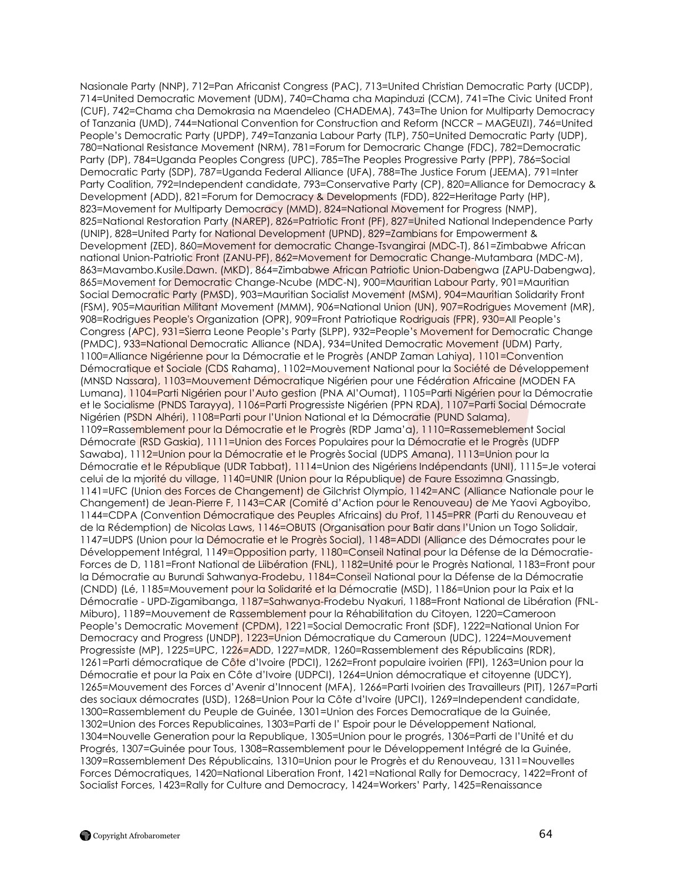Nasionale Party (NNP), 712=Pan Africanist Congress (PAC), 713=United Christian Democratic Party (UCDP), 714=United Democratic Movement (UDM), 740=Chama cha Mapinduzi (CCM), 741=The Civic United Front (CUF), 742=Chama cha Demokrasia na Maendeleo (CHADEMA), 743=The Union for Multiparty Democracy of Tanzania (UMD), 744=National Convention for Construction and Reform (NCCR – MAGEUZI), 746=United People"s Democratic Party (UPDP), 749=Tanzania Labour Party (TLP), 750=United Democratic Party (UDP), 780=National Resistance Movement (NRM), 781=Forum for Democraric Change (FDC), 782=Democratic Party (DP), 784=Uganda Peoples Congress (UPC), 785=The Peoples Progressive Party (PPP), 786=Social Democratic Party (SDP), 787=Uganda Federal Alliance (UFA), 788=The Justice Forum (JEEMA), 791=Inter Party Coalition, 792=Independent candidate, 793=Conservative Party (CP), 820=Alliance for Democracy & Development (ADD), 821=Forum for Democracy & Developments (FDD), 822=Heritage Party (HP), 823=Movement for Multiparty Democracy (MMD), 824=National Movement for Progress (NMP), 825=National Restoration Party (NAREP), 826=Patriotic Front (PF), 827=United National Independence Party (UNIP), 828=United Party for National Development (UPND), 829=Zambians for Empowerment & Development (ZED), 860=Movement for democratic Change-Tsvangirai (MDC-T), 861=Zimbabwe African national Union-Patriotic Front (ZANU-PF), 862=Movement for Democratic Change-Mutambara (MDC-M), 863=Mavambo.Kusile.Dawn. (MKD), 864=Zimbabwe African Patriotic Union-Dabengwa (ZAPU-Dabengwa), 865=Movement for Democratic Change-Ncube (MDC-N), 900=Mauritian Labour Party, 901=Mauritian Social Democratic Party (PMSD), 903=Mauritian Socialist Movement (MSM), 904=Mauritian Solidarity Front (FSM), 905=Mauritian Militant Movement (MMM), 906=National Union (UN), 907=Rodrigues Movement (MR), 908=Rodrigues People's Organization (OPR), 909=Front Patriotique Rodriguais (FPR), 930=All People"s Congress (APC), 931=Sierra Leone People"s Party (SLPP), 932=People"s Movement for Democratic Change (PMDC), 933=National Democratic Alliance (NDA), 934=United Democratic Movement (UDM) Party, 1100=Alliance Nigérienne pour la Démocratie et le Progrès (ANDP Zaman Lahiya), 1101=Convention Démocratique et Sociale (CDS Rahama), 1102=Mouvement National pour la Société de Développement (MNSD Nassara), 1103=Mouvement Démocratique Nigérien pour une Fédération Africaine (MODEN FA Lumana), 1104=Parti Nigérien pour l"Auto gestion (PNA Al"Oumat), 1105=Parti Nigérien pour la Démocratie et le Socialisme (PNDS Tarayya), 1106=Parti Progressiste Nigérien (PPN RDA), 1107=Parti Social Démocrate Nigérien (PSDN Alhéri), 1108=Parti pour l"Union National et la Démocratie (PUND Salama), 1109=Rassemblement pour la Démocratie et le Progrès (RDP Jama"a), 1110=Rassemeblement Social Démocrate (RSD Gaskia), 1111=Union des Forces Populaires pour la Démocratie et le Progrès (UDFP Sawaba), 1112=Union pour la Démocratie et le Progrès Social (UDPS Amana), 1113=Union pour la Démocratie et le République (UDR Tabbat), 1114=Union des Nigériens Indépendants (UNI), 1115=Je voterai celui de la mjorité du village, 1140=UNIR (Union pour la République) de Faure Essozimna Gnassingb, 1141=UFC (Union des Forces de Changement) de Gilchrist Olympio, 1142=ANC (Alliance Nationale pour le Changement) de Jean-Pierre F, 1143=CAR (Comité d"Action pour le Renouveau) de Me Yaovi Agboyibo, 1144=CDPA (Convention Démocratique des Peuples Africains) du Prof, 1145=PRR (Parti du Renouveau et de la Rédemption) de Nicolas Laws, 1146=OBUTS (Organisation pour Batir dans l"Union un Togo Solidair, 1147=UDPS (Union pour la Démocratie et le Progrès Social), 1148=ADDI (Alliance des Démocrates pour le Développement Intégral, 1149=Opposition party, 1180=Conseil Natinal pour la Défense de la Démocratie-Forces de D, 1181=Front National de Liibération (FNL), 1182=Unité pour le Progrès National, 1183=Front pour la Démocratie au Burundi Sahwanya-Frodebu, 1184=Conseil National pour la Défense de la Démocratie (CNDD) (Lé, 1185=Mouvement pour la Solidarité et la Démocratie (MSD), 1186=Union pour la Paix et la Démocratie - UPD-Zigamibanga, 1187=Sahwanya-Frodebu Nyakuri, 1188=Front National de Libération (FNL-Miburo), 1189=Mouvement de Rassemblement pour la Réhabilitation du Citoyen, 1220=Cameroon People's Democratic Movement (CPDM), 1221=Social Democratic Front (SDF), 1222=National Union For Democracy and Progress (UNDP), 1223=Union Démocratique du Cameroun (UDC), 1224=Mouvement Progressiste (MP), 1225=UPC, 1226=ADD, 1227=MDR, 1260=Rassemblement des Républicains (RDR), 1261=Parti démocratique de Côte d"Ivoire (PDCI), 1262=Front populaire ivoirien (FPI), 1263=Union pour la Démocratie et pour la Paix en Côte d"Ivoire (UDPCI), 1264=Union démocratique et citoyenne (UDCY), 1265=Mouvement des Forces d"Avenir d"Innocent (MFA), 1266=Parti Ivoirien des Travailleurs (PIT), 1267=Parti des sociaux démocrates (USD), 1268=Union Pour la Côte d"Ivoire (UPCI), 1269=Independent candidate, 1300=Rassemblement du Peuple de Guinée, 1301=Union des Forces Democratique de la Guinée, 1302=Union des Forces Republicaines, 1303=Parti de l" Espoir pour le Développement National, 1304=Nouvelle Generation pour la Republique, 1305=Union pour le progrés, 1306=Parti de l"Unité et du Progrés, 1307=Guinée pour Tous, 1308=Rassemblement pour le Développement Intégré de la Guinée, 1309=Rassemblement Des Républicains, 1310=Union pour le Progrès et du Renouveau, 1311=Nouvelles Forces Démocratiques, 1420=National Liberation Front, 1421=National Rally for Democracy, 1422=Front of Socialist Forces, 1423=Rally for Culture and Democracy, 1424=Workers" Party, 1425=Renaissance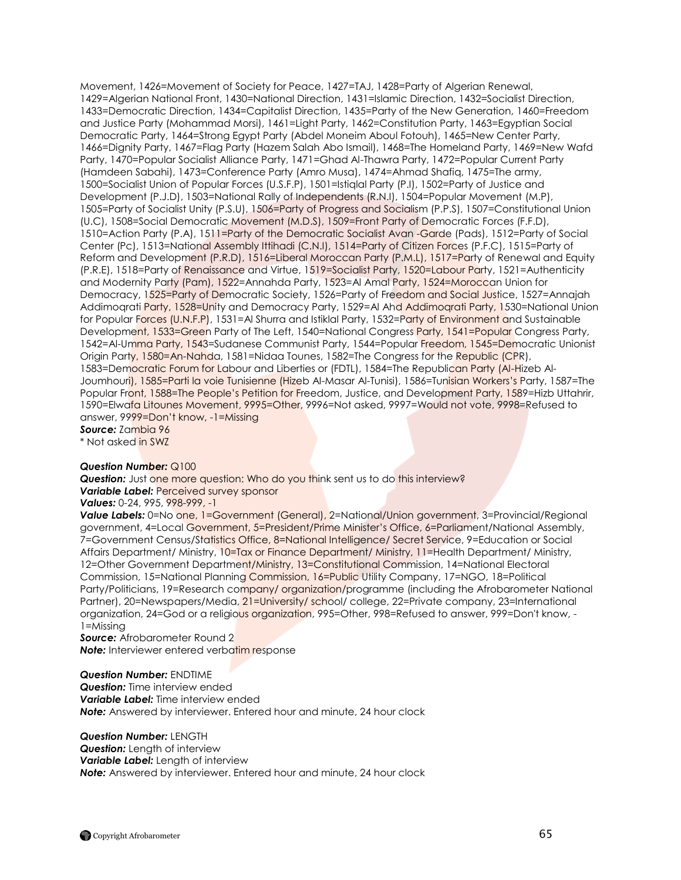Movement, 1426=Movement of Society for Peace, 1427=TAJ, 1428=Party of Algerian Renewal, 1429=Algerian National Front, 1430=National Direction, 1431=Islamic Direction, 1432=Socialist Direction, 1433=Democratic Direction, 1434=Capitalist Direction, 1435=Party of the New Generation, 1460=Freedom and Justice Party (Mohammad Morsi), 1461=Light Party, 1462=Constitution Party, 1463=Egyptian Social Democratic Party, 1464=Strong Egypt Party (Abdel Moneim Aboul Fotouh), 1465=New Center Party, 1466=Dignity Party, 1467=Flag Party (Hazem Salah Abo Ismail), 1468=The Homeland Party, 1469=New Wafd Party, 1470=Popular Socialist Alliance Party, 1471=Ghad Al-Thawra Party, 1472=Popular Current Party (Hamdeen Sabahi), 1473=Conference Party (Amro Musa), 1474=Ahmad Shafiq, 1475=The army, 1500=Socialist Union of Popular Forces (U.S.F.P), 1501=Istiqlal Party (P.I), 1502=Party of Justice and Development (P.J.D), 1503=National Rally of Independents (R.N.I), 1504=Popular Movement (M.P), 1505=Party of Socialist Unity (P.S.U), 1506=Party of Progress and Socialism (P.P.S), 1507=Constitutional Union (U.C), 1508=Social Democratic Movement (M.D.S), 1509=Front Party of Democratic Forces (F.F.D), 1510=Action Party (P.A), 1511=Party of the Democratic Socialist Avan -Garde (Pads), 1512=Party of Social Center (Pc), 1513=National Assembly Ittihadi (C.N.I), 1514=Party of Citizen Forces (P.F.C), 1515=Party of Reform and Development (P.R.D), 1516=Liberal Moroccan Party (P.M.L), 1517=Party of Renewal and Equity (P.R.E), 1518=Party of Renaissance and Virtue, 1519=Socialist Party, 1520=Labour Party, 1521=Authenticity and Modernity Party (Pam), 1522=Annahda Party, 1523=Al Amal Party, 1524=Moroccan Union for Democracy, 1525=Party of Democratic Society, 1526=Party of Freedom and Social Justice, 1527=Annajah Addimoqrati Party, 1528=Unity and Democracy Party, 1529=Al Ahd Addimoqrati Party, 1530=National Union for Popular Forces (U.N.F.P), 1531=Al Shurra and Istiklal Party, 1532=Party of Environment and Sustainable Development, 1533=Green Party of The Left, 1540=National Congress Party, 1541=Popular Congress Party, 1542=Al-Umma Party, 1543=Sudanese Communist Party, 1544=Popular Freedom, 1545=Democratic Unionist Origin Party, 1580=An-Nahda, 1581=Nidaa Tounes, 1582=The Congress for the Republic (CPR), 1583=Democratic Forum for Labour and Liberties or (FDTL), 1584=The Republican Party (Al-Hizeb Al-Joumhouri), 1585=Parti la voie Tunisienne (Hizeb Al-Masar Al-Tunisi), 1586=Tunisian Workers's Party, 1587=The Popular Front, 1588=The People"s Petition for Freedom, Justice, and Development Party, 1589=Hizb Uttahrir, 1590=Elwafa Litounes Movement, 9995=Other, 9996=Not asked, 9997=Would not vote, 9998=Refused to answer, 9999=Don"t know, -1=Missing

*Source:* Zambia 96 \* Not asked in SWZ

# *Question Number:* Q100

**Question:** Just one more question: Who do you think sent us to do this interview? *Variable Label:* Perceived survey sponsor

*Values:* 0-24, 995, 998-999, -1

**Value Labels:** 0=No one, 1=Government (General), 2=National/Union government, 3=Provincial/Regional government, 4=Local Government, 5=President/Prime Minister's Office, 6=Parliament/National Assembly, 7=Government Census/Statistics Office, 8=National Intelligence/ Secret Service, 9=Education or Social Affairs Department/ Ministry, 10=Tax or Finance Department/ Ministry, 11=Health Department/ Ministry, 12=Other Government Department/Ministry, 13=Constitutional Commission, 14=National Electoral Commission, 15=National Planning Commission, 16=Public Utility Company, 17=NGO, 18=Political Party/Politicians, 19=Research company/ organization/programme (including the Afrobarometer National Partner), 20=Newspapers/Media, 21=University/ school/ college, 22=Private company, 23=International organization, 24=God or a religious organization, 995=Other, 998=Refused to answer, 999=Don't know, - 1=Missing

*Source:* Afrobarometer Round 2 **Note:** Interviewer entered verbatim response

## *Question Number:* ENDTIME

**Question:** Time interview ended *Variable Label:* Time interview ended *Note:* Answered by interviewer. Entered hour and minute, 24 hour clock

## *Question Number:* LENGTH

*Question:* Length of interview *Variable Label:* Length of interview **Note:** Answered by interviewer. Entered hour and minute, 24 hour clock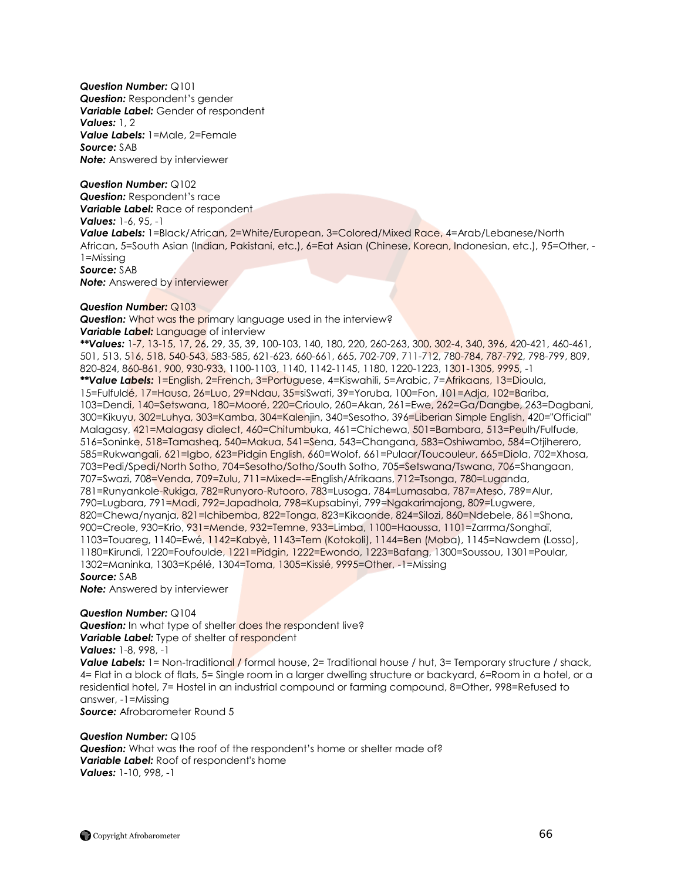*Question Number:* Q101 **Question:** Respondent's gender *Variable Label:* Gender of respondent *Values:* 1, 2 *Value Labels:* 1=Male, 2=Female *Source:* SAB *Note:* Answered by interviewer

*Question Number:* Q102 *Question:* Respondent"s race *Variable Label:* Race of respondent *Values:* 1-6, 95, -1 *Value Labels:* 1=Black/African, 2=White/European, 3=Colored/Mixed Race, 4=Arab/Lebanese/North African, 5=South Asian (Indian, Pakistani, etc.), 6=Eat Asian (Chinese, Korean, Indonesian, etc.), 95=Other, - 1=Missing *Source:* SAB **Note:** Answered by interviewer

## *Question Number:* Q103

*Question:* What was the primary language used in the interview? **Variable Label:** Language of interview

*\*\*Values:* 1-7, 13-15, 17, 26, 29, 35, 39, 100-103, 140, 180, 220, 260-263, 300, 302-4, 340, 396, 420-421, 460-461, 501, 513, 516, 518, 540-543, 583-585, 621-623, 660-661, 665, 702-709, 711-712, 780-784, 787-792, 798-799, 809, 820-824, 860-861, 900, 930-933, 1100-1103, 1140, 1142-1145, 1180, 1220-1223, 1301-1305, 9995, -1 *\*\*Value Labels:* 1=English, 2=French, 3=Portuguese, 4=Kiswahili, 5=Arabic, 7=Afrikaans, 13=Dioula, 15=Fulfuldé, 17=Hausa, 26=Luo, 29=Ndau, 35=siSwati, 39=Yoruba, 100=Fon, 101=Adja, 102=Bariba, 103=Dendi, 140=Setswana, 180=Mooré, 220=Crioulo, 260=Akan, 261=Ewe, 262=Ga/Dangbe, 263=Dagbani, 300=Kikuyu, 302=Luhya, 303=Kamba, 304=Kalenjin, 340=Sesotho, 396=Liberian Simple English, 420="Official" Malagasy, 421=Malagasy dialect, 460=Chitumbuka, 461=Chichewa, 501=Bambara, 513=Peulh/Fulfude, 516=Soninke, 518=Tamasheq, 540=Makua, 541=Sena, 543=Changana, 583=Oshiwambo, 584=Otjiherero, 585=Rukwangali, 621=Igbo, 623=Pidgin English, 660=Wolof, 661=Pulaar/Toucouleur, 665=Diola, 702=Xhosa, 703=Pedi/Spedi/North Sotho, 704=Sesotho/Sotho/South Sotho, 705=Setswana/Tswana, 706=Shangaan, 707=Swazi, 708=Venda, 709=Zulu, 711=Mixed=-=English/Afrikaans, 712=Tsonga, 780=Luganda, 781=Runyankole-Rukiga, 782=Runyoro-Rutooro, 783=Lusoga, 784=Lumasaba, 787=Ateso, 789=Alur, 790=Lugbara, 791=Madi, 792=Japadhola, 798=Kupsabinyi, 799=Ngakarimajong, 809=Lugwere, 820=Chewa/nyanja, 821=Ichibemba, 822=Tonga, 823=Kikaonde, 824=Silozi, 860=Ndebele, 861=Shona, 900=Creole, 930=Krio, 931=Mende, 932=Temne, 933=Limba, 1100=Haoussa, 1101=Zarrma/Songhaï, 1103=Touareg, 1140=Ewé, 1142=Kabyè, 1143=Tem (Kotokoli), 1144=Ben (Moba), 1145=Nawdem (Losso), 1180=Kirundi, 1220=Foufoulde, 1221=Pidgin, 1222=Ewondo, 1223=Bafang, 1300=Soussou, 1301=Poular, 1302=Maninka, 1303=Kpélé, 1304=Toma, 1305=Kissié, 9995=Other, -1=Missing *Source:* SAB

*Note:* Answered by interviewer

#### *Question Number:* Q104

**Question:** In what type of shelter **does** the respondent live? **Variable Label:** Type of shelter of respondent

*Values:* 1-8, 998, -1

**Value Labels:** 1= Non-traditional / formal house, 2= Traditional house / hut, 3= Temporary structure / shack, 4= Flat in a block of flats, 5= Single room in a larger dwelling structure or backyard, 6=Room in a hotel, or a residential hotel, 7= Hostel in an industrial compound or farming compound, 8=Other, 998=Refused to answer, -1=Missing *Source:* Afrobarometer Round 5

*Question Number:* Q105 *Question:* What was the roof of the respondent"s home or shelter made of? *Variable Label:* Roof of respondent's home *Values:* 1-10, 998, -1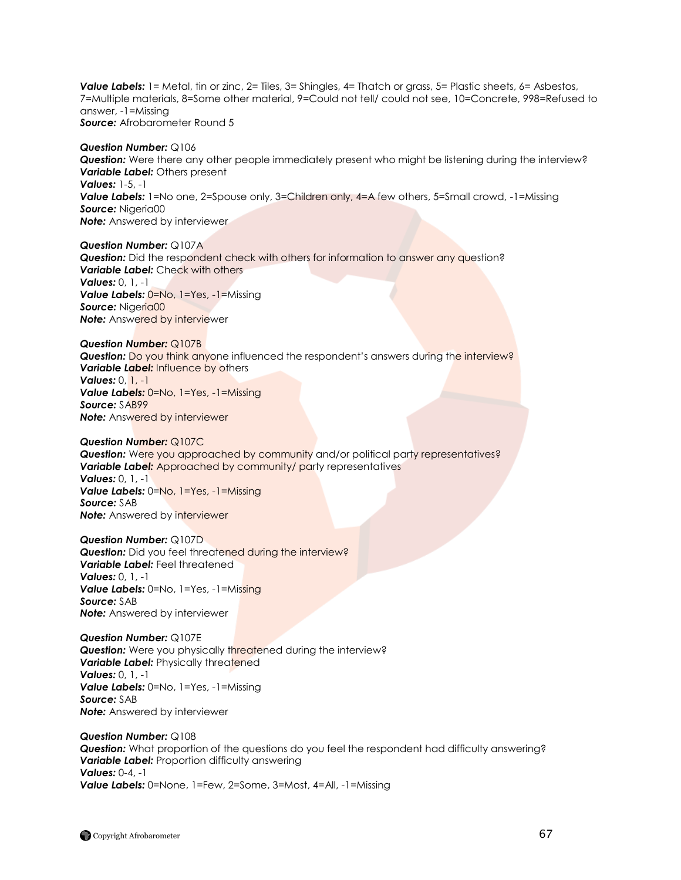*Value Labels:* 1= Metal, tin or zinc, 2= Tiles, 3= Shingles, 4= Thatch or grass, 5= Plastic sheets, 6= Asbestos, 7=Multiple materials, 8=Some other material, 9=Could not tell/ could not see, 10=Concrete, 998=Refused to answer, -1=Missing *Source:* Afrobarometer Round 5

*Question Number:* Q106 *Question:* Were there any other people immediately present who might be listening during the interview? *Variable Label:* Others present *Values:* 1-5, -1 **Value Labels:** 1=No one, 2=Spouse only, 3=Children only, 4=A few others, 5=Small crowd, -1=Missing *Source:* Nigeria00 **Note:** Answered by interviewer

*Question Number:* Q107A **Question:** Did the respondent check with others for information to answer any question? *Variable Label:* Check with others *Values:* 0, 1, -1 **Value Labels: 0=No, 1=Yes, -1=Missing** Source: Nigeria00 **Note:** Answered by interviewer

*Question Number:* Q107B **Question:** Do you think anyone influenced the respondent's answers during the interview? *Variable Label:* Influence by others *Values:* 0, 1, -1 *Value Labels:* 0=No, 1=Yes, -1=Missing *Source:* SAB99 *Note:* Answered by interviewer

*Question Number:* Q107C *Question:* Were you approached by community and/or political party representatives? **Variable Label:** Approached by community/ party representatives *Values:* 0, 1, -1 *Value Labels:* 0=No, 1=Yes, -1=Missing *Source:* SAB **Note:** Answered by interviewer

*Question Number:* Q107D **Question:** Did you feel threatened during the interview? *Variable Label:* Feel threatened *Values:* 0, 1, -1 *Value Labels:* 0=No, 1=Yes, -1=Missing *Source:* SAB *Note:* Answered by interviewer

*Question Number:* Q107E *Question:* Were you physically threatened during the interview? **Variable Label:** Physically threatened *Values:* 0, 1, -1 *Value Labels:* 0=No, 1=Yes, -1=Missing *Source:* SAB *Note:* Answered by interviewer

*Question Number:* Q108 **Question:** What proportion of the questions do you feel the respondent had difficulty answering? **Variable Label:** Proportion difficulty answering *Values:* 0-4, -1 *Value Labels:* 0=None, 1=Few, 2=Some, 3=Most, 4=All, -1=Missing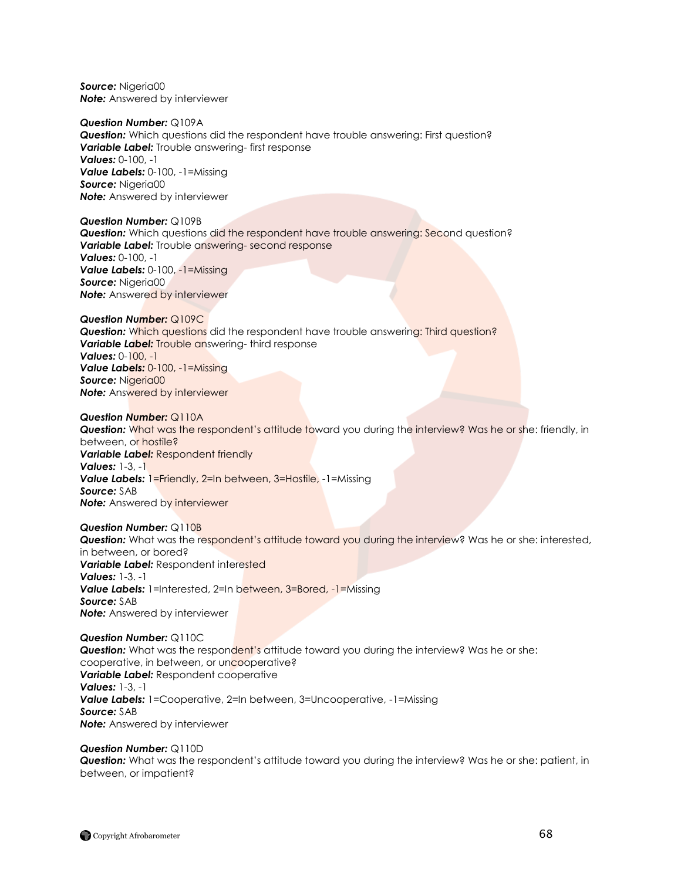*Source:* Nigeria00 *Note:* Answered by interviewer

*Question Number:* Q109A *Question:* Which questions did the respondent have trouble answering: First question? *Variable Label:* Trouble answering- first response *Values:* 0-100, -1 *Value Labels:* 0-100, -1=Missing *Source:* Nigeria00 *Note:* Answered by interviewer

*Question Number:* Q109B *Question:* Which questions did the respondent have trouble answering: Second question? *Variable Label:* Trouble answering- second response *Values:* 0-100, -1 *Value Labels:* 0-100, -1=Missing *Source:* Nigeria00 **Note:** Answered by interviewer

*Question Number:* Q109C *Question:* Which questions did the respondent have trouble answering: Third question? **Variable Label:** Trouble answering- third response *Values:* 0-100, -1 *Value Labels:* 0-100, -1=Missing Source: Nigeria00 **Note:** Answered by interviewer

*Question Number:* Q110A *Question:* What was the respondent"s attitude toward you during the interview? Was he or she: friendly, in between, or hostile? *Variable Label:* Respondent friendly *Values:* 1-3, -1 **Value Labels:** 1=Friendly, 2=In between, 3=Hostile, -1=Missing *Source:* SAB **Note:** Answered by interviewer

*Question Number:* Q110B **Question:** What was the respondent's attitude toward you during the interview? Was he or she: interested, in between, or bored? **Variable Label:** Respondent interested *Values:* 1-3. -1 **Value Labels:** 1=Interested, 2=In between, 3=Bored, -1=Missing *Source:* SAB *Note:* Answered by interviewer

*Question Number:* Q110C **Question:** What was the respondent's attitude toward you during the interview? Was he or she: cooperative, in between, or uncooperative? *Variable Label:* Respondent cooperative *Values:* 1-3, -1 *Value Labels:* 1=Cooperative, 2=In between, 3=Uncooperative, -1=Missing *Source:* SAB *Note:* Answered by interviewer

*Question Number:* Q110D *Question:* What was the respondent"s attitude toward you during the interview? Was he or she: patient, in between, or impatient?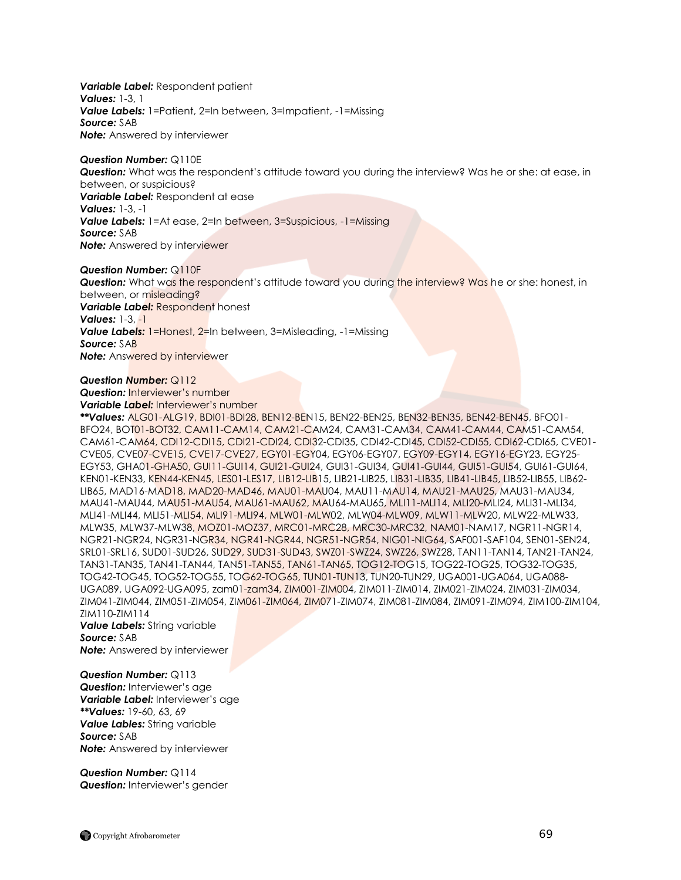*Variable Label:* Respondent patient *Values:* 1-3, 1 *Value Labels:* 1=Patient, 2=In between, 3=Impatient, -1=Missing *Source:* SAB *Note:* Answered by interviewer

*Question Number:* Q110E *Question:* What was the respondent"s attitude toward you during the interview? Was he or she: at ease, in between, or suspicious? *Variable Label:* Respondent at ease *Values:* 1-3, -1 *Value Labels:* 1=At ease, 2=In between, 3=Suspicious, -1=Missing *Source:* SAB *Note:* Answered by interviewer

*Question Number:* Q110F **Question:** What was the respondent's attitude toward you during the interview? Was he or she: honest, in between, or misleading? *Variable Label:* Respondent honest *Values:* 1-3, -1 **Value Labels:** 1=Honest, 2=In between, 3=Misleading, -1=Missing *Source:* SAB **Note:** Answered by interviewer

*Question Number:* Q112 **Question:** Interviewer's number

**Variable Label:** Interviewer's number

*\*\*Values:* ALG01-ALG19, BDI01-BDI28, BEN12-BEN15, BEN22-BEN25, BEN32-BEN35, BEN42-BEN45, BFO01- BFO24, BOT01-BOT32, CAM11-CAM14, CAM21-CAM24, CAM31-CAM34, CAM41-CAM44, CAM51-CAM54, CAM61-CAM64, CDI12-CDI15, CDI21-CDI24, CDI32-CDI35, CDI42-CDI45, CDI52-CDI55, CDI62-CDI65, CVE01- CVE05, CVE07-CVE15, CVE17-CVE27, EGY01-EGY04, EGY06-EGY07, EGY09-EGY14, EGY16-EGY23, EGY25- EGY53, GHA01-GHA50, GUI11-GUI14, GUI21-GUI24, GUI31-GUI34, GUI41-GUI44, GUI51-GUI54, GUI61-GUI64, KEN01-KEN33, KEN44-KEN45, LES01-LES17, LIB12-LIB15, LIB21-LIB25, LIB31-LIB35, LIB41-LIB45, LIB52-LIB55, LIB62- LIB65, MAD16-MAD18, MAD20-MAD46, MAU01-MAU04, MAU11-MAU14, MAU21-MAU25, MAU31-MAU34, MAU41-MAU44, MAU51-MAU54, MAU61-MAU62, MAU64-MAU65, MLI11-MLI14, MLI20-MLI24, MLI31-MLI34, MLI41-MLI44, MLI51-MLI54, MLI91-MLI94, MLW01-MLW02, MLW04-MLW09, MLW11-MLW20, MLW22-MLW33, MLW35, MLW37-MLW38, MOZ01-MOZ37, MRC01-MRC28, MRC30-MRC32, NAM01-NAM17, NGR11-NGR14, NGR21-NGR24, NGR31-NGR34, NGR41-NGR44, NGR51-NGR54, NIG01-NIG64, SAF001-SAF104, SEN01-SEN24, SRL01-SRL16, SUD01-SUD26, SUD29, SUD31-SUD43, SWZ01-SWZ24, SWZ26, SWZ28, TAN11-TAN14, TAN21-TAN24, TAN31-TAN35, TAN41-TAN44, TAN51-TAN55, TAN61-TAN65, TOG12-TOG15, TOG22-TOG25, TOG32-TOG35, TOG42-TOG45, TOG52-TOG55, TOG62-TOG65, TUN01-TUN13, TUN20-TUN29, UGA001-UGA064, UGA088- UGA089, UGA092-UGA095, zam01-zam34, ZIM001-ZIM004, ZIM011-ZIM014, ZIM021-ZIM024, ZIM031-ZIM034, ZIM041-ZIM044, ZIM051-ZIM054, ZIM061-ZIM064, ZIM071-ZIM074, ZIM081-ZIM084, ZIM091-ZIM094, ZIM100-ZIM104, ZIM110-ZIM114

*Value Labels:* String variable *Source:* SAB *Note:* Answered by interviewer

*Question Number:* Q113 **Question:** Interviewer's gae **Variable Label:** Interviewer's age *\*\*Values:* 19-60, 63, 69 *Value Lables:* String variable *Source:* SAB *Note:* Answered by interviewer

*Question Number:* Q114 **Question:** Interviewer's gender

Copyright Afrobarometer 69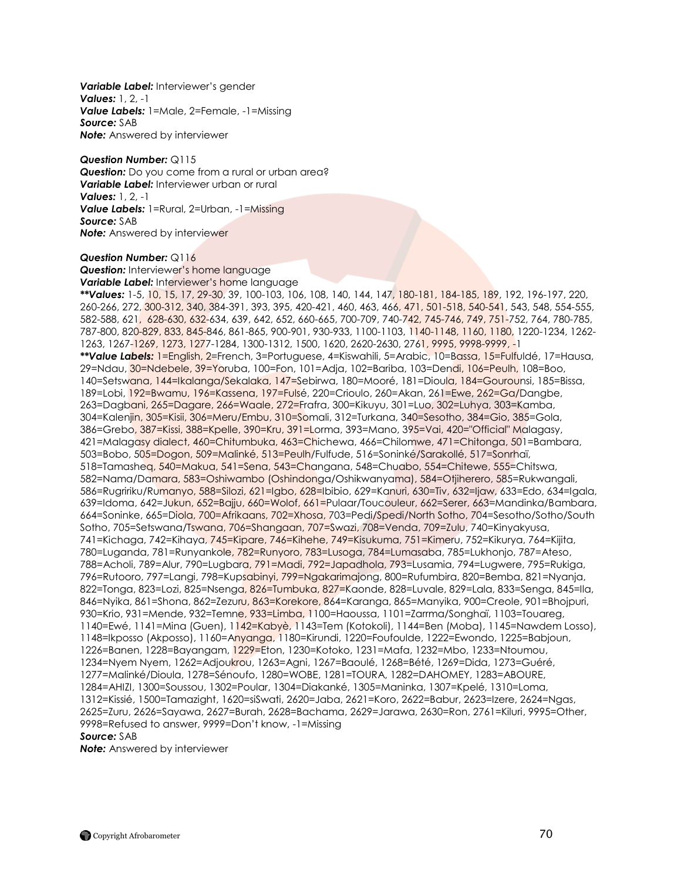**Variable Label:** Interviewer's gender *Values:* 1, 2, -1 *Value Labels:* 1=Male, 2=Female, -1=Missing *Source:* SAB *Note:* Answered by interviewer

*Question Number:* Q115 *Question:* Do you come from a rural or urban area? *Variable Label:* Interviewer urban or rural *Values:* 1, 2, -1 *Value Labels:* 1=Rural, 2=Urban, -1=Missing *Source:* SAB **Note:** Answered by interviewer

*Question Number:* Q116

**Question:** Interviewer's home language **Variable Label:** Interviewer's home language

*\*\*Values:* 1-5, 10, 15, 17, 29-30, 39, 100-103, 106, 108, 140, 144, 147, 180-181, 184-185, 189, 192, 196-197, 220, 260-266, 272, 300-312, 340, 384-391, 393, 395, 420-421, 460, 463, 466, 471, 501-518, 540-541, 543, 548, 554-555, 582-588, 621, 628-630, 632-634, 639, 642, 652, 660-665, 700-709, 740-742, 745-746, 749, 751-752, 764, 780-785, 787-800, 820-829, 833, 845-846, 861-865, 900-901, 930-933, 1100-1103, 1140-1148, 1160, 1180, 1220-1234, 1262- 1263, 1267-1269, 1273, 1277-1284, 1300-1312, 1500, 1620, 2620-2630, 2761, 9995, 9998-9999, -1 *\*\*Value Labels:* 1=English, 2=French, 3=Portuguese, 4=Kiswahili, 5=Arabic, 10=Bassa, 15=Fulfuldé, 17=Hausa, 29=Ndau, 30=Ndebele, 39=Yoruba, 100=Fon, 101=Adja, 102=Bariba, 103=Dendi, 106=Peulh, 108=Boo, 140=Setswana, 144=Ikalanga/Sekalaka, 147=Sebirwa, 180=Mooré, 181=Dioula, 184=Gourounsi, 185=Bissa, 189=Lobi, 192=Bwamu, 196=Kassena, 197=Fulsé, 220=Crioulo, 260=Akan, 261=Ewe, 262=Ga/Dangbe, 263=Dagbani, 265=Dagare, 266=Waale, 272=Frafra, 300=Kikuyu, 301=Luo, 302=Luhya, 303=Kamba, 304=Kalenjin, 305=Kisii, 306=Meru/Embu, 310=Somali, 312=Turkana, 340=Sesotho, 384=Gio, 385=Gola, 386=Grebo, 387=Kissi, 388=Kpelle, 390=Kru, 391=Lorma, 393=Mano, 395=Vai, 420="Official" Malagasy, 421=Malagasy dialect, 460=Chitumbuka, 463=Chichewa, 466=Chilomwe, 471=Chitonga, 501=Bambara, 503=Bobo, 505=Dogon, 509=Malinké, 513=Peulh/Fulfude, 516=Soninké/Sarakollé, 517=Sonrhaï, 518=Tamasheq, 540=Makua, 541=Sena, 543=Changana, 548=Chuabo, 554=Chitewe, 555=Chitswa, 582=Nama/Damara, 583=Oshiwambo (Oshindonga/Oshikwanyama), 584=Otjiherero, 585=Rukwangali, 586=Rugririku/Rumanyo, 588=Silozi, 621=Igbo, 628=Ibibio, 629=Kanuri, 630=Tiv, 632=Ijaw, 633=Edo, 634=Igala, 639=Idoma, 642=Jukun, 652=Bajju, 660=Wolof, 661=Pulaar/Toucouleur, 662=Serer, 663=Mandinka/Bambara, 664=Soninke, 665=Diola, 700=Afrikaans, 702=Xhosa, 703=Pedi/Spedi/North Sotho, 704=Sesotho/Sotho/South Sotho, 705=Setswana/Tswana, 706=Shangaan, 707=Swazi, 708=Venda, 709=Zulu, 740=Kinyakyusa, 741=Kichaga, 742=Kihaya, 745=Kipare, 746=Kihehe, 749=Kisukuma, 751=Kimeru, 752=Kikurya, 764=Kijita, 780=Luganda, 781=Runyankole, 782=Runyoro, 783=Lusoga, 784=Lumasaba, 785=Lukhonjo, 787=Ateso, 788=Acholi, 789=Alur, 790=Lugbara, 791=Madi, 792=Japadhola, 793=Lusamia, 794=Lugwere, 795=Rukiga, 796=Rutooro, 797=Langi, 798=Kupsabinyi, 799=Ngakarimajong, 800=Rufumbira, 820=Bemba, 821=Nyanja, 822=Tonga, 823=Lozi, 825=Nsenga, 826=Tumbuka, 827=Kaonde, 828=Luvale, 829=Lala, 833=Senga, 845=Ila, 846=Nyika, 861=Shona, 862=Zezuru, 863=Korekore, 864=Karanga, 865=Manyika, 900=Creole, 901=Bhojpuri, 930=Krio, 931=Mende, 932=Temne, 933=Limba, 1100=Haoussa, 1101=Zarrma/Songhaï, 1103=Touareg, 1140=Ewé, 1141=Mina (Guen), 1142=Kabyè, 1143=Tem (Kotokoli), 1144=Ben (Moba), 1145=Nawdem Losso), 1148=Ikposso (Akposso), 1160=Anyanga, 1180=Kirundi, 1220=Foufoulde, 1222=Ewondo, 1225=Babjoun, 1226=Banen, 1228=Bayangam, 1229=Eton, 1230=Kotoko, 1231=Mafa, 1232=Mbo, 1233=Ntoumou, 1234=Nyem Nyem, 1262=Adjoukrou, 1263=Agni, 1267=Baoulé, 1268=Bété, 1269=Dida, 1273=Guéré, 1277=Malinké/Dioula, 1278=Sénoufo, 1280=WOBE, 1281=TOURA, 1282=DAHOMEY, 1283=ABOURE, 1284=AHIZI, 1300=Soussou, 1302=Poular, 1304=Diakanké, 1305=Maninka, 1307=Kpelé, 1310=Loma, 1312=Kissié, 1500=Tamazight, 1620=siSwati, 2620=Jaba, 2621=Koro, 2622=Babur, 2623=Izere, 2624=Ngas, 2625=Zuru, 2626=Sayawa, 2627=Burah, 2628=Bachama, 2629=Jarawa, 2630=Ron, 2761=Kiluri, 9995=Other, 9998=Refused to answer, 9999=Don"t know, -1=Missing *Source:* SAB

*Note:* Answered by interviewer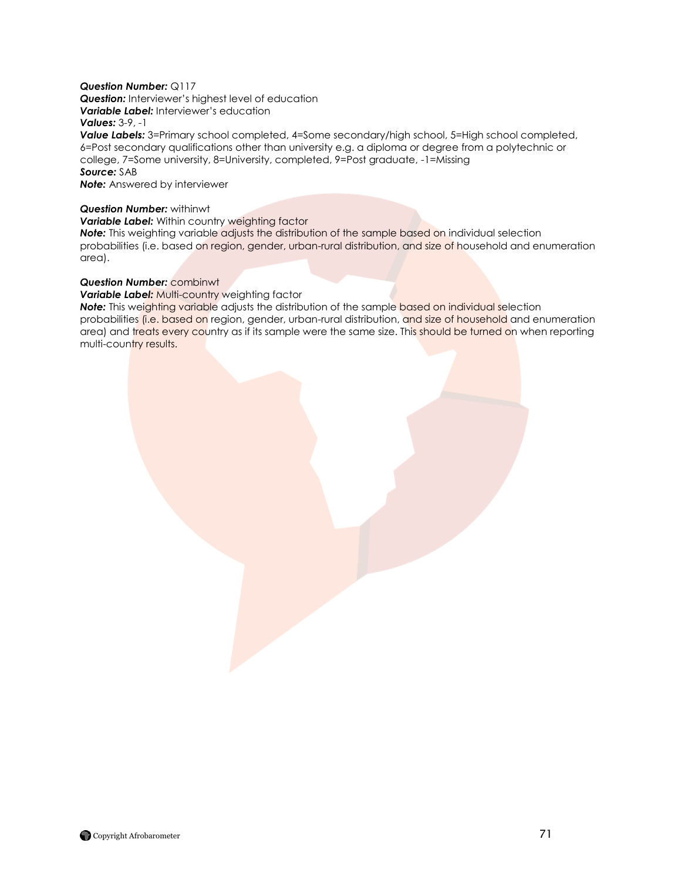## *Question Number:* Q117

**Question:** Interviewer's highest level of education **Variable Label:** Interviewer's education

## *Values:* 3-9, -1

*Value Labels:* 3=Primary school completed, 4=Some secondary/high school, 5=High school completed, 6=Post secondary qualifications other than university e.g. a diploma or degree from a polytechnic or college, 7=Some university, 8=University, completed, 9=Post graduate, -1=Missing

## *Source:* SAB

*Note:* Answered by interviewer

## *Question Number:* withinwt

## **Variable Label:** Within country weighting factor

*Note:* This weighting variable adjusts the distribution of the sample based on individual selection probabilities (i.e. based on region, gender, urban-rural distribution, and size of household and enumeration area).

## *Question Number:* combinwt

## **Variable Label: Multi-country weighting factor**

**Note:** This weighting variable adjusts the distribution of the sample based on individual selection probabilities (i.e. based on region, gender, urban-rural distribution, and size of household and enumeration area) and treats every country as if its sample were the same size. This should be turned on when reporting multi-country results.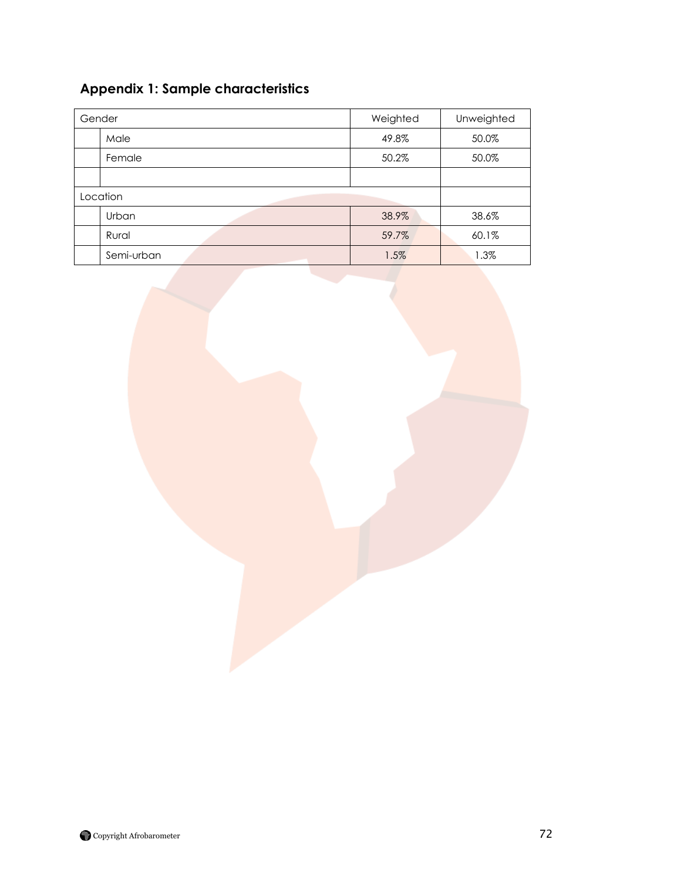# **Appendix 1: Sample characteristics**

| Gender   |            | Weighted | Unweighted |
|----------|------------|----------|------------|
|          | Male       | 49.8%    | 50.0%      |
|          | Female     | 50.2%    | 50.0%      |
|          |            |          |            |
| Location |            |          |            |
|          | Urban      | 38.9%    | 38.6%      |
|          | Rural      | 59.7%    | 60.1%      |
|          | Semi-urban | 1.5%     | 1.3%       |

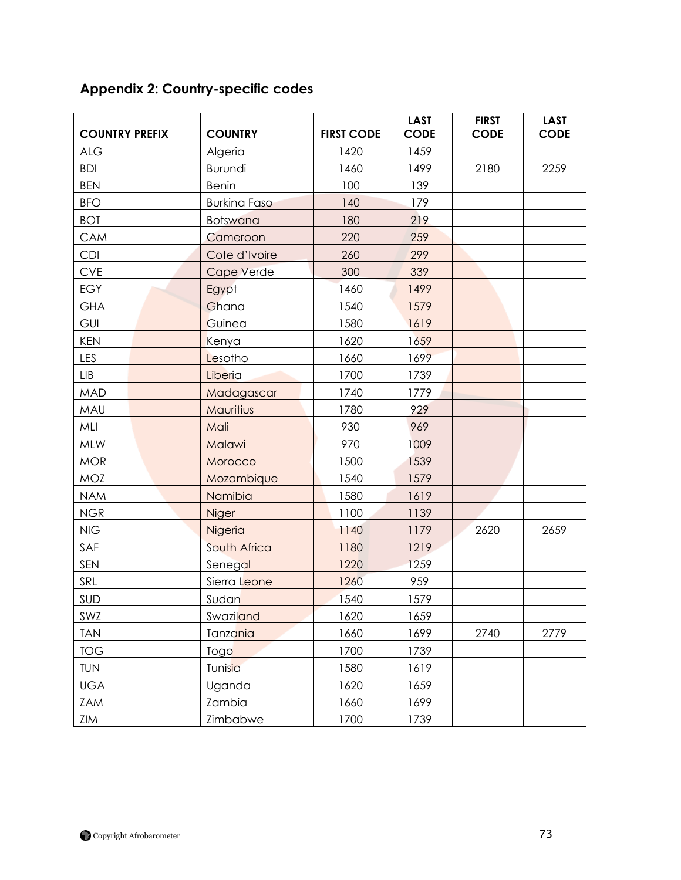| <b>COUNTRY PREFIX</b> | <b>COUNTRY</b>      | <b>FIRST CODE</b> | <b>LAST</b><br><b>CODE</b> | <b>FIRST</b><br><b>CODE</b> | <b>LAST</b><br><b>CODE</b> |
|-----------------------|---------------------|-------------------|----------------------------|-----------------------------|----------------------------|
| <b>ALG</b>            | Algeria             | 1420              | 1459                       |                             |                            |
| <b>BDI</b>            | Burundi             | 1460              | 1499                       | 2180                        | 2259                       |
| <b>BEN</b>            | <b>Benin</b>        | 100               | 139                        |                             |                            |
| <b>BFO</b>            | <b>Burkina Faso</b> | 140               | 179                        |                             |                            |
| <b>BOT</b>            | <b>Botswana</b>     | 180               | 219                        |                             |                            |
| CAM                   | Cameroon            | 220               | 259                        |                             |                            |
| <b>CDI</b>            | Cote d'Ivoire       | 260               | 299                        |                             |                            |
| <b>CVE</b>            | Cape Verde          | 300               | 339                        |                             |                            |
| <b>EGY</b>            | Egypt               | 1460              | 1499                       |                             |                            |
| <b>GHA</b>            | Ghana               | 1540              | 1579                       |                             |                            |
| GUI                   | Guinea              | 1580              | 1619                       |                             |                            |
| <b>KEN</b>            | Kenya               | 1620              | 1659                       |                             |                            |
| LES                   | Lesotho             | 1660              | 1699                       |                             |                            |
| <b>LIB</b>            | Liberia             | 1700              | 1739                       |                             |                            |
| <b>MAD</b>            | Madagascar          | 1740              | 1779                       |                             |                            |
| MAU                   | Mauritius           | 1780              | 929                        |                             |                            |
| MLI                   | Mali                | 930               | 969                        |                             |                            |
| MLW                   | Malawi              | 970               | 1009                       |                             |                            |
| <b>MOR</b>            | Morocco             | 1500              | 1539                       |                             |                            |
| <b>MOZ</b>            | Mozambique          | 1540              | 1579                       |                             |                            |
| <b>NAM</b>            | Namibia             | 1580              | 1619                       |                             |                            |
| <b>NGR</b>            | Niger               | 1100              | 1139                       |                             |                            |
| NIG                   | Nigeria             | 1140              | 1179                       | 2620                        | 2659                       |
| SAF                   | South Africa        | 1180              | 1219                       |                             |                            |
| SEN                   | Senegal             | 1220              | 1259                       |                             |                            |
| SRL                   | Sierra Leone        | 1260              | 959                        |                             |                            |
| SUD                   | Sudan               | 1540              | 1579                       |                             |                            |
| SWZ                   | Swaziland           | 1620              | 1659                       |                             |                            |
| <b>TAN</b>            | Tanzania            | 1660              | 1699                       | 2740                        | 2779                       |
| <b>TOG</b>            | Togo                | 1700              | 1739                       |                             |                            |
| <b>TUN</b>            | Tunisia             | 1580              | 1619                       |                             |                            |
| <b>UGA</b>            | Uganda              | 1620              | 1659                       |                             |                            |
| ZAM                   | Zambia              | 1660              | 1699                       |                             |                            |
| ZIM                   | Zimbabwe            | 1700              | 1739                       |                             |                            |

# **Appendix 2: Country-specific codes**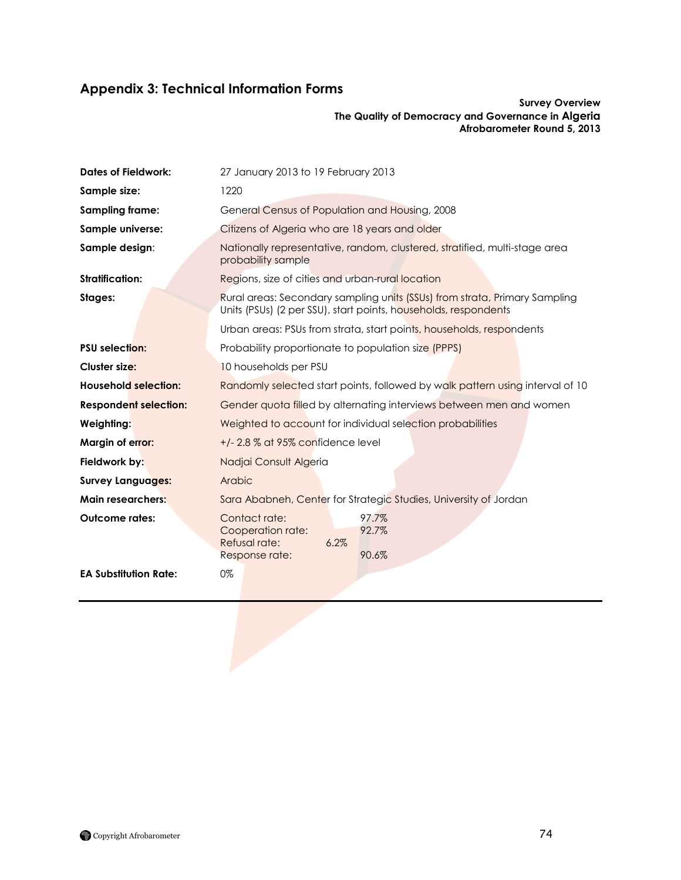# **Appendix 3: Technical Information Forms**

#### **Survey Overview The Quality of Democracy and Governance in Algeria Afrobarometer Round 5, 2013**

| <b>Dates of Fieldwork:</b>   | 27 January 2013 to 19 February 2013                                                                                                           |  |  |
|------------------------------|-----------------------------------------------------------------------------------------------------------------------------------------------|--|--|
| Sample size:                 | 1220                                                                                                                                          |  |  |
| <b>Sampling frame:</b>       | General Census of Population and Housing, 2008                                                                                                |  |  |
| Sample universe:             | Citizens of Algeria who are 18 years and older                                                                                                |  |  |
| Sample design:               | Nationally representative, random, clustered, stratified, multi-stage area<br>probability sample                                              |  |  |
| Stratification:              | Regions, size of cities and urban-rural location                                                                                              |  |  |
| Stages:                      | Rural areas: Secondary sampling units (SSUs) from strata, Primary Sampling<br>Units (PSUs) (2 per SSU), start points, households, respondents |  |  |
|                              | Urban areas: PSUs from strata, start points, households, respondents                                                                          |  |  |
| <b>PSU</b> selection:        | Probability proportionate to population size (PPPS)                                                                                           |  |  |
| Cluster size:                | 10 households per PSU                                                                                                                         |  |  |
| <b>Household selection:</b>  | Randomly selected start points, followed by walk pattern using interval of 10                                                                 |  |  |
| <b>Respondent selection:</b> | Gender quota filled by alternating interviews between men and women                                                                           |  |  |
| Weighting:                   | Weighted to account for individual selection probabilities                                                                                    |  |  |
| Margin of error:             | $+/- 2.8\%$ at 95% confidence level                                                                                                           |  |  |
| Fieldwork by:                | Nadjai Consult Algeria                                                                                                                        |  |  |
| <b>Survey Languages:</b>     | Arabic                                                                                                                                        |  |  |
| <b>Main researchers:</b>     | Sara Ababneh, Center for Strategic Studies, University of Jordan                                                                              |  |  |
| <b>Outcome rates:</b>        | Contact rate:<br>97.7%<br>Cooperation rate:<br>92.7%<br>Refusal rate:<br>6.2%<br>90.6%<br>Response rate:                                      |  |  |
| <b>EA Substitution Rate:</b> | 0%                                                                                                                                            |  |  |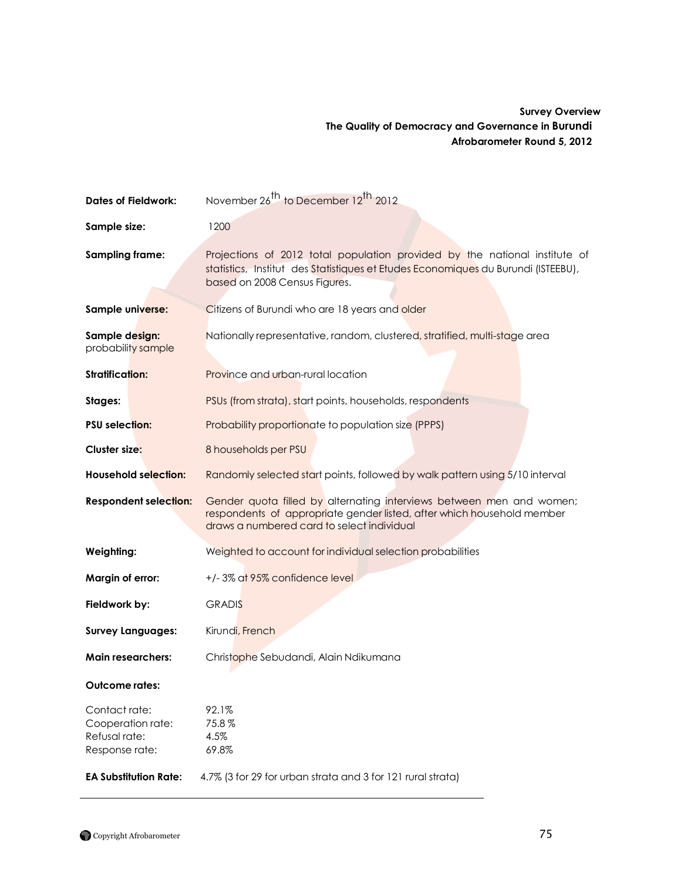## **Survey Overview The Quality of Democracy and Governance in Burundi Afrobarometer Round 5, 2012**

| <b>Dates of Fieldwork:</b>                                            | November 26 <sup>th</sup> to December 12 <sup>th</sup> 2012                                                                                                                                      |  |
|-----------------------------------------------------------------------|--------------------------------------------------------------------------------------------------------------------------------------------------------------------------------------------------|--|
| Sample size:                                                          | 1200                                                                                                                                                                                             |  |
| <b>Sampling frame:</b>                                                | Projections of 2012 total population provided by the national institute of<br>statistics, Institut des Statistiques et Etudes Economiques du Burundi (ISTEEBU),<br>based on 2008 Census Figures. |  |
| Sample universe:                                                      | Citizens of Burundi who are 18 years and older                                                                                                                                                   |  |
| Sample design:<br>probability sample                                  | Nationally representative, random, clustered, stratified, multi-stage area                                                                                                                       |  |
| <b>Stratification:</b>                                                | Province and urban-rural location                                                                                                                                                                |  |
| Stages:                                                               | PSUs (from strata), start points, households, respondents                                                                                                                                        |  |
| <b>PSU selection:</b>                                                 | Probability proportionate to population size (PPPS)                                                                                                                                              |  |
| Cluster size:                                                         | 8 households per PSU                                                                                                                                                                             |  |
| <b>Household selection:</b>                                           | Randomly selected start points, followed by walk pattern using 5/10 interval                                                                                                                     |  |
| <b>Respondent selection:</b>                                          | Gender quota filled by alternating interviews between men and women;<br>respondents of appropriate gender listed, after which household member<br>draws a numbered card to select individual     |  |
| Weighting:                                                            | Weighted to account for individual selection probabilities                                                                                                                                       |  |
| Margin of error:                                                      | +/-3% at 95% confidence level                                                                                                                                                                    |  |
| Fieldwork by:                                                         | <b>GRADIS</b>                                                                                                                                                                                    |  |
| <b>Survey Languages:</b>                                              | Kirundi, French                                                                                                                                                                                  |  |
| <b>Main researchers:</b>                                              | Christophe Sebudandi, Alain Ndikumana                                                                                                                                                            |  |
| Outcome rates:                                                        |                                                                                                                                                                                                  |  |
| Contact rate:<br>Cooperation rate:<br>Refusal rate:<br>Response rate: | 92.1%<br>75.8%<br>4.5%<br>69.8%                                                                                                                                                                  |  |
| <b>EA Substitution Rate:</b>                                          | 4.7% (3 for 29 for urban strata and 3 for 121 rural strata)                                                                                                                                      |  |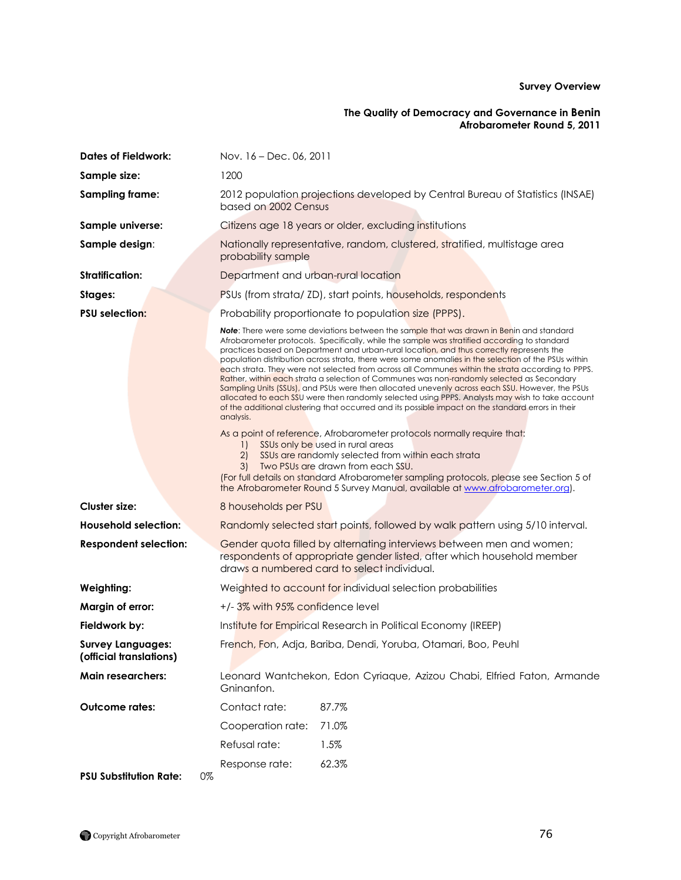#### **The Quality of Democracy and Governance in Benin Afrobarometer Round 5, 2011**

| <b>Dates of Fieldwork:</b>                          | Nov. 16 - Dec. 06, 2011                                                                                                                                                                                                                                                                                                                                                                                                                                                                                                                                                                                                                                                                                                                                                                                                                                                                                                         |  |
|-----------------------------------------------------|---------------------------------------------------------------------------------------------------------------------------------------------------------------------------------------------------------------------------------------------------------------------------------------------------------------------------------------------------------------------------------------------------------------------------------------------------------------------------------------------------------------------------------------------------------------------------------------------------------------------------------------------------------------------------------------------------------------------------------------------------------------------------------------------------------------------------------------------------------------------------------------------------------------------------------|--|
| Sample size:                                        | 1200                                                                                                                                                                                                                                                                                                                                                                                                                                                                                                                                                                                                                                                                                                                                                                                                                                                                                                                            |  |
| <b>Sampling frame:</b>                              | 2012 population projections developed by Central Bureau of Statistics (INSAE)<br>based on 2002 Census                                                                                                                                                                                                                                                                                                                                                                                                                                                                                                                                                                                                                                                                                                                                                                                                                           |  |
| Sample universe:                                    | Citizens age 18 years or older, excluding institutions                                                                                                                                                                                                                                                                                                                                                                                                                                                                                                                                                                                                                                                                                                                                                                                                                                                                          |  |
| Sample design:                                      | Nationally representative, random, clustered, stratified, multistage area<br>probability sample                                                                                                                                                                                                                                                                                                                                                                                                                                                                                                                                                                                                                                                                                                                                                                                                                                 |  |
| <b>Stratification:</b>                              | Department and urban-rural location                                                                                                                                                                                                                                                                                                                                                                                                                                                                                                                                                                                                                                                                                                                                                                                                                                                                                             |  |
| Stages:                                             | PSUs (from strata/ ZD), start points, households, respondents                                                                                                                                                                                                                                                                                                                                                                                                                                                                                                                                                                                                                                                                                                                                                                                                                                                                   |  |
| <b>PSU</b> selection:                               | Probability proportionate to population size (PPPS).                                                                                                                                                                                                                                                                                                                                                                                                                                                                                                                                                                                                                                                                                                                                                                                                                                                                            |  |
|                                                     | <b>Note:</b> There were some deviations between the sample that was drawn in Benin and standard<br>Afrobarometer protocols. Specifically, while the sample was stratified according to standard<br>practices based on Department and urban-rural location, and thus correctly represents the<br>population distribution across strata, there were some anomalies in the selection of the PSUs within<br>each strata. They were not selected from across all Communes within the strata according to PPPS.<br>Rather, within each strata a selection of Communes was non-randomly selected as Secondary<br>Sampling Units (SSUs), and PSUs were then allocated unevenly across each SSU. However, the PSUs<br>allocated to each SSU were then randomly selected using PPPS. Analysts may wish to take account<br>of the additional clustering that occurred and its possible impact on the standard errors in their<br>analysis. |  |
|                                                     | As a point of reference, Afrobarometer protocols normally require that:<br>SSUs only be used in rural areas<br>$\left  \cdot \right $<br>SSUs are randomly selected from within each strata<br>2)<br>Two PSUs are drawn from each SSU.<br>3)<br>(For full details on standard Afrobarometer sampling protocols, please see Section 5 of<br>the Afrobarometer Round 5 Survey Manual, available at www.afrobarometer.org).                                                                                                                                                                                                                                                                                                                                                                                                                                                                                                        |  |
| <b>Cluster size:</b>                                | 8 households per PSU                                                                                                                                                                                                                                                                                                                                                                                                                                                                                                                                                                                                                                                                                                                                                                                                                                                                                                            |  |
| <b>Household selection:</b>                         | Randomly selected start points, followed by walk pattern using 5/10 interval.                                                                                                                                                                                                                                                                                                                                                                                                                                                                                                                                                                                                                                                                                                                                                                                                                                                   |  |
| <b>Respondent selection:</b>                        | Gender quota filled by alternating interviews between men and women;<br>respondents of appropriate gender listed, after which household member<br>draws a numbered card to select individual.                                                                                                                                                                                                                                                                                                                                                                                                                                                                                                                                                                                                                                                                                                                                   |  |
| Weighting:                                          | Weighted to account for individual selection probabilities                                                                                                                                                                                                                                                                                                                                                                                                                                                                                                                                                                                                                                                                                                                                                                                                                                                                      |  |
| Margin of error:                                    | +/-3% with 95% confidence level                                                                                                                                                                                                                                                                                                                                                                                                                                                                                                                                                                                                                                                                                                                                                                                                                                                                                                 |  |
| Fieldwork by:                                       | Institute for Empirical Research in Political Economy (IREEP)                                                                                                                                                                                                                                                                                                                                                                                                                                                                                                                                                                                                                                                                                                                                                                                                                                                                   |  |
| <b>Survey Languages:</b><br>(official translations) | French, Fon, Adja, Bariba, Dendi, Yoruba, Otamari, Boo, Peuhl                                                                                                                                                                                                                                                                                                                                                                                                                                                                                                                                                                                                                                                                                                                                                                                                                                                                   |  |
| <b>Main researchers:</b>                            | Leonard Wantchekon, Edon Cyriaque, Azizou Chabi, Elfried Faton, Armande<br>Gninanfon.                                                                                                                                                                                                                                                                                                                                                                                                                                                                                                                                                                                                                                                                                                                                                                                                                                           |  |
| <b>Outcome rates:</b>                               | Contact rate:<br>87.7%                                                                                                                                                                                                                                                                                                                                                                                                                                                                                                                                                                                                                                                                                                                                                                                                                                                                                                          |  |
|                                                     | Cooperation rate:<br>71.0%                                                                                                                                                                                                                                                                                                                                                                                                                                                                                                                                                                                                                                                                                                                                                                                                                                                                                                      |  |
|                                                     | Refusal rate:<br>1.5%                                                                                                                                                                                                                                                                                                                                                                                                                                                                                                                                                                                                                                                                                                                                                                                                                                                                                                           |  |
|                                                     | Response rate:<br>62.3%                                                                                                                                                                                                                                                                                                                                                                                                                                                                                                                                                                                                                                                                                                                                                                                                                                                                                                         |  |
| <b>PSU Substitution Rate:</b>                       | 0%                                                                                                                                                                                                                                                                                                                                                                                                                                                                                                                                                                                                                                                                                                                                                                                                                                                                                                                              |  |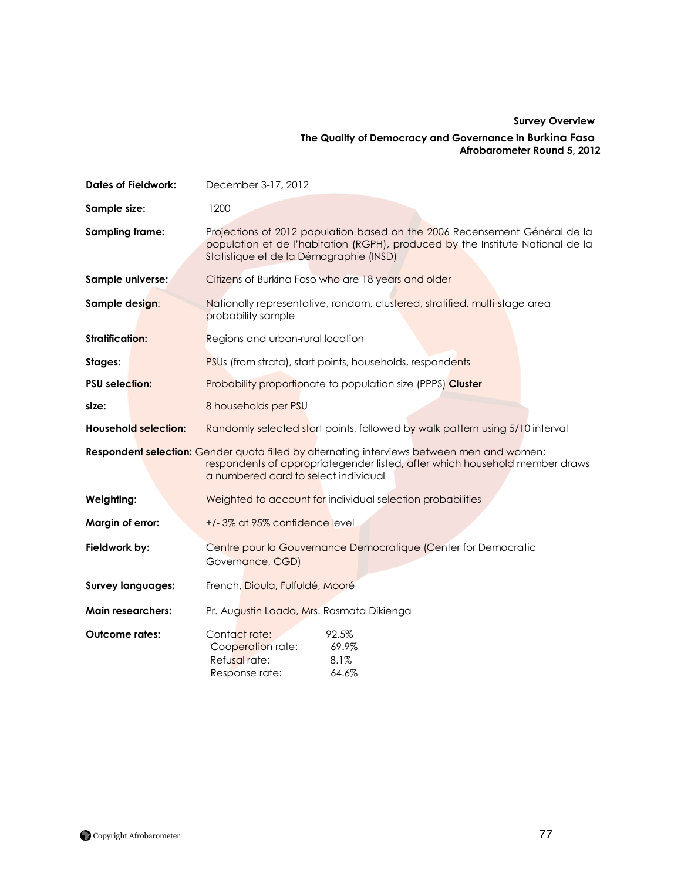## **Survey Overview The Quality of Democracy and Governance in Burkina Faso Afrobarometer Round 5, 2012**

| <b>Dates of Fieldwork:</b>  | December 3-17, 2012                                                                                                                                                                                               |  |  |
|-----------------------------|-------------------------------------------------------------------------------------------------------------------------------------------------------------------------------------------------------------------|--|--|
| Sample size:                | 1200                                                                                                                                                                                                              |  |  |
| <b>Sampling frame:</b>      | Projections of 2012 population based on the 2006 Recensement Général de la<br>population et de l'habitation (RGPH), produced by the Institute National de la<br>Statistique et de la Démographie (INSD)           |  |  |
| Sample universe:            | Citizens of Burkina Faso who are 18 years and older                                                                                                                                                               |  |  |
| Sample design:              | Nationally representative, random, clustered, stratified, multi-stage area<br>probability sample                                                                                                                  |  |  |
| <b>Stratification:</b>      | Regions and urban-rural location                                                                                                                                                                                  |  |  |
| Stages:                     | PSUs (from strata), start points, households, respondents                                                                                                                                                         |  |  |
| <b>PSU selection:</b>       | Probability proportionate to population size (PPPS) Cluster                                                                                                                                                       |  |  |
| size:                       | 8 households per PSU                                                                                                                                                                                              |  |  |
| <b>Household selection:</b> | Randomly selected start points, followed by walk pattern using 5/10 interval                                                                                                                                      |  |  |
|                             | Respondent selection: Gender quota filled by alternating interviews between men and women;<br>respondents of appropriategender listed, after which household member draws<br>a numbered card to select individual |  |  |
| Weighting:                  | Weighted to account for individual selection probabilities                                                                                                                                                        |  |  |
| Margin of error:            | +/-3% at 95% confidence level                                                                                                                                                                                     |  |  |
| Fieldwork by:               | Centre pour la Gouvernance Democratique (Center for Democratic<br>Governance, CGD)                                                                                                                                |  |  |
| <b>Survey languages:</b>    | French, Dioula, Fulfuldé, Mooré                                                                                                                                                                                   |  |  |
| <b>Main researchers:</b>    | Pr. Augustin Loada, Mrs. Rasmata Dikienga                                                                                                                                                                         |  |  |
| <b>Outcome rates:</b>       | Contact rate:<br>92.5%<br>69.9%<br>Cooperation rate:<br>Refusal rate:<br>8.1%<br>64.6%<br>Response rate:                                                                                                          |  |  |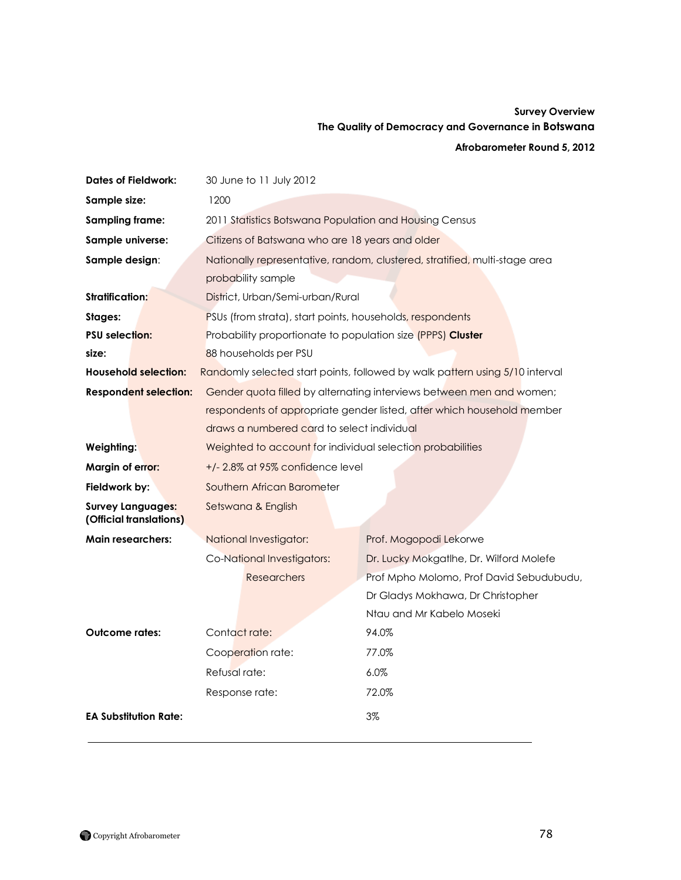# **Survey Overview The Quality of Democracy and Governance in Botswana**

### **Afrobarometer Round 5, 2012**

| <b>Dates of Fieldwork:</b>                          | 30 June to 11 July 2012                                                      |                                                                        |  |
|-----------------------------------------------------|------------------------------------------------------------------------------|------------------------------------------------------------------------|--|
| Sample size:                                        | 1200                                                                         |                                                                        |  |
| Sampling frame:                                     | 2011 Statistics Botswana Population and Housing Census                       |                                                                        |  |
| Sample universe:                                    | Citizens of Batswana who are 18 years and older                              |                                                                        |  |
| Sample design:                                      | Nationally representative, random, clustered, stratified, multi-stage area   |                                                                        |  |
|                                                     | probability sample                                                           |                                                                        |  |
| Stratification:                                     | District, Urban/Semi-urban/Rural                                             |                                                                        |  |
| Stages:                                             | PSUs (from strata), start points, households, respondents                    |                                                                        |  |
| <b>PSU selection:</b>                               | Probability proportionate to population size (PPPS) Cluster                  |                                                                        |  |
| size:                                               | 88 households per PSU                                                        |                                                                        |  |
| <b>Household selection:</b>                         | Randomly selected start points, followed by walk pattern using 5/10 interval |                                                                        |  |
| <b>Respondent selection:</b>                        |                                                                              | Gender quota filled by alternating interviews between men and women;   |  |
|                                                     |                                                                              | respondents of appropriate gender listed, after which household member |  |
|                                                     | draws a numbered card to select individual                                   |                                                                        |  |
| Weighting:                                          | Weighted to account for individual selection probabilities                   |                                                                        |  |
| Margin of error:                                    | $+/- 2.8\%$ at 95% confidence level                                          |                                                                        |  |
| Fieldwork by:                                       | Southern African Barometer                                                   |                                                                        |  |
| <b>Survey Languages:</b><br>(Official translations) | Setswana & English                                                           |                                                                        |  |
| <b>Main researchers:</b>                            | National Investigator:                                                       | Prof. Mogopodi Lekorwe                                                 |  |
|                                                     | Co-National Investigators:                                                   | Dr. Lucky Mokgatlhe, Dr. Wilford Molefe                                |  |
|                                                     | <b>Researchers</b>                                                           | Prof Mpho Molomo, Prof David Sebudubudu,                               |  |
|                                                     |                                                                              | Dr Gladys Mokhawa, Dr Christopher                                      |  |
|                                                     |                                                                              | Ntau and Mr Kabelo Moseki                                              |  |
| <b>Outcome rates:</b>                               | Contact rate:                                                                | 94.0%                                                                  |  |
|                                                     | Cooperation rate:                                                            | 77.0%                                                                  |  |
|                                                     | Refusal rate:                                                                | 6.0%                                                                   |  |
|                                                     | Response rate:                                                               | 72.0%                                                                  |  |
| <b>EA Substitution Rate:</b>                        |                                                                              | 3%                                                                     |  |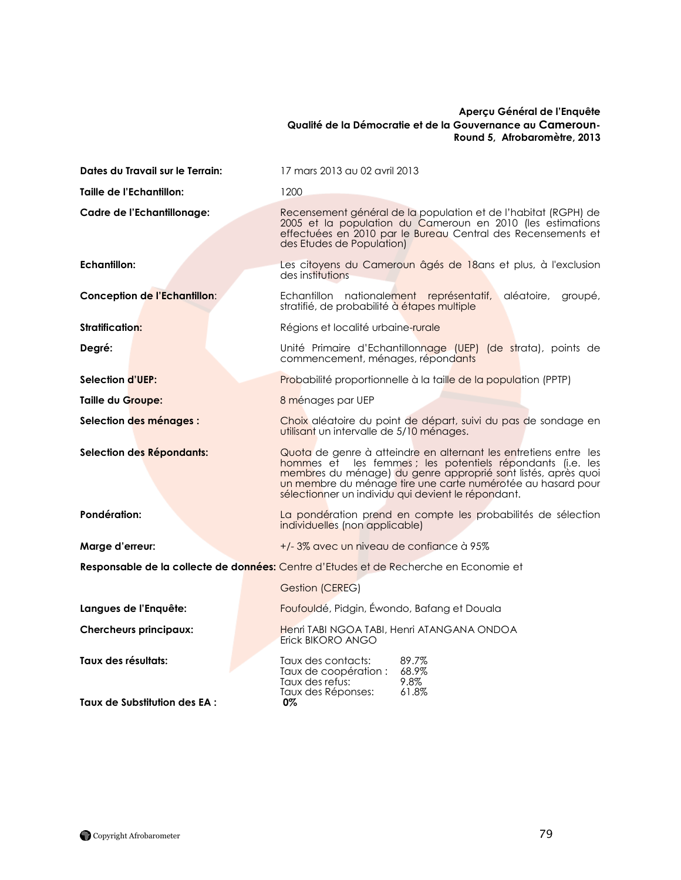#### **Aperçu Général de l'Enquête Qualité de la Démocratie et de la Gouvernance au Cameroun-Round 5, Afrobaromètre, 2013**

| Dates du Travail sur le Terrain:                                                      | 17 mars 2013 au 02 avril 2013                                                                                                                                                                                                                                                                                        |  |
|---------------------------------------------------------------------------------------|----------------------------------------------------------------------------------------------------------------------------------------------------------------------------------------------------------------------------------------------------------------------------------------------------------------------|--|
| Taille de l'Echantillon:                                                              | 1200                                                                                                                                                                                                                                                                                                                 |  |
| Cadre de l'Echantillonage:                                                            | Recensement général de la population et de l'habitat (RGPH) de<br>2005 et la population du Cameroun en 2010 (les estimations<br>effectuées en 2010 par le Bureau Central des Recensements et<br>des Etudes de Population)                                                                                            |  |
| <b>Echantillon:</b>                                                                   | Les citoyens du Cameroun âgés de 18ans et plus, à l'exclusion<br>des institutions                                                                                                                                                                                                                                    |  |
| Conception de l'Echantillon:                                                          | Echantillon nationalement représentatif,<br>aléatoire,<br>groupé,<br>stratifié, de probabilité à étapes multiple                                                                                                                                                                                                     |  |
| <b>Stratification:</b>                                                                | Régions et localité urbaine-rurale                                                                                                                                                                                                                                                                                   |  |
| Degré:                                                                                | Unité Primaire d'Echantillonnage (UEP) (de strata), points de<br>commencement, ménages, répondants                                                                                                                                                                                                                   |  |
| Selection d'UEP:                                                                      | Probabilité proportionnelle à la taille de la population (PPTP)                                                                                                                                                                                                                                                      |  |
| Taille du Groupe:                                                                     | 8 ménages par UEP                                                                                                                                                                                                                                                                                                    |  |
| Selection des ménages :                                                               | Choix aléatoire du point de départ, suivi du pas de sondage en<br>utilisant un intervalle de 5/10 ménages.                                                                                                                                                                                                           |  |
| Selection des Répondants:                                                             | Quota de genre à atteindre en alternant les entretiens entre les<br>hommes et les femmes ; les potentiels répondants (i.e. les<br>membres du ménage) du genre approprié sont listés, après quoi<br>un membre du ménage tire une carte numérotée au hasard pour<br>sélectionner un individu qui devient le répondant. |  |
| Pondération:                                                                          | La pondération prend en compte les probabilités de sélection<br>individuelles (non applicable)                                                                                                                                                                                                                       |  |
| Marge d'erreur:                                                                       | +/-3% avec un niveau de confiance à 95%                                                                                                                                                                                                                                                                              |  |
| Responsable de la collecte de données: Centre d'Etudes et de Recherche en Economie et |                                                                                                                                                                                                                                                                                                                      |  |
|                                                                                       | Gestion (CEREG)                                                                                                                                                                                                                                                                                                      |  |
| Langues de l'Enquête:                                                                 | Foufouldé, Pidgin, Éwondo, Bafang et Douala                                                                                                                                                                                                                                                                          |  |
| <b>Chercheurs principaux:</b>                                                         | Henri TABI NGOA TABI, Henri ATANGANA ONDOA<br>Erick BIKORO ANGO                                                                                                                                                                                                                                                      |  |
| Taux des résultats:                                                                   | 89.7%<br>Taux des contacts:<br>Taux de coopération : 68.9%<br>Taux des refus:<br>9.8%<br>Taux des Réponses:<br>61.8%                                                                                                                                                                                                 |  |
| Taux de Substitution des EA :                                                         | 0%                                                                                                                                                                                                                                                                                                                   |  |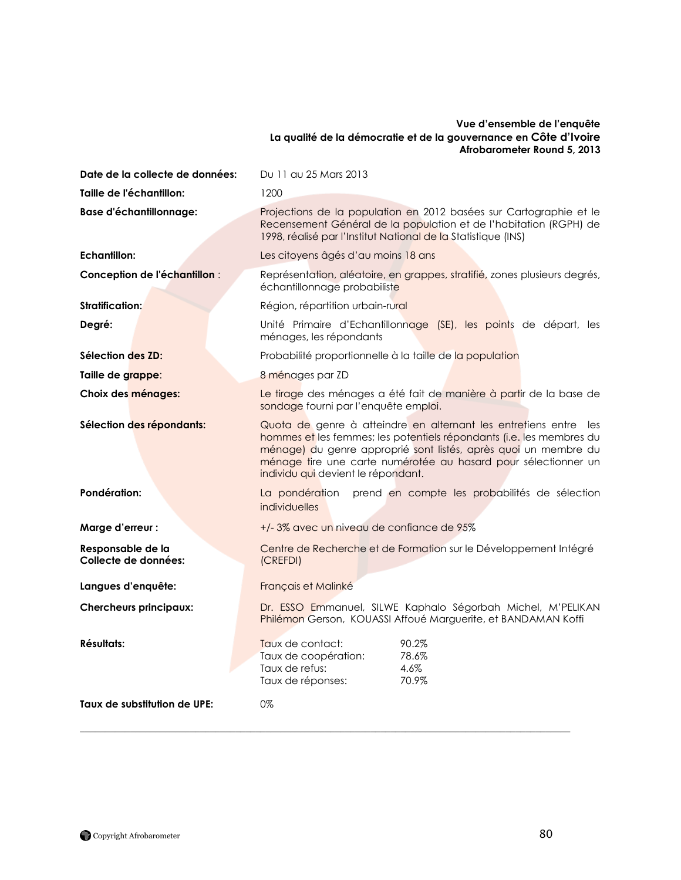#### **Vue d'ensemble de l'enquête La qualité de la démocratie et de la gouvernance en Côte d'Ivoire Afrobarometer Round 5, 2013**

| Date de la collecte de données:           | Du 11 au 25 Mars 2013                                                                                                                                                                                                                                                                                               |
|-------------------------------------------|---------------------------------------------------------------------------------------------------------------------------------------------------------------------------------------------------------------------------------------------------------------------------------------------------------------------|
| Taille de l'échantillon:                  | 1200                                                                                                                                                                                                                                                                                                                |
| <b>Base d'échantillonnage:</b>            | Projections de la population en 2012 basées sur Cartographie et le<br>Recensement Général de la population et de l'habitation (RGPH) de<br>1998, réalisé par l'Institut National de la Statistique (INS)                                                                                                            |
| Echantillon:                              | Les citoyens âgés d'au moins 18 ans                                                                                                                                                                                                                                                                                 |
| Conception de l'échantillon :             | Représentation, aléatoire, en grappes, stratifié, zones plusieurs degrés,<br>échantillonnage probabiliste                                                                                                                                                                                                           |
| <b>Stratification:</b>                    | Région, répartition urbain-rural                                                                                                                                                                                                                                                                                    |
| Degré:                                    | Unité Primaire d'Echantillonnage (SE), les points de départ, les<br>ménages, les répondants                                                                                                                                                                                                                         |
| Sélection des ZD:                         | Probabilité proportionnelle à la taille de la population                                                                                                                                                                                                                                                            |
| Taille de grappe:                         | 8 ménages par ZD                                                                                                                                                                                                                                                                                                    |
| Choix des ménages:                        | Le tirage des ménages a été fait de manière à partir de la base de<br>sondage fourni par l'enquête emploi.                                                                                                                                                                                                          |
| Sélection des répondants:                 | Quota de genre à atteindre en alternant les entretiens entre les<br>hommes et les femmes; les potentiels répondants (i.e. les membres du<br>ménage) du genre approprié sont listés, après quoi un membre du<br>ménage tire une carte numérotée au hasard pour sélectionner un<br>individu qui devient le répondant. |
| Pondération:                              | La pondération prend en compte les probabilités de sélection<br>individuelles                                                                                                                                                                                                                                       |
| Marge d'erreur :                          | +/-3% avec un niveau de confiance de 95%                                                                                                                                                                                                                                                                            |
| Responsable de la<br>Collecte de données: | Centre de Recherche et de Formation sur le Développement Intégré<br>(CREFDI)                                                                                                                                                                                                                                        |
| Langues d'enquête:                        | Français et Malinké                                                                                                                                                                                                                                                                                                 |
| <b>Chercheurs principaux:</b>             | Dr. ESSO Emmanuel, SILWE Kaphalo Ségorbah Michel, M'PELIKAN<br>Philémon Gerson, KOUASSI Affoué Marguerite, et BANDAMAN Koffi                                                                                                                                                                                        |
| <b>Résultats:</b>                         | 90.2%<br>Taux de contact:<br>78.6%<br>Taux de coopération:<br>Taux de refus:<br>4.6%<br>70.9%<br>Taux de réponses:                                                                                                                                                                                                  |
| Taux de substitution de UPE:              | 0%                                                                                                                                                                                                                                                                                                                  |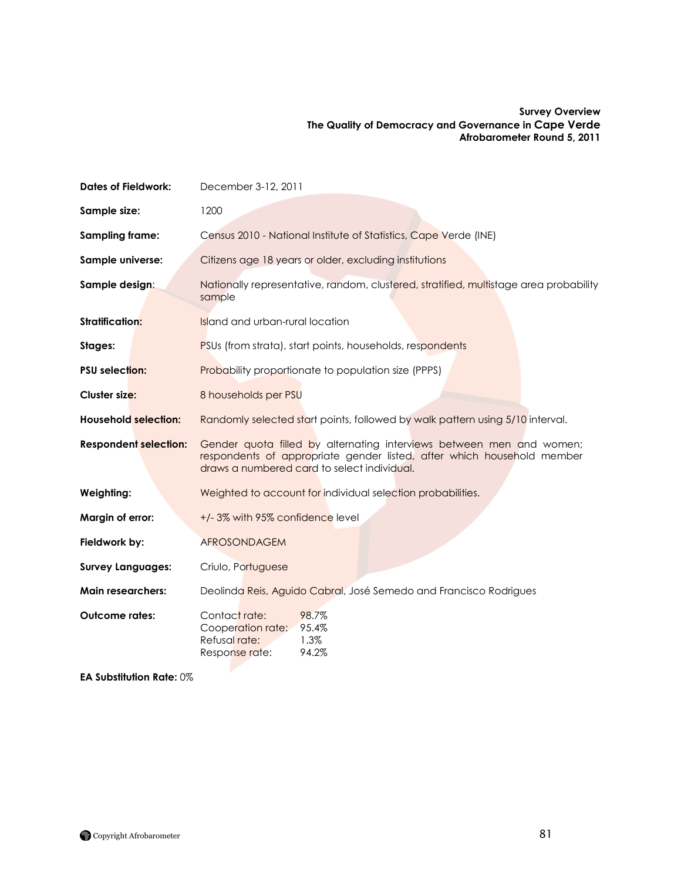#### **Survey Overview The Quality of Democracy and Governance in Cape Verde Afrobarometer Round 5, 2011**

| <b>Dates of Fieldwork:</b>   | December 3-12, 2011                                                                                                                                                                           |  |  |
|------------------------------|-----------------------------------------------------------------------------------------------------------------------------------------------------------------------------------------------|--|--|
| Sample size:                 | 1200                                                                                                                                                                                          |  |  |
| Sampling frame:              | Census 2010 - National Institute of Statistics, Cape Verde (INE)                                                                                                                              |  |  |
| Sample universe:             | Citizens age 18 years or older, excluding institutions                                                                                                                                        |  |  |
| Sample design:               | Nationally representative, random, clustered, stratified, multistage area probability<br>sample                                                                                               |  |  |
| <b>Stratification:</b>       | Island and urban-rural location                                                                                                                                                               |  |  |
| Stages:                      | PSUs (from strata), start points, households, respondents                                                                                                                                     |  |  |
| <b>PSU selection:</b>        | <b>Probability proportionate to population size (PPPS)</b>                                                                                                                                    |  |  |
| Cluster size:                | 8 households per PSU                                                                                                                                                                          |  |  |
| <b>Household selection:</b>  | Randomly selected start points, followed by walk pattern using 5/10 interval.                                                                                                                 |  |  |
| <b>Respondent selection:</b> | Gender quota filled by alternating interviews between men and women;<br>respondents of appropriate gender listed, after which household member<br>draws a numbered card to select individual. |  |  |
| Weighting:                   | Weighted to account for individual selection probabilities.                                                                                                                                   |  |  |
| Margin of error:             | +/-3% with 95% confidence level                                                                                                                                                               |  |  |
| Fieldwork by:                | <b>AFROSONDAGEM</b>                                                                                                                                                                           |  |  |
| <b>Survey Languages:</b>     | Criulo, Portuguese                                                                                                                                                                            |  |  |
| <b>Main researchers:</b>     | Deolinda Reis, Aguido Cabral, José Semedo and Francisco Rodrigues                                                                                                                             |  |  |
| Outcome rates:               | Contact rate:<br>98.7%<br>Cooperation rate:<br>95.4%<br>Refusal rate:<br>1.3%<br>94.2%<br>Response rate:                                                                                      |  |  |

**EA Substitution Rate:** 0%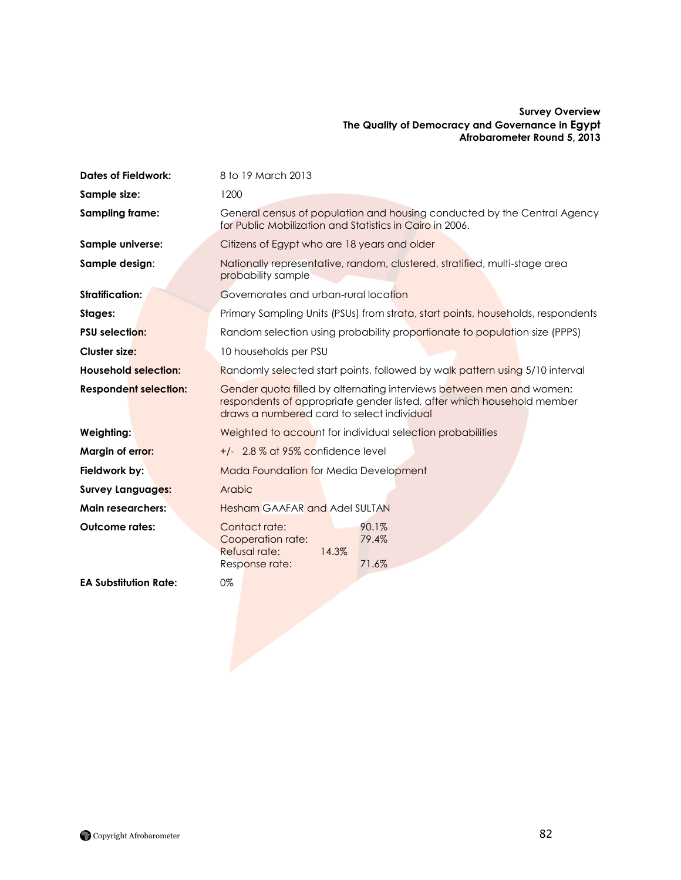#### **Survey Overview The Quality of Democracy and Governance in Egypt Afrobarometer Round 5, 2013**

| <b>Dates of Fieldwork:</b>   | 8 to 19 March 2013                                                                                                                                                                           |  |
|------------------------------|----------------------------------------------------------------------------------------------------------------------------------------------------------------------------------------------|--|
| Sample size:                 | 1200                                                                                                                                                                                         |  |
| <b>Sampling frame:</b>       | General census of population and housing conducted by the Central Agency<br>for Public Mobilization and Statistics in Cairo in 2006.                                                         |  |
| Sample universe:             | Citizens of Egypt who are 18 years and older                                                                                                                                                 |  |
| Sample design:               | Nationally representative, random, clustered, stratified, multi-stage area<br>probability sample                                                                                             |  |
| <b>Stratification:</b>       | Governorates and urban-rural location                                                                                                                                                        |  |
| Stages:                      | Primary Sampling Units (PSUs) from strata, start points, households, respondents                                                                                                             |  |
| <b>PSU selection:</b>        | Random selection using probability proportionate to population size (PPPS)                                                                                                                   |  |
| <b>Cluster size:</b>         | 10 households per PSU                                                                                                                                                                        |  |
| <b>Household selection:</b>  | Randomly selected start points, followed by walk pattern using 5/10 interval                                                                                                                 |  |
| <b>Respondent selection:</b> | Gender quota filled by alternating interviews between men and women;<br>respondents of appropriate gender listed, after which household member<br>draws a numbered card to select individual |  |
| Weighting:                   | Weighted to account for individual selection probabilities                                                                                                                                   |  |
| Margin of error:             | $+/-$ 2.8 % at 95% confidence level                                                                                                                                                          |  |
| Fieldwork by:                | <b>Mada Foundation for Media Development</b>                                                                                                                                                 |  |
| <b>Survey Languages:</b>     | Arabic                                                                                                                                                                                       |  |
| <b>Main researchers:</b>     | <b>Hesham GAAFAR and Adel SULTAN</b>                                                                                                                                                         |  |
| <b>Outcome rates:</b>        | 90.1%<br>Contact rate:<br>Cooperation rate:<br>79.4%<br>Refusal rate:<br>14.3%<br>Response rate:<br>71.6%                                                                                    |  |
| <b>EA Substitution Rate:</b> | 0%                                                                                                                                                                                           |  |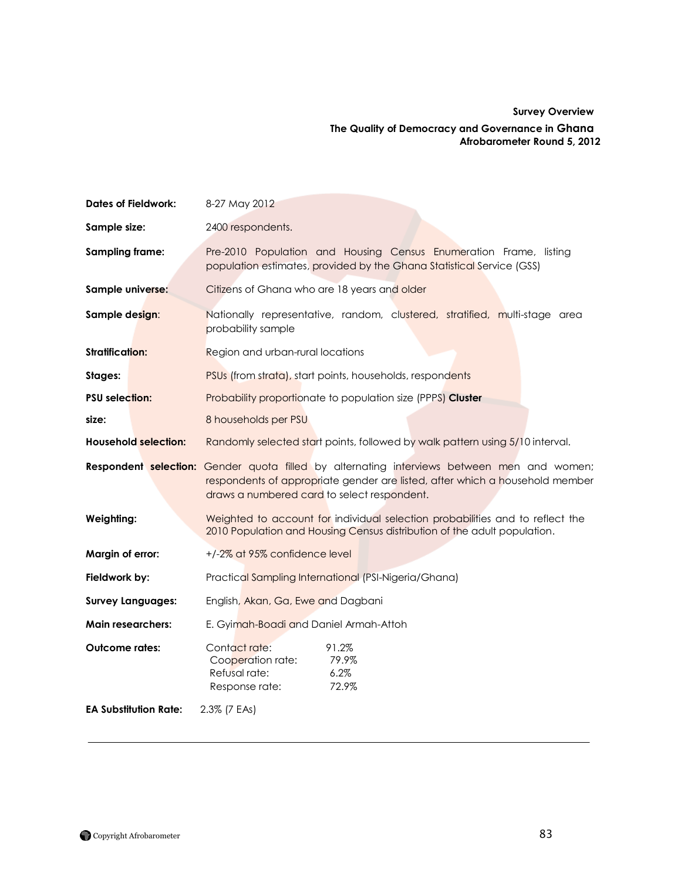## **Survey Overview**

#### **The Quality of Democracy and Governance in Ghana Afrobarometer Round 5, 2012**

| <b>Dates of Fieldwork:</b>   | 8-27 May 2012                                                                                                                                                                                                             |  |
|------------------------------|---------------------------------------------------------------------------------------------------------------------------------------------------------------------------------------------------------------------------|--|
| Sample size:                 | 2400 respondents.                                                                                                                                                                                                         |  |
| <b>Sampling frame:</b>       | Pre-2010 Population and Housing Census Enumeration Frame, listing<br>population estimates, provided by the Ghana Statistical Service (GSS)                                                                                |  |
| Sample universe:             | Citizens of Ghana who are 18 years and older                                                                                                                                                                              |  |
| Sample design:               | Nationally representative, random, clustered, stratified, multi-stage area<br>probability sample                                                                                                                          |  |
| <b>Stratification:</b>       | Region and urban-rural locations                                                                                                                                                                                          |  |
| Stages:                      | PSUs (from strata), start points, households, respondents                                                                                                                                                                 |  |
| <b>PSU selection:</b>        | Probability proportionate to population size (PPPS) Cluster                                                                                                                                                               |  |
| size:                        | 8 households per PSU                                                                                                                                                                                                      |  |
| <b>Household selection:</b>  | Randomly selected start points, followed by walk pattern using 5/10 interval.                                                                                                                                             |  |
|                              | Respondent selection: Gender quota filled by alternating interviews between men and women;<br>respondents of appropriate gender are listed, after which a household member<br>draws a numbered card to select respondent. |  |
| Weighting:                   | Weighted to account for individual selection probabilities and to reflect the<br>2010 Population and Housing Census distribution of the adult population.                                                                 |  |
| Margin of error:             | +/-2% at 95% confidence level                                                                                                                                                                                             |  |
| Fieldwork by:                | Practical Sampling International (PSI-Nigeria/Ghana)                                                                                                                                                                      |  |
| <b>Survey Languages:</b>     | English, Akan, Ga, Ewe and Dagbani                                                                                                                                                                                        |  |
| <b>Main researchers:</b>     | E. Gyimah-Boadi and Daniel Armah-Attoh                                                                                                                                                                                    |  |
| <b>Outcome rates:</b>        | Contact rate:<br>91.2%<br>79.9%<br>Cooperation rate:<br>6.2%<br>Refusal rate:<br>72.9%<br>Response rate:                                                                                                                  |  |
| <b>EA Substitution Rate:</b> | 2.3% (7 EAs)                                                                                                                                                                                                              |  |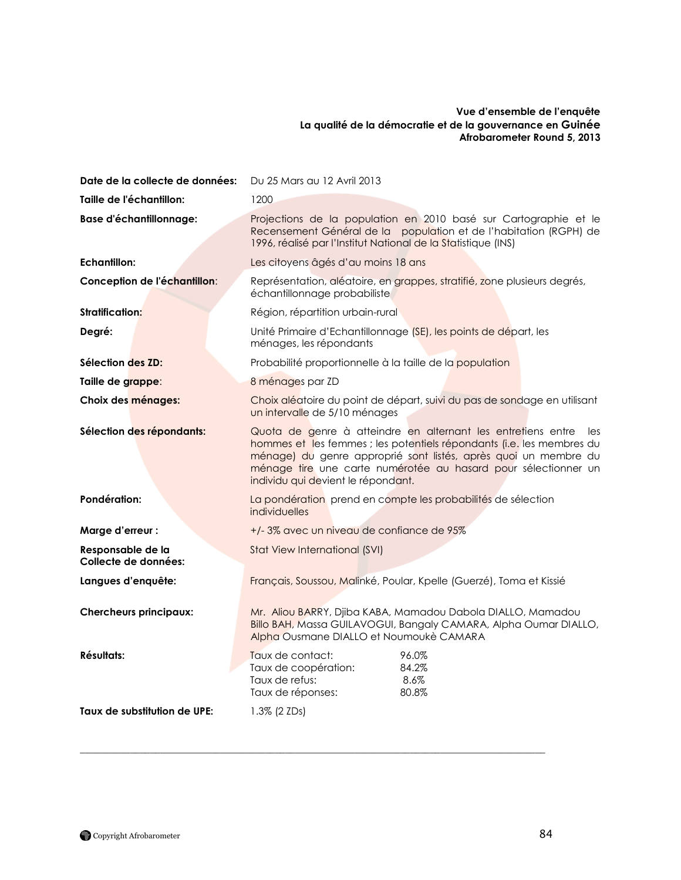#### **Vue d'ensemble de l'enquête La qualité de la démocratie et de la gouvernance en Guinée Afrobarometer Round 5, 2013**

| Date de la collecte de données:           | Du 25 Mars au 12 Avril 2013                                                                                                                                                                                                                                                                                             |  |
|-------------------------------------------|-------------------------------------------------------------------------------------------------------------------------------------------------------------------------------------------------------------------------------------------------------------------------------------------------------------------------|--|
| Taille de l'échantillon:                  | 1200                                                                                                                                                                                                                                                                                                                    |  |
| <b>Base d'échantillonnage:</b>            | Projections de la population en 2010 basé sur Cartographie et le<br>Recensement Général de la population et de l'habitation (RGPH) de<br>1996, réalisé par l'Institut National de la Statistique (INS)                                                                                                                  |  |
| <b>Echantillon:</b>                       | Les citoyens âgés d'au moins 18 ans                                                                                                                                                                                                                                                                                     |  |
| Conception de l'échantillon:              | Représentation, aléatoire, en grappes, stratifié, zone plusieurs degrés,<br>échantillonnage probabiliste                                                                                                                                                                                                                |  |
| <b>Stratification:</b>                    | Région, répartition urbain-rural                                                                                                                                                                                                                                                                                        |  |
| Degré:                                    | Unité Primaire d'Echantillonnage (SE), les points de départ, les<br>ménages, les répondants                                                                                                                                                                                                                             |  |
| Sélection des ZD:                         | Probabilité proportionnelle à la taille de la population                                                                                                                                                                                                                                                                |  |
| Taille de grappe:                         | 8 ménages par ZD                                                                                                                                                                                                                                                                                                        |  |
| Choix des ménages:                        | Choix aléatoire du point de départ, suivi du pas de sondage en utilisant<br>un intervalle de 5/10 ménages                                                                                                                                                                                                               |  |
| Sélection des répondants:                 | Quota de genre à atteindre en alternant les entretiens entre<br>les<br>hommes et les femmes ; les potentiels répondants (i.e. les membres du<br>ménage) du genre approprié sont listés, après quoi un membre du<br>ménage tire une carte numérotée au hasard pour sélectionner un<br>individu qui devient le répondant. |  |
| Pondération:                              | La pondération prend en compte les probabilités de sélection<br>individuelles                                                                                                                                                                                                                                           |  |
| Marge d'erreur :                          | +/-3% avec un niveau de confiance de 95%                                                                                                                                                                                                                                                                                |  |
| Responsable de la<br>Collecte de données: | Stat View International (SVI)                                                                                                                                                                                                                                                                                           |  |
| Langues d'enquête:                        | Français, Soussou, Malinké, Poular, Kpelle (Guerzé), Toma et Kissié                                                                                                                                                                                                                                                     |  |
| <b>Chercheurs principaux:</b>             | Mr. Aliou BARRY, Djiba KABA, Mamadou Dabola DIALLO, Mamadou<br>Billo BAH, Massa GUILAVOGUI, Bangaly CAMARA, Alpha Oumar DIALLO,<br>Alpha Ousmane DIALLO et Noumoukè CAMARA                                                                                                                                              |  |
| Résultats:                                | Taux de contact:<br>96.0%<br>84.2%<br>Taux de coopération:<br>Taux de refus:<br>8.6%<br>Taux de réponses:<br>80.8%                                                                                                                                                                                                      |  |
| Taux de substitution de UPE:              | 1.3% (2 ZDs)                                                                                                                                                                                                                                                                                                            |  |

 $\mathcal{L}_\mathcal{L} = \{ \mathcal{L}_\mathcal{L} = \{ \mathcal{L}_\mathcal{L} = \{ \mathcal{L}_\mathcal{L} = \{ \mathcal{L}_\mathcal{L} = \{ \mathcal{L}_\mathcal{L} = \{ \mathcal{L}_\mathcal{L} = \{ \mathcal{L}_\mathcal{L} = \{ \mathcal{L}_\mathcal{L} = \{ \mathcal{L}_\mathcal{L} = \{ \mathcal{L}_\mathcal{L} = \{ \mathcal{L}_\mathcal{L} = \{ \mathcal{L}_\mathcal{L} = \{ \mathcal{L}_\mathcal{L} = \{ \mathcal{L}_\mathcal{$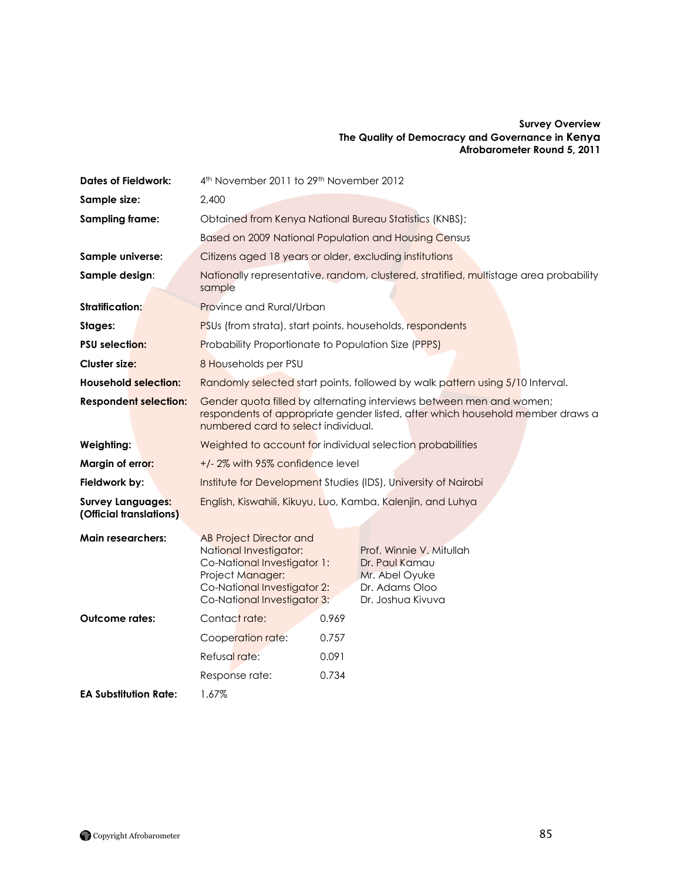### **Survey Overview The Quality of Democracy and Governance in Kenya Afrobarometer Round 5, 2011**

| <b>Dates of Fieldwork:</b>                          | 4 <sup>th</sup> November 2011 to 29 <sup>th</sup> November 2012                                                                                                                                                                                                                  |  |  |
|-----------------------------------------------------|----------------------------------------------------------------------------------------------------------------------------------------------------------------------------------------------------------------------------------------------------------------------------------|--|--|
| Sample size:                                        | 2,400                                                                                                                                                                                                                                                                            |  |  |
| <b>Sampling frame:</b>                              | Obtained from Kenya National Bureau Statistics (KNBS);                                                                                                                                                                                                                           |  |  |
|                                                     | Based on 2009 National Population and Housing Census                                                                                                                                                                                                                             |  |  |
| Sample universe:                                    | Citizens aged 18 years or older, excluding institutions                                                                                                                                                                                                                          |  |  |
| Sample design:                                      | Nationally representative, random, clustered, stratified, multistage area probability<br>sample                                                                                                                                                                                  |  |  |
| Stratification:                                     | Province and Rural/Urban                                                                                                                                                                                                                                                         |  |  |
| Stages:                                             | PSUs (from strata), start points, households, respondents                                                                                                                                                                                                                        |  |  |
| <b>PSU selection:</b>                               | Probability Proportionate to Population Size (PPPS)                                                                                                                                                                                                                              |  |  |
| Cluster size:                                       | 8 Households per PSU                                                                                                                                                                                                                                                             |  |  |
| <b>Household selection:</b>                         | Randomly selected start points, followed by walk pattern using 5/10 Interval.                                                                                                                                                                                                    |  |  |
| <b>Respondent selection:</b>                        | Gender quota filled by alternating interviews between men and women;<br>respondents of appropriate gender listed, after which household member draws a<br>numbered card to select individual.                                                                                    |  |  |
| Weighting:                                          | Weighted to account for individual selection probabilities                                                                                                                                                                                                                       |  |  |
| Margin of error:                                    | +/-2% with 95% confidence level                                                                                                                                                                                                                                                  |  |  |
| Fieldwork by:                                       | Institute for Development Studies (IDS), University of Nairobi                                                                                                                                                                                                                   |  |  |
| <b>Survey Languages:</b><br>(Official translations) | English, Kiswahili, Kikuyu, Luo, Kamba, Kalenjin, and Luhya                                                                                                                                                                                                                      |  |  |
| <b>Main researchers:</b>                            | <b>AB Project Director and</b><br>National Investigator:<br>Prof. Winnie V. Mitullah<br>Co-National Investigator 1:<br>Dr. Paul Kamau<br>Project Manager:<br>Mr. Abel Oyuke<br>Co-National Investigator 2:<br>Dr. Adams Oloo<br>Co-National Investigator 3:<br>Dr. Joshua Kivuva |  |  |
| <b>Outcome rates:</b>                               | Contact rate:<br>0.969                                                                                                                                                                                                                                                           |  |  |
|                                                     | Cooperation rate:<br>0.757                                                                                                                                                                                                                                                       |  |  |
|                                                     | Refusal rate:<br>0.091                                                                                                                                                                                                                                                           |  |  |
|                                                     | 0.734<br>Response rate:                                                                                                                                                                                                                                                          |  |  |
| <b>EA Substitution Rate:</b>                        | 1.67%                                                                                                                                                                                                                                                                            |  |  |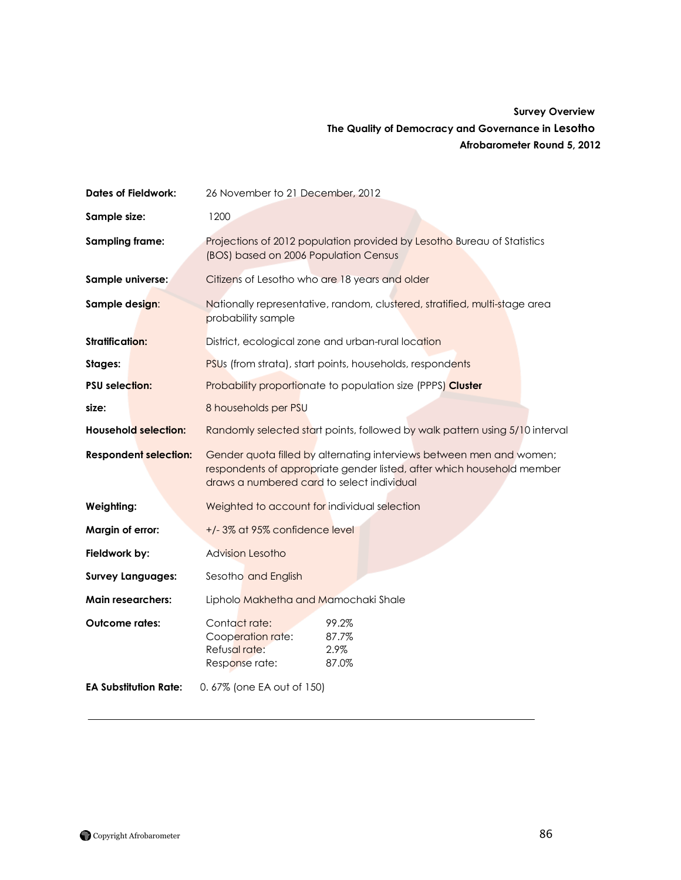## **Survey Overview The Quality of Democracy and Governance in Lesotho Afrobarometer Round 5, 2012**

| <b>Dates of Fieldwork:</b>   | 26 November to 21 December, 2012                                                                                                                                                             |  |  |
|------------------------------|----------------------------------------------------------------------------------------------------------------------------------------------------------------------------------------------|--|--|
| Sample size:                 | 1200                                                                                                                                                                                         |  |  |
| <b>Sampling frame:</b>       | Projections of 2012 population provided by Lesotho Bureau of Statistics<br>(BOS) based on 2006 Population Census                                                                             |  |  |
| Sample universe:             | Citizens of Lesotho who are 18 years and older                                                                                                                                               |  |  |
| Sample design:               | Nationally representative, random, clustered, stratified, multi-stage area<br>probability sample                                                                                             |  |  |
| <b>Stratification:</b>       | District, ecological zone and urban-rural location                                                                                                                                           |  |  |
| Stages:                      | PSUs (from strata), start points, households, respondents                                                                                                                                    |  |  |
| <b>PSU selection:</b>        | <b>Probability proportionate to population size (PPPS) Cluster</b>                                                                                                                           |  |  |
| size:                        | 8 households per PSU                                                                                                                                                                         |  |  |
| <b>Household selection:</b>  | Randomly selected start points, followed by walk pattern using 5/10 interval                                                                                                                 |  |  |
| <b>Respondent selection:</b> | Gender quota filled by alternating interviews between men and women;<br>respondents of appropriate gender listed, after which household member<br>draws a numbered card to select individual |  |  |
| Weighting:                   | Weighted to account for individual selection                                                                                                                                                 |  |  |
| Margin of error:             | +/-3% at 95% confidence level                                                                                                                                                                |  |  |
| Fieldwork by:                | <b>Advision Lesotho</b>                                                                                                                                                                      |  |  |
| <b>Survey Languages:</b>     | Sesotho and English                                                                                                                                                                          |  |  |
| <b>Main researchers:</b>     | Lipholo Makhetha and Mamochaki Shale                                                                                                                                                         |  |  |
| <b>Outcome rates:</b>        | Contact rate:<br>99.2%<br>Cooperation rate:<br>87.7%<br>Refusal rate:<br>2.9%<br>87.0%<br>Response rate:                                                                                     |  |  |
| <b>EA Substitution Rate:</b> | 0.67% (one EA out of 150)                                                                                                                                                                    |  |  |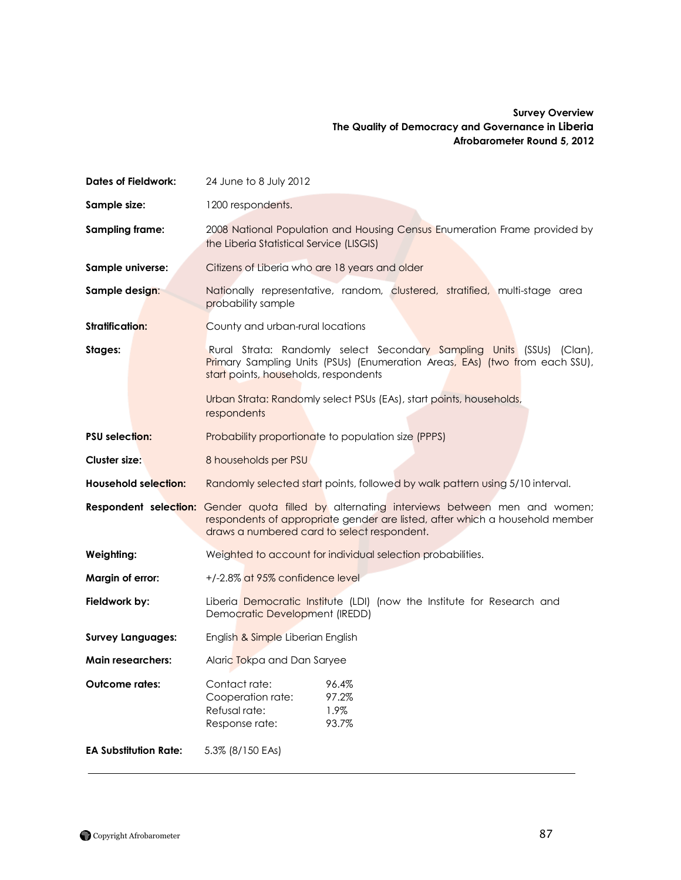### **Survey Overview The Quality of Democracy and Governance in Liberia Afrobarometer Round 5, 2012**

| <b>Dates of Fieldwork:</b>   | 24 June to 8 July 2012                                                                                                                                                                                                                                               |  |
|------------------------------|----------------------------------------------------------------------------------------------------------------------------------------------------------------------------------------------------------------------------------------------------------------------|--|
| Sample size:                 | 1200 respondents.                                                                                                                                                                                                                                                    |  |
| <b>Sampling frame:</b>       | 2008 National Population and Housing Census Enumeration Frame provided by<br>the Liberia Statistical Service (LISGIS)                                                                                                                                                |  |
| Sample universe:             | Citizens of Liberia who are 18 years and older                                                                                                                                                                                                                       |  |
| Sample design:               | Nationally representative, random, clustered, stratified, multi-stage area<br>probability sample                                                                                                                                                                     |  |
| <b>Stratification:</b>       | County and urban-rural locations                                                                                                                                                                                                                                     |  |
| Stages:                      | Rural Strata: Randomly select Secondary Sampling Units (SSUs) (Clan),<br>Primary Sampling Units (PSUs) (Enumeration Areas, EAs) (two from each SSU),<br>start points, households, respondents<br>Urban Strata: Randomly select PSUs (EAs), start points, households, |  |
|                              | respondents                                                                                                                                                                                                                                                          |  |
| <b>PSU</b> selection:        | Probability proportionate to population size (PPPS)                                                                                                                                                                                                                  |  |
| <b>Cluster size:</b>         | 8 households per PSU                                                                                                                                                                                                                                                 |  |
| <b>Household selection:</b>  | Randomly selected start points, followed by walk pattern using 5/10 interval.                                                                                                                                                                                        |  |
| Respondent selection:        | Gender quota filled by alternating interviews between men and women;<br>respondents of appropriate gender are listed, after which a household member<br>draws a numbered card to select respondent.                                                                  |  |
| Weighting:                   | Weighted to account for individual selection probabilities.                                                                                                                                                                                                          |  |
| Margin of error:             | +/-2.8% at 95% confidence level                                                                                                                                                                                                                                      |  |
| Fieldwork by:                | Liberia Democratic Institute (LDI) (now the Institute for Research and<br>Democratic Development (IREDD)                                                                                                                                                             |  |
| <b>Survey Languages:</b>     | English & Simple Liberian English                                                                                                                                                                                                                                    |  |
| <b>Main researchers:</b>     | Alaric Tokpa and Dan Saryee                                                                                                                                                                                                                                          |  |
| <b>Outcome rates:</b>        | Contact rate:<br>96.4%<br>97.2%<br>Cooperation rate:<br>Refusal rate:<br>1.9%<br>Response rate:<br>93.7%                                                                                                                                                             |  |
| <b>EA Substitution Rate:</b> | 5.3% (8/150 EAs)                                                                                                                                                                                                                                                     |  |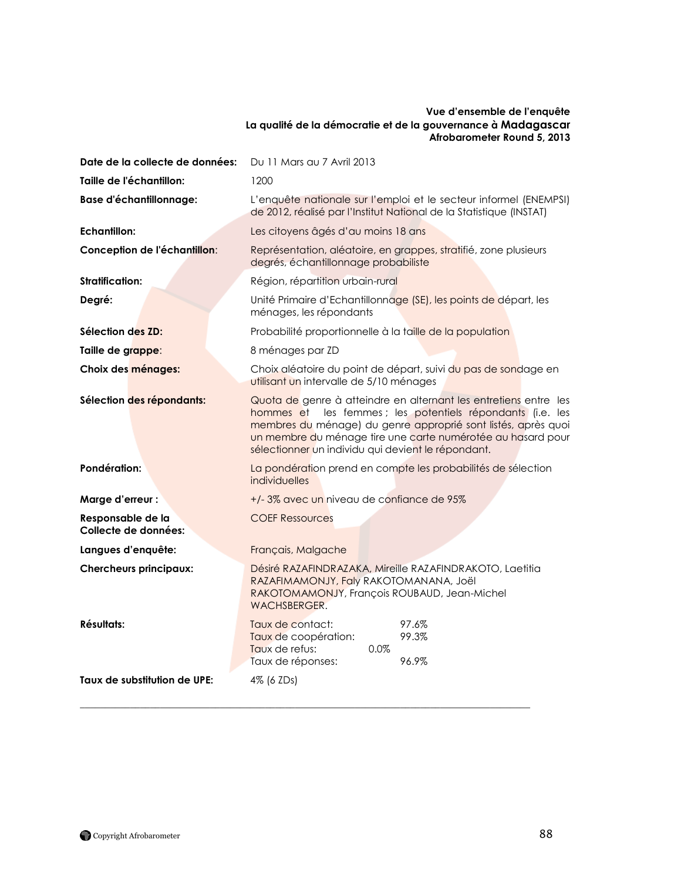#### **Vue d'ensemble de l'enquête La qualité de la démocratie et de la gouvernance à Madagascar Afrobarometer Round 5, 2013**

| Date de la collecte de données:           | Du 11 Mars au 7 Avril 2013                                                                                                                                                                                                                                                                                              |  |  |
|-------------------------------------------|-------------------------------------------------------------------------------------------------------------------------------------------------------------------------------------------------------------------------------------------------------------------------------------------------------------------------|--|--|
| Taille de l'échantillon:                  | 1200                                                                                                                                                                                                                                                                                                                    |  |  |
| <b>Base d'échantillonnage:</b>            | L'enquête nationale sur l'emploi et le secteur informel (ENEMPSI)<br>de 2012, réalisé par l'Institut National de la Statistique (INSTAT)                                                                                                                                                                                |  |  |
| Echantillon:                              | Les citoyens âgés d'au moins 18 ans                                                                                                                                                                                                                                                                                     |  |  |
| Conception de l'échantillon:              | Représentation, aléatoire, en grappes, stratifié, zone plusieurs<br>degrés, échantillonnage probabiliste                                                                                                                                                                                                                |  |  |
| <b>Stratification:</b>                    | Région, répartition urbain-rural                                                                                                                                                                                                                                                                                        |  |  |
| Degré:                                    | Unité Primaire d'Echantillonnage (SE), les points de départ, les<br>ménages, les répondants                                                                                                                                                                                                                             |  |  |
| Sélection des ZD:                         | Probabilité proportionnelle à la taille de la population                                                                                                                                                                                                                                                                |  |  |
| Taille de grappe:                         | 8 ménages par ZD                                                                                                                                                                                                                                                                                                        |  |  |
| Choix des ménages:                        | Choix aléatoire du point de départ, suivi du pas de sondage en<br>utilisant un intervalle de 5/10 ménages                                                                                                                                                                                                               |  |  |
| Sélection des répondants:                 | Quota de genre à atteindre en alternant les entretiens entre les<br>les femmes ; les potentiels répondants (i.e. les<br>hommes et<br>membres du ménage) du genre approprié sont listés, après quoi<br>un membre du ménage tire une carte numérotée au hasard pour<br>sélectionner un individu qui devient le répondant. |  |  |
| Pondération:                              | La pondération prend en compte les probabilités de sélection<br>individuelles                                                                                                                                                                                                                                           |  |  |
| Marge d'erreur :                          | +/-3% avec un niveau de confiance de 95%                                                                                                                                                                                                                                                                                |  |  |
| Responsable de la<br>Collecte de données: | <b>COEF Ressources</b>                                                                                                                                                                                                                                                                                                  |  |  |
| Langues d'enquête:                        | Français, Malgache                                                                                                                                                                                                                                                                                                      |  |  |
| <b>Chercheurs principaux:</b>             | Désiré RAZAFINDRAZAKA, Mireille RAZAFINDRAKOTO, Laetitia<br>RAZAFIMAMONJY, Faly RAKOTOMANANA, Joël<br>RAKOTOMAMONJY, François ROUBAUD, Jean-Michel<br>WACHSBERGER.                                                                                                                                                      |  |  |
| <b>Résultats:</b>                         | 97.6%<br>Taux de contact:<br>99.3%<br>Taux de coopération:<br>Taux de refus:<br>$0.0\%$<br>Taux de réponses:<br>96.9%                                                                                                                                                                                                   |  |  |
| Taux de substitution de UPE:              | 4% (6 ZDs)                                                                                                                                                                                                                                                                                                              |  |  |

 $\mathcal{L}_\mathcal{L} = \{ \mathcal{L}_\mathcal{L} = \{ \mathcal{L}_\mathcal{L} = \{ \mathcal{L}_\mathcal{L} = \{ \mathcal{L}_\mathcal{L} = \{ \mathcal{L}_\mathcal{L} = \{ \mathcal{L}_\mathcal{L} = \{ \mathcal{L}_\mathcal{L} = \{ \mathcal{L}_\mathcal{L} = \{ \mathcal{L}_\mathcal{L} = \{ \mathcal{L}_\mathcal{L} = \{ \mathcal{L}_\mathcal{L} = \{ \mathcal{L}_\mathcal{L} = \{ \mathcal{L}_\mathcal{L} = \{ \mathcal{L}_\mathcal{$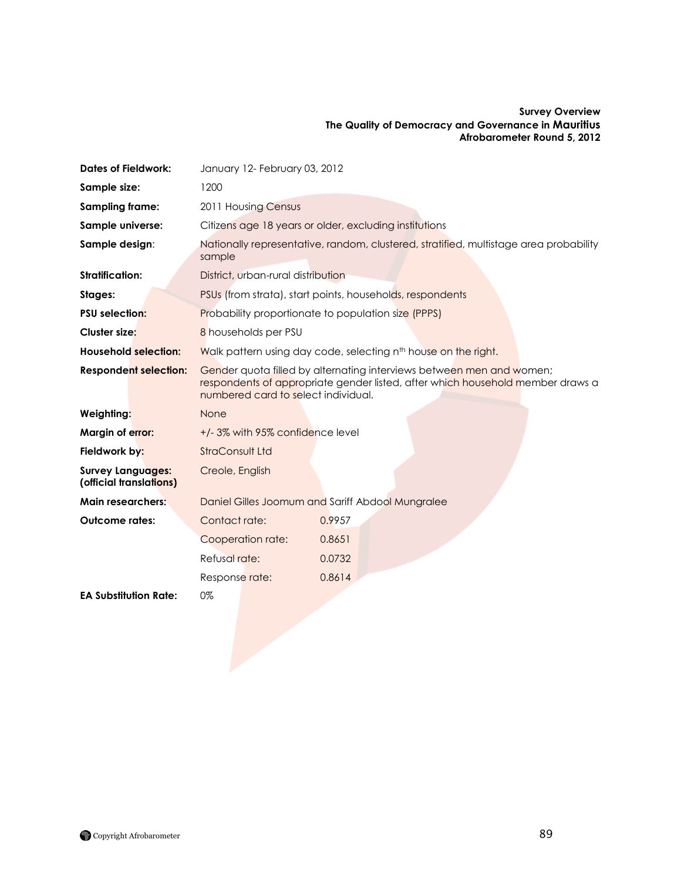#### **Survey Overview The Quality of Democracy and Governance in Mauritius Afrobarometer Round 5, 2012**

| <b>Dates of Fieldwork:</b>                          | January 12- February 03, 2012                                                                                                                                                                 |                                                                                       |
|-----------------------------------------------------|-----------------------------------------------------------------------------------------------------------------------------------------------------------------------------------------------|---------------------------------------------------------------------------------------|
| Sample size:                                        | 1200                                                                                                                                                                                          |                                                                                       |
| <b>Sampling frame:</b>                              | 2011 Housing Census                                                                                                                                                                           |                                                                                       |
| Sample universe:                                    |                                                                                                                                                                                               | Citizens age 18 years or older, excluding institutions                                |
| Sample design:                                      | sample                                                                                                                                                                                        | Nationally representative, random, clustered, stratified, multistage area probability |
| <b>Stratification:</b>                              | District, urban-rural distribution                                                                                                                                                            |                                                                                       |
| Stages:                                             |                                                                                                                                                                                               | PSUs (from strata), start points, households, respondents                             |
| <b>PSU selection:</b>                               |                                                                                                                                                                                               | <b>Probability proportionate to population size (PPPS)</b>                            |
| Cluster size:                                       | 8 households per PSU                                                                                                                                                                          |                                                                                       |
| <b>Household selection:</b>                         |                                                                                                                                                                                               | Walk pattern using day code, selecting n <sup>th</sup> house on the right.            |
| <b>Respondent selection:</b>                        | Gender quota filled by alternating interviews between men and women;<br>respondents of appropriate gender listed, after which household member draws a<br>numbered card to select individual. |                                                                                       |
| Weighting:                                          | None                                                                                                                                                                                          |                                                                                       |
| Margin of error:                                    | +/-3% with 95% confidence level                                                                                                                                                               |                                                                                       |
| Fieldwork by:                                       | <b>StraConsult Ltd</b>                                                                                                                                                                        |                                                                                       |
| <b>Survey Languages:</b><br>(official translations) | Creole, English                                                                                                                                                                               |                                                                                       |
| <b>Main researchers:</b>                            |                                                                                                                                                                                               | Daniel Gilles Joomum and Sariff Abdool Mungralee                                      |
| <b>Outcome rates:</b>                               | Contact rate:                                                                                                                                                                                 | 0.9957                                                                                |
|                                                     | Cooperation rate:                                                                                                                                                                             | 0.8651                                                                                |
|                                                     | Refusal rate:                                                                                                                                                                                 | 0.0732                                                                                |
|                                                     | Response rate:                                                                                                                                                                                | 0.8614                                                                                |
| <b>EA Substitution Rate:</b>                        | 0%                                                                                                                                                                                            |                                                                                       |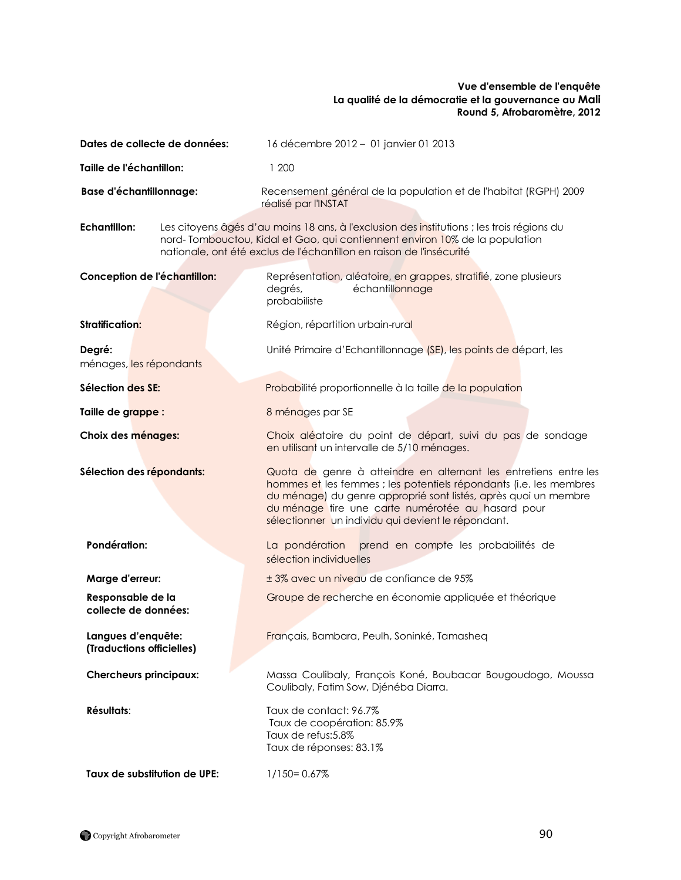### **Vue d'ensemble de l'enquête La qualité de la démocratie et la gouvernance au Mali Round 5, Afrobaromètre, 2012**

| Dates de collecte de données:                   |  | 16 décembre 2012 - 01 janvier 01 2013                                                                                                                                                                                                                                                                                |
|-------------------------------------------------|--|----------------------------------------------------------------------------------------------------------------------------------------------------------------------------------------------------------------------------------------------------------------------------------------------------------------------|
| Taille de l'échantillon:                        |  | 1 200                                                                                                                                                                                                                                                                                                                |
| <b>Base d'échantillonnage:</b>                  |  | Recensement général de la population et de l'habitat (RGPH) 2009<br>réalisé par l'INSTAT                                                                                                                                                                                                                             |
| <b>Echantillon:</b>                             |  | Les citoyens âgés d'au moins 18 ans, à l'exclusion des institutions ; les trois régions du<br>nord-Tombouctou, Kidal et Gao, qui contiennent environ 10% de la population<br>nationale, ont été exclus de l'échantillon en raison de l'insécurité                                                                    |
| Conception de l'échantillon:                    |  | Représentation, aléatoire, en grappes, stratifié, zone plusieurs<br>degrés,<br>échantillonnage<br>probabiliste                                                                                                                                                                                                       |
| <b>Stratification:</b>                          |  | Région, répartition urbain-rural                                                                                                                                                                                                                                                                                     |
| Degré:<br>ménages, les répondants               |  | Unité Primaire d'Echantillonnage (SE), les points de départ, les                                                                                                                                                                                                                                                     |
| Sélection des SE:                               |  | Probabilité proportionnelle à la taille de la population                                                                                                                                                                                                                                                             |
| Taille de grappe :                              |  | 8 ménages par SE                                                                                                                                                                                                                                                                                                     |
| Choix des ménages:                              |  | Choix aléatoire du point de départ, suivi du pas de sondage<br>en utilisant un intervalle de 5/10 ménages.                                                                                                                                                                                                           |
| Sélection des répondants:                       |  | Quota de genre à atteindre en alternant les entretiens entre les<br>hommes et les femmes ; les potentiels répondants (i.e. les membres<br>du ménage) du genre approprié sont listés, après quoi un membre<br>du ménage tire une carte numérotée au hasard pour<br>sélectionner un individu qui devient le répondant. |
| Pondération:                                    |  | La pondération prend en compte les probabilités de<br>sélection individuelles                                                                                                                                                                                                                                        |
| Marge d'erreur:                                 |  | ± 3% avec un niveau de confiance de 95%                                                                                                                                                                                                                                                                              |
| Responsable de la<br>collecte de données:       |  | Groupe de recherche en économie appliquée et théorique                                                                                                                                                                                                                                                               |
| Langues d'enquête:<br>(Traductions officielles) |  | Français, Bambara, Peulh, Soninké, Tamasheq                                                                                                                                                                                                                                                                          |
| <b>Chercheurs principaux:</b>                   |  | Massa Coulibaly, François Koné, Boubacar Bougoudogo, Moussa<br>Coulibaly, Fatim Sow, Djénéba Diarra.                                                                                                                                                                                                                 |
| Résultats:                                      |  | Taux de contact: 96.7%<br>Taux de coopération: 85.9%<br>Taux de refus:5.8%<br>Taux de réponses: 83.1%                                                                                                                                                                                                                |
| Taux de substitution de UPE:                    |  | $1/150 = 0.67%$                                                                                                                                                                                                                                                                                                      |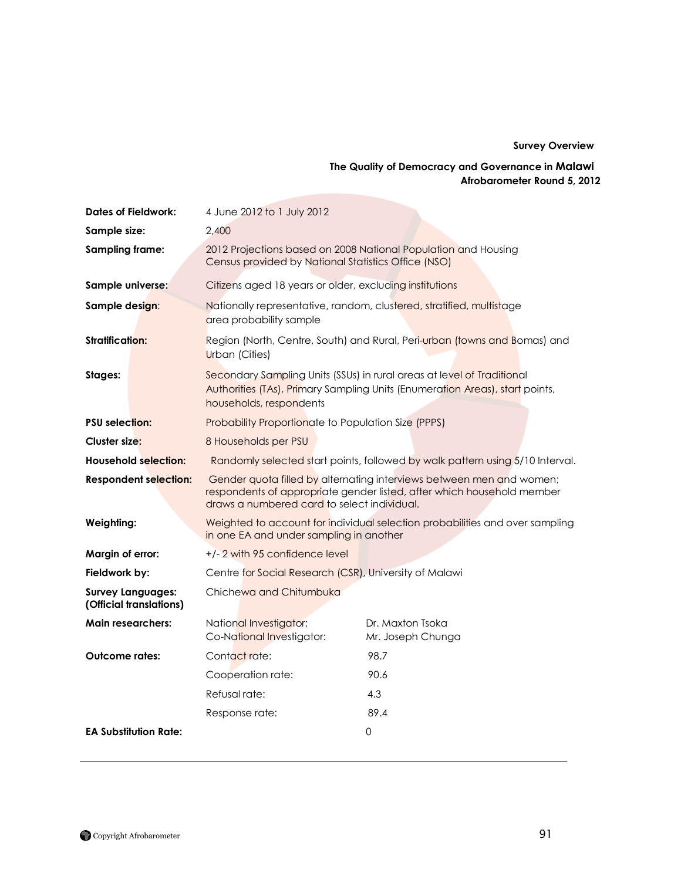#### **Survey Overview**

## **The Quality of Democracy and Governance in Malawi Afrobarometer Round 5, 2012**

| <b>Dates of Fieldwork:</b>                          | 4 June 2012 to 1 July 2012                                                                                                                                                                    |                                                                                                                                                        |
|-----------------------------------------------------|-----------------------------------------------------------------------------------------------------------------------------------------------------------------------------------------------|--------------------------------------------------------------------------------------------------------------------------------------------------------|
| Sample size:                                        | 2,400                                                                                                                                                                                         |                                                                                                                                                        |
| Sampling frame:                                     | 2012 Projections based on 2008 National Population and Housing<br>Census provided by National Statistics Office (NSO)                                                                         |                                                                                                                                                        |
| Sample universe:                                    | Citizens aged 18 years or older, excluding institutions                                                                                                                                       |                                                                                                                                                        |
| Sample design:                                      | area probability sample                                                                                                                                                                       | Nationally representative, random, clustered, stratified, multistage                                                                                   |
| <b>Stratification:</b>                              | Region (North, Centre, South) and Rural, Peri-urban (towns and Bomas) and<br><b>Urban</b> (Cities)                                                                                            |                                                                                                                                                        |
| Stages:                                             | households, respondents                                                                                                                                                                       | Secondary Sampling Units (SSUs) in rural areas at level of Traditional<br>Authorities (TAs), Primary Sampling Units (Enumeration Areas), start points, |
| <b>PSU</b> selection:                               | Probability Proportionate to Population Size (PPPS)                                                                                                                                           |                                                                                                                                                        |
| Cluster size:                                       | 8 Households per PSU                                                                                                                                                                          |                                                                                                                                                        |
| <b>Household selection:</b>                         | Randomly selected start points, followed by walk pattern using 5/10 Interval.                                                                                                                 |                                                                                                                                                        |
| <b>Respondent selection:</b>                        | Gender quota filled by alternating interviews between men and women;<br>respondents of appropriate gender listed, after which household member<br>draws a numbered card to select individual. |                                                                                                                                                        |
| Weighting:                                          | in one EA and under sampling in another                                                                                                                                                       | Weighted to account for individual selection probabilities and over sampling                                                                           |
| Margin of error:                                    | +/-2 with 95 confidence level                                                                                                                                                                 |                                                                                                                                                        |
| Fieldwork by:                                       | Centre for Social Research (CSR), University of Malawi                                                                                                                                        |                                                                                                                                                        |
| <b>Survey Languages:</b><br>(Official translations) | Chichewa and Chitumbuka                                                                                                                                                                       |                                                                                                                                                        |
| <b>Main researchers:</b>                            | National Investigator:<br>Co-National Investigator:                                                                                                                                           | Dr. Maxton Tsoka<br>Mr. Joseph Chunga                                                                                                                  |
| <b>Outcome rates:</b>                               | Contact rate:                                                                                                                                                                                 | 98.7                                                                                                                                                   |
|                                                     | Cooperation rate:                                                                                                                                                                             | 90.6                                                                                                                                                   |
|                                                     | Refusal rate:                                                                                                                                                                                 | 4.3                                                                                                                                                    |
|                                                     | Response rate:                                                                                                                                                                                | 89.4                                                                                                                                                   |
| <b>EA Substitution Rate:</b>                        |                                                                                                                                                                                               | 0                                                                                                                                                      |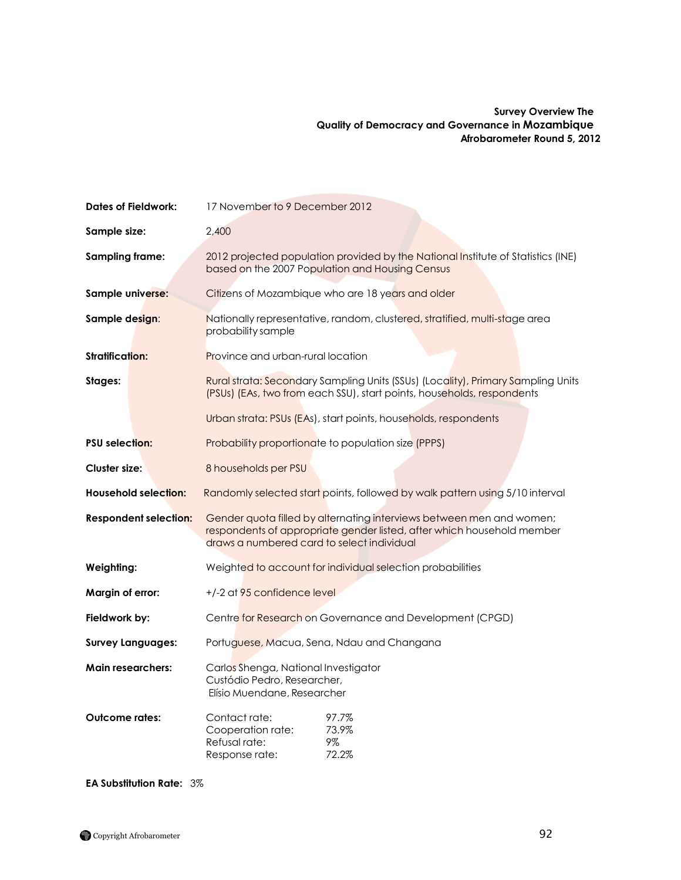### **Survey Overview The Quality of Democracy and Governance in Mozambique Afrobarometer Round 5, 2012**

| <b>Dates of Fieldwork:</b>   | 17 November to 9 December 2012                                                                                                                                                               |  |
|------------------------------|----------------------------------------------------------------------------------------------------------------------------------------------------------------------------------------------|--|
| Sample size:                 | 2,400                                                                                                                                                                                        |  |
| <b>Sampling frame:</b>       | 2012 projected population provided by the National Institute of Statistics (INE)<br>based on the 2007 Population and Housing Census                                                          |  |
| Sample universe:             | Citizens of Mozambique who are 18 years and older                                                                                                                                            |  |
| Sample design:               | Nationally representative, random, clustered, stratified, multi-stage area<br>probability sample                                                                                             |  |
| <b>Stratification:</b>       | <b>Province and urban-rural location</b>                                                                                                                                                     |  |
| Stages:                      | Rural strata: Secondary Sampling Units (SSUs) (Locality), Primary Sampling Units<br>(PSUs) (EAs, two from each SSU), start points, households, respondents                                   |  |
|                              | Urban strata: PSUs (EAs), start points, households, respondents                                                                                                                              |  |
| <b>PSU selection:</b>        | Probability proportionate to population size (PPPS)                                                                                                                                          |  |
| <b>Cluster size:</b>         | 8 households per PSU                                                                                                                                                                         |  |
| <b>Household selection:</b>  | Randomly selected start points, followed by walk pattern using 5/10 interval                                                                                                                 |  |
| <b>Respondent selection:</b> | Gender quota filled by alternating interviews between men and women;<br>respondents of appropriate gender listed, after which household member<br>draws a numbered card to select individual |  |
| Weighting:                   | Weighted to account for individual selection probabilities                                                                                                                                   |  |
| Margin of error:             | +/-2 at 95 confidence level                                                                                                                                                                  |  |
| Fieldwork by:                | Centre for Research on Governance and Development (CPGD)                                                                                                                                     |  |
| <b>Survey Languages:</b>     | Portuguese, Macua, Sena, Ndau and Changana                                                                                                                                                   |  |
| <b>Main researchers:</b>     | Carlos Shenga, National Investigator<br>Custódio Pedro, Researcher,<br>Elísio Muendane, Researcher                                                                                           |  |
| <b>Outcome rates:</b>        | Contact rate:<br>97.7%<br>73.9%<br>Cooperation rate:<br>Refusal rate:<br>9%<br>72.2%<br>Response rate:                                                                                       |  |

**EA Substitution Rate:** 3%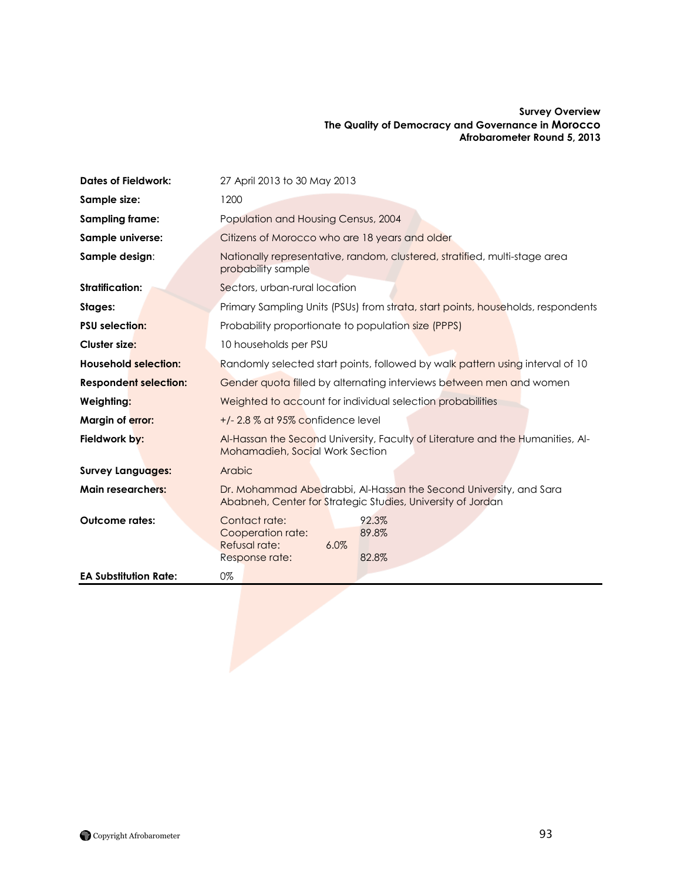#### **Survey Overview The Quality of Democracy and Governance in Morocco Afrobarometer Round 5, 2013**

| <b>Dates of Fieldwork:</b>   | 27 April 2013 to 30 May 2013                                                                                                     |  |
|------------------------------|----------------------------------------------------------------------------------------------------------------------------------|--|
| Sample size:                 | 1200                                                                                                                             |  |
| Sampling frame:              | Population and Housing Census, 2004                                                                                              |  |
| Sample universe:             | Citizens of Morocco who are 18 years and older                                                                                   |  |
| Sample design:               | Nationally representative, random, clustered, stratified, multi-stage area<br>probability sample                                 |  |
| <b>Stratification:</b>       | Sectors, urban-rural location                                                                                                    |  |
| Stages:                      | Primary Sampling Units (PSUs) from strata, start points, households, respondents                                                 |  |
| <b>PSU selection:</b>        | Probability proportionate to population size (PPPS)                                                                              |  |
| <b>Cluster size:</b>         | 10 households per PSU                                                                                                            |  |
| <b>Household selection:</b>  | Randomly selected start points, followed by walk pattern using interval of 10                                                    |  |
| <b>Respondent selection:</b> | Gender quota filled by alternating interviews between men and women                                                              |  |
| Weighting:                   | Weighted to account for individual selection probabilities                                                                       |  |
| Margin of error:             | $+/- 2.8$ % at 95% confidence level                                                                                              |  |
| Fieldwork by:                | Al-Hassan the Second University, Faculty of Literature and the Humanities, Al-<br><b>Mohamadieh, Social Work Section</b>         |  |
| <b>Survey Languages:</b>     | Arabic                                                                                                                           |  |
| <b>Main researchers:</b>     | Dr. Mohammad Abedrabbi, Al-Hassan the Second University, and Sara<br>Ababneh, Center for Strategic Studies, University of Jordan |  |
| <b>Outcome rates:</b>        | Contact rate:<br>92.3%<br>Cooperation rate:<br>89.8%<br>Refusal rate:<br>6.0%<br>82.8%<br>Response rate:                         |  |
| <b>EA Substitution Rate:</b> | 0%                                                                                                                               |  |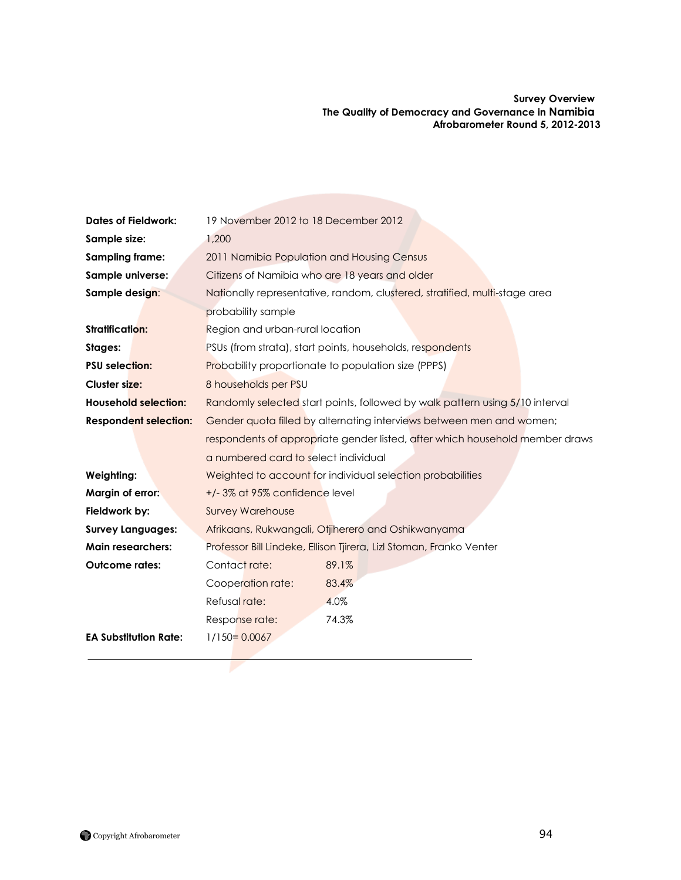**Survey Overview The Quality of Democracy and Governance in Namibia Afrobarometer Round 5, 2012-2013**

| <b>Dates of Fieldwork:</b>   | 19 November 2012 to 18 December 2012                                         |                                                                              |  |
|------------------------------|------------------------------------------------------------------------------|------------------------------------------------------------------------------|--|
| Sample size:                 | 1,200                                                                        |                                                                              |  |
| Sampling frame:              | 2011 Namibia Population and Housing Census                                   |                                                                              |  |
| Sample universe:             | Citizens of Namibia who are 18 years and older                               |                                                                              |  |
| Sample design:               |                                                                              | Nationally representative, random, clustered, stratified, multi-stage area   |  |
|                              | probability sample                                                           |                                                                              |  |
| <b>Stratification:</b>       | Region and urban-rural location                                              |                                                                              |  |
| Stages:                      |                                                                              | PSUs (from strata), start points, households, respondents                    |  |
| <b>PSU selection:</b>        | <b>Probability proportionate to population size (PPPS)</b>                   |                                                                              |  |
| <b>Cluster size:</b>         | 8 households per PSU                                                         |                                                                              |  |
| <b>Household selection:</b>  |                                                                              | Randomly selected start points, followed by walk pattern using 5/10 interval |  |
| <b>Respondent selection:</b> | Gender quota filled by alternating interviews between men and women;         |                                                                              |  |
|                              | respondents of appropriate gender listed, after which household member draws |                                                                              |  |
|                              | a numbered card to select individual                                         |                                                                              |  |
| Weighting:                   | Weighted to account for individual selection probabilities                   |                                                                              |  |
| Margin of error:             | +/-3% at 95% confidence level                                                |                                                                              |  |
| Fieldwork by:                | <b>Survey Warehouse</b>                                                      |                                                                              |  |
| <b>Survey Languages:</b>     |                                                                              | Afrikaans, Rukwangali, Otjiherero and Oshikwanyama                           |  |
| <b>Main researchers:</b>     |                                                                              | Professor Bill Lindeke, Ellison Tjirera, Lizl Stoman, Franko Venter          |  |
| <b>Outcome rates:</b>        | Contact rate:                                                                | 89.1%                                                                        |  |
|                              | Cooperation rate:                                                            | 83.4%                                                                        |  |
|                              | Refusal rate:                                                                | 4.0%                                                                         |  |
|                              | Response rate:                                                               | 74.3%                                                                        |  |
| <b>EA Substitution Rate:</b> | $1/150 = 0.0067$                                                             |                                                                              |  |
|                              |                                                                              |                                                                              |  |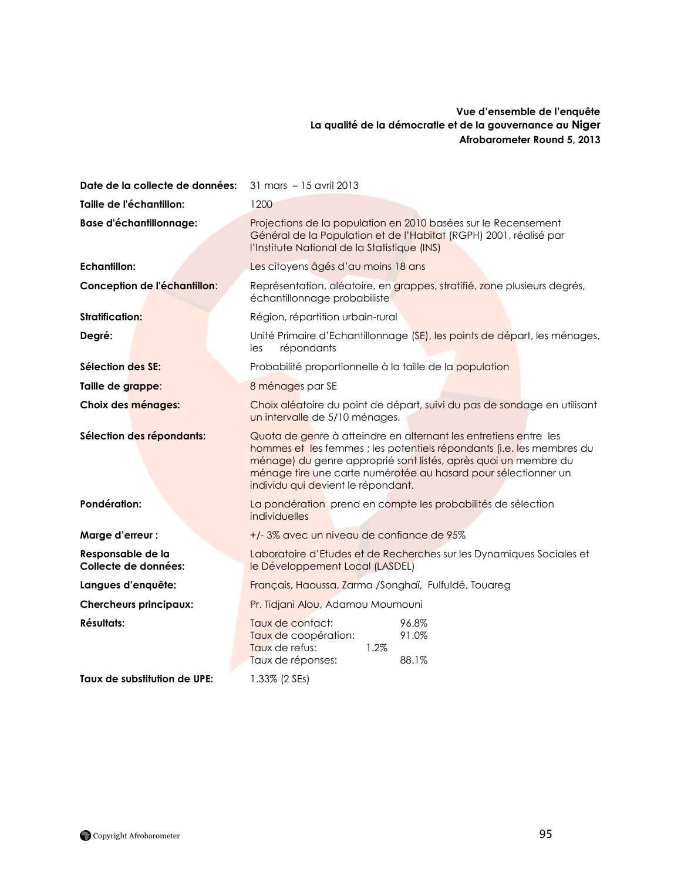### **Vue d'ensemble de l'enquête La qualité de la démocratie et de la gouvernance au Niger Afrobarometer Round 5, 2013**

| Date de la collecte de données:           | 31 mars - 15 avril 2013                                                                                                                                                                                                                                                                                              |  |
|-------------------------------------------|----------------------------------------------------------------------------------------------------------------------------------------------------------------------------------------------------------------------------------------------------------------------------------------------------------------------|--|
| Taille de l'échantillon:                  | 1200                                                                                                                                                                                                                                                                                                                 |  |
| <b>Base d'échantillonnage:</b>            | Projections de la population en 2010 basées sur le Recensement<br>Général de la Population et de l'Habitat (RGPH) 2001, réalisé par<br>l'Institute National de la Statistique (INS)                                                                                                                                  |  |
| <b>Echantillon:</b>                       | Les citoyens âgés d'au moins 18 ans                                                                                                                                                                                                                                                                                  |  |
| Conception de l'échantillon:              | Représentation, aléatoire, en grappes, stratifié, zone plusieurs degrés,<br>échantillonnage probabiliste                                                                                                                                                                                                             |  |
| <b>Stratification:</b>                    | Région, répartition urbain-rural                                                                                                                                                                                                                                                                                     |  |
| Degré:                                    | Unité Primaire d'Echantillonnage (SE), les points de départ, les ménages,<br>répondants<br>les                                                                                                                                                                                                                       |  |
| Sélection des SE:                         | Probabilité proportionnelle à la taille de la population                                                                                                                                                                                                                                                             |  |
| Taille de grappe:                         | 8 ménages par SE                                                                                                                                                                                                                                                                                                     |  |
| Choix des ménages:                        | Choix aléatoire du point de départ, suivi du pas de sondage en utilisant<br>un intervalle de 5/10 ménages.                                                                                                                                                                                                           |  |
| Sélection des répondants:                 | Quota de genre à atteindre en alternant les entretiens entre les<br>hommes et les femmes ; les potentiels répondants (i.e. les membres du<br>ménage) du genre approprié sont listés, après quoi un membre du<br>ménage tire une carte numérotée au hasard pour sélectionner un<br>individu qui devient le répondant. |  |
| Pondération:                              | La pondération prend en compte les probabilités de sélection<br>individuelles                                                                                                                                                                                                                                        |  |
| Marge d'erreur :                          | +/-3% avec un niveau de confiance de 95%                                                                                                                                                                                                                                                                             |  |
| Responsable de la<br>Collecte de données: | Laboratoire d'Etudes et de Recherches sur les Dynamiques Sociales et<br>le Développement Local (LASDEL)                                                                                                                                                                                                              |  |
| Langues d'enquête:                        | Français, Haoussa, Zarma /Songhaï, Fulfuldé, Touareg                                                                                                                                                                                                                                                                 |  |
| <b>Chercheurs principaux:</b>             | Pr. Tidjani Alou, Adamou Moumouni                                                                                                                                                                                                                                                                                    |  |
| Résultats:                                | Taux de contact:<br>96.8%<br>Taux de coopération:<br>91.0%<br>Taux de refus:<br>1.2%<br>Taux de réponses:<br>88.1%                                                                                                                                                                                                   |  |
| Taux de substitution de UPE:              | 1.33% (2 SEs)                                                                                                                                                                                                                                                                                                        |  |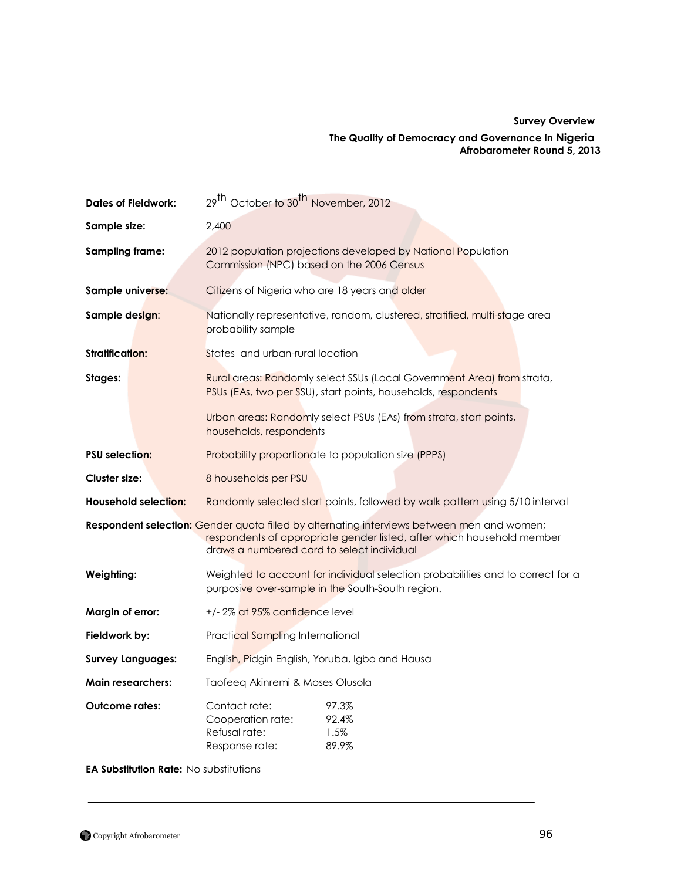## **Survey Overview The Quality of Democracy and Governance in Nigeria Afrobarometer Round 5, 2013**

| <b>Dates of Fieldwork:</b>  | 29 <sup>th</sup> October to 30 <sup>th</sup> November, 2012                                                                                                                                                               |  |  |
|-----------------------------|---------------------------------------------------------------------------------------------------------------------------------------------------------------------------------------------------------------------------|--|--|
| Sample size:                | 2,400                                                                                                                                                                                                                     |  |  |
| <b>Sampling frame:</b>      | 2012 population projections developed by National Population<br>Commission (NPC) based on the 2006 Census                                                                                                                 |  |  |
| Sample universe:            | Citizens of Nigeria who are 18 years and older                                                                                                                                                                            |  |  |
| Sample design:              | Nationally representative, random, clustered, stratified, multi-stage area<br>probability sample                                                                                                                          |  |  |
| <b>Stratification:</b>      | States and urban-rural location                                                                                                                                                                                           |  |  |
| Stages:                     | Rural areas: Randomly select SSUs (Local Government Area) from strata,<br>PSUs (EAs, two per SSU), start points, households, respondents                                                                                  |  |  |
|                             | Urban areas: Randomly select PSUs (EAs) from strata, start points,<br>households, respondents                                                                                                                             |  |  |
| <b>PSU selection:</b>       | Probability proportionate to population size (PPPS)                                                                                                                                                                       |  |  |
| <b>Cluster size:</b>        | 8 households per PSU                                                                                                                                                                                                      |  |  |
| <b>Household selection:</b> | Randomly selected start points, followed by walk pattern using 5/10 interval                                                                                                                                              |  |  |
|                             | <b>Respondent selection:</b> Gender quota filled by alternating interviews between men and women;<br>respondents of appropriate gender listed, after which household member<br>draws a numbered card to select individual |  |  |
| Weighting:                  | Weighted to account for individual selection probabilities and to correct for a<br>purposive over-sample in the South-South region.                                                                                       |  |  |
| Margin of error:            | +/-2% at 95% confidence level                                                                                                                                                                                             |  |  |
| Fieldwork by:               | Practical Sampling International                                                                                                                                                                                          |  |  |
| <b>Survey Languages:</b>    | English, Pidgin English, Yoruba, Igbo and Hausa                                                                                                                                                                           |  |  |
| <b>Main researchers:</b>    | Taofeeq Akinremi & Moses Olusola                                                                                                                                                                                          |  |  |
| <b>Outcome rates:</b>       | Contact rate:<br>97.3%<br>92.4%<br>Cooperation rate:<br>Refusal rate:<br>1.5%<br>89.9%<br>Response rate:                                                                                                                  |  |  |

**EA Substitution Rate:** No substitutions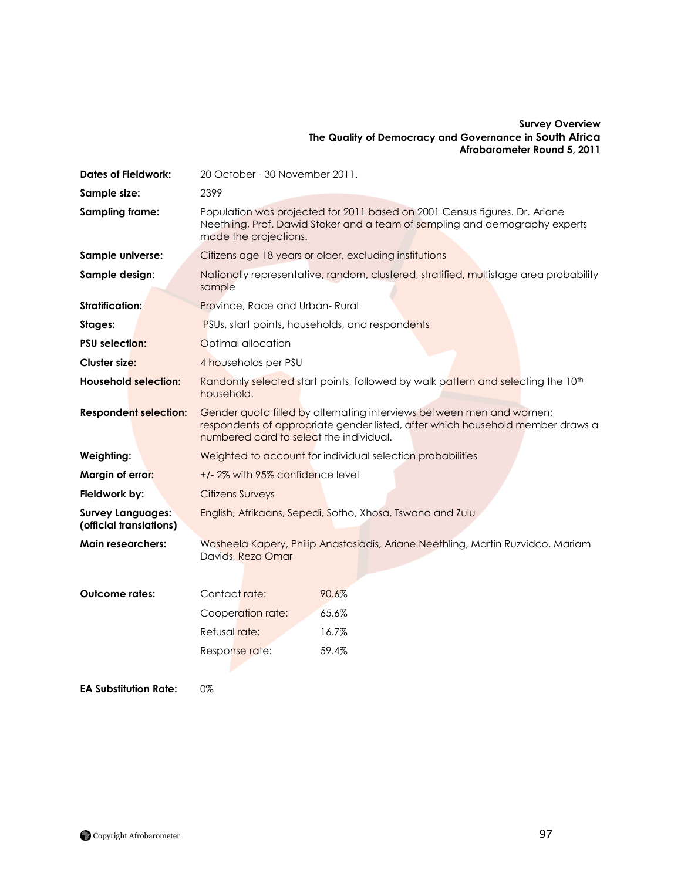#### **Survey Overview The Quality of Democracy and Governance in South Africa Afrobarometer Round 5, 2011**

| <b>Dates of Fieldwork:</b>                          | 20 October - 30 November 2011.                                                                                                                                                                    |  |
|-----------------------------------------------------|---------------------------------------------------------------------------------------------------------------------------------------------------------------------------------------------------|--|
| Sample size:                                        | 2399                                                                                                                                                                                              |  |
| Sampling frame:                                     | Population was projected for 2011 based on 2001 Census figures. Dr. Ariane<br>Neethling, Prof. Dawid Stoker and a team of sampling and demography experts<br>made the projections.                |  |
| Sample universe:                                    | Citizens age 18 years or older, excluding institutions                                                                                                                                            |  |
| Sample design:                                      | Nationally representative, random, clustered, stratified, multistage area probability<br>sample                                                                                                   |  |
| <b>Stratification:</b>                              | Province, Race and Urban-Rural                                                                                                                                                                    |  |
| Stages:                                             | PSUs, start points, households, and respondents                                                                                                                                                   |  |
| <b>PSU selection:</b>                               | Optimal allocation                                                                                                                                                                                |  |
| <b>Cluster size:</b>                                | 4 households per PSU                                                                                                                                                                              |  |
| <b>Household selection:</b>                         | Randomly selected start points, followed by walk pattern and selecting the 10 <sup>th</sup><br>household.                                                                                         |  |
| <b>Respondent selection:</b>                        | Gender quota filled by alternating interviews between men and women;<br>respondents of appropriate gender listed, after which household member draws a<br>numbered card to select the individual. |  |
| Weighting:                                          | Weighted to account for individual selection probabilities                                                                                                                                        |  |
| Margin of error:                                    | +/-2% with 95% confidence level                                                                                                                                                                   |  |
| Fieldwork by:                                       | <b>Citizens Surveys</b>                                                                                                                                                                           |  |
| <b>Survey Languages:</b><br>(official translations) | English, Afrikaans, Sepedi, Sotho, Xhosa, Tswana and Zulu                                                                                                                                         |  |
| <b>Main researchers:</b>                            | Washeela Kapery, Philip Anastasiadis, Ariane Neethling, Martin Ruzvidco, Mariam<br>Davids, Reza Omar                                                                                              |  |
| <b>Outcome rates:</b>                               | Contact rate:<br>90.6%                                                                                                                                                                            |  |
|                                                     | 65.6%<br>Cooperation rate:                                                                                                                                                                        |  |
|                                                     | Refusal rate:<br>16.7%                                                                                                                                                                            |  |
|                                                     | 59.4%<br>Response rate:                                                                                                                                                                           |  |

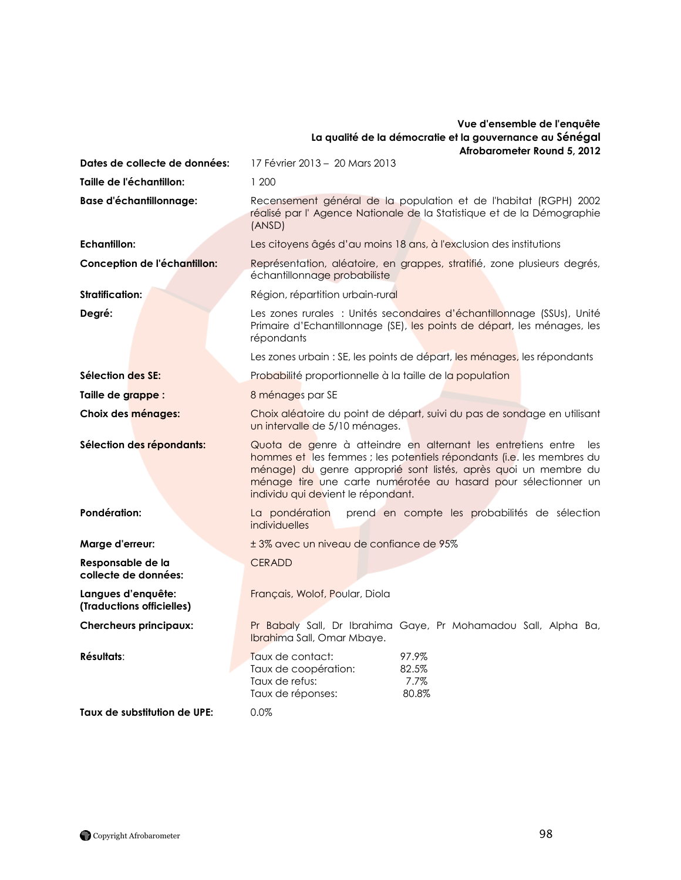#### **Vue d'ensemble de l'enquête La qualité de la démocratie et la gouvernance au Sénégal Afrobarometer Round 5, 2012**

**Dates de collecte de données:** 17 Février 2013 – 20 Mars 2013 **Taille de l'échantillon:** 1 200 Base d'échantillonnage: Recensement général de la population et de l'habitat (RGPH) 2002

**Echantillon:** Les citoyens âgés d'au moins 18 ans, à l'exclusion des institutions **Conception de l'échantillon:** Représentation, aléatoire, en grappes, stratifié, zone plusieurs degrés,

**Stratification:** Région, répartition urbain-rural **Degré:** Les zones rurales : Unités secondaires d"échantillonnage (SSUs), Unité

**Sélection des SE:** Probabilité proportionnelle à la taille de la population **Taille de grappe :** 8 ménages par SE

**Responsable de la** CERADD **collecte de données:**

**(Traductions officielles)**

**Taux de substitution de UPE:** 0.0%

répondants

échantillonnage probabiliste

(ANSD)

**Choix des ménages:** Choix aléatoire du point de départ, suivi du pas de sondage en utilisant un intervalle de 5/10 ménages.

Primaire d"Echantillonnage (SE), les points de départ, les ménages, les

Les zones urbain : SE, les points de départ, les ménages, les répondants

réalisé par l' Agence Nationale de la Statistique et de la Démographie

Sélection des répondants: Quota de genre à atteindre en alternant les entretiens entre les hommes et les femmes ; les potentiels répondants (i.e. les membres du ménage) du genre approprié sont listés, après quoi un membre du ménage tire une carte numérotée au hasard pour sélectionner un individu qui devient le répondant.

**Pondération:** La pondération prend en compte les probabilités de sélection individuelles

**Marge d'erreur:**  $\pm 3\%$  avec un niveau de confiance de 95%

**Langues d'enquête:** Français, Wolof, Poular, Diola

**Chercheurs principaux:** Pr Babaly Sall, Dr Ibrahima Gaye, Pr Mohamadou Sall, Alpha Ba, Ibrahima Sall, Omar Mbaye.

| Résultats: | Taux de contact:     | 97.9% |
|------------|----------------------|-------|
|            | Taux de coopération: | 82.5% |
|            | Taux de refus:       | 7.7%  |
|            | Taux de réponses:    | 80.8% |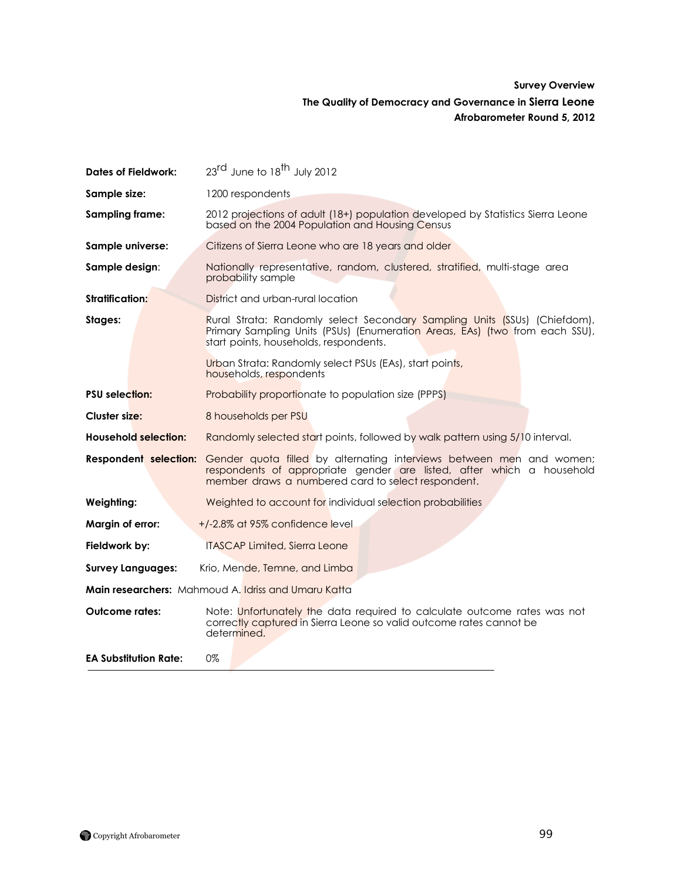## **Survey Overview The Quality of Democracy and Governance in Sierra Leone Afrobarometer Round 5, 2012**

| <b>Dates of Fieldwork:</b>   | 23 <sup>rd</sup> June to 18 <sup>th</sup> July 2012                                                                                                                                                 |
|------------------------------|-----------------------------------------------------------------------------------------------------------------------------------------------------------------------------------------------------|
| Sample size:                 | 1200 respondents                                                                                                                                                                                    |
| Sampling frame:              | 2012 projections of adult (18+) population developed by Statistics Sierra Leone<br>based on the 2004 Population and Housing Census                                                                  |
| Sample universe:             | Citizens of Sierra Leone who are 18 years and older                                                                                                                                                 |
| Sample design:               | Nationally representative, random, clustered, stratified, multi-stage area<br>probability sample                                                                                                    |
| <b>Stratification:</b>       | District and urban-rural location                                                                                                                                                                   |
| Stages:                      | Rural Strata: Randomly select Secondary Sampling Units (SSUs) (Chiefdom),<br>Primary Sampling Units (PSUs) (Enumeration Areas, EAs) (two from each SSU),<br>start points, households, respondents.  |
|                              | Urban Strata: Randomly select PSUs (EAs), start points,<br>households, respondents                                                                                                                  |
| <b>PSU</b> selection:        | <b>Probability proportionate to population size (PPPS)</b>                                                                                                                                          |
| Cluster size:                | 8 households per PSU                                                                                                                                                                                |
| <b>Household selection:</b>  | Randomly selected start points, followed by walk pattern using 5/10 interval.                                                                                                                       |
| <b>Respondent selection:</b> | Gender quota filled by alternating interviews between men and women;<br>respondents of appropriate gender are listed, after which a household<br>member draws a numbered card to select respondent. |
| Weighting:                   | Weighted to account for individual selection probabilities                                                                                                                                          |
| Margin of error:             | +/-2.8% at 95% confidence level                                                                                                                                                                     |
| Fieldwork by:                | <b>ITASCAP Limited, Sierra Leone</b>                                                                                                                                                                |
| <b>Survey Languages:</b>     | Krio, Mende, Temne, and Limba                                                                                                                                                                       |
|                              | <b>Main researchers:</b> Mahmoud A. Idriss and Umaru Katta                                                                                                                                          |
| <b>Outcome rates:</b>        | Note: Unfortunately the data required to calculate outcome rates was not<br>correctly captured in Sierra Leone so valid outcome rates cannot be<br>determined.                                      |
| <b>EA Substitution Rate:</b> | 0%                                                                                                                                                                                                  |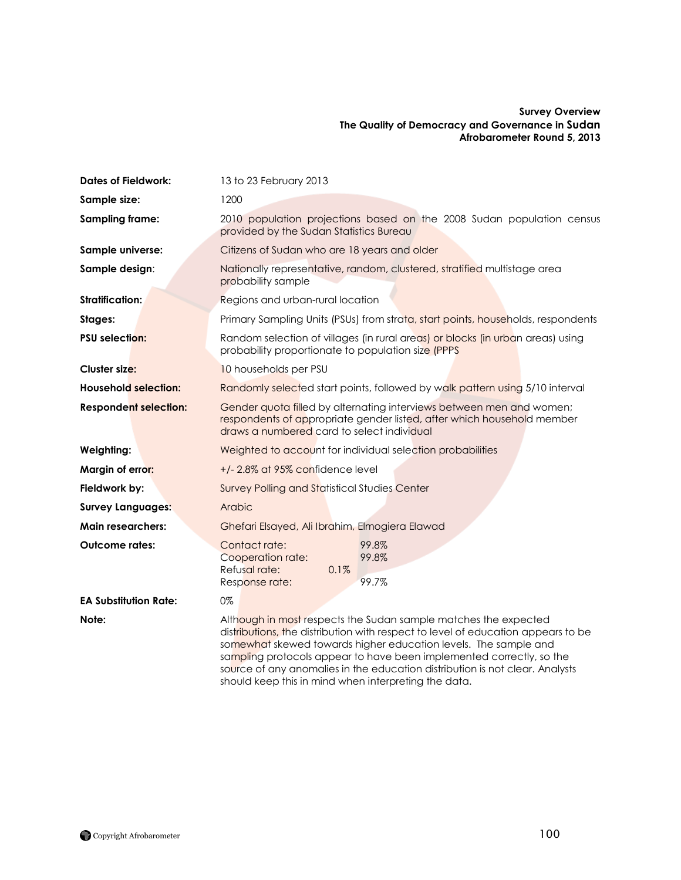#### **Survey Overview The Quality of Democracy and Governance in Sudan Afrobarometer Round 5, 2013**

| <b>Dates of Fieldwork:</b>   | 13 to 23 February 2013                                                                                                                                                                                                                                                                                                                                                         |  |
|------------------------------|--------------------------------------------------------------------------------------------------------------------------------------------------------------------------------------------------------------------------------------------------------------------------------------------------------------------------------------------------------------------------------|--|
| Sample size:                 | 1200                                                                                                                                                                                                                                                                                                                                                                           |  |
| <b>Sampling frame:</b>       | 2010 population projections based on the 2008 Sudan population census<br>provided by the Sudan Statistics Bureau                                                                                                                                                                                                                                                               |  |
| Sample universe:             | Citizens of Sudan who are 18 years and older                                                                                                                                                                                                                                                                                                                                   |  |
| Sample design:               | Nationally representative, random, clustered, stratified multistage area<br>probability sample                                                                                                                                                                                                                                                                                 |  |
| <b>Stratification:</b>       | Regions and urban-rural location                                                                                                                                                                                                                                                                                                                                               |  |
| Stages:                      | Primary Sampling Units (PSUs) from strata, start points, households, respondents                                                                                                                                                                                                                                                                                               |  |
| <b>PSU selection:</b>        | Random selection of villages (in rural areas) or blocks (in urban areas) using<br>probability proportionate to population size (PPPS                                                                                                                                                                                                                                           |  |
| <b>Cluster size:</b>         | 10 households per PSU                                                                                                                                                                                                                                                                                                                                                          |  |
| <b>Household selection:</b>  | Randomly selected start points, followed by walk pattern using 5/10 interval                                                                                                                                                                                                                                                                                                   |  |
| <b>Respondent selection:</b> | Gender quota filled by alternating interviews between men and women;<br>respondents of appropriate gender listed, after which household member<br>draws a numbered card to select individual                                                                                                                                                                                   |  |
| Weighting:                   | Weighted to account for individual selection probabilities                                                                                                                                                                                                                                                                                                                     |  |
| Margin of error:             | +/-2.8% at 95% confidence level                                                                                                                                                                                                                                                                                                                                                |  |
| Fieldwork by:                | <b>Survey Polling and Statistical Studies Center</b>                                                                                                                                                                                                                                                                                                                           |  |
| <b>Survey Languages:</b>     | Arabic                                                                                                                                                                                                                                                                                                                                                                         |  |
| <b>Main researchers:</b>     | Ghefari Elsayed, Ali Ibrahim, Elmogiera Elawad                                                                                                                                                                                                                                                                                                                                 |  |
| <b>Outcome rates:</b>        | Contact rate:<br>99.8%<br>99.8%<br>Cooperation rate:<br>Refusal rate:<br>0.1%<br>99.7%<br>Response rate:                                                                                                                                                                                                                                                                       |  |
| <b>EA Substitution Rate:</b> | 0%                                                                                                                                                                                                                                                                                                                                                                             |  |
| Note:                        | Although in most respects the Sudan sample matches the expected<br>distributions, the distribution with respect to level of education appears to be<br>somewhat skewed towards higher education levels. The sample and<br>sampling protocols appear to have been implemented correctly, so the<br>source of any anomalies in the education distribution is not clear. Analysts |  |

should keep this in mind when interpreting the data.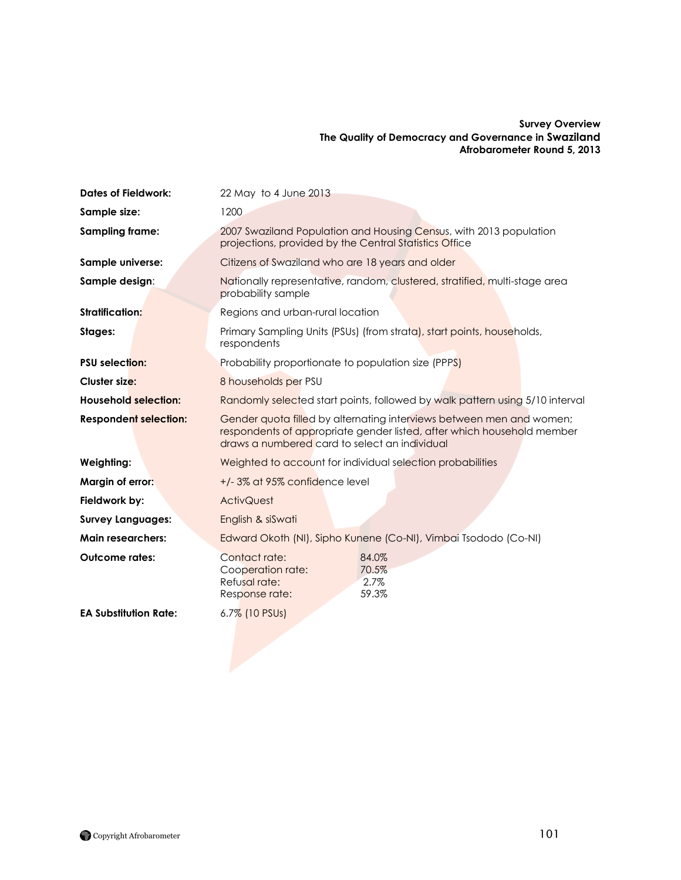#### **Survey Overview The Quality of Democracy and Governance in Swaziland Afrobarometer Round 5, 2013**

| <b>Dates of Fieldwork:</b>   | 22 May to 4 June 2013                                                                                                                                                                           |  |
|------------------------------|-------------------------------------------------------------------------------------------------------------------------------------------------------------------------------------------------|--|
| Sample size:                 | 1200                                                                                                                                                                                            |  |
| Sampling frame:              | 2007 Swaziland Population and Housing Census, with 2013 population<br>projections, provided by the Central Statistics Office                                                                    |  |
| Sample universe:             | Citizens of Swaziland who are 18 years and older                                                                                                                                                |  |
| Sample design:               | Nationally representative, random, clustered, stratified, multi-stage area<br>probability sample                                                                                                |  |
| Stratification:              | Regions and urban-rural location                                                                                                                                                                |  |
| Stages:                      | Primary Sampling Units (PSUs) (from strata), start points, households,<br>respondents                                                                                                           |  |
| <b>PSU</b> selection:        | Probability proportionate to population size (PPPS)                                                                                                                                             |  |
| <b>Cluster size:</b>         | 8 households per PSU                                                                                                                                                                            |  |
| <b>Household selection:</b>  | Randomly selected start points, followed by walk pattern using 5/10 interval                                                                                                                    |  |
| <b>Respondent selection:</b> | Gender quota filled by alternating interviews between men and women;<br>respondents of appropriate gender listed, after which household member<br>draws a numbered card to select an individual |  |
| Weighting:                   | Weighted to account for individual selection probabilities                                                                                                                                      |  |
| Margin of error:             | +/-3% at 95% confidence level                                                                                                                                                                   |  |
| Fieldwork by:                | <b>ActivQuest</b>                                                                                                                                                                               |  |
| <b>Survey Languages:</b>     | English & siSwati                                                                                                                                                                               |  |
| <b>Main researchers:</b>     | Edward Okoth (NI), Sipho Kunene (Co-NI), Vimbai Tsododo (Co-NI)                                                                                                                                 |  |
| <b>Outcome rates:</b>        | Contact rate:<br>84.0%<br>Cooperation rate:<br>70.5%<br>Refusal rate:<br>2.7%<br>59.3%<br>Response rate:                                                                                        |  |
| <b>EA Substitution Rate:</b> | 6.7% (10 PSUs)                                                                                                                                                                                  |  |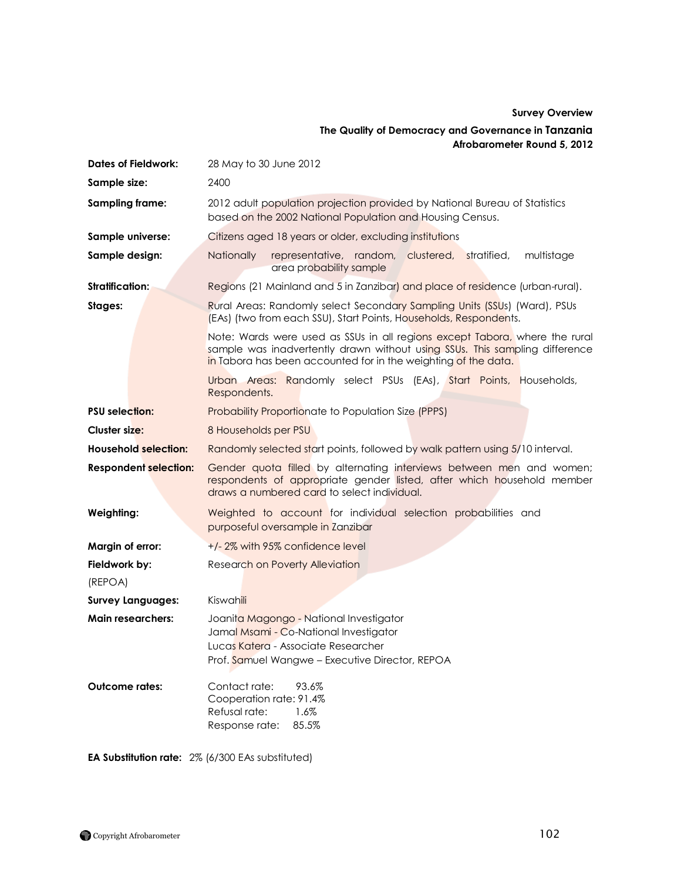## **Survey Overview The Quality of Democracy and Governance in Tanzania Afrobarometer Round 5, 2012**

| <b>Dates of Fieldwork:</b>   | 28 May to 30 June 2012                                                                                                                                                                                                       |  |
|------------------------------|------------------------------------------------------------------------------------------------------------------------------------------------------------------------------------------------------------------------------|--|
| Sample size:                 | 2400                                                                                                                                                                                                                         |  |
| Sampling frame:              | 2012 adult population projection provided by National Bureau of Statistics<br>based on the 2002 National Population and Housing Census.                                                                                      |  |
| Sample universe:             | Citizens aged 18 years or older, excluding institutions                                                                                                                                                                      |  |
| Sample design:               | <b>Nationally</b><br>representative, random, clustered,<br>stratified,<br>multistage<br>area probability sample                                                                                                              |  |
| <b>Stratification:</b>       | Regions (21 Mainland and 5 in Zanzibar) and place of residence (urban-rural).                                                                                                                                                |  |
| Stages:                      | Rural Areas: Randomly select Secondary Sampling Units (SSUs) (Ward), PSUs<br>(EAs) (two from each SSU), Start Points, Households, Respondents.                                                                               |  |
|                              | Note: Wards were used as SSUs in all regions except Tabora, where the rural<br>sample was inadvertently drawn without using SSUs. This sampling difference<br>in Tabora has been accounted for in the weighting of the data. |  |
|                              | Urban Areas: Randomly select PSUs (EAs), Start Points, Households,<br>Respondents.                                                                                                                                           |  |
| <b>PSU selection:</b>        | <b>Probability Proportionate to Population Size (PPPS)</b>                                                                                                                                                                   |  |
| Cluster size:                | 8 Households per PSU                                                                                                                                                                                                         |  |
| <b>Household selection:</b>  | Randomly selected start points, followed by walk pattern using 5/10 interval.                                                                                                                                                |  |
| <b>Respondent selection:</b> | Gender quota filled by alternating interviews between men and women;<br>respondents of appropriate gender listed, after which household member<br>draws a numbered card to select individual.                                |  |
| Weighting:                   | Weighted to account for individual selection probabilities and<br>purposeful oversample in Zanzibar                                                                                                                          |  |
| Margin of error:             | +/-2% with 95% confidence level                                                                                                                                                                                              |  |
| Fieldwork by:                | <b>Research on Poverty Alleviation</b>                                                                                                                                                                                       |  |
| (REPOA)                      |                                                                                                                                                                                                                              |  |
| <b>Survey Languages:</b>     | Kiswahili                                                                                                                                                                                                                    |  |
| <b>Main researchers:</b>     | Joanita Magongo - National Investigator<br>Jamal Msami - Co-National Investigator<br>Lucas Katera - Associate Researcher<br>Prof. Samuel Wangwe - Executive Director, REPOA                                                  |  |
| <b>Outcome rates:</b>        | Contact rate:<br>93.6%<br>Cooperation rate: 91.4%<br>Refusal rate:<br>1.6%<br>85.5%<br>Response rate:                                                                                                                        |  |

**EA Substitution rate:** 2% (6/300 EAs substituted)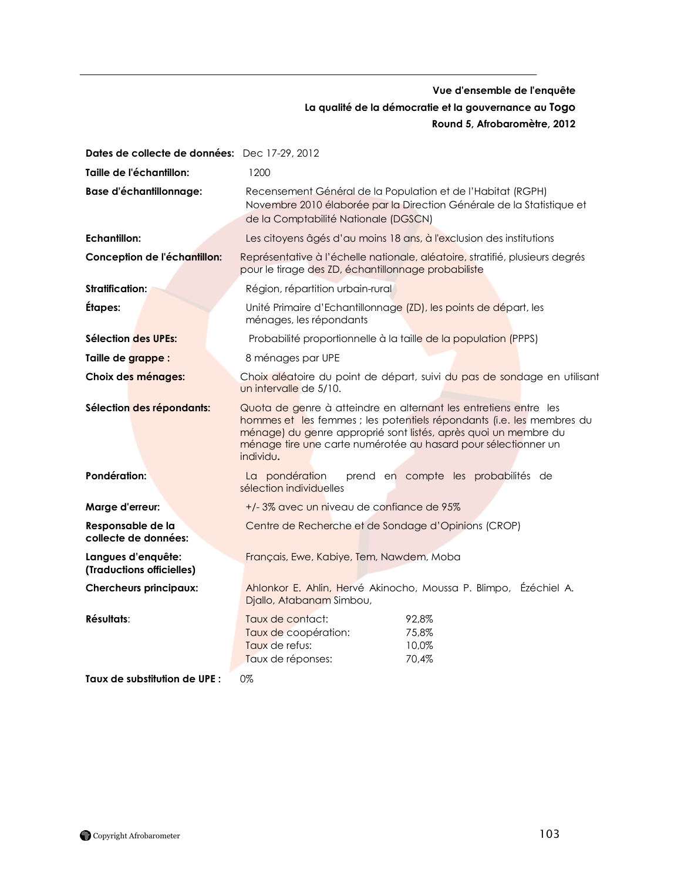## **Vue d'ensemble de l'enquête La qualité de la démocratie et la gouvernance au Togo Round 5, Afrobaromètre, 2012**

| Dates de collecte de données: Dec 17-29, 2012   |                                                                                                                                                                                                                                                                                             |
|-------------------------------------------------|---------------------------------------------------------------------------------------------------------------------------------------------------------------------------------------------------------------------------------------------------------------------------------------------|
| Taille de l'échantillon:                        | 1200                                                                                                                                                                                                                                                                                        |
| <b>Base d'échantillonnage:</b>                  | Recensement Général de la Population et de l'Habitat (RGPH)<br>Novembre 2010 élaborée par la Direction Générale de la Statistique et<br>de la Comptabilité Nationale (DGSCN)                                                                                                                |
| <b>Echantillon:</b>                             | Les citoyens âgés d'au moins 18 ans, à l'exclusion des institutions                                                                                                                                                                                                                         |
| Conception de l'échantillon:                    | Représentative à l'échelle nationale, aléatoire, stratifié, plusieurs degrés<br>pour le tirage des ZD, échantillonnage probabiliste                                                                                                                                                         |
| <b>Stratification:</b>                          | Région, répartition urbain-rural                                                                                                                                                                                                                                                            |
| Étapes:                                         | Unité Primaire d'Echantillonnage (ZD), les points de départ, les<br>ménages, les répondants                                                                                                                                                                                                 |
| Sélection des UPEs:                             | Probabilité proportionnelle à la taille de la population (PPPS)                                                                                                                                                                                                                             |
| Taille de grappe :                              | 8 ménages par UPE                                                                                                                                                                                                                                                                           |
| Choix des ménages:                              | Choix aléatoire du point de départ, suivi du pas de sondage en utilisant<br>un intervalle de 5/10.                                                                                                                                                                                          |
| Sélection des répondants:                       | Quota de genre à atteindre en alternant les entretiens entre les<br>hommes et les femmes ; les potentiels répondants (i.e. les membres du<br>ménage) du genre approprié sont listés, après quoi un membre du<br>ménage tire une carte numérotée au hasard pour sélectionner un<br>individu. |
| Pondération:                                    | prend en compte les probabilités de<br>La pondération<br>sélection individuelles                                                                                                                                                                                                            |
| Marge d'erreur:                                 | +/-3% avec un niveau de confiance de 95%                                                                                                                                                                                                                                                    |
| Responsable de la<br>collecte de données:       | Centre de Recherche et de Sondage d'Opinions (CROP)                                                                                                                                                                                                                                         |
| Langues d'enquête:<br>(Traductions officielles) | Français, Ewe, Kabiye, Tem, Nawdem, Moba                                                                                                                                                                                                                                                    |
| <b>Chercheurs principaux:</b>                   | Ahlonkor E. Ahlin, Hervé Akinocho, Moussa P. Blimpo, Ézéchiel A.<br>Djallo, Atabanam Simbou,                                                                                                                                                                                                |
| Résultats:                                      | Taux de contact:<br>92,8%<br>Taux de coopération:<br>75,8%<br>Taux de refus:<br>10,0%<br>Taux de réponses:<br>70,4%                                                                                                                                                                         |
| Taux de substitution de UPE :                   | 0%                                                                                                                                                                                                                                                                                          |

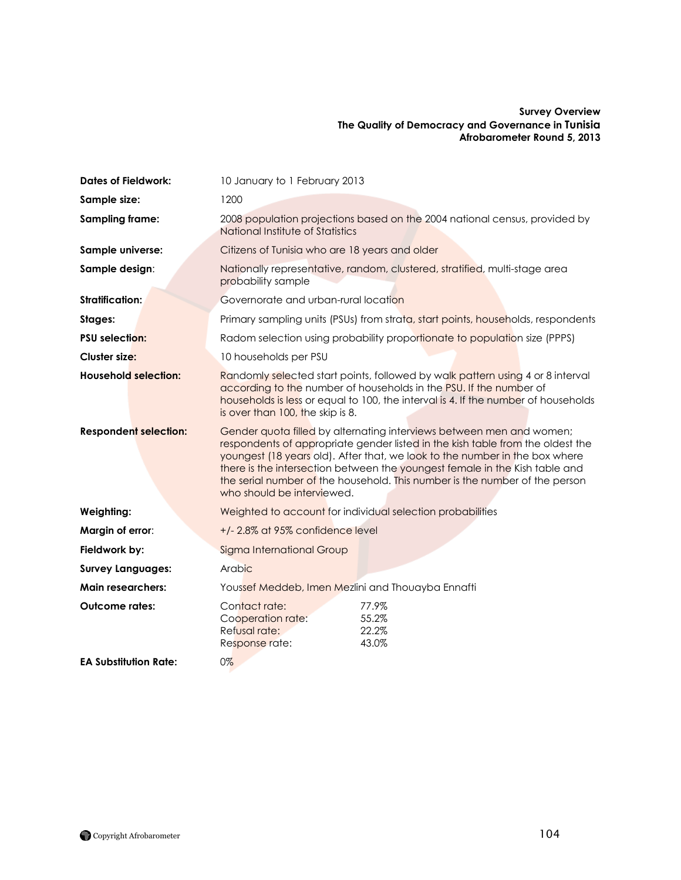#### **Survey Overview The Quality of Democracy and Governance in Tunisia Afrobarometer Round 5, 2013**

| <b>Dates of Fieldwork:</b>   | 10 January to 1 February 2013                                                                                                                                                                                                                                                                                                                                                                                                     |  |
|------------------------------|-----------------------------------------------------------------------------------------------------------------------------------------------------------------------------------------------------------------------------------------------------------------------------------------------------------------------------------------------------------------------------------------------------------------------------------|--|
| Sample size:                 | 1200                                                                                                                                                                                                                                                                                                                                                                                                                              |  |
| <b>Sampling frame:</b>       | 2008 population projections based on the 2004 national census, provided by<br>National Institute of Statistics                                                                                                                                                                                                                                                                                                                    |  |
| Sample universe:             | Citizens of Tunisia who are 18 years and older                                                                                                                                                                                                                                                                                                                                                                                    |  |
| Sample design:               | Nationally representative, random, clustered, stratified, multi-stage area<br>probability sample                                                                                                                                                                                                                                                                                                                                  |  |
| <b>Stratification:</b>       | Governorate and urban-rural location                                                                                                                                                                                                                                                                                                                                                                                              |  |
| Stages:                      | Primary sampling units (PSUs) from strata, start points, households, respondents                                                                                                                                                                                                                                                                                                                                                  |  |
| <b>PSU selection:</b>        | Radom selection using probability proportionate to population size (PPPS)                                                                                                                                                                                                                                                                                                                                                         |  |
| Cluster size:                | 10 households per PSU                                                                                                                                                                                                                                                                                                                                                                                                             |  |
| <b>Household selection:</b>  | Randomly selected start points, followed by walk pattern using 4 or 8 interval<br>according to the number of households in the PSU. If the number of<br>households is less or equal to 100, the interval is 4. If the number of households<br>is over than 100, the skip is 8.                                                                                                                                                    |  |
| <b>Respondent selection:</b> | Gender quota filled by alternating interviews between men and women;<br>respondents of appropriate gender listed in the kish table from the oldest the<br>youngest (18 years old). After that, we look to the number in the box where<br>there is the intersection between the youngest female in the Kish table and<br>the serial number of the household. This number is the number of the person<br>who should be interviewed. |  |
| Weighting:                   | Weighted to account for individual selection probabilities                                                                                                                                                                                                                                                                                                                                                                        |  |
| Margin of error:             | +/-2.8% at 95% confidence level                                                                                                                                                                                                                                                                                                                                                                                                   |  |
| Fieldwork by:                | Sigma International Group                                                                                                                                                                                                                                                                                                                                                                                                         |  |
| <b>Survey Languages:</b>     | Arabic                                                                                                                                                                                                                                                                                                                                                                                                                            |  |
| <b>Main researchers:</b>     | Youssef Meddeb, Imen Mezlini and Thouayba Ennaffi                                                                                                                                                                                                                                                                                                                                                                                 |  |
| <b>Outcome rates:</b>        | Contact rate:<br>77.9%<br>55.2%<br>Cooperation rate:<br>Refusal rate:<br>22.2%<br>Response rate:<br>43.0%                                                                                                                                                                                                                                                                                                                         |  |
| <b>EA Substitution Rate:</b> | $0\%$                                                                                                                                                                                                                                                                                                                                                                                                                             |  |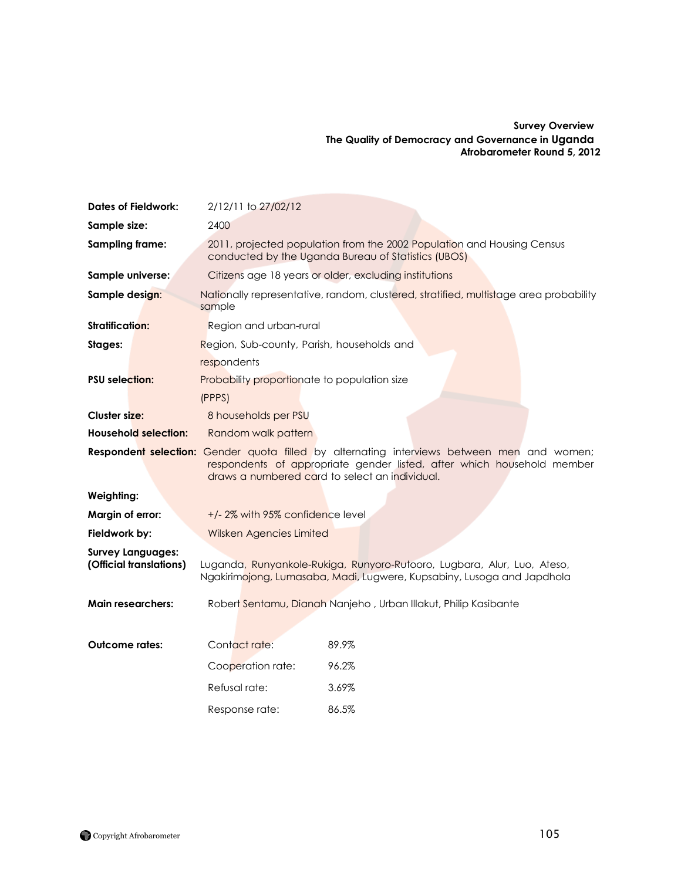#### **Survey Overview The Quality of Democracy and Governance in Uganda Afrobarometer Round 5, 2012**

| <b>Dates of Fieldwork:</b>                          | 2/12/11 to 27/02/12                                       |                                                                                                                                                                                                                               |
|-----------------------------------------------------|-----------------------------------------------------------|-------------------------------------------------------------------------------------------------------------------------------------------------------------------------------------------------------------------------------|
| Sample size:                                        | 2400                                                      |                                                                                                                                                                                                                               |
| <b>Sampling frame:</b>                              |                                                           | 2011, projected population from the 2002 Population and Housing Census<br>conducted by the Uganda Bureau of Statistics (UBOS)                                                                                                 |
| Sample universe:                                    |                                                           | Citizens age 18 years or older, excluding institutions                                                                                                                                                                        |
| Sample design:                                      | sample                                                    | Nationally representative, random, clustered, stratified, multistage area probability                                                                                                                                         |
| Stratification:                                     | Region and urban-rural                                    |                                                                                                                                                                                                                               |
| Stages:                                             | Region, Sub-county, Parish, households and<br>respondents |                                                                                                                                                                                                                               |
| <b>PSU</b> selection:                               | Probability proportionate to population size<br>(PPPS)    |                                                                                                                                                                                                                               |
| Cluster size:                                       | 8 households per PSU                                      |                                                                                                                                                                                                                               |
| <b>Household selection:</b>                         | Random walk pattern                                       |                                                                                                                                                                                                                               |
|                                                     |                                                           | <b>Respondent selection:</b> Gender quota filled by alternating interviews between men and women;<br>respondents of appropriate gender listed, after which household member<br>draws a numbered card to select an individual. |
| Weighting:                                          |                                                           |                                                                                                                                                                                                                               |
| Margin of error:                                    | +/-2% with 95% confidence level                           |                                                                                                                                                                                                                               |
| Fieldwork by:                                       | Wilsken Agencies Limited                                  |                                                                                                                                                                                                                               |
| <b>Survey Languages:</b><br>(Official translations) |                                                           | Luganda, Runyankole-Rukiga, Runyoro-Rutooro, Lugbara, Alur, Luo, Ateso,<br>Ngakirimojong, Lumasaba, Madi, Lugwere, Kupsabiny, Lusoga and Japdhola                                                                             |
| <b>Main researchers:</b>                            |                                                           | Robert Sentamu, Dianah Nanjeho, Urban Illakut, Philip Kasibante                                                                                                                                                               |
| <b>Outcome rates:</b>                               | Contact rate:                                             | 89.9%                                                                                                                                                                                                                         |
|                                                     | Cooperation rate:                                         | 96.2%                                                                                                                                                                                                                         |
|                                                     | Refusal rate:                                             | 3.69%                                                                                                                                                                                                                         |
|                                                     | Response rate:                                            | 86.5%                                                                                                                                                                                                                         |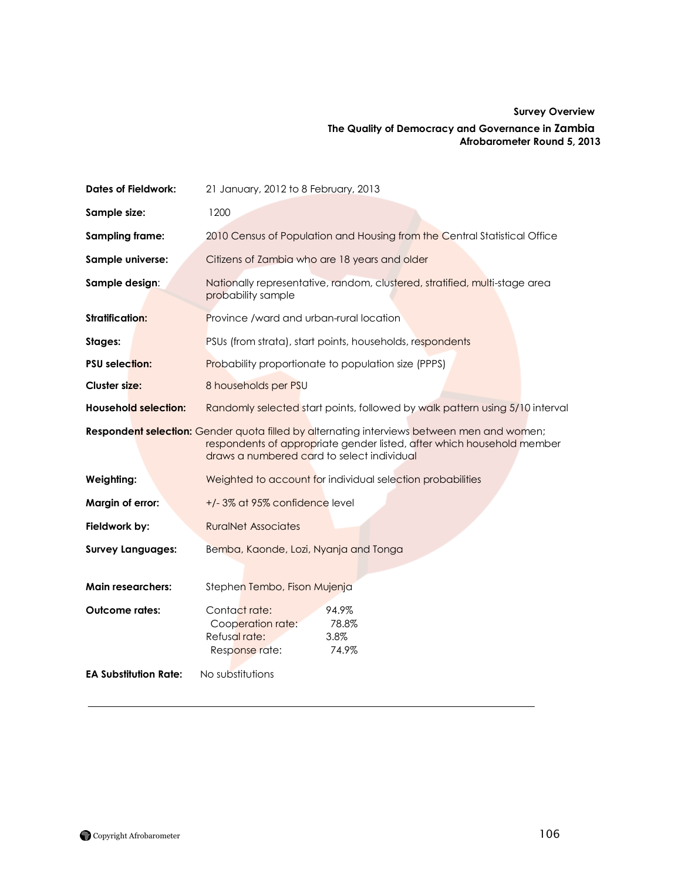## **Survey Overview The Quality of Democracy and Governance in Zambia Afrobarometer Round 5, 2013**

| <b>Dates of Fieldwork:</b>   | 21 January, 2012 to 8 February, 2013                                                                                                                                                                                      |
|------------------------------|---------------------------------------------------------------------------------------------------------------------------------------------------------------------------------------------------------------------------|
| Sample size:                 | 1200                                                                                                                                                                                                                      |
| <b>Sampling frame:</b>       | 2010 Census of Population and Housing from the Central Statistical Office                                                                                                                                                 |
| Sample universe:             | Citizens of Zambia who are 18 years and older                                                                                                                                                                             |
| Sample design:               | Nationally representative, random, clustered, stratified, multi-stage area<br>probability sample                                                                                                                          |
| <b>Stratification:</b>       | <b>Province /ward and urban-rural location</b>                                                                                                                                                                            |
| Stages:                      | PSUs (from strata), start points, households, respondents                                                                                                                                                                 |
| <b>PSU</b> selection:        | <b>Probability proportionate to population size (PPPS)</b>                                                                                                                                                                |
| <b>Cluster size:</b>         | 8 households per PSU                                                                                                                                                                                                      |
| <b>Household selection:</b>  | Randomly selected start points, followed by walk pattern using 5/10 interval                                                                                                                                              |
|                              | <b>Respondent selection:</b> Gender quota filled by alternating interviews between men and women;<br>respondents of appropriate gender listed, after which household member<br>draws a numbered card to select individual |
| Weighting:                   | Weighted to account for individual selection probabilities                                                                                                                                                                |
| Margin of error:             | +/-3% at 95% confidence level                                                                                                                                                                                             |
| Fieldwork by:                | <b>RuralNet Associates</b>                                                                                                                                                                                                |
| <b>Survey Languages:</b>     | Bemba, Kaonde, Lozi, Nyanja and Tonga                                                                                                                                                                                     |
| <b>Main researchers:</b>     | Stephen Tembo, Fison Mujenja                                                                                                                                                                                              |
| <b>Outcome rates:</b>        | Contact rate:<br>94.9%<br>Cooperation rate:<br>78.8%<br>Refusal rate:<br>3.8%<br>Response rate:<br>74.9%                                                                                                                  |
| <b>EA Substitution Rate:</b> | No substitutions                                                                                                                                                                                                          |